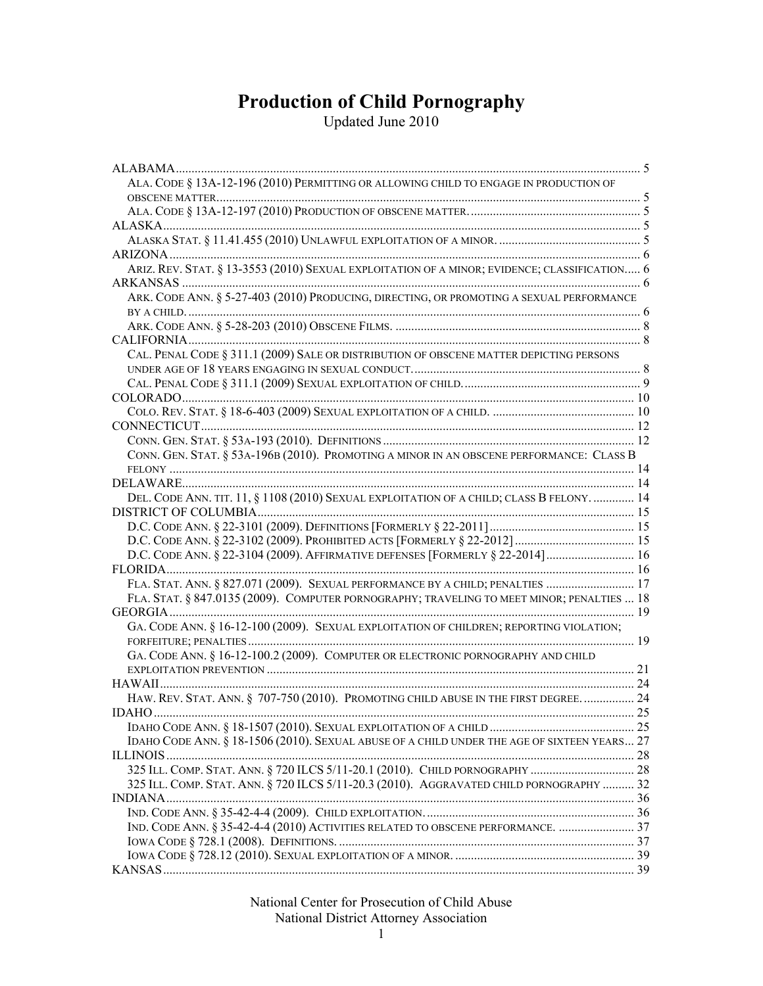## **Production of Child Pornography**

Updated June 2010

| ALA. CODE § 13A-12-196 (2010) PERMITTING OR ALLOWING CHILD TO ENGAGE IN PRODUCTION OF        |  |
|----------------------------------------------------------------------------------------------|--|
|                                                                                              |  |
|                                                                                              |  |
|                                                                                              |  |
|                                                                                              |  |
|                                                                                              |  |
| ARIZ. REV. STAT. § 13-3553 (2010) SEXUAL EXPLOITATION OF A MINOR; EVIDENCE; CLASSIFICATION 6 |  |
|                                                                                              |  |
| ARK. CODE ANN. § 5-27-403 (2010) PRODUCING, DIRECTING, OR PROMOTING A SEXUAL PERFORMANCE     |  |
|                                                                                              |  |
|                                                                                              |  |
|                                                                                              |  |
| CAL. PENAL CODE § 311.1 (2009) SALE OR DISTRIBUTION OF OBSCENE MATTER DEPICTING PERSONS      |  |
|                                                                                              |  |
|                                                                                              |  |
|                                                                                              |  |
|                                                                                              |  |
|                                                                                              |  |
|                                                                                              |  |
| CONN. GEN. STAT. § 53A-196B (2010). PROMOTING A MINOR IN AN OBSCENE PERFORMANCE: CLASS B     |  |
|                                                                                              |  |
|                                                                                              |  |
| DEL. CODE ANN. TIT. 11, § 1108 (2010) SEXUAL EXPLOITATION OF A CHILD; CLASS B FELONY.  14    |  |
|                                                                                              |  |
|                                                                                              |  |
|                                                                                              |  |
| D.C. CODE ANN. § 22-3104 (2009). AFFIRMATIVE DEFENSES [FORMERLY § 22-2014] 16                |  |
|                                                                                              |  |
| FLA. STAT. ANN. § 827.071 (2009). SEXUAL PERFORMANCE BY A CHILD; PENALTIES  17               |  |
| FLA. STAT. § 847.0135 (2009). COMPUTER PORNOGRAPHY; TRAVELING TO MEET MINOR; PENALTIES  18   |  |
|                                                                                              |  |
| GA. CODE ANN. § 16-12-100 (2009). SEXUAL EXPLOITATION OF CHILDREN; REPORTING VIOLATION;      |  |
|                                                                                              |  |
| GA. CODE ANN. § 16-12-100.2 (2009). COMPUTER OR ELECTRONIC PORNOGRAPHY AND CHILD             |  |
|                                                                                              |  |
|                                                                                              |  |
| HAW. REV. STAT. ANN. § 707-750 (2010). PROMOTING CHILD ABUSE IN THE FIRST DEGREE 24          |  |
| IDAHO                                                                                        |  |
|                                                                                              |  |
| IDAHO CODE ANN. § 18-1506 (2010). SEXUAL ABUSE OF A CHILD UNDER THE AGE OF SIXTEEN YEARS 27  |  |
|                                                                                              |  |
|                                                                                              |  |
| 325 ILL. COMP. STAT. ANN. § 720 ILCS 5/11-20.3 (2010). AGGRAVATED CHILD PORNOGRAPHY  32      |  |
|                                                                                              |  |
|                                                                                              |  |
| IND. CODE ANN. § 35-42-4-4 (2010) ACTIVITIES RELATED TO OBSCENE PERFORMANCE.  37             |  |
|                                                                                              |  |
|                                                                                              |  |
|                                                                                              |  |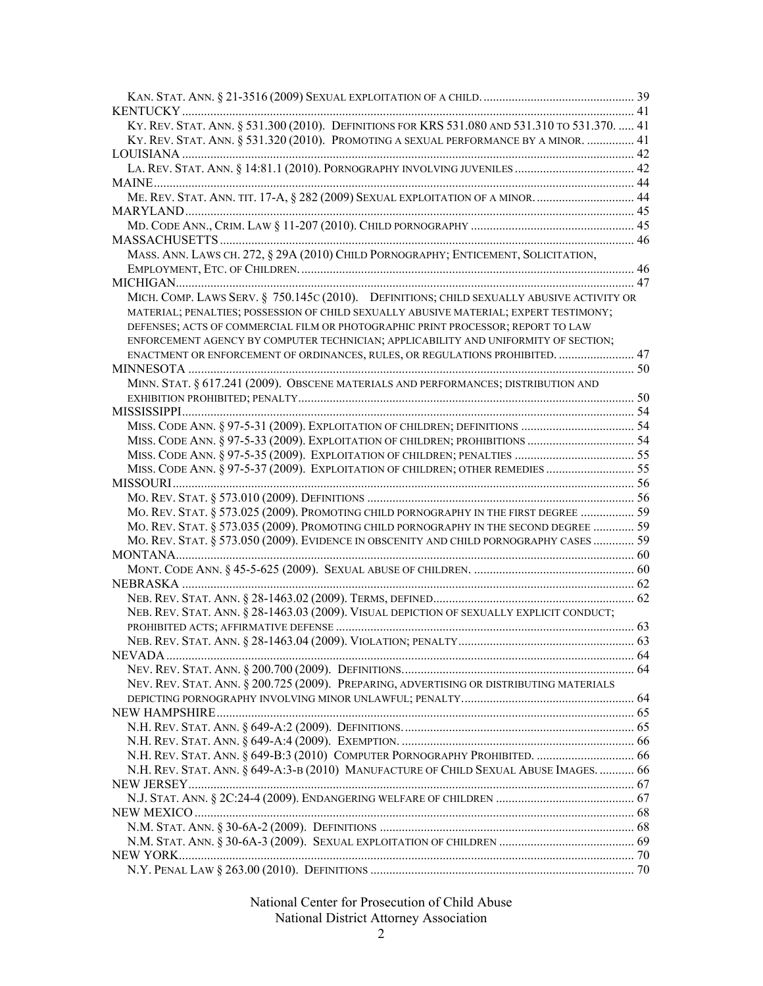| KY. REV. STAT. ANN. § 531.300 (2010). DEFINITIONS FOR KRS 531.080 AND 531.310 TO 531.370.  41 |  |
|-----------------------------------------------------------------------------------------------|--|
| KY. REV. STAT. ANN. § 531.320 (2010). PROMOTING A SEXUAL PERFORMANCE BY A MINOR.  41          |  |
|                                                                                               |  |
|                                                                                               |  |
|                                                                                               |  |
| ME. REV. STAT. ANN. TIT. 17-A, § 282 (2009) SEXUAL EXPLOITATION OF A MINOR.  44               |  |
|                                                                                               |  |
|                                                                                               |  |
|                                                                                               |  |
| MASS. ANN. LAWS CH. 272, § 29A (2010) CHILD PORNOGRAPHY; ENTICEMENT, SOLICITATION,            |  |
|                                                                                               |  |
|                                                                                               |  |
| MICH. COMP. LAWS SERV. § 750.145C (2010). DEFINITIONS; CHILD SEXUALLY ABUSIVE ACTIVITY OR     |  |
| MATERIAL; PENALTIES; POSSESSION OF CHILD SEXUALLY ABUSIVE MATERIAL; EXPERT TESTIMONY;         |  |
| DEFENSES; ACTS OF COMMERCIAL FILM OR PHOTOGRAPHIC PRINT PROCESSOR; REPORT TO LAW              |  |
| ENFORCEMENT AGENCY BY COMPUTER TECHNICIAN; APPLICABILITY AND UNIFORMITY OF SECTION;           |  |
| ENACTMENT OR ENFORCEMENT OF ORDINANCES, RULES, OR REGULATIONS PROHIBITED.  47                 |  |
|                                                                                               |  |
| MINN. STAT. § 617.241 (2009). OBSCENE MATERIALS AND PERFORMANCES; DISTRIBUTION AND            |  |
|                                                                                               |  |
|                                                                                               |  |
|                                                                                               |  |
| MISS. CODE ANN. § 97-5-33 (2009). EXPLOITATION OF CHILDREN; PROHIBITIONS  54                  |  |
|                                                                                               |  |
| MISS. CODE ANN. § 97-5-37 (2009). EXPLOITATION OF CHILDREN; OTHER REMEDIES  55                |  |
|                                                                                               |  |
|                                                                                               |  |
| MO. REV. STAT. § 573.025 (2009). PROMOTING CHILD PORNOGRAPHY IN THE FIRST DEGREE  59          |  |
| MO. REV. STAT. § 573.035 (2009). PROMOTING CHILD PORNOGRAPHY IN THE SECOND DEGREE  59         |  |
| MO. REV. STAT. § 573.050 (2009). EVIDENCE IN OBSCENITY AND CHILD PORNOGRAPHY CASES  59        |  |
|                                                                                               |  |
|                                                                                               |  |
|                                                                                               |  |
|                                                                                               |  |
| NEB. REV. STAT. ANN. § 28-1463.03 (2009). VISUAL DEPICTION OF SEXUALLY EXPLICIT CONDUCT;      |  |
|                                                                                               |  |
|                                                                                               |  |
|                                                                                               |  |
| NEV. REV. STAT. ANN. § 200.725 (2009). PREPARING, ADVERTISING OR DISTRIBUTING MATERIALS       |  |
|                                                                                               |  |
|                                                                                               |  |
|                                                                                               |  |
|                                                                                               |  |
| N.H. REV. STAT. ANN. § 649-B:3 (2010) COMPUTER PORNOGRAPHY PROHIBITED.  66                    |  |
| N.H. REV. STAT. ANN. § 649-A:3-B (2010) MANUFACTURE OF CHILD SEXUAL ABUSE IMAGES.  66         |  |
|                                                                                               |  |
|                                                                                               |  |
|                                                                                               |  |
|                                                                                               |  |
|                                                                                               |  |
|                                                                                               |  |
|                                                                                               |  |
|                                                                                               |  |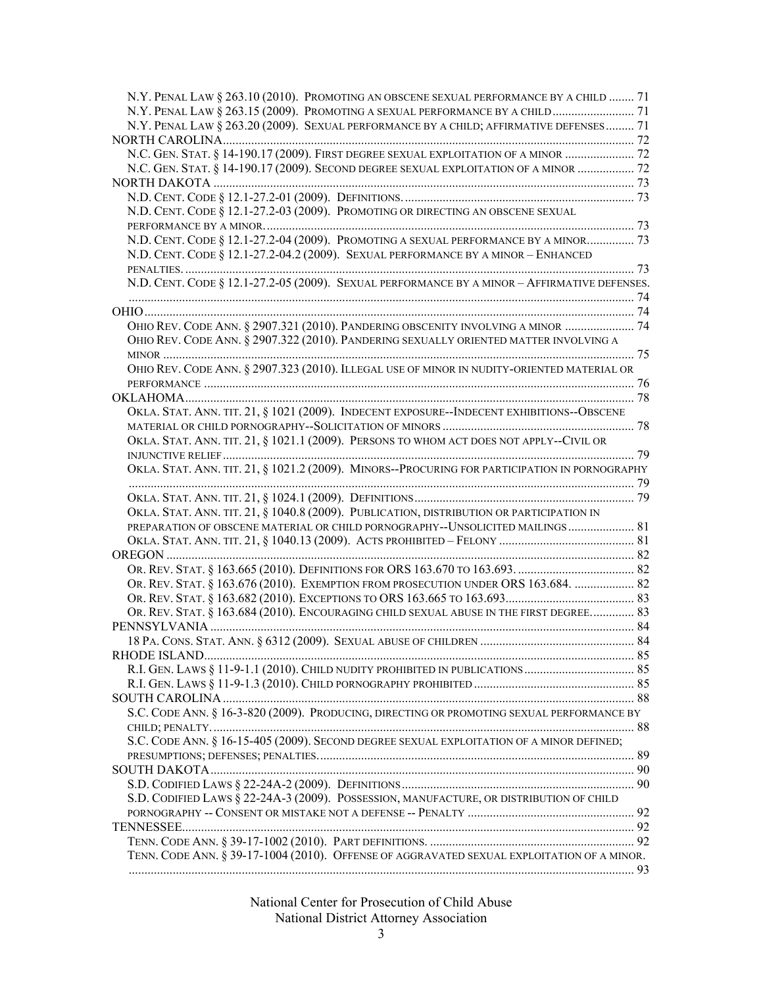| N.Y. PENAL LAW § 263.10 (2010). PROMOTING AN OBSCENE SEXUAL PERFORMANCE BY A CHILD  71        |  |
|-----------------------------------------------------------------------------------------------|--|
| N.Y. PENAL LAW § 263.15 (2009). PROMOTING A SEXUAL PERFORMANCE BY A CHILD 71                  |  |
| N.Y. PENAL LAW § 263.20 (2009). SEXUAL PERFORMANCE BY A CHILD; AFFIRMATIVE DEFENSES 71        |  |
|                                                                                               |  |
| N.C. GEN. STAT. § 14-190.17 (2009). FIRST DEGREE SEXUAL EXPLOITATION OF A MINOR  72           |  |
| N.C. GEN. STAT. § 14-190.17 (2009). SECOND DEGREE SEXUAL EXPLOITATION OF A MINOR  72          |  |
|                                                                                               |  |
|                                                                                               |  |
| N.D. CENT. CODE § 12.1-27.2-03 (2009). PROMOTING OR DIRECTING AN OBSCENE SEXUAL               |  |
|                                                                                               |  |
| N.D. CENT. CODE § 12.1-27.2-04 (2009). PROMOTING A SEXUAL PERFORMANCE BY A MINOR 73           |  |
| N.D. CENT. CODE § 12.1-27.2-04.2 (2009). SEXUAL PERFORMANCE BY A MINOR - ENHANCED             |  |
|                                                                                               |  |
| N.D. CENT. CODE § 12.1-27.2-05 (2009). SEXUAL PERFORMANCE BY A MINOR - AFFIRMATIVE DEFENSES.  |  |
|                                                                                               |  |
|                                                                                               |  |
| OHIO REV. CODE ANN. § 2907.321 (2010). PANDERING OBSCENITY INVOLVING A MINOR  74              |  |
| OHIO REV. CODE ANN. § 2907.322 (2010). PANDERING SEXUALLY ORIENTED MATTER INVOLVING A         |  |
|                                                                                               |  |
| OHIO REV. CODE ANN. § 2907.323 (2010). ILLEGAL USE OF MINOR IN NUDITY-ORIENTED MATERIAL OR    |  |
|                                                                                               |  |
|                                                                                               |  |
| OKLA. STAT. ANN. TIT. 21, § 1021 (2009). INDECENT EXPOSURE--INDECENT EXHIBITIONS--OBSCENE     |  |
|                                                                                               |  |
| OKLA. STAT. ANN. TIT. 21, § 1021.1 (2009). PERSONS TO WHOM ACT DOES NOT APPLY--CIVIL OR       |  |
|                                                                                               |  |
| OKLA. STAT. ANN. TIT. 21, § 1021.2 (2009). MINORS--PROCURING FOR PARTICIPATION IN PORNOGRAPHY |  |
|                                                                                               |  |
|                                                                                               |  |
| OKLA. STAT. ANN. TIT. 21, § 1040.8 (2009). PUBLICATION, DISTRIBUTION OR PARTICIPATION IN      |  |
| PREPARATION OF OBSCENE MATERIAL OR CHILD PORNOGRAPHY--UNSOLICITED MAILINGS 81                 |  |
|                                                                                               |  |
|                                                                                               |  |
|                                                                                               |  |
| OR. REV. STAT. § 163.676 (2010). EXEMPTION FROM PROSECUTION UNDER ORS 163.684.  82            |  |
|                                                                                               |  |
| OR. REV. STAT. § 163.684 (2010). ENCOURAGING CHILD SEXUAL ABUSE IN THE FIRST DEGREE 83        |  |
|                                                                                               |  |
|                                                                                               |  |
|                                                                                               |  |
|                                                                                               |  |
|                                                                                               |  |
|                                                                                               |  |
| S.C. CODE ANN. § 16-3-820 (2009). PRODUCING, DIRECTING OR PROMOTING SEXUAL PERFORMANCE BY     |  |
|                                                                                               |  |
| S.C. CODE ANN. § 16-15-405 (2009). SECOND DEGREE SEXUAL EXPLOITATION OF A MINOR DEFINED;      |  |
|                                                                                               |  |
|                                                                                               |  |
|                                                                                               |  |
| S.D. CODIFIED LAWS § 22-24A-3 (2009). POSSESSION, MANUFACTURE, OR DISTRIBUTION OF CHILD       |  |
|                                                                                               |  |
|                                                                                               |  |
|                                                                                               |  |
| TENN. CODE ANN. § 39-17-1004 (2010). OFFENSE OF AGGRAVATED SEXUAL EXPLOITATION OF A MINOR.    |  |
|                                                                                               |  |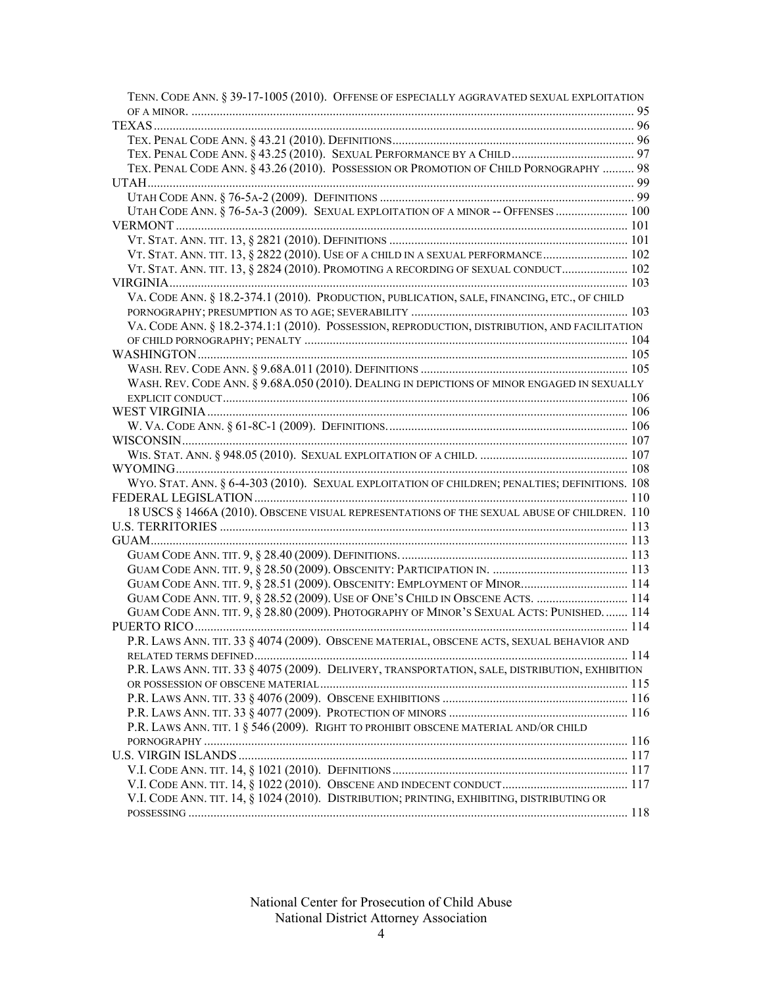| TENN. CODE ANN. § 39-17-1005 (2010). OFFENSE OF ESPECIALLY AGGRAVATED SEXUAL EXPLOITATION      |  |
|------------------------------------------------------------------------------------------------|--|
|                                                                                                |  |
|                                                                                                |  |
|                                                                                                |  |
|                                                                                                |  |
| TEX. PENAL CODE ANN. § 43.26 (2010). POSSESSION OR PROMOTION OF CHILD PORNOGRAPHY  98          |  |
|                                                                                                |  |
|                                                                                                |  |
| UTAH CODE ANN. § 76-5A-3 (2009). SEXUAL EXPLOITATION OF A MINOR -- OFFENSES  100               |  |
|                                                                                                |  |
|                                                                                                |  |
|                                                                                                |  |
| VT. STAT. ANN. TIT. 13, § 2824 (2010). PROMOTING A RECORDING OF SEXUAL CONDUCT 102             |  |
|                                                                                                |  |
| VA. CODE ANN. § 18.2-374.1 (2010). PRODUCTION, PUBLICATION, SALE, FINANCING, ETC., OF CHILD    |  |
|                                                                                                |  |
| VA. CODE ANN. § 18.2-374.1:1 (2010). POSSESSION, REPRODUCTION, DISTRIBUTION, AND FACILITATION  |  |
|                                                                                                |  |
|                                                                                                |  |
|                                                                                                |  |
|                                                                                                |  |
| WASH. REV. CODE ANN. § 9.68A.050 (2010). DEALING IN DEPICTIONS OF MINOR ENGAGED IN SEXUALLY    |  |
|                                                                                                |  |
|                                                                                                |  |
|                                                                                                |  |
|                                                                                                |  |
|                                                                                                |  |
|                                                                                                |  |
| WYO. STAT. ANN. § 6-4-303 (2010). SEXUAL EXPLOITATION OF CHILDREN; PENALTIES; DEFINITIONS. 108 |  |
|                                                                                                |  |
| 18 USCS § 1466A (2010). OBSCENE VISUAL REPRESENTATIONS OF THE SEXUAL ABUSE OF CHILDREN. 110    |  |
|                                                                                                |  |
|                                                                                                |  |
|                                                                                                |  |
|                                                                                                |  |
| GUAM CODE ANN. TIT. 9, § 28.51 (2009). OBSCENITY: EMPLOYMENT OF MINOR 114                      |  |
| GUAM CODE ANN. TIT. 9, § 28.52 (2009). USE OF ONE'S CHILD IN OBSCENE ACTS.  114                |  |
| GUAM CODE ANN. TIT. 9, § 28.80 (2009). PHOTOGRAPHY OF MINOR'S SEXUAL ACTS: PUNISHED 114        |  |
|                                                                                                |  |
| P.R. LAWS ANN. TIT. 33 § 4074 (2009). OBSCENE MATERIAL, OBSCENE ACTS, SEXUAL BEHAVIOR AND      |  |
|                                                                                                |  |
| P.R. LAWS ANN. TIT. 33 § 4075 (2009). DELIVERY, TRANSPORTATION, SALE, DISTRIBUTION, EXHIBITION |  |
|                                                                                                |  |
|                                                                                                |  |
|                                                                                                |  |
| P.R. LAWS ANN. TIT. 1 § 546 (2009). RIGHT TO PROHIBIT OBSCENE MATERIAL AND/OR CHILD            |  |
|                                                                                                |  |
|                                                                                                |  |
|                                                                                                |  |
|                                                                                                |  |
| V.I. CODE ANN. TIT. 14, § 1024 (2010). DISTRIBUTION; PRINTING, EXHIBITING, DISTRIBUTING OR     |  |
|                                                                                                |  |
|                                                                                                |  |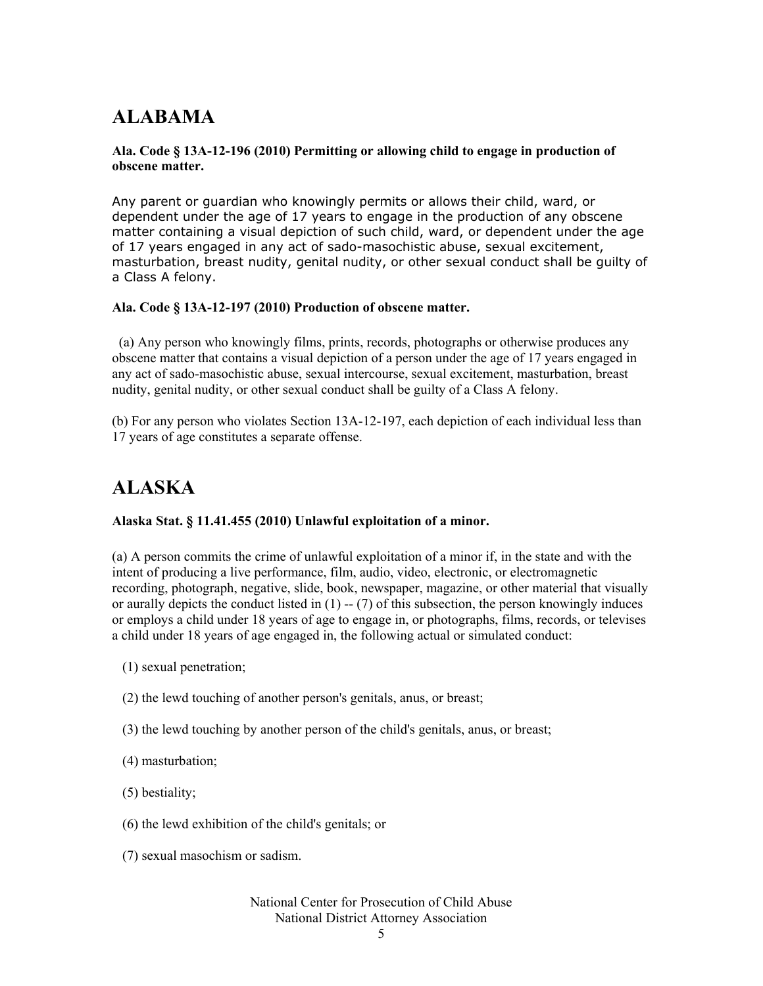# <span id="page-4-0"></span>**ALABAMA**

### **Ala. Code § 13A-12-196 (2010) Permitting or allowing child to engage in production of obscene matter.**

Any parent or guardian who knowingly permits or allows their child, ward, or dependent under the age of 17 years to engage in the production of any obscene matter containing a visual depiction of such child, ward, or dependent under the age of 17 years engaged in any act of sado-masochistic abuse, sexual excitement, masturbation, breast nudity, genital nudity, or other sexual conduct shall be guilty of a Class A felony.

### **Ala. Code § 13A-12-197 (2010) Production of obscene matter.**

 (a) Any person who knowingly films, prints, records, photographs or otherwise produces any obscene matter that contains a visual depiction of a person under the age of 17 years engaged in any act of sado-masochistic abuse, sexual intercourse, sexual excitement, masturbation, breast nudity, genital nudity, or other sexual conduct shall be guilty of a Class A felony.

(b) For any person who violates Section 13A-12-197, each depiction of each individual less than 17 years of age constitutes a separate offense.

# **ALASKA**

## **Alaska Stat. § 11.41.455 (2010) Unlawful exploitation of a minor.**

(a) A person commits the crime of unlawful exploitation of a minor if, in the state and with the intent of producing a live performance, film, audio, video, electronic, or electromagnetic recording, photograph, negative, slide, book, newspaper, magazine, or other material that visually or aurally depicts the conduct listed in  $(1)$  --  $(7)$  of this subsection, the person knowingly induces or employs a child under 18 years of age to engage in, or photographs, films, records, or televises a child under 18 years of age engaged in, the following actual or simulated conduct:

- (1) sexual penetration;
- (2) the lewd touching of another person's genitals, anus, or breast;
- (3) the lewd touching by another person of the child's genitals, anus, or breast;
- (4) masturbation;
- (5) bestiality;
- (6) the lewd exhibition of the child's genitals; or
- (7) sexual masochism or sadism.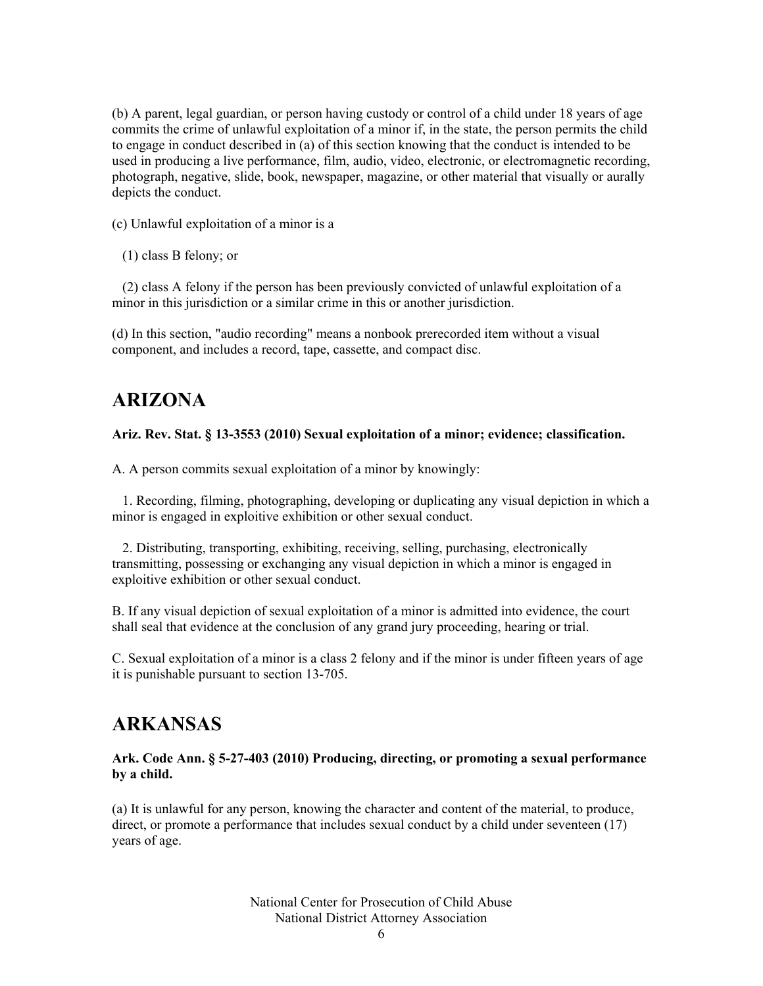<span id="page-5-0"></span>(b) A parent, legal guardian, or person having custody or control of a child under 18 years of age commits the crime of unlawful exploitation of a minor if, in the state, the person permits the child to engage in conduct described in (a) of this section knowing that the conduct is intended to be used in producing a live performance, film, audio, video, electronic, or electromagnetic recording, photograph, negative, slide, book, newspaper, magazine, or other material that visually or aurally depicts the conduct.

(c) Unlawful exploitation of a minor is a

(1) class B felony; or

 (2) class A felony if the person has been previously convicted of unlawful exploitation of a minor in this jurisdiction or a similar crime in this or another jurisdiction.

(d) In this section, "audio recording" means a nonbook prerecorded item without a visual component, and includes a record, tape, cassette, and compact disc.

## **ARIZONA**

### **Ariz. Rev. Stat. § 13-3553 (2010) Sexual exploitation of a minor; evidence; classification.**

A. A person commits sexual exploitation of a minor by knowingly:

 1. Recording, filming, photographing, developing or duplicating any visual depiction in which a minor is engaged in exploitive exhibition or other sexual conduct.

 2. Distributing, transporting, exhibiting, receiving, selling, purchasing, electronically transmitting, possessing or exchanging any visual depiction in which a minor is engaged in exploitive exhibition or other sexual conduct.

B. If any visual depiction of sexual exploitation of a minor is admitted into evidence, the court shall seal that evidence at the conclusion of any grand jury proceeding, hearing or trial.

C. Sexual exploitation of a minor is a class 2 felony and if the minor is under fifteen years of age it is punishable pursuant to section 13-705.

## **ARKANSAS**

### **Ark. Code Ann. § 5-27-403 (2010) Producing, directing, or promoting a sexual performance by a child.**

(a) It is unlawful for any person, knowing the character and content of the material, to produce, direct, or promote a performance that includes sexual conduct by a child under seventeen (17) years of age.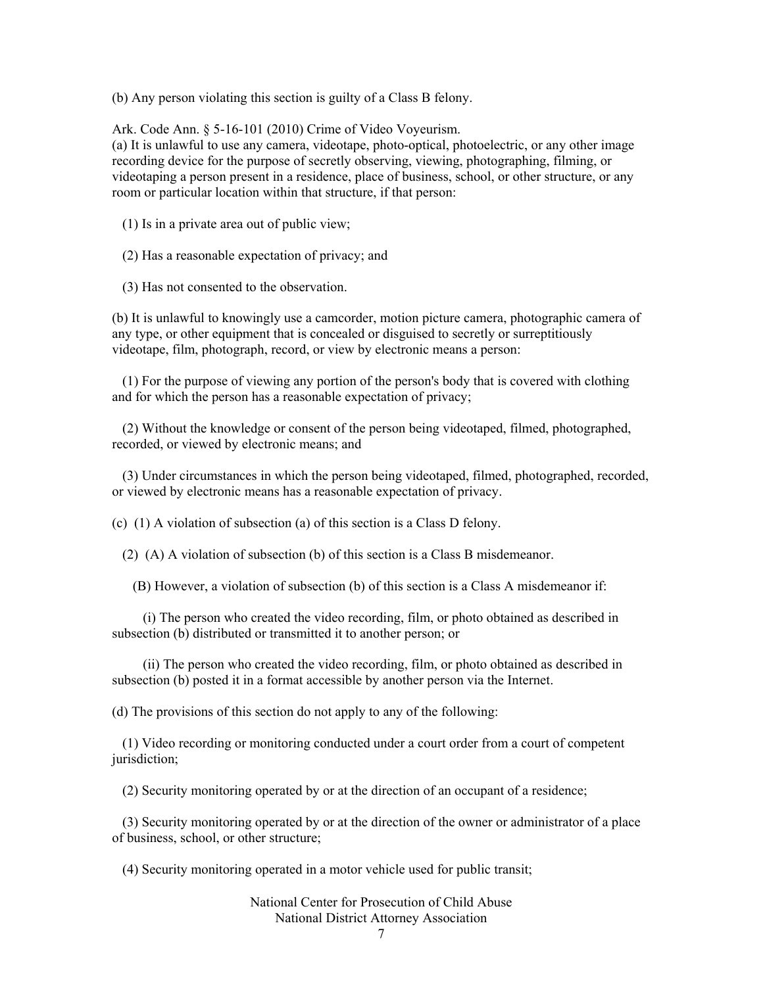(b) Any person violating this section is guilty of a Class B felony.

Ark. Code Ann. § 5-16-101 (2010) Crime of Video Voyeurism.

(a) It is unlawful to use any camera, videotape, photo-optical, photoelectric, or any other image recording device for the purpose of secretly observing, viewing, photographing, filming, or videotaping a person present in a residence, place of business, school, or other structure, or any room or particular location within that structure, if that person:

(1) Is in a private area out of public view;

(2) Has a reasonable expectation of privacy; and

(3) Has not consented to the observation.

(b) It is unlawful to knowingly use a camcorder, motion picture camera, photographic camera of any type, or other equipment that is concealed or disguised to secretly or surreptitiously videotape, film, photograph, record, or view by electronic means a person:

 (1) For the purpose of viewing any portion of the person's body that is covered with clothing and for which the person has a reasonable expectation of privacy;

 (2) Without the knowledge or consent of the person being videotaped, filmed, photographed, recorded, or viewed by electronic means; and

 (3) Under circumstances in which the person being videotaped, filmed, photographed, recorded, or viewed by electronic means has a reasonable expectation of privacy.

(c) (1) A violation of subsection (a) of this section is a Class D felony.

(2) (A) A violation of subsection (b) of this section is a Class B misdemeanor.

(B) However, a violation of subsection (b) of this section is a Class A misdemeanor if:

 (i) The person who created the video recording, film, or photo obtained as described in subsection (b) distributed or transmitted it to another person; or

 (ii) The person who created the video recording, film, or photo obtained as described in subsection (b) posted it in a format accessible by another person via the Internet.

(d) The provisions of this section do not apply to any of the following:

 (1) Video recording or monitoring conducted under a court order from a court of competent jurisdiction;

(2) Security monitoring operated by or at the direction of an occupant of a residence;

 (3) Security monitoring operated by or at the direction of the owner or administrator of a place of business, school, or other structure;

(4) Security monitoring operated in a motor vehicle used for public transit;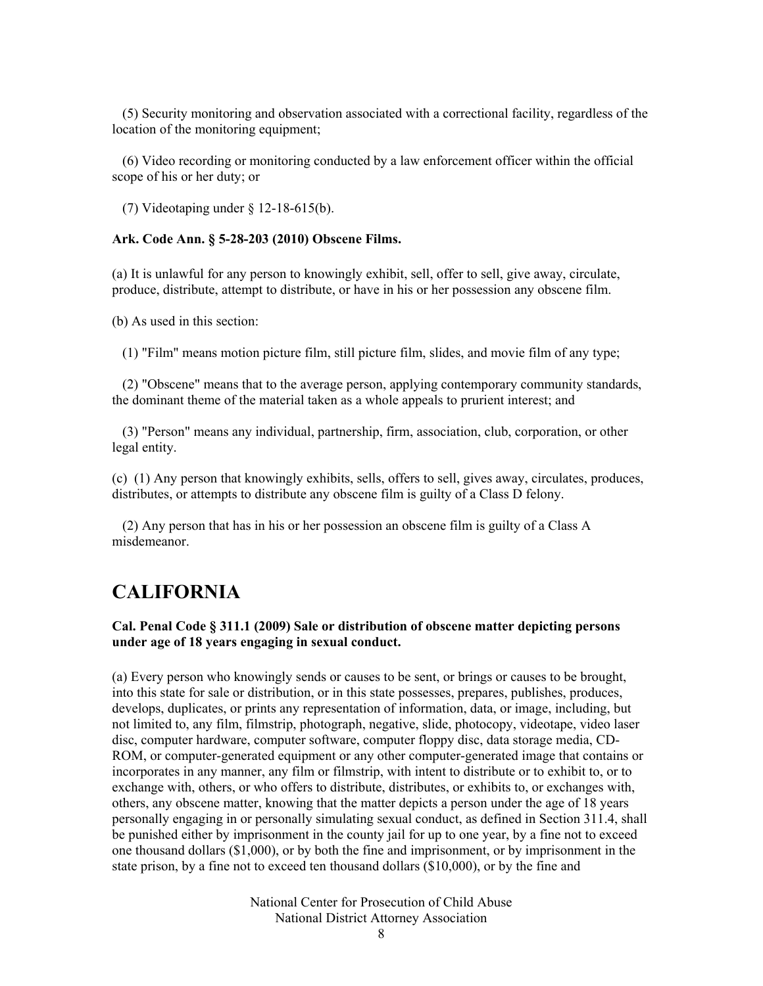<span id="page-7-0"></span> (5) Security monitoring and observation associated with a correctional facility, regardless of the location of the monitoring equipment;

 (6) Video recording or monitoring conducted by a law enforcement officer within the official scope of his or her duty; or

(7) Videotaping under § 12-18-615(b).

### **Ark. Code Ann. § 5-28-203 (2010) Obscene Films.**

(a) It is unlawful for any person to knowingly exhibit, sell, offer to sell, give away, circulate, produce, distribute, attempt to distribute, or have in his or her possession any obscene film.

(b) As used in this section:

(1) "Film" means motion picture film, still picture film, slides, and movie film of any type;

 (2) "Obscene" means that to the average person, applying contemporary community standards, the dominant theme of the material taken as a whole appeals to prurient interest; and

 (3) "Person" means any individual, partnership, firm, association, club, corporation, or other legal entity.

(c) (1) Any person that knowingly exhibits, sells, offers to sell, gives away, circulates, produces, distributes, or attempts to distribute any obscene film is guilty of a Class D felony.

 (2) Any person that has in his or her possession an obscene film is guilty of a Class A misdemeanor.

## **CALIFORNIA**

**Cal. Penal Code § 311.1 (2009) Sale or distribution of obscene matter depicting persons under age of 18 years engaging in sexual conduct.** 

(a) Every person who knowingly sends or causes to be sent, or brings or causes to be brought, into this state for sale or distribution, or in this state possesses, prepares, publishes, produces, develops, duplicates, or prints any representation of information, data, or image, including, but not limited to, any film, filmstrip, photograph, negative, slide, photocopy, videotape, video laser disc, computer hardware, computer software, computer floppy disc, data storage media, CD-ROM, or computer-generated equipment or any other computer-generated image that contains or incorporates in any manner, any film or filmstrip, with intent to distribute or to exhibit to, or to exchange with, others, or who offers to distribute, distributes, or exhibits to, or exchanges with, others, any obscene matter, knowing that the matter depicts a person under the age of 18 years personally engaging in or personally simulating sexual conduct, as defined in Section 311.4, shall be punished either by imprisonment in the county jail for up to one year, by a fine not to exceed one thousand dollars (\$1,000), or by both the fine and imprisonment, or by imprisonment in the state prison, by a fine not to exceed ten thousand dollars (\$10,000), or by the fine and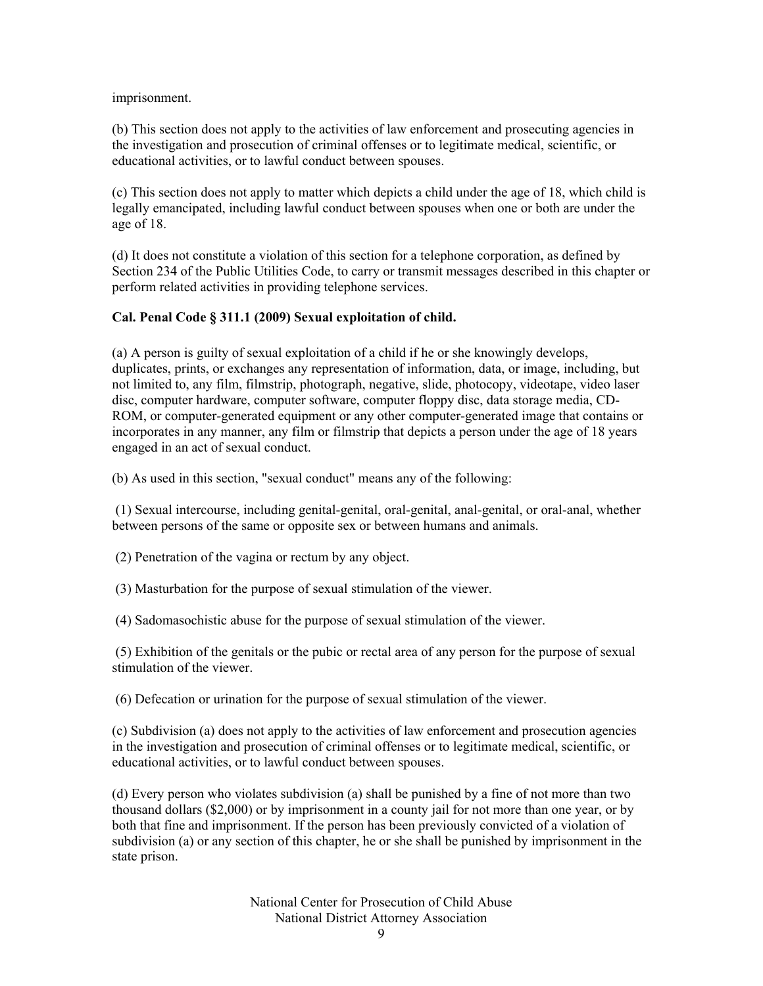<span id="page-8-0"></span>imprisonment.

(b) This section does not apply to the activities of law enforcement and prosecuting agencies in the investigation and prosecution of criminal offenses or to legitimate medical, scientific, or educational activities, or to lawful conduct between spouses.

(c) This section does not apply to matter which depicts a child under the age of 18, which child is legally emancipated, including lawful conduct between spouses when one or both are under the age of 18.

(d) It does not constitute a violation of this section for a telephone corporation, as defined by Section 234 of the Public Utilities Code, to carry or transmit messages described in this chapter or perform related activities in providing telephone services.

### **Cal. Penal Code § 311.1 (2009) Sexual exploitation of child.**

(a) A person is guilty of sexual exploitation of a child if he or she knowingly develops, duplicates, prints, or exchanges any representation of information, data, or image, including, but not limited to, any film, filmstrip, photograph, negative, slide, photocopy, videotape, video laser disc, computer hardware, computer software, computer floppy disc, data storage media, CD-ROM, or computer-generated equipment or any other computer-generated image that contains or incorporates in any manner, any film or filmstrip that depicts a person under the age of 18 years engaged in an act of sexual conduct.

(b) As used in this section, "sexual conduct" means any of the following:

 (1) Sexual intercourse, including genital-genital, oral-genital, anal-genital, or oral-anal, whether between persons of the same or opposite sex or between humans and animals.

(2) Penetration of the vagina or rectum by any object.

(3) Masturbation for the purpose of sexual stimulation of the viewer.

(4) Sadomasochistic abuse for the purpose of sexual stimulation of the viewer.

 (5) Exhibition of the genitals or the pubic or rectal area of any person for the purpose of sexual stimulation of the viewer.

(6) Defecation or urination for the purpose of sexual stimulation of the viewer.

(c) Subdivision (a) does not apply to the activities of law enforcement and prosecution agencies in the investigation and prosecution of criminal offenses or to legitimate medical, scientific, or educational activities, or to lawful conduct between spouses.

(d) Every person who violates subdivision (a) shall be punished by a fine of not more than two thousand dollars (\$2,000) or by imprisonment in a county jail for not more than one year, or by both that fine and imprisonment. If the person has been previously convicted of a violation of subdivision (a) or any section of this chapter, he or she shall be punished by imprisonment in the state prison.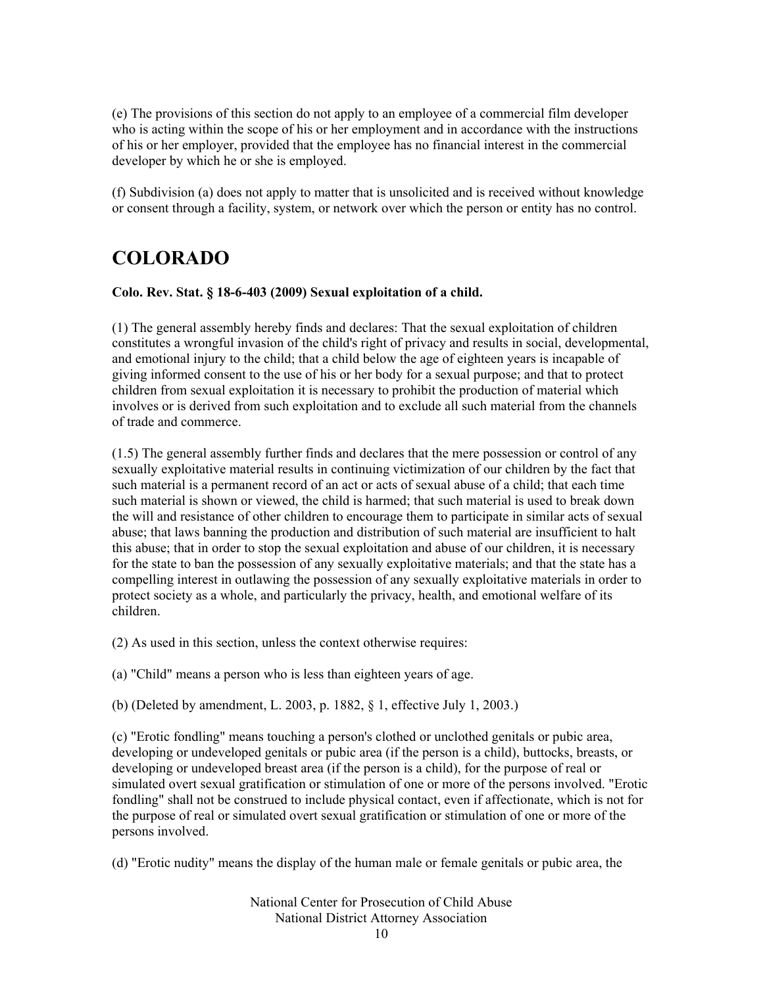<span id="page-9-0"></span>(e) The provisions of this section do not apply to an employee of a commercial film developer who is acting within the scope of his or her employment and in accordance with the instructions of his or her employer, provided that the employee has no financial interest in the commercial developer by which he or she is employed.

(f) Subdivision (a) does not apply to matter that is unsolicited and is received without knowledge or consent through a facility, system, or network over which the person or entity has no control.

# **COLORADO**

**Colo. Rev. Stat. § 18-6-403 (2009) Sexual exploitation of a child.** 

(1) The general assembly hereby finds and declares: That the sexual exploitation of children constitutes a wrongful invasion of the child's right of privacy and results in social, developmental, and emotional injury to the child; that a child below the age of eighteen years is incapable of giving informed consent to the use of his or her body for a sexual purpose; and that to protect children from sexual exploitation it is necessary to prohibit the production of material which involves or is derived from such exploitation and to exclude all such material from the channels of trade and commerce.

(1.5) The general assembly further finds and declares that the mere possession or control of any sexually exploitative material results in continuing victimization of our children by the fact that such material is a permanent record of an act or acts of sexual abuse of a child; that each time such material is shown or viewed, the child is harmed; that such material is used to break down the will and resistance of other children to encourage them to participate in similar acts of sexual abuse; that laws banning the production and distribution of such material are insufficient to halt this abuse; that in order to stop the sexual exploitation and abuse of our children, it is necessary for the state to ban the possession of any sexually exploitative materials; and that the state has a compelling interest in outlawing the possession of any sexually exploitative materials in order to protect society as a whole, and particularly the privacy, health, and emotional welfare of its children.

(2) As used in this section, unless the context otherwise requires:

(a) "Child" means a person who is less than eighteen years of age.

(b) (Deleted by amendment, L. 2003, p. 1882, § 1, effective July 1, 2003.)

(c) "Erotic fondling" means touching a person's clothed or unclothed genitals or pubic area, developing or undeveloped genitals or pubic area (if the person is a child), buttocks, breasts, or developing or undeveloped breast area (if the person is a child), for the purpose of real or simulated overt sexual gratification or stimulation of one or more of the persons involved. "Erotic fondling" shall not be construed to include physical contact, even if affectionate, which is not for the purpose of real or simulated overt sexual gratification or stimulation of one or more of the persons involved.

(d) "Erotic nudity" means the display of the human male or female genitals or pubic area, the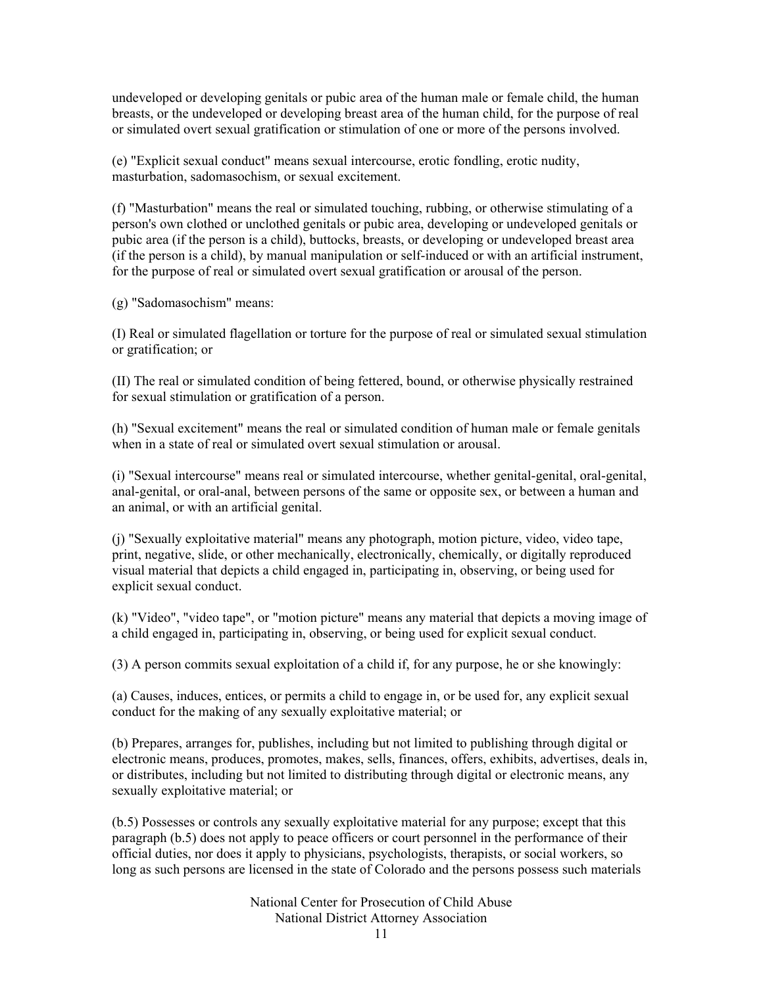undeveloped or developing genitals or pubic area of the human male or female child, the human breasts, or the undeveloped or developing breast area of the human child, for the purpose of real or simulated overt sexual gratification or stimulation of one or more of the persons involved.

(e) "Explicit sexual conduct" means sexual intercourse, erotic fondling, erotic nudity, masturbation, sadomasochism, or sexual excitement.

(f) "Masturbation" means the real or simulated touching, rubbing, or otherwise stimulating of a person's own clothed or unclothed genitals or pubic area, developing or undeveloped genitals or pubic area (if the person is a child), buttocks, breasts, or developing or undeveloped breast area (if the person is a child), by manual manipulation or self-induced or with an artificial instrument, for the purpose of real or simulated overt sexual gratification or arousal of the person.

(g) "Sadomasochism" means:

(I) Real or simulated flagellation or torture for the purpose of real or simulated sexual stimulation or gratification; or

(II) The real or simulated condition of being fettered, bound, or otherwise physically restrained for sexual stimulation or gratification of a person.

(h) "Sexual excitement" means the real or simulated condition of human male or female genitals when in a state of real or simulated overt sexual stimulation or arousal.

(i) "Sexual intercourse" means real or simulated intercourse, whether genital-genital, oral-genital, anal-genital, or oral-anal, between persons of the same or opposite sex, or between a human and an animal, or with an artificial genital.

(j) "Sexually exploitative material" means any photograph, motion picture, video, video tape, print, negative, slide, or other mechanically, electronically, chemically, or digitally reproduced visual material that depicts a child engaged in, participating in, observing, or being used for explicit sexual conduct.

(k) "Video", "video tape", or "motion picture" means any material that depicts a moving image of a child engaged in, participating in, observing, or being used for explicit sexual conduct.

(3) A person commits sexual exploitation of a child if, for any purpose, he or she knowingly:

(a) Causes, induces, entices, or permits a child to engage in, or be used for, any explicit sexual conduct for the making of any sexually exploitative material; or

(b) Prepares, arranges for, publishes, including but not limited to publishing through digital or electronic means, produces, promotes, makes, sells, finances, offers, exhibits, advertises, deals in, or distributes, including but not limited to distributing through digital or electronic means, any sexually exploitative material; or

(b.5) Possesses or controls any sexually exploitative material for any purpose; except that this paragraph (b.5) does not apply to peace officers or court personnel in the performance of their official duties, nor does it apply to physicians, psychologists, therapists, or social workers, so long as such persons are licensed in the state of Colorado and the persons possess such materials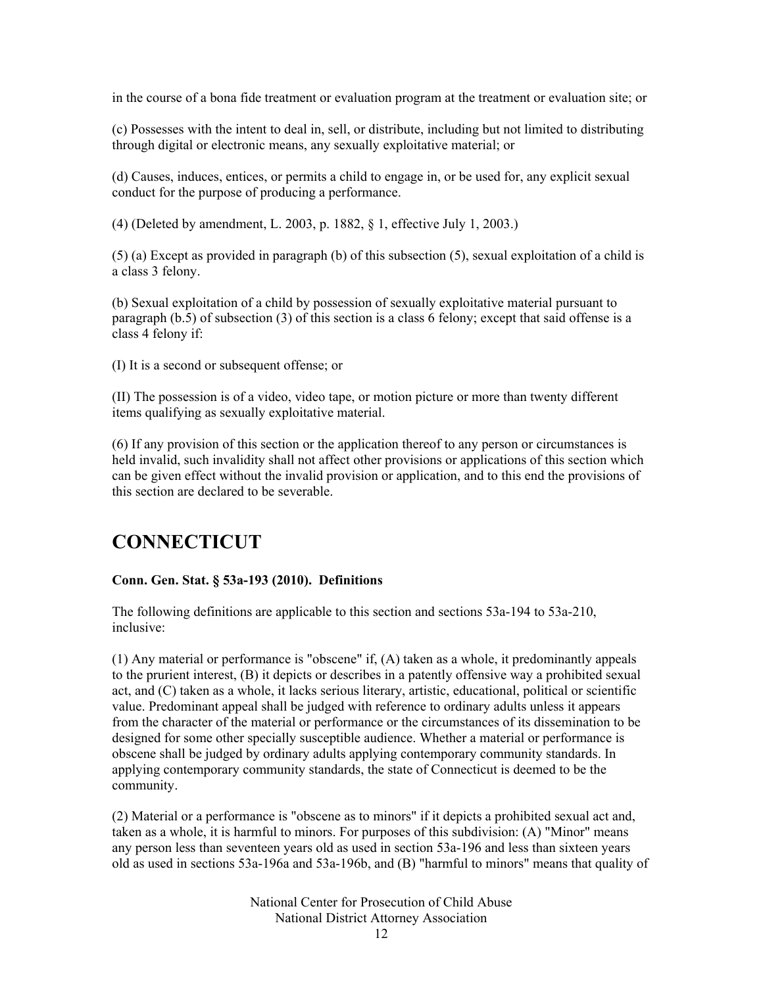<span id="page-11-0"></span>in the course of a bona fide treatment or evaluation program at the treatment or evaluation site; or

(c) Possesses with the intent to deal in, sell, or distribute, including but not limited to distributing through digital or electronic means, any sexually exploitative material; or

(d) Causes, induces, entices, or permits a child to engage in, or be used for, any explicit sexual conduct for the purpose of producing a performance.

(4) (Deleted by amendment, L. 2003, p. 1882, § 1, effective July 1, 2003.)

(5) (a) Except as provided in paragraph (b) of this subsection (5), sexual exploitation of a child is a class 3 felony.

(b) Sexual exploitation of a child by possession of sexually exploitative material pursuant to paragraph (b.5) of subsection (3) of this section is a class 6 felony; except that said offense is a class 4 felony if:

(I) It is a second or subsequent offense; or

(II) The possession is of a video, video tape, or motion picture or more than twenty different items qualifying as sexually exploitative material.

(6) If any provision of this section or the application thereof to any person or circumstances is held invalid, such invalidity shall not affect other provisions or applications of this section which can be given effect without the invalid provision or application, and to this end the provisions of this section are declared to be severable.

# **CONNECTICUT**

## **Conn. Gen. Stat. § 53a-193 (2010). Definitions**

The following definitions are applicable to this section and sections 53a-194 to 53a-210, inclusive:

(1) Any material or performance is "obscene" if, (A) taken as a whole, it predominantly appeals to the prurient interest, (B) it depicts or describes in a patently offensive way a prohibited sexual act, and (C) taken as a whole, it lacks serious literary, artistic, educational, political or scientific value. Predominant appeal shall be judged with reference to ordinary adults unless it appears from the character of the material or performance or the circumstances of its dissemination to be designed for some other specially susceptible audience. Whether a material or performance is obscene shall be judged by ordinary adults applying contemporary community standards. In applying contemporary community standards, the state of Connecticut is deemed to be the community.

(2) Material or a performance is "obscene as to minors" if it depicts a prohibited sexual act and, taken as a whole, it is harmful to minors. For purposes of this subdivision: (A) "Minor" means any person less than seventeen years old as used in section 53a-196 and less than sixteen years old as used in sections 53a-196a and 53a-196b, and (B) "harmful to minors" means that quality of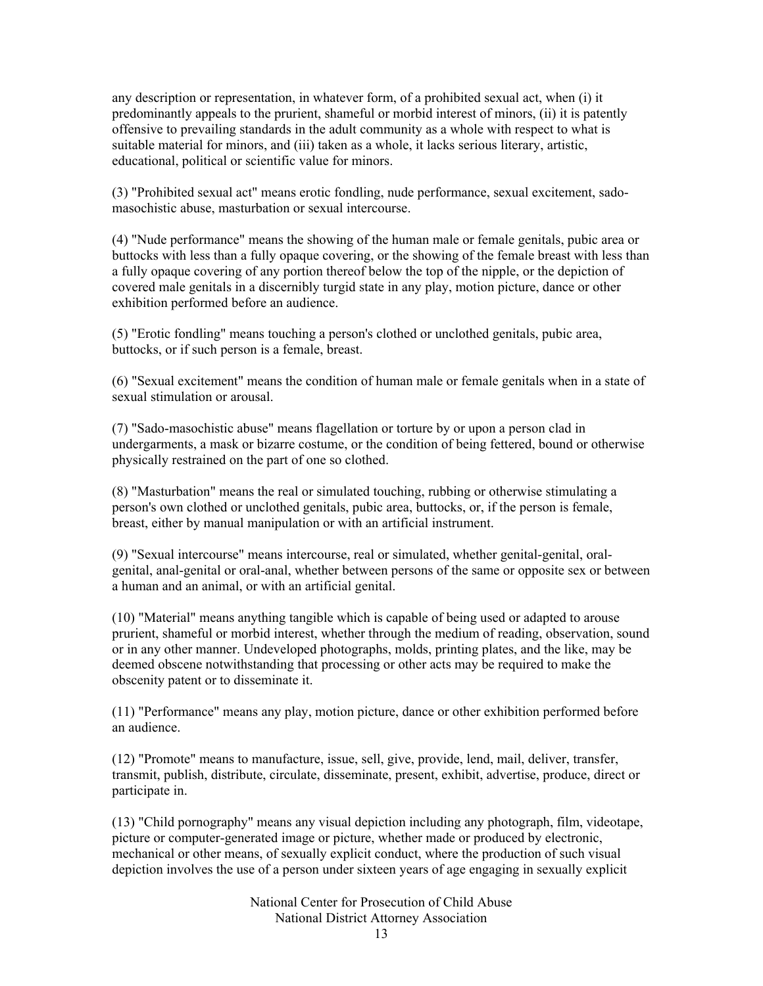any description or representation, in whatever form, of a prohibited sexual act, when (i) it predominantly appeals to the prurient, shameful or morbid interest of minors, (ii) it is patently offensive to prevailing standards in the adult community as a whole with respect to what is suitable material for minors, and (iii) taken as a whole, it lacks serious literary, artistic, educational, political or scientific value for minors.

(3) "Prohibited sexual act" means erotic fondling, nude performance, sexual excitement, sadomasochistic abuse, masturbation or sexual intercourse.

(4) "Nude performance" means the showing of the human male or female genitals, pubic area or buttocks with less than a fully opaque covering, or the showing of the female breast with less than a fully opaque covering of any portion thereof below the top of the nipple, or the depiction of covered male genitals in a discernibly turgid state in any play, motion picture, dance or other exhibition performed before an audience.

(5) "Erotic fondling" means touching a person's clothed or unclothed genitals, pubic area, buttocks, or if such person is a female, breast.

(6) "Sexual excitement" means the condition of human male or female genitals when in a state of sexual stimulation or arousal.

(7) "Sado-masochistic abuse" means flagellation or torture by or upon a person clad in undergarments, a mask or bizarre costume, or the condition of being fettered, bound or otherwise physically restrained on the part of one so clothed.

(8) "Masturbation" means the real or simulated touching, rubbing or otherwise stimulating a person's own clothed or unclothed genitals, pubic area, buttocks, or, if the person is female, breast, either by manual manipulation or with an artificial instrument.

(9) "Sexual intercourse" means intercourse, real or simulated, whether genital-genital, oralgenital, anal-genital or oral-anal, whether between persons of the same or opposite sex or between a human and an animal, or with an artificial genital.

(10) "Material" means anything tangible which is capable of being used or adapted to arouse prurient, shameful or morbid interest, whether through the medium of reading, observation, sound or in any other manner. Undeveloped photographs, molds, printing plates, and the like, may be deemed obscene notwithstanding that processing or other acts may be required to make the obscenity patent or to disseminate it.

(11) "Performance" means any play, motion picture, dance or other exhibition performed before an audience.

(12) "Promote" means to manufacture, issue, sell, give, provide, lend, mail, deliver, transfer, transmit, publish, distribute, circulate, disseminate, present, exhibit, advertise, produce, direct or participate in.

(13) "Child pornography" means any visual depiction including any photograph, film, videotape, picture or computer-generated image or picture, whether made or produced by electronic, mechanical or other means, of sexually explicit conduct, where the production of such visual depiction involves the use of a person under sixteen years of age engaging in sexually explicit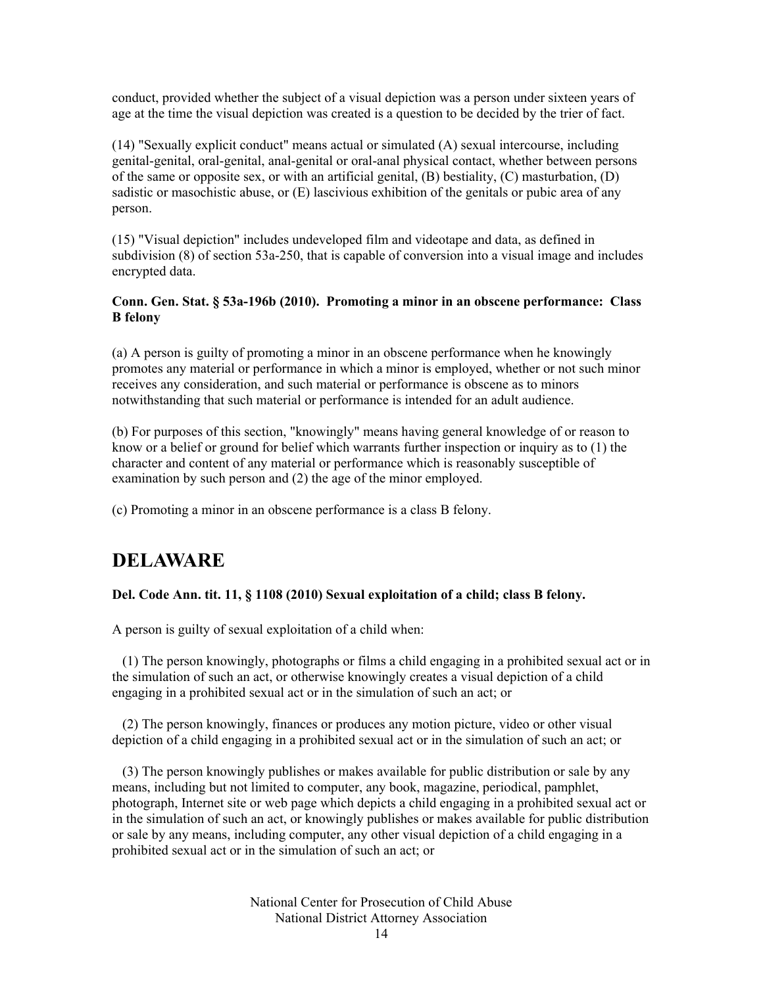<span id="page-13-0"></span>conduct, provided whether the subject of a visual depiction was a person under sixteen years of age at the time the visual depiction was created is a question to be decided by the trier of fact.

(14) "Sexually explicit conduct" means actual or simulated (A) sexual intercourse, including genital-genital, oral-genital, anal-genital or oral-anal physical contact, whether between persons of the same or opposite sex, or with an artificial genital,  $(B)$  bestiality,  $(C)$  masturbation,  $(D)$ sadistic or masochistic abuse, or (E) lascivious exhibition of the genitals or pubic area of any person.

(15) "Visual depiction" includes undeveloped film and videotape and data, as defined in subdivision (8) of section 53a-250, that is capable of conversion into a visual image and includes encrypted data.

### **Conn. Gen. Stat. § 53a-196b (2010). Promoting a minor in an obscene performance: Class B felony**

(a) A person is guilty of promoting a minor in an obscene performance when he knowingly promotes any material or performance in which a minor is employed, whether or not such minor receives any consideration, and such material or performance is obscene as to minors notwithstanding that such material or performance is intended for an adult audience.

(b) For purposes of this section, "knowingly" means having general knowledge of or reason to know or a belief or ground for belief which warrants further inspection or inquiry as to (1) the character and content of any material or performance which is reasonably susceptible of examination by such person and (2) the age of the minor employed.

(c) Promoting a minor in an obscene performance is a class B felony.

## **DELAWARE**

## **Del. Code Ann. tit. 11, § 1108 (2010) Sexual exploitation of a child; class B felony.**

A person is guilty of sexual exploitation of a child when:

 (1) The person knowingly, photographs or films a child engaging in a prohibited sexual act or in the simulation of such an act, or otherwise knowingly creates a visual depiction of a child engaging in a prohibited sexual act or in the simulation of such an act; or

 (2) The person knowingly, finances or produces any motion picture, video or other visual depiction of a child engaging in a prohibited sexual act or in the simulation of such an act; or

 (3) The person knowingly publishes or makes available for public distribution or sale by any means, including but not limited to computer, any book, magazine, periodical, pamphlet, photograph, Internet site or web page which depicts a child engaging in a prohibited sexual act or in the simulation of such an act, or knowingly publishes or makes available for public distribution or sale by any means, including computer, any other visual depiction of a child engaging in a prohibited sexual act or in the simulation of such an act; or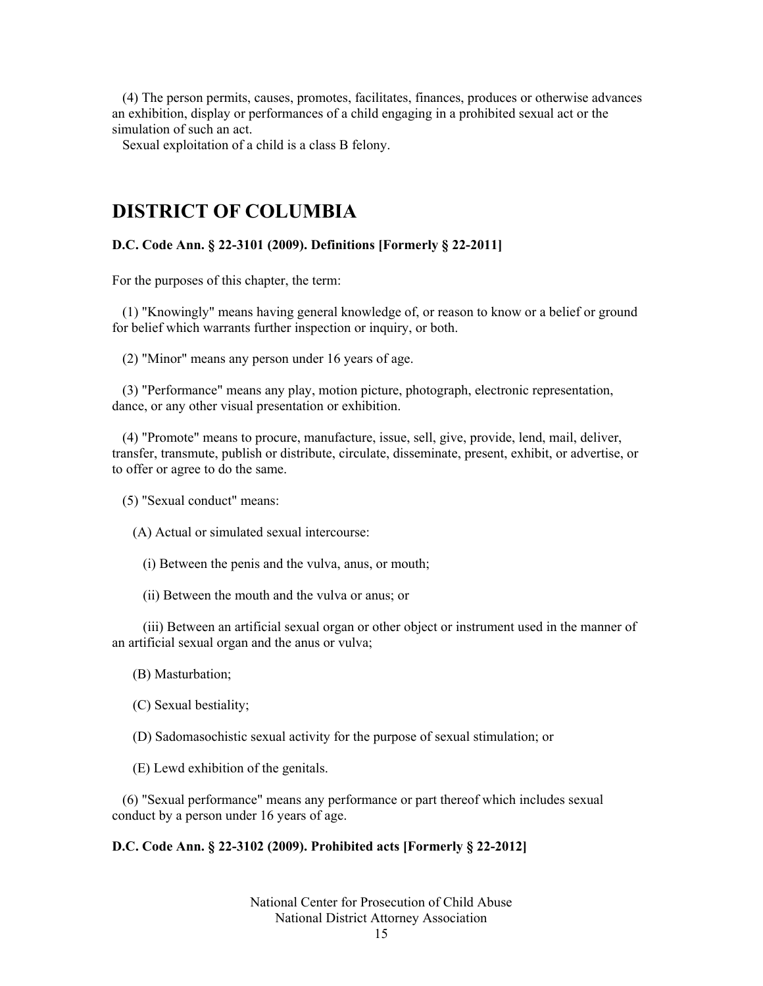<span id="page-14-0"></span> (4) The person permits, causes, promotes, facilitates, finances, produces or otherwise advances an exhibition, display or performances of a child engaging in a prohibited sexual act or the simulation of such an act.

Sexual exploitation of a child is a class B felony.

## **DISTRICT OF COLUMBIA**

#### **D.C. Code Ann. § 22-3101 (2009). Definitions [Formerly § 22-2011]**

For the purposes of this chapter, the term:

 (1) "Knowingly" means having general knowledge of, or reason to know or a belief or ground for belief which warrants further inspection or inquiry, or both.

(2) "Minor" means any person under 16 years of age.

 (3) "Performance" means any play, motion picture, photograph, electronic representation, dance, or any other visual presentation or exhibition.

 (4) "Promote" means to procure, manufacture, issue, sell, give, provide, lend, mail, deliver, transfer, transmute, publish or distribute, circulate, disseminate, present, exhibit, or advertise, or to offer or agree to do the same.

(5) "Sexual conduct" means:

(A) Actual or simulated sexual intercourse:

- (i) Between the penis and the vulva, anus, or mouth;
- (ii) Between the mouth and the vulva or anus; or

 (iii) Between an artificial sexual organ or other object or instrument used in the manner of an artificial sexual organ and the anus or vulva;

- (B) Masturbation;
- (C) Sexual bestiality;
- (D) Sadomasochistic sexual activity for the purpose of sexual stimulation; or
- (E) Lewd exhibition of the genitals.

 (6) "Sexual performance" means any performance or part thereof which includes sexual conduct by a person under 16 years of age.

#### **D.C. Code Ann. § 22-3102 (2009). Prohibited acts [Formerly § 22-2012]**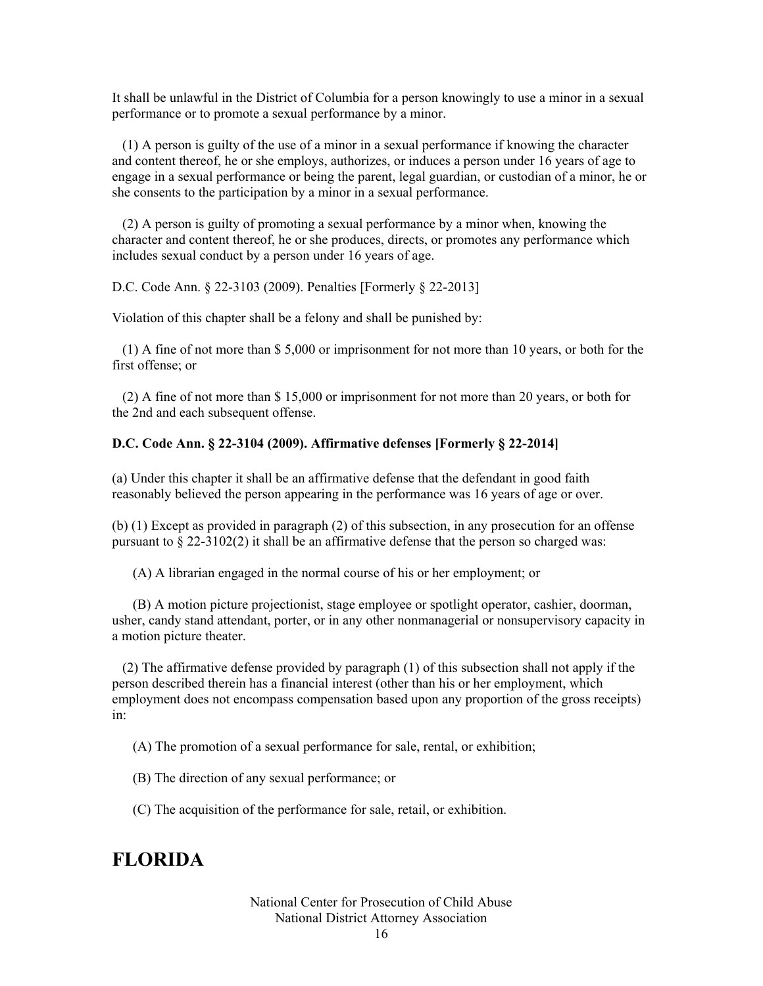<span id="page-15-0"></span>It shall be unlawful in the District of Columbia for a person knowingly to use a minor in a sexual performance or to promote a sexual performance by a minor.

 (1) A person is guilty of the use of a minor in a sexual performance if knowing the character and content thereof, he or she employs, authorizes, or induces a person under 16 years of age to engage in a sexual performance or being the parent, legal guardian, or custodian of a minor, he or she consents to the participation by a minor in a sexual performance.

 (2) A person is guilty of promoting a sexual performance by a minor when, knowing the character and content thereof, he or she produces, directs, or promotes any performance which includes sexual conduct by a person under 16 years of age.

D.C. Code Ann. § 22-3103 (2009). Penalties [Formerly § 22-2013]

Violation of this chapter shall be a felony and shall be punished by:

 (1) A fine of not more than \$ 5,000 or imprisonment for not more than 10 years, or both for the first offense; or

 (2) A fine of not more than \$ 15,000 or imprisonment for not more than 20 years, or both for the 2nd and each subsequent offense.

### **D.C. Code Ann. § 22-3104 (2009). Affirmative defenses [Formerly § 22-2014]**

(a) Under this chapter it shall be an affirmative defense that the defendant in good faith reasonably believed the person appearing in the performance was 16 years of age or over.

(b) (1) Except as provided in paragraph (2) of this subsection, in any prosecution for an offense pursuant to  $\S 22-3102(2)$  it shall be an affirmative defense that the person so charged was:

(A) A librarian engaged in the normal course of his or her employment; or

 (B) A motion picture projectionist, stage employee or spotlight operator, cashier, doorman, usher, candy stand attendant, porter, or in any other nonmanagerial or nonsupervisory capacity in a motion picture theater.

 (2) The affirmative defense provided by paragraph (1) of this subsection shall not apply if the person described therein has a financial interest (other than his or her employment, which employment does not encompass compensation based upon any proportion of the gross receipts) in:

(A) The promotion of a sexual performance for sale, rental, or exhibition;

- (B) The direction of any sexual performance; or
- (C) The acquisition of the performance for sale, retail, or exhibition.

## **FLORIDA**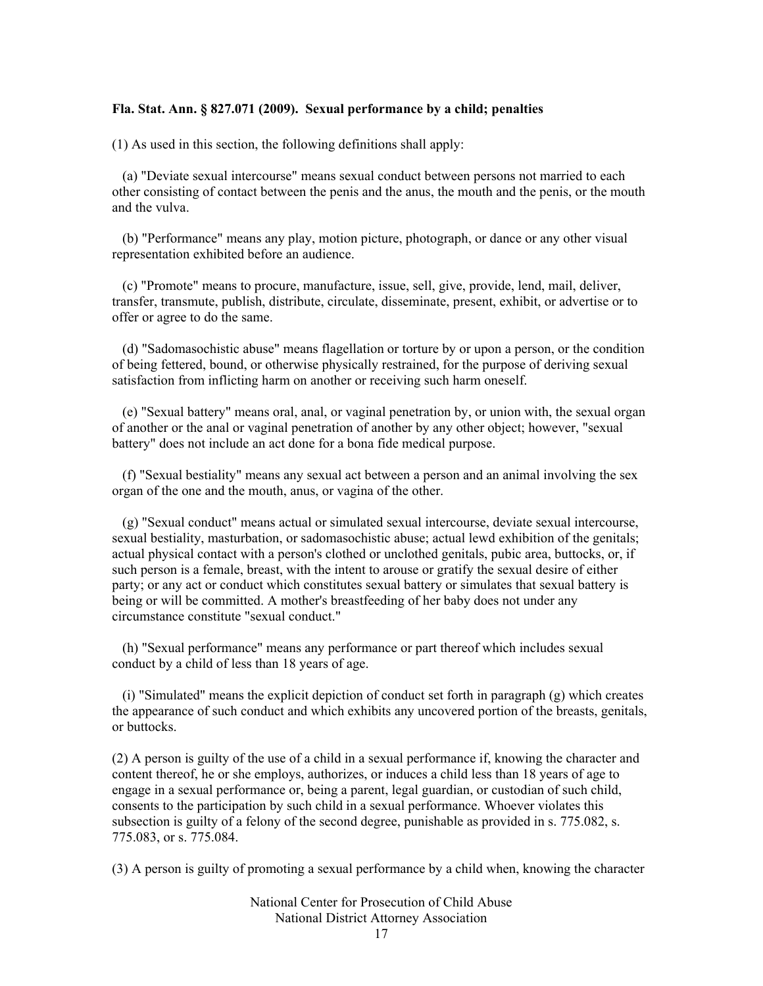### <span id="page-16-0"></span>**Fla. Stat. Ann. § 827.071 (2009). Sexual performance by a child; penalties**

(1) As used in this section, the following definitions shall apply:

 (a) "Deviate sexual intercourse" means sexual conduct between persons not married to each other consisting of contact between the penis and the anus, the mouth and the penis, or the mouth and the vulva.

 (b) "Performance" means any play, motion picture, photograph, or dance or any other visual representation exhibited before an audience.

 (c) "Promote" means to procure, manufacture, issue, sell, give, provide, lend, mail, deliver, transfer, transmute, publish, distribute, circulate, disseminate, present, exhibit, or advertise or to offer or agree to do the same.

 (d) "Sadomasochistic abuse" means flagellation or torture by or upon a person, or the condition of being fettered, bound, or otherwise physically restrained, for the purpose of deriving sexual satisfaction from inflicting harm on another or receiving such harm oneself.

 (e) "Sexual battery" means oral, anal, or vaginal penetration by, or union with, the sexual organ of another or the anal or vaginal penetration of another by any other object; however, "sexual battery" does not include an act done for a bona fide medical purpose.

 (f) "Sexual bestiality" means any sexual act between a person and an animal involving the sex organ of the one and the mouth, anus, or vagina of the other.

 (g) "Sexual conduct" means actual or simulated sexual intercourse, deviate sexual intercourse, sexual bestiality, masturbation, or sadomasochistic abuse; actual lewd exhibition of the genitals; actual physical contact with a person's clothed or unclothed genitals, pubic area, buttocks, or, if such person is a female, breast, with the intent to arouse or gratify the sexual desire of either party; or any act or conduct which constitutes sexual battery or simulates that sexual battery is being or will be committed. A mother's breastfeeding of her baby does not under any circumstance constitute "sexual conduct."

 (h) "Sexual performance" means any performance or part thereof which includes sexual conduct by a child of less than 18 years of age.

 (i) "Simulated" means the explicit depiction of conduct set forth in paragraph (g) which creates the appearance of such conduct and which exhibits any uncovered portion of the breasts, genitals, or buttocks.

(2) A person is guilty of the use of a child in a sexual performance if, knowing the character and content thereof, he or she employs, authorizes, or induces a child less than 18 years of age to engage in a sexual performance or, being a parent, legal guardian, or custodian of such child, consents to the participation by such child in a sexual performance. Whoever violates this subsection is guilty of a felony of the second degree, punishable as provided in s. 775.082, s. 775.083, or s. 775.084.

(3) A person is guilty of promoting a sexual performance by a child when, knowing the character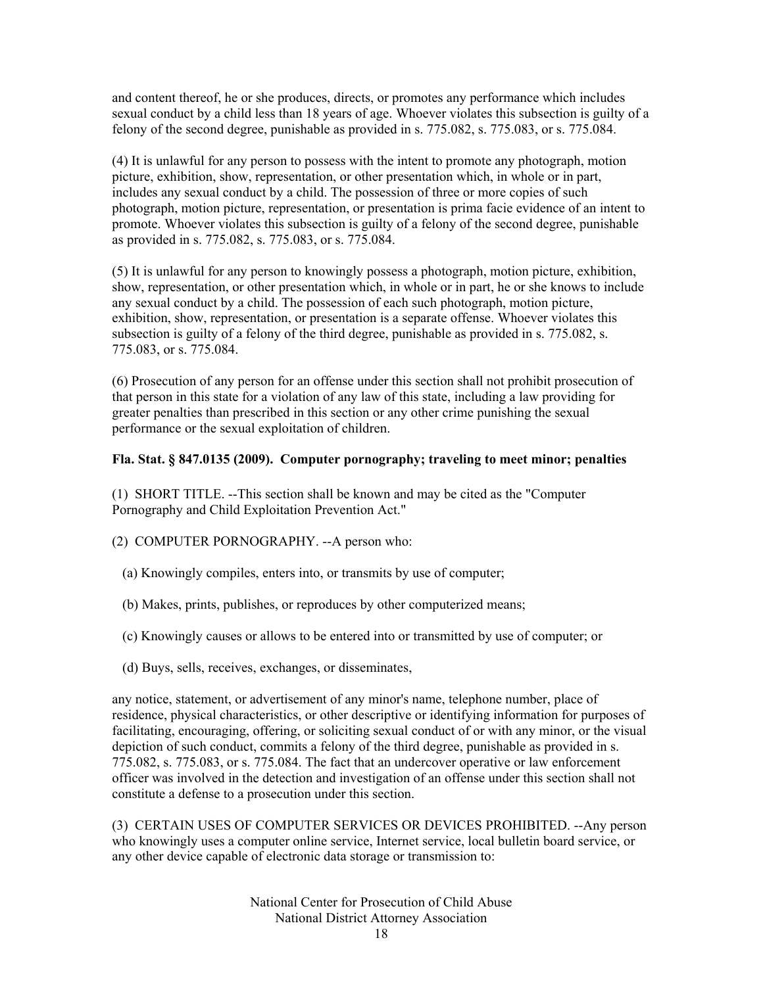<span id="page-17-0"></span>and content thereof, he or she produces, directs, or promotes any performance which includes sexual conduct by a child less than 18 years of age. Whoever violates this subsection is guilty of a felony of the second degree, punishable as provided in s. 775.082, s. 775.083, or s. 775.084.

(4) It is unlawful for any person to possess with the intent to promote any photograph, motion picture, exhibition, show, representation, or other presentation which, in whole or in part, includes any sexual conduct by a child. The possession of three or more copies of such photograph, motion picture, representation, or presentation is prima facie evidence of an intent to promote. Whoever violates this subsection is guilty of a felony of the second degree, punishable as provided in s. 775.082, s. 775.083, or s. 775.084.

(5) It is unlawful for any person to knowingly possess a photograph, motion picture, exhibition, show, representation, or other presentation which, in whole or in part, he or she knows to include any sexual conduct by a child. The possession of each such photograph, motion picture, exhibition, show, representation, or presentation is a separate offense. Whoever violates this subsection is guilty of a felony of the third degree, punishable as provided in s. 775.082, s. 775.083, or s. 775.084.

(6) Prosecution of any person for an offense under this section shall not prohibit prosecution of that person in this state for a violation of any law of this state, including a law providing for greater penalties than prescribed in this section or any other crime punishing the sexual performance or the sexual exploitation of children.

### **Fla. Stat. § 847.0135 (2009). Computer pornography; traveling to meet minor; penalties**

(1) SHORT TITLE. --This section shall be known and may be cited as the "Computer Pornography and Child Exploitation Prevention Act."

(2) COMPUTER PORNOGRAPHY. --A person who:

- (a) Knowingly compiles, enters into, or transmits by use of computer;
- (b) Makes, prints, publishes, or reproduces by other computerized means;
- (c) Knowingly causes or allows to be entered into or transmitted by use of computer; or
- (d) Buys, sells, receives, exchanges, or disseminates,

any notice, statement, or advertisement of any minor's name, telephone number, place of residence, physical characteristics, or other descriptive or identifying information for purposes of facilitating, encouraging, offering, or soliciting sexual conduct of or with any minor, or the visual depiction of such conduct, commits a felony of the third degree, punishable as provided in s. 775.082, s. 775.083, or s. 775.084. The fact that an undercover operative or law enforcement officer was involved in the detection and investigation of an offense under this section shall not constitute a defense to a prosecution under this section.

(3) CERTAIN USES OF COMPUTER SERVICES OR DEVICES PROHIBITED. --Any person who knowingly uses a computer online service, Internet service, local bulletin board service, or any other device capable of electronic data storage or transmission to: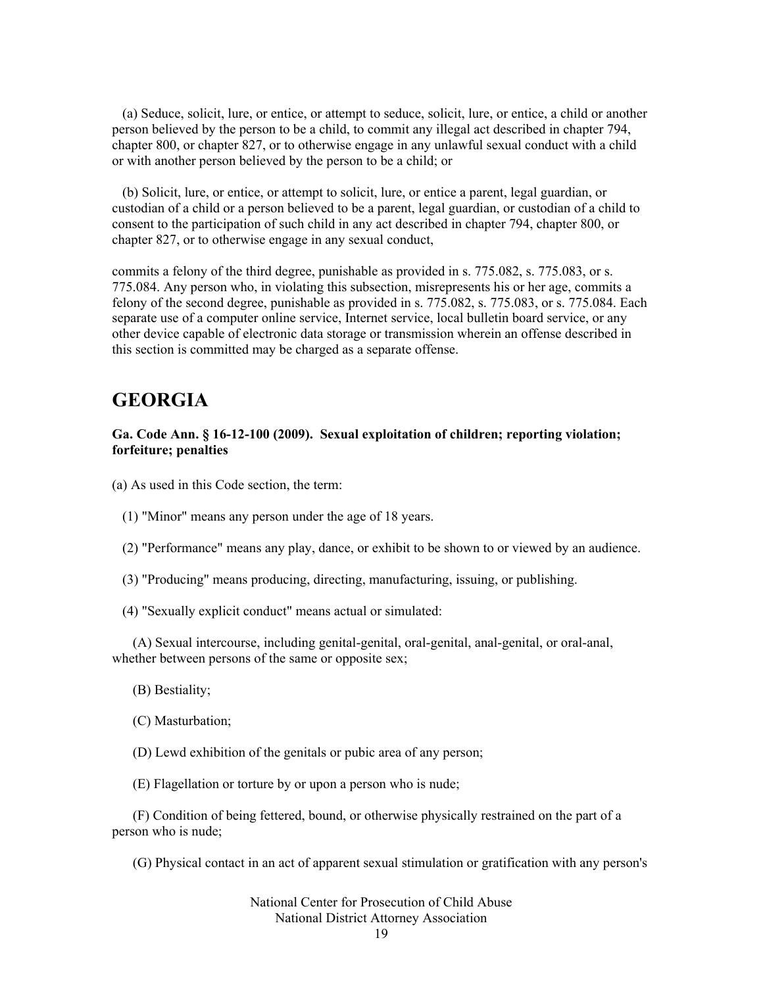<span id="page-18-0"></span> (a) Seduce, solicit, lure, or entice, or attempt to seduce, solicit, lure, or entice, a child or another person believed by the person to be a child, to commit any illegal act described in chapter 794, chapter 800, or chapter 827, or to otherwise engage in any unlawful sexual conduct with a child or with another person believed by the person to be a child; or

 (b) Solicit, lure, or entice, or attempt to solicit, lure, or entice a parent, legal guardian, or custodian of a child or a person believed to be a parent, legal guardian, or custodian of a child to consent to the participation of such child in any act described in chapter 794, chapter 800, or chapter 827, or to otherwise engage in any sexual conduct,

commits a felony of the third degree, punishable as provided in s. 775.082, s. 775.083, or s. 775.084. Any person who, in violating this subsection, misrepresents his or her age, commits a felony of the second degree, punishable as provided in s. 775.082, s. 775.083, or s. 775.084. Each separate use of a computer online service, Internet service, local bulletin board service, or any other device capable of electronic data storage or transmission wherein an offense described in this section is committed may be charged as a separate offense.

## **GEORGIA**

#### **Ga. Code Ann. § 16-12-100 (2009). Sexual exploitation of children; reporting violation; forfeiture; penalties**

- (a) As used in this Code section, the term:
	- (1) "Minor" means any person under the age of 18 years.
	- (2) "Performance" means any play, dance, or exhibit to be shown to or viewed by an audience.
	- (3) "Producing" means producing, directing, manufacturing, issuing, or publishing.
	- (4) "Sexually explicit conduct" means actual or simulated:

 (A) Sexual intercourse, including genital-genital, oral-genital, anal-genital, or oral-anal, whether between persons of the same or opposite sex;

(B) Bestiality;

(C) Masturbation;

- (D) Lewd exhibition of the genitals or pubic area of any person;
- (E) Flagellation or torture by or upon a person who is nude;

 (F) Condition of being fettered, bound, or otherwise physically restrained on the part of a person who is nude;

(G) Physical contact in an act of apparent sexual stimulation or gratification with any person's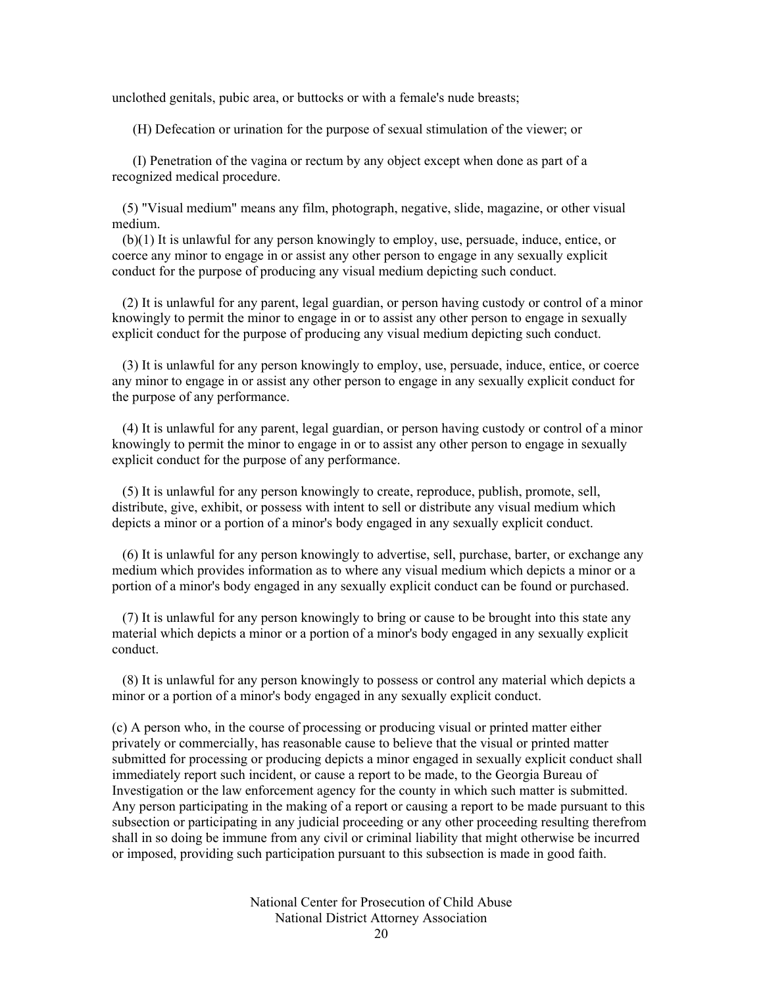unclothed genitals, pubic area, or buttocks or with a female's nude breasts;

(H) Defecation or urination for the purpose of sexual stimulation of the viewer; or

 (I) Penetration of the vagina or rectum by any object except when done as part of a recognized medical procedure.

 (5) "Visual medium" means any film, photograph, negative, slide, magazine, or other visual medium.

 (b)(1) It is unlawful for any person knowingly to employ, use, persuade, induce, entice, or coerce any minor to engage in or assist any other person to engage in any sexually explicit conduct for the purpose of producing any visual medium depicting such conduct.

 (2) It is unlawful for any parent, legal guardian, or person having custody or control of a minor knowingly to permit the minor to engage in or to assist any other person to engage in sexually explicit conduct for the purpose of producing any visual medium depicting such conduct.

 (3) It is unlawful for any person knowingly to employ, use, persuade, induce, entice, or coerce any minor to engage in or assist any other person to engage in any sexually explicit conduct for the purpose of any performance.

 (4) It is unlawful for any parent, legal guardian, or person having custody or control of a minor knowingly to permit the minor to engage in or to assist any other person to engage in sexually explicit conduct for the purpose of any performance.

 (5) It is unlawful for any person knowingly to create, reproduce, publish, promote, sell, distribute, give, exhibit, or possess with intent to sell or distribute any visual medium which depicts a minor or a portion of a minor's body engaged in any sexually explicit conduct.

 (6) It is unlawful for any person knowingly to advertise, sell, purchase, barter, or exchange any medium which provides information as to where any visual medium which depicts a minor or a portion of a minor's body engaged in any sexually explicit conduct can be found or purchased.

 (7) It is unlawful for any person knowingly to bring or cause to be brought into this state any material which depicts a minor or a portion of a minor's body engaged in any sexually explicit conduct.

 (8) It is unlawful for any person knowingly to possess or control any material which depicts a minor or a portion of a minor's body engaged in any sexually explicit conduct.

(c) A person who, in the course of processing or producing visual or printed matter either privately or commercially, has reasonable cause to believe that the visual or printed matter submitted for processing or producing depicts a minor engaged in sexually explicit conduct shall immediately report such incident, or cause a report to be made, to the Georgia Bureau of Investigation or the law enforcement agency for the county in which such matter is submitted. Any person participating in the making of a report or causing a report to be made pursuant to this subsection or participating in any judicial proceeding or any other proceeding resulting therefrom shall in so doing be immune from any civil or criminal liability that might otherwise be incurred or imposed, providing such participation pursuant to this subsection is made in good faith.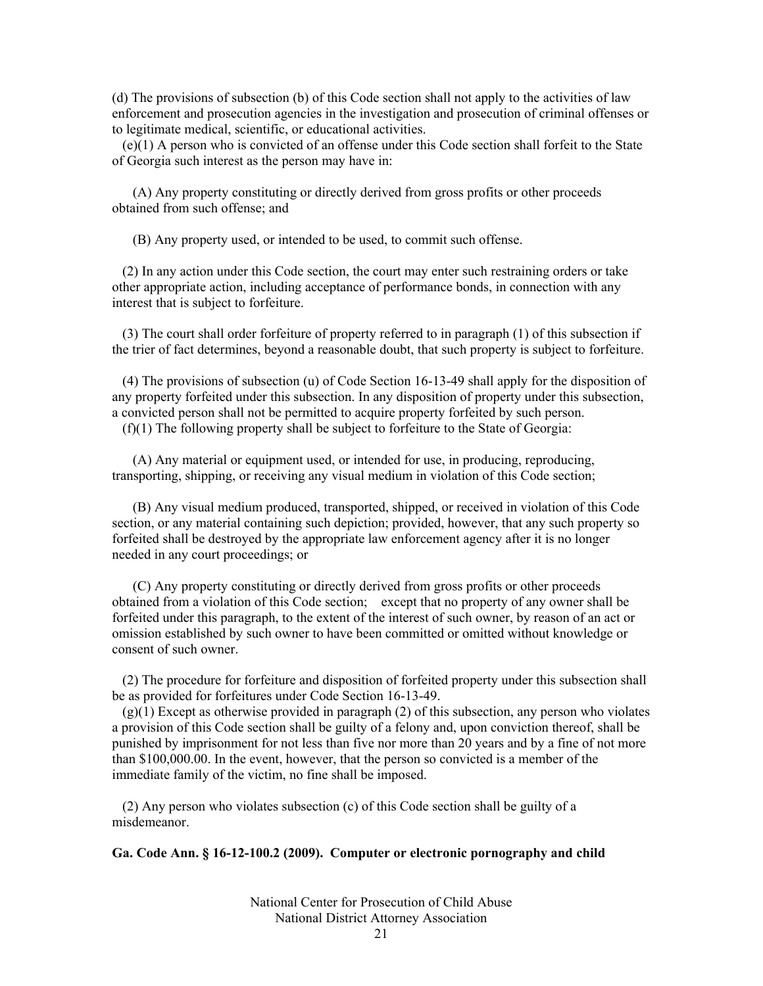(d) The provisions of subsection (b) of this Code section shall not apply to the activities of law enforcement and prosecution agencies in the investigation and prosecution of criminal offenses or to legitimate medical, scientific, or educational activities.

 (e)(1) A person who is convicted of an offense under this Code section shall forfeit to the State of Georgia such interest as the person may have in:

 (A) Any property constituting or directly derived from gross profits or other proceeds obtained from such offense; and

(B) Any property used, or intended to be used, to commit such offense.

 (2) In any action under this Code section, the court may enter such restraining orders or take other appropriate action, including acceptance of performance bonds, in connection with any interest that is subject to forfeiture.

 (3) The court shall order forfeiture of property referred to in paragraph (1) of this subsection if the trier of fact determines, beyond a reasonable doubt, that such property is subject to forfeiture.

 (4) The provisions of subsection (u) of Code Section 16-13-49 shall apply for the disposition of any property forfeited under this subsection. In any disposition of property under this subsection, a convicted person shall not be permitted to acquire property forfeited by such person.

(f)(1) The following property shall be subject to forfeiture to the State of Georgia:

 (A) Any material or equipment used, or intended for use, in producing, reproducing, transporting, shipping, or receiving any visual medium in violation of this Code section;

 (B) Any visual medium produced, transported, shipped, or received in violation of this Code section, or any material containing such depiction; provided, however, that any such property so forfeited shall be destroyed by the appropriate law enforcement agency after it is no longer needed in any court proceedings; or

 (C) Any property constituting or directly derived from gross profits or other proceeds obtained from a violation of this Code section; except that no property of any owner shall be forfeited under this paragraph, to the extent of the interest of such owner, by reason of an act or omission established by such owner to have been committed or omitted without knowledge or consent of such owner.

 (2) The procedure for forfeiture and disposition of forfeited property under this subsection shall be as provided for forfeitures under Code Section 16-13-49.

 (g)(1) Except as otherwise provided in paragraph (2) of this subsection, any person who violates a provision of this Code section shall be guilty of a felony and, upon conviction thereof, shall be punished by imprisonment for not less than five nor more than 20 years and by a fine of not more than \$100,000.00. In the event, however, that the person so convicted is a member of the immediate family of the victim, no fine shall be imposed.

 (2) Any person who violates subsection (c) of this Code section shall be guilty of a misdemeanor.

#### **Ga. Code Ann. § 16-12-100.2 (2009). Computer or electronic pornography and child**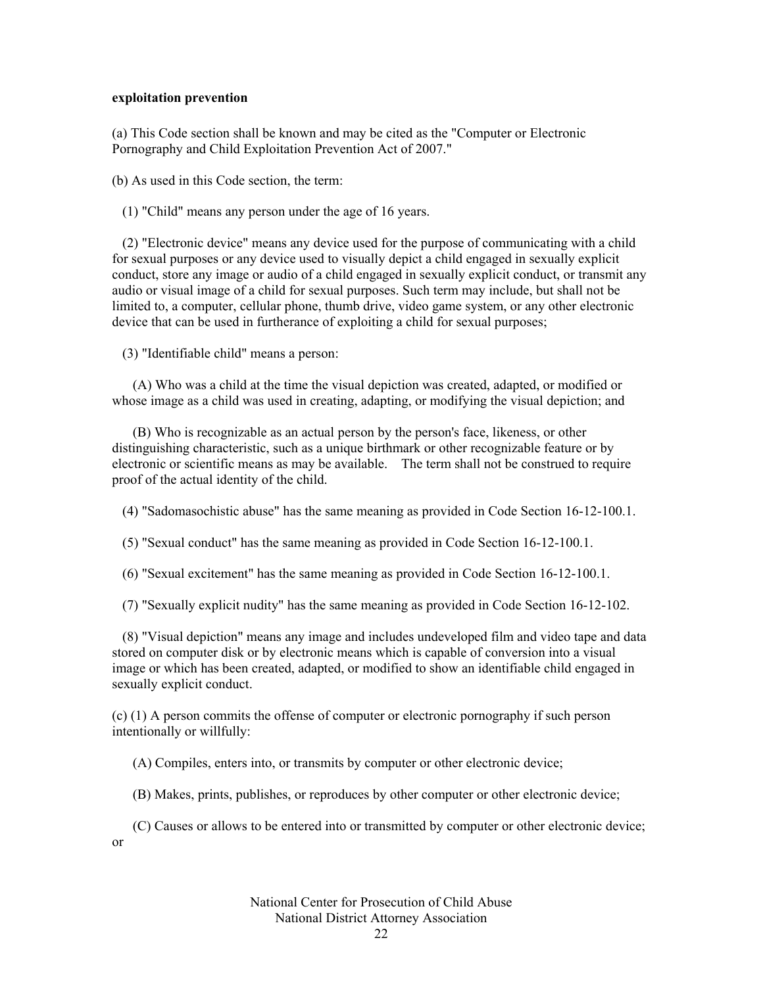#### <span id="page-21-0"></span>**exploitation prevention**

(a) This Code section shall be known and may be cited as the "Computer or Electronic Pornography and Child Exploitation Prevention Act of 2007."

(b) As used in this Code section, the term:

(1) "Child" means any person under the age of 16 years.

 (2) "Electronic device" means any device used for the purpose of communicating with a child for sexual purposes or any device used to visually depict a child engaged in sexually explicit conduct, store any image or audio of a child engaged in sexually explicit conduct, or transmit any audio or visual image of a child for sexual purposes. Such term may include, but shall not be limited to, a computer, cellular phone, thumb drive, video game system, or any other electronic device that can be used in furtherance of exploiting a child for sexual purposes;

(3) "Identifiable child" means a person:

 (A) Who was a child at the time the visual depiction was created, adapted, or modified or whose image as a child was used in creating, adapting, or modifying the visual depiction; and

 (B) Who is recognizable as an actual person by the person's face, likeness, or other distinguishing characteristic, such as a unique birthmark or other recognizable feature or by electronic or scientific means as may be available. The term shall not be construed to require proof of the actual identity of the child.

(4) "Sadomasochistic abuse" has the same meaning as provided in Code Section 16-12-100.1.

(5) "Sexual conduct" has the same meaning as provided in Code Section 16-12-100.1.

(6) "Sexual excitement" has the same meaning as provided in Code Section 16-12-100.1.

(7) "Sexually explicit nudity" has the same meaning as provided in Code Section 16-12-102.

 (8) "Visual depiction" means any image and includes undeveloped film and video tape and data stored on computer disk or by electronic means which is capable of conversion into a visual image or which has been created, adapted, or modified to show an identifiable child engaged in sexually explicit conduct.

(c) (1) A person commits the offense of computer or electronic pornography if such person intentionally or willfully:

(A) Compiles, enters into, or transmits by computer or other electronic device;

(B) Makes, prints, publishes, or reproduces by other computer or other electronic device;

 (C) Causes or allows to be entered into or transmitted by computer or other electronic device; or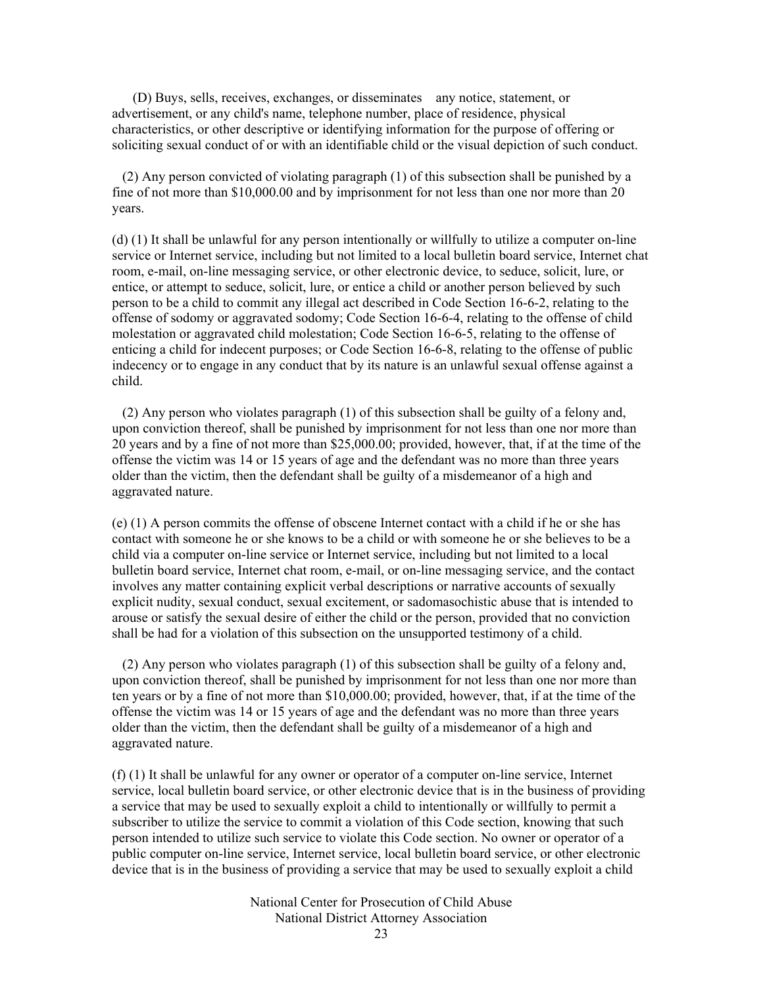(D) Buys, sells, receives, exchanges, or disseminates any notice, statement, or advertisement, or any child's name, telephone number, place of residence, physical characteristics, or other descriptive or identifying information for the purpose of offering or soliciting sexual conduct of or with an identifiable child or the visual depiction of such conduct.

 (2) Any person convicted of violating paragraph (1) of this subsection shall be punished by a fine of not more than \$10,000.00 and by imprisonment for not less than one nor more than 20 years.

(d) (1) It shall be unlawful for any person intentionally or willfully to utilize a computer on-line service or Internet service, including but not limited to a local bulletin board service, Internet chat room, e-mail, on-line messaging service, or other electronic device, to seduce, solicit, lure, or entice, or attempt to seduce, solicit, lure, or entice a child or another person believed by such person to be a child to commit any illegal act described in Code Section 16-6-2, relating to the offense of sodomy or aggravated sodomy; Code Section 16-6-4, relating to the offense of child molestation or aggravated child molestation; Code Section 16-6-5, relating to the offense of enticing a child for indecent purposes; or Code Section 16-6-8, relating to the offense of public indecency or to engage in any conduct that by its nature is an unlawful sexual offense against a child.

 (2) Any person who violates paragraph (1) of this subsection shall be guilty of a felony and, upon conviction thereof, shall be punished by imprisonment for not less than one nor more than 20 years and by a fine of not more than \$25,000.00; provided, however, that, if at the time of the offense the victim was 14 or 15 years of age and the defendant was no more than three years older than the victim, then the defendant shall be guilty of a misdemeanor of a high and aggravated nature.

(e) (1) A person commits the offense of obscene Internet contact with a child if he or she has contact with someone he or she knows to be a child or with someone he or she believes to be a child via a computer on-line service or Internet service, including but not limited to a local bulletin board service, Internet chat room, e-mail, or on-line messaging service, and the contact involves any matter containing explicit verbal descriptions or narrative accounts of sexually explicit nudity, sexual conduct, sexual excitement, or sadomasochistic abuse that is intended to arouse or satisfy the sexual desire of either the child or the person, provided that no conviction shall be had for a violation of this subsection on the unsupported testimony of a child.

 (2) Any person who violates paragraph (1) of this subsection shall be guilty of a felony and, upon conviction thereof, shall be punished by imprisonment for not less than one nor more than ten years or by a fine of not more than \$10,000.00; provided, however, that, if at the time of the offense the victim was 14 or 15 years of age and the defendant was no more than three years older than the victim, then the defendant shall be guilty of a misdemeanor of a high and aggravated nature.

(f) (1) It shall be unlawful for any owner or operator of a computer on-line service, Internet service, local bulletin board service, or other electronic device that is in the business of providing a service that may be used to sexually exploit a child to intentionally or willfully to permit a subscriber to utilize the service to commit a violation of this Code section, knowing that such person intended to utilize such service to violate this Code section. No owner or operator of a public computer on-line service, Internet service, local bulletin board service, or other electronic device that is in the business of providing a service that may be used to sexually exploit a child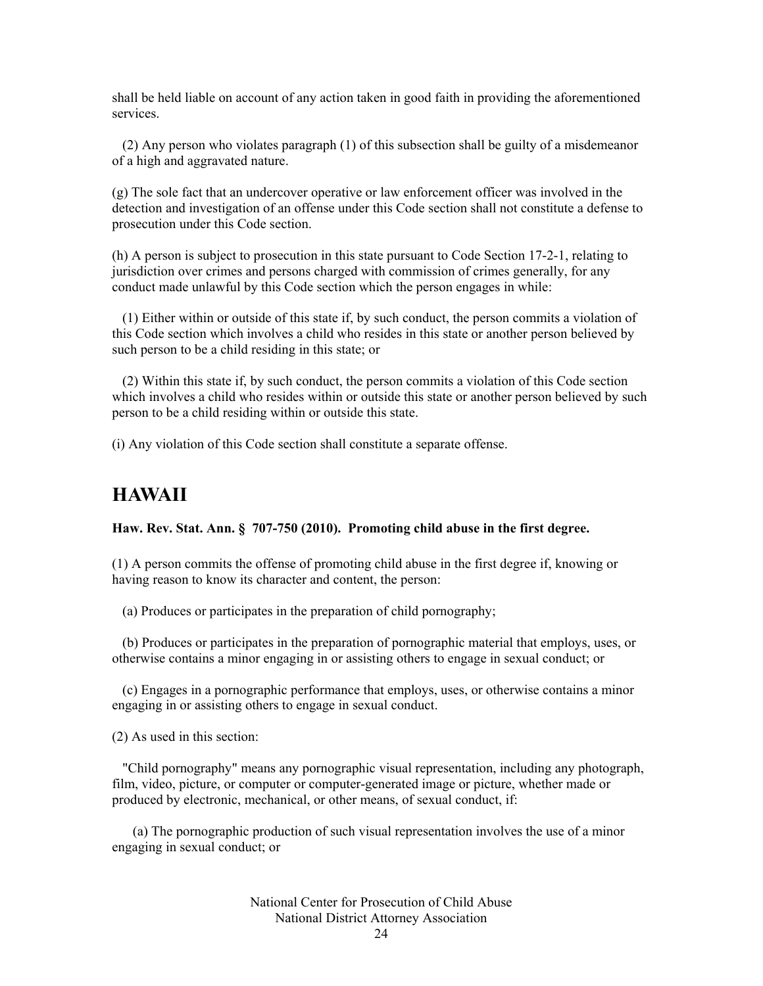<span id="page-23-0"></span>shall be held liable on account of any action taken in good faith in providing the aforementioned services.

 (2) Any person who violates paragraph (1) of this subsection shall be guilty of a misdemeanor of a high and aggravated nature.

(g) The sole fact that an undercover operative or law enforcement officer was involved in the detection and investigation of an offense under this Code section shall not constitute a defense to prosecution under this Code section.

(h) A person is subject to prosecution in this state pursuant to Code Section 17-2-1, relating to jurisdiction over crimes and persons charged with commission of crimes generally, for any conduct made unlawful by this Code section which the person engages in while:

 (1) Either within or outside of this state if, by such conduct, the person commits a violation of this Code section which involves a child who resides in this state or another person believed by such person to be a child residing in this state; or

 (2) Within this state if, by such conduct, the person commits a violation of this Code section which involves a child who resides within or outside this state or another person believed by such person to be a child residing within or outside this state.

(i) Any violation of this Code section shall constitute a separate offense.

## **HAWAII**

**Haw. Rev. Stat. Ann. § 707-750 (2010). Promoting child abuse in the first degree.** 

(1) A person commits the offense of promoting child abuse in the first degree if, knowing or having reason to know its character and content, the person:

(a) Produces or participates in the preparation of child pornography;

 (b) Produces or participates in the preparation of pornographic material that employs, uses, or otherwise contains a minor engaging in or assisting others to engage in sexual conduct; or

 (c) Engages in a pornographic performance that employs, uses, or otherwise contains a minor engaging in or assisting others to engage in sexual conduct.

(2) As used in this section:

 "Child pornography" means any pornographic visual representation, including any photograph, film, video, picture, or computer or computer-generated image or picture, whether made or produced by electronic, mechanical, or other means, of sexual conduct, if:

 (a) The pornographic production of such visual representation involves the use of a minor engaging in sexual conduct; or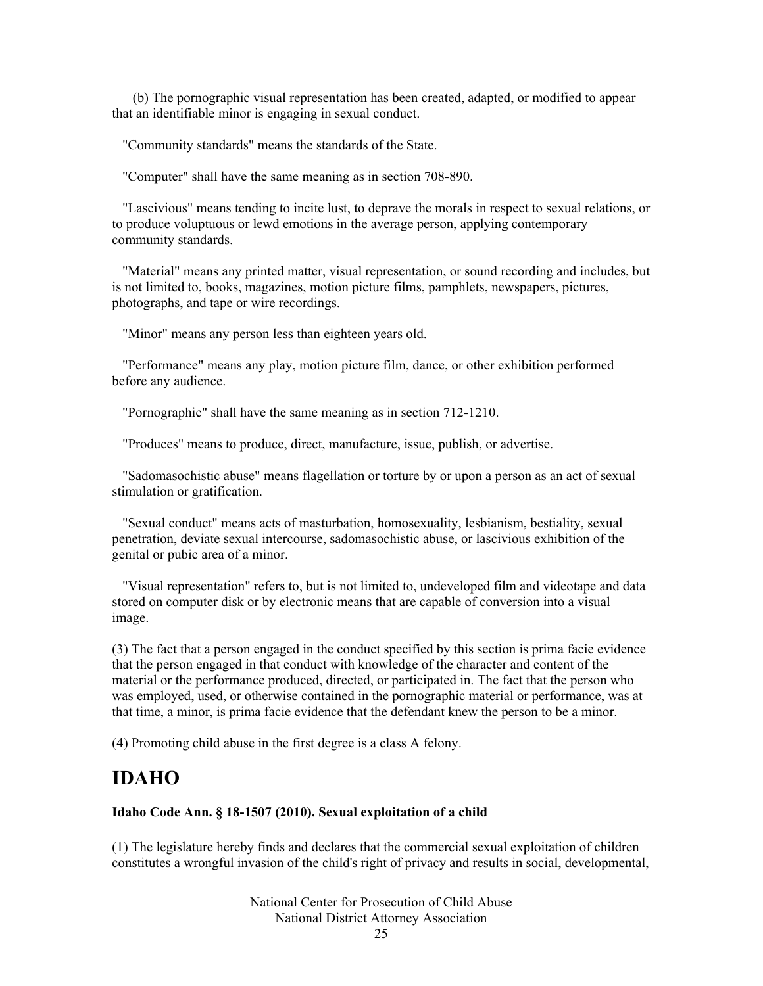<span id="page-24-0"></span> (b) The pornographic visual representation has been created, adapted, or modified to appear that an identifiable minor is engaging in sexual conduct.

"Community standards" means the standards of the State.

"Computer" shall have the same meaning as in section 708-890.

 "Lascivious" means tending to incite lust, to deprave the morals in respect to sexual relations, or to produce voluptuous or lewd emotions in the average person, applying contemporary community standards.

 "Material" means any printed matter, visual representation, or sound recording and includes, but is not limited to, books, magazines, motion picture films, pamphlets, newspapers, pictures, photographs, and tape or wire recordings.

"Minor" means any person less than eighteen years old.

 "Performance" means any play, motion picture film, dance, or other exhibition performed before any audience.

"Pornographic" shall have the same meaning as in section 712-1210.

"Produces" means to produce, direct, manufacture, issue, publish, or advertise.

 "Sadomasochistic abuse" means flagellation or torture by or upon a person as an act of sexual stimulation or gratification.

 "Sexual conduct" means acts of masturbation, homosexuality, lesbianism, bestiality, sexual penetration, deviate sexual intercourse, sadomasochistic abuse, or lascivious exhibition of the genital or pubic area of a minor.

 "Visual representation" refers to, but is not limited to, undeveloped film and videotape and data stored on computer disk or by electronic means that are capable of conversion into a visual image.

(3) The fact that a person engaged in the conduct specified by this section is prima facie evidence that the person engaged in that conduct with knowledge of the character and content of the material or the performance produced, directed, or participated in. The fact that the person who was employed, used, or otherwise contained in the pornographic material or performance, was at that time, a minor, is prima facie evidence that the defendant knew the person to be a minor.

(4) Promoting child abuse in the first degree is a class A felony.

# **IDAHO**

## **Idaho Code Ann. § 18-1507 (2010). Sexual exploitation of a child**

(1) The legislature hereby finds and declares that the commercial sexual exploitation of children constitutes a wrongful invasion of the child's right of privacy and results in social, developmental,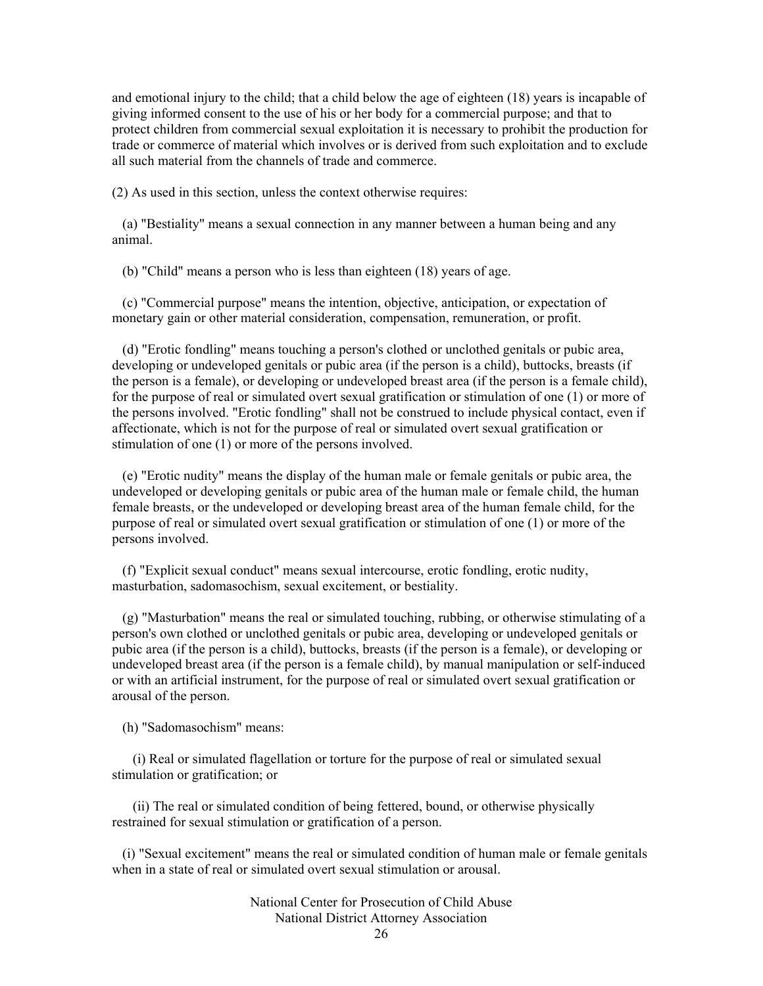and emotional injury to the child; that a child below the age of eighteen (18) years is incapable of giving informed consent to the use of his or her body for a commercial purpose; and that to protect children from commercial sexual exploitation it is necessary to prohibit the production for trade or commerce of material which involves or is derived from such exploitation and to exclude all such material from the channels of trade and commerce.

(2) As used in this section, unless the context otherwise requires:

 (a) "Bestiality" means a sexual connection in any manner between a human being and any animal.

(b) "Child" means a person who is less than eighteen (18) years of age.

 (c) "Commercial purpose" means the intention, objective, anticipation, or expectation of monetary gain or other material consideration, compensation, remuneration, or profit.

 (d) "Erotic fondling" means touching a person's clothed or unclothed genitals or pubic area, developing or undeveloped genitals or pubic area (if the person is a child), buttocks, breasts (if the person is a female), or developing or undeveloped breast area (if the person is a female child), for the purpose of real or simulated overt sexual gratification or stimulation of one (1) or more of the persons involved. "Erotic fondling" shall not be construed to include physical contact, even if affectionate, which is not for the purpose of real or simulated overt sexual gratification or stimulation of one (1) or more of the persons involved.

 (e) "Erotic nudity" means the display of the human male or female genitals or pubic area, the undeveloped or developing genitals or pubic area of the human male or female child, the human female breasts, or the undeveloped or developing breast area of the human female child, for the purpose of real or simulated overt sexual gratification or stimulation of one (1) or more of the persons involved.

 (f) "Explicit sexual conduct" means sexual intercourse, erotic fondling, erotic nudity, masturbation, sadomasochism, sexual excitement, or bestiality.

 (g) "Masturbation" means the real or simulated touching, rubbing, or otherwise stimulating of a person's own clothed or unclothed genitals or pubic area, developing or undeveloped genitals or pubic area (if the person is a child), buttocks, breasts (if the person is a female), or developing or undeveloped breast area (if the person is a female child), by manual manipulation or self-induced or with an artificial instrument, for the purpose of real or simulated overt sexual gratification or arousal of the person.

(h) "Sadomasochism" means:

 (i) Real or simulated flagellation or torture for the purpose of real or simulated sexual stimulation or gratification; or

 (ii) The real or simulated condition of being fettered, bound, or otherwise physically restrained for sexual stimulation or gratification of a person.

 (i) "Sexual excitement" means the real or simulated condition of human male or female genitals when in a state of real or simulated overt sexual stimulation or arousal.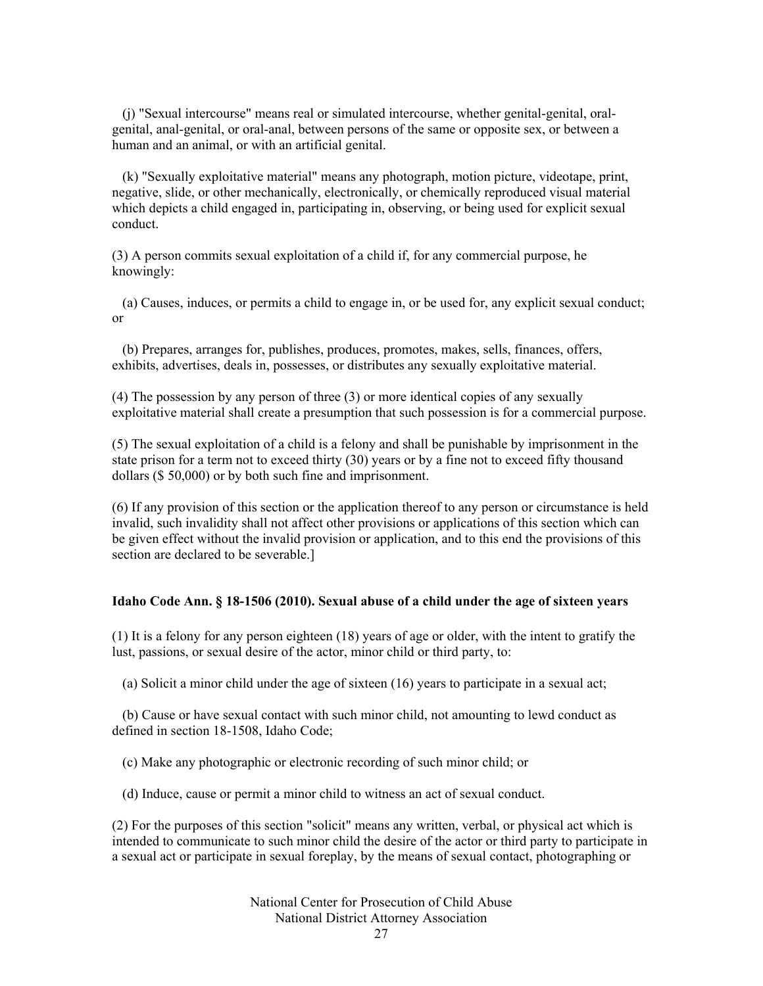<span id="page-26-0"></span> (j) "Sexual intercourse" means real or simulated intercourse, whether genital-genital, oralgenital, anal-genital, or oral-anal, between persons of the same or opposite sex, or between a human and an animal, or with an artificial genital.

 (k) "Sexually exploitative material" means any photograph, motion picture, videotape, print, negative, slide, or other mechanically, electronically, or chemically reproduced visual material which depicts a child engaged in, participating in, observing, or being used for explicit sexual conduct.

(3) A person commits sexual exploitation of a child if, for any commercial purpose, he knowingly:

 (a) Causes, induces, or permits a child to engage in, or be used for, any explicit sexual conduct; or

 (b) Prepares, arranges for, publishes, produces, promotes, makes, sells, finances, offers, exhibits, advertises, deals in, possesses, or distributes any sexually exploitative material.

(4) The possession by any person of three (3) or more identical copies of any sexually exploitative material shall create a presumption that such possession is for a commercial purpose.

(5) The sexual exploitation of a child is a felony and shall be punishable by imprisonment in the state prison for a term not to exceed thirty (30) years or by a fine not to exceed fifty thousand dollars (\$ 50,000) or by both such fine and imprisonment.

(6) If any provision of this section or the application thereof to any person or circumstance is held invalid, such invalidity shall not affect other provisions or applications of this section which can be given effect without the invalid provision or application, and to this end the provisions of this section are declared to be severable.]

#### **Idaho Code Ann. § 18-1506 (2010). Sexual abuse of a child under the age of sixteen years**

(1) It is a felony for any person eighteen (18) years of age or older, with the intent to gratify the lust, passions, or sexual desire of the actor, minor child or third party, to:

(a) Solicit a minor child under the age of sixteen (16) years to participate in a sexual act;

 (b) Cause or have sexual contact with such minor child, not amounting to lewd conduct as defined in section 18-1508, Idaho Code;

(c) Make any photographic or electronic recording of such minor child; or

(d) Induce, cause or permit a minor child to witness an act of sexual conduct.

(2) For the purposes of this section "solicit" means any written, verbal, or physical act which is intended to communicate to such minor child the desire of the actor or third party to participate in a sexual act or participate in sexual foreplay, by the means of sexual contact, photographing or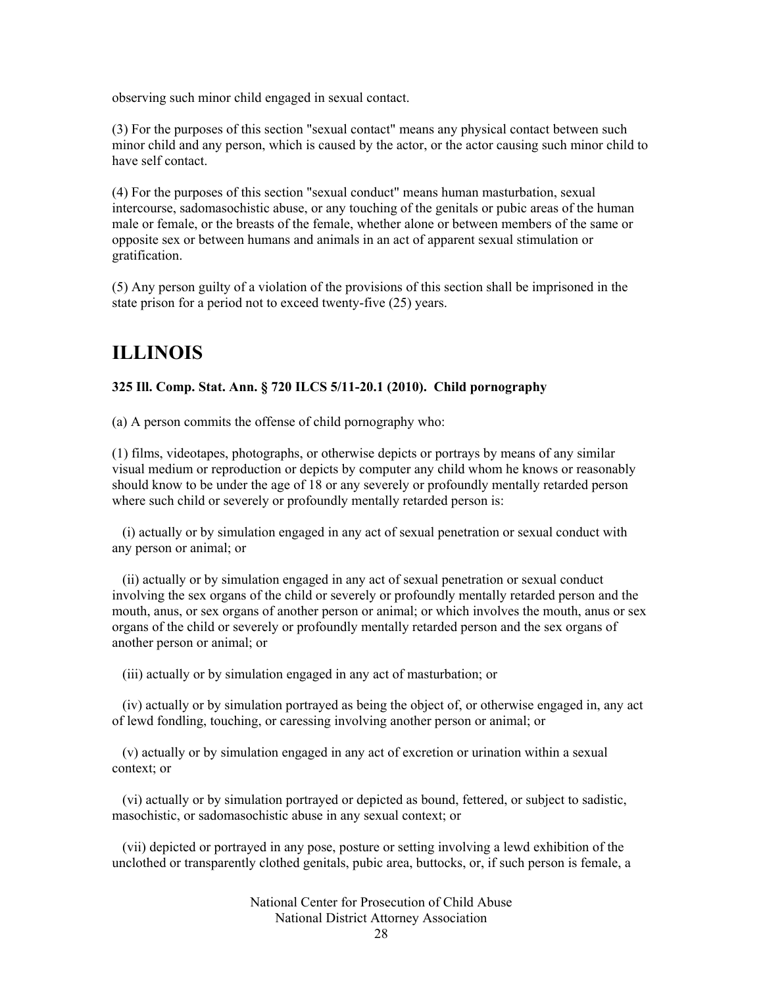<span id="page-27-0"></span>observing such minor child engaged in sexual contact.

(3) For the purposes of this section "sexual contact" means any physical contact between such minor child and any person, which is caused by the actor, or the actor causing such minor child to have self contact.

(4) For the purposes of this section "sexual conduct" means human masturbation, sexual intercourse, sadomasochistic abuse, or any touching of the genitals or pubic areas of the human male or female, or the breasts of the female, whether alone or between members of the same or opposite sex or between humans and animals in an act of apparent sexual stimulation or gratification.

(5) Any person guilty of a violation of the provisions of this section shall be imprisoned in the state prison for a period not to exceed twenty-five (25) years.

# **ILLINOIS**

## **325 Ill. Comp. Stat. Ann. § 720 ILCS 5/11-20.1 (2010). Child pornography**

(a) A person commits the offense of child pornography who:

(1) films, videotapes, photographs, or otherwise depicts or portrays by means of any similar visual medium or reproduction or depicts by computer any child whom he knows or reasonably should know to be under the age of 18 or any severely or profoundly mentally retarded person where such child or severely or profoundly mentally retarded person is:

 (i) actually or by simulation engaged in any act of sexual penetration or sexual conduct with any person or animal; or

 (ii) actually or by simulation engaged in any act of sexual penetration or sexual conduct involving the sex organs of the child or severely or profoundly mentally retarded person and the mouth, anus, or sex organs of another person or animal; or which involves the mouth, anus or sex organs of the child or severely or profoundly mentally retarded person and the sex organs of another person or animal; or

(iii) actually or by simulation engaged in any act of masturbation; or

 (iv) actually or by simulation portrayed as being the object of, or otherwise engaged in, any act of lewd fondling, touching, or caressing involving another person or animal; or

 (v) actually or by simulation engaged in any act of excretion or urination within a sexual context; or

 (vi) actually or by simulation portrayed or depicted as bound, fettered, or subject to sadistic, masochistic, or sadomasochistic abuse in any sexual context; or

 (vii) depicted or portrayed in any pose, posture or setting involving a lewd exhibition of the unclothed or transparently clothed genitals, pubic area, buttocks, or, if such person is female, a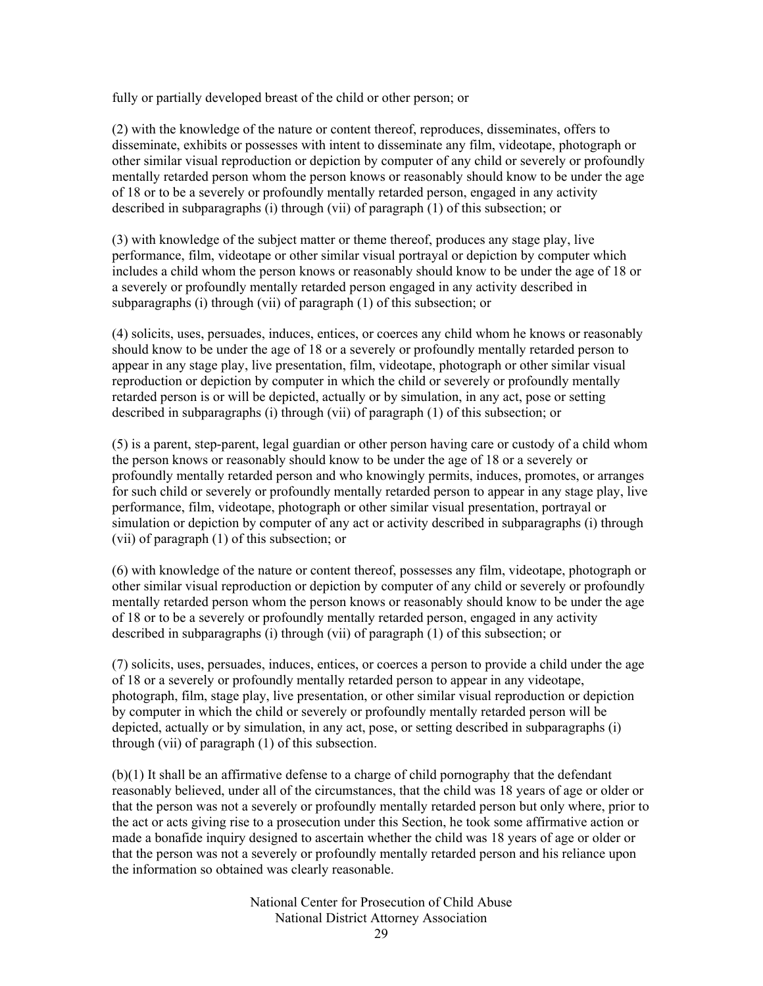fully or partially developed breast of the child or other person; or

(2) with the knowledge of the nature or content thereof, reproduces, disseminates, offers to disseminate, exhibits or possesses with intent to disseminate any film, videotape, photograph or other similar visual reproduction or depiction by computer of any child or severely or profoundly mentally retarded person whom the person knows or reasonably should know to be under the age of 18 or to be a severely or profoundly mentally retarded person, engaged in any activity described in subparagraphs (i) through (vii) of paragraph (1) of this subsection; or

(3) with knowledge of the subject matter or theme thereof, produces any stage play, live performance, film, videotape or other similar visual portrayal or depiction by computer which includes a child whom the person knows or reasonably should know to be under the age of 18 or a severely or profoundly mentally retarded person engaged in any activity described in subparagraphs (i) through (vii) of paragraph (1) of this subsection; or

(4) solicits, uses, persuades, induces, entices, or coerces any child whom he knows or reasonably should know to be under the age of 18 or a severely or profoundly mentally retarded person to appear in any stage play, live presentation, film, videotape, photograph or other similar visual reproduction or depiction by computer in which the child or severely or profoundly mentally retarded person is or will be depicted, actually or by simulation, in any act, pose or setting described in subparagraphs (i) through (vii) of paragraph (1) of this subsection; or

(5) is a parent, step-parent, legal guardian or other person having care or custody of a child whom the person knows or reasonably should know to be under the age of 18 or a severely or profoundly mentally retarded person and who knowingly permits, induces, promotes, or arranges for such child or severely or profoundly mentally retarded person to appear in any stage play, live performance, film, videotape, photograph or other similar visual presentation, portrayal or simulation or depiction by computer of any act or activity described in subparagraphs (i) through (vii) of paragraph (1) of this subsection; or

(6) with knowledge of the nature or content thereof, possesses any film, videotape, photograph or other similar visual reproduction or depiction by computer of any child or severely or profoundly mentally retarded person whom the person knows or reasonably should know to be under the age of 18 or to be a severely or profoundly mentally retarded person, engaged in any activity described in subparagraphs (i) through (vii) of paragraph (1) of this subsection; or

(7) solicits, uses, persuades, induces, entices, or coerces a person to provide a child under the age of 18 or a severely or profoundly mentally retarded person to appear in any videotape, photograph, film, stage play, live presentation, or other similar visual reproduction or depiction by computer in which the child or severely or profoundly mentally retarded person will be depicted, actually or by simulation, in any act, pose, or setting described in subparagraphs (i) through (vii) of paragraph (1) of this subsection.

(b)(1) It shall be an affirmative defense to a charge of child pornography that the defendant reasonably believed, under all of the circumstances, that the child was 18 years of age or older or that the person was not a severely or profoundly mentally retarded person but only where, prior to the act or acts giving rise to a prosecution under this Section, he took some affirmative action or made a bonafide inquiry designed to ascertain whether the child was 18 years of age or older or that the person was not a severely or profoundly mentally retarded person and his reliance upon the information so obtained was clearly reasonable.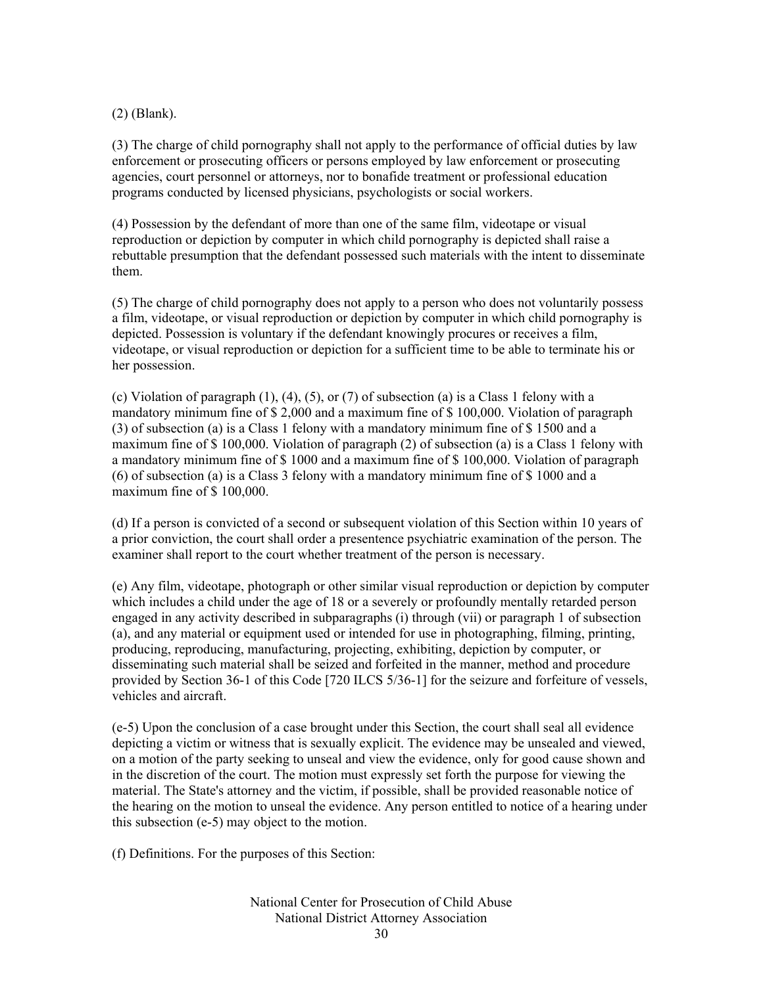(2) (Blank).

(3) The charge of child pornography shall not apply to the performance of official duties by law enforcement or prosecuting officers or persons employed by law enforcement or prosecuting agencies, court personnel or attorneys, nor to bonafide treatment or professional education programs conducted by licensed physicians, psychologists or social workers.

(4) Possession by the defendant of more than one of the same film, videotape or visual reproduction or depiction by computer in which child pornography is depicted shall raise a rebuttable presumption that the defendant possessed such materials with the intent to disseminate them.

(5) The charge of child pornography does not apply to a person who does not voluntarily possess a film, videotape, or visual reproduction or depiction by computer in which child pornography is depicted. Possession is voluntary if the defendant knowingly procures or receives a film, videotape, or visual reproduction or depiction for a sufficient time to be able to terminate his or her possession.

(c) Violation of paragraph  $(1)$ ,  $(4)$ ,  $(5)$ , or  $(7)$  of subsection  $(a)$  is a Class 1 felony with a mandatory minimum fine of \$ 2,000 and a maximum fine of \$ 100,000. Violation of paragraph (3) of subsection (a) is a Class 1 felony with a mandatory minimum fine of \$ 1500 and a maximum fine of \$ 100,000. Violation of paragraph (2) of subsection (a) is a Class 1 felony with a mandatory minimum fine of \$ 1000 and a maximum fine of \$ 100,000. Violation of paragraph (6) of subsection (a) is a Class 3 felony with a mandatory minimum fine of \$ 1000 and a maximum fine of \$ 100,000.

(d) If a person is convicted of a second or subsequent violation of this Section within 10 years of a prior conviction, the court shall order a presentence psychiatric examination of the person. The examiner shall report to the court whether treatment of the person is necessary.

(e) Any film, videotape, photograph or other similar visual reproduction or depiction by computer which includes a child under the age of 18 or a severely or profoundly mentally retarded person engaged in any activity described in subparagraphs (i) through (vii) or paragraph 1 of subsection (a), and any material or equipment used or intended for use in photographing, filming, printing, producing, reproducing, manufacturing, projecting, exhibiting, depiction by computer, or disseminating such material shall be seized and forfeited in the manner, method and procedure provided by Section 36-1 of this Code [720 ILCS 5/36-1] for the seizure and forfeiture of vessels, vehicles and aircraft.

(e-5) Upon the conclusion of a case brought under this Section, the court shall seal all evidence depicting a victim or witness that is sexually explicit. The evidence may be unsealed and viewed, on a motion of the party seeking to unseal and view the evidence, only for good cause shown and in the discretion of the court. The motion must expressly set forth the purpose for viewing the material. The State's attorney and the victim, if possible, shall be provided reasonable notice of the hearing on the motion to unseal the evidence. Any person entitled to notice of a hearing under this subsection (e-5) may object to the motion.

(f) Definitions. For the purposes of this Section: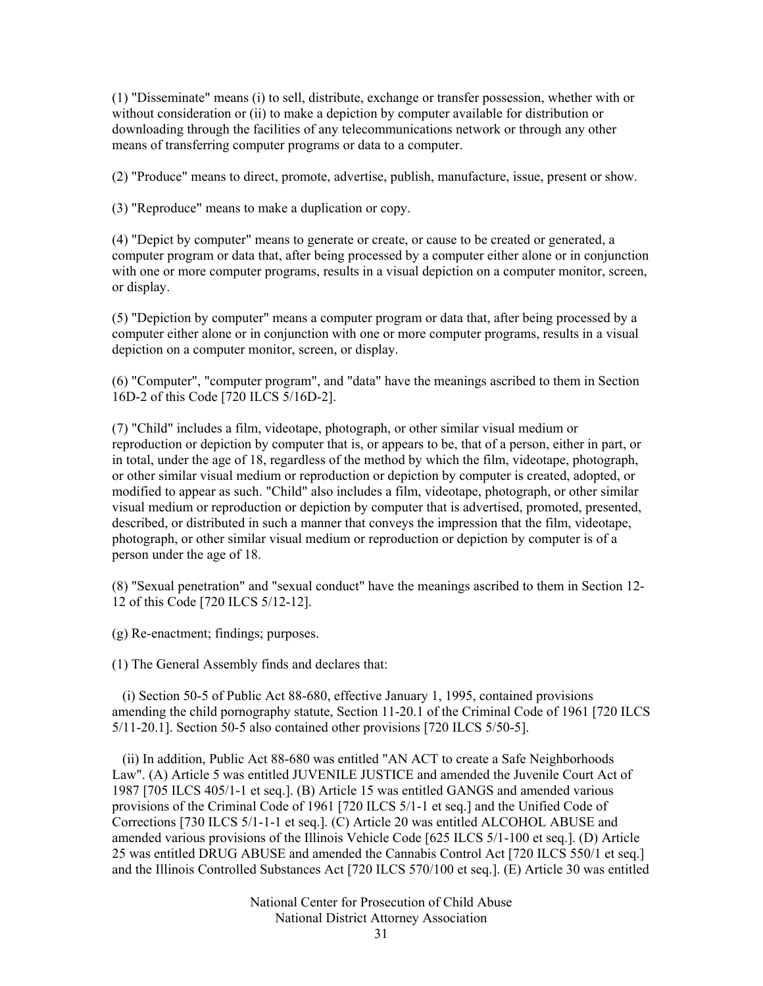(1) "Disseminate" means (i) to sell, distribute, exchange or transfer possession, whether with or without consideration or (ii) to make a depiction by computer available for distribution or downloading through the facilities of any telecommunications network or through any other means of transferring computer programs or data to a computer.

(2) "Produce" means to direct, promote, advertise, publish, manufacture, issue, present or show.

(3) "Reproduce" means to make a duplication or copy.

(4) "Depict by computer" means to generate or create, or cause to be created or generated, a computer program or data that, after being processed by a computer either alone or in conjunction with one or more computer programs, results in a visual depiction on a computer monitor, screen, or display.

(5) "Depiction by computer" means a computer program or data that, after being processed by a computer either alone or in conjunction with one or more computer programs, results in a visual depiction on a computer monitor, screen, or display.

(6) "Computer", "computer program", and "data" have the meanings ascribed to them in Section 16D-2 of this Code [720 ILCS 5/16D-2].

(7) "Child" includes a film, videotape, photograph, or other similar visual medium or reproduction or depiction by computer that is, or appears to be, that of a person, either in part, or in total, under the age of 18, regardless of the method by which the film, videotape, photograph, or other similar visual medium or reproduction or depiction by computer is created, adopted, or modified to appear as such. "Child" also includes a film, videotape, photograph, or other similar visual medium or reproduction or depiction by computer that is advertised, promoted, presented, described, or distributed in such a manner that conveys the impression that the film, videotape, photograph, or other similar visual medium or reproduction or depiction by computer is of a person under the age of 18.

(8) "Sexual penetration" and "sexual conduct" have the meanings ascribed to them in Section 12- 12 of this Code [720 ILCS 5/12-12].

(g) Re-enactment; findings; purposes.

(1) The General Assembly finds and declares that:

 (i) Section 50-5 of Public Act 88-680, effective January 1, 1995, contained provisions amending the child pornography statute, Section 11-20.1 of the Criminal Code of 1961 [720 ILCS 5/11-20.1]. Section 50-5 also contained other provisions [720 ILCS 5/50-5].

 (ii) In addition, Public Act 88-680 was entitled "AN ACT to create a Safe Neighborhoods Law". (A) Article 5 was entitled JUVENILE JUSTICE and amended the Juvenile Court Act of 1987 [705 ILCS 405/1-1 et seq.]. (B) Article 15 was entitled GANGS and amended various provisions of the Criminal Code of 1961 [720 ILCS 5/1-1 et seq.] and the Unified Code of Corrections [730 ILCS 5/1-1-1 et seq.]. (C) Article 20 was entitled ALCOHOL ABUSE and amended various provisions of the Illinois Vehicle Code [625 ILCS 5/1-100 et seq.]. (D) Article 25 was entitled DRUG ABUSE and amended the Cannabis Control Act [720 ILCS 550/1 et seq.] and the Illinois Controlled Substances Act [720 ILCS 570/100 et seq.]. (E) Article 30 was entitled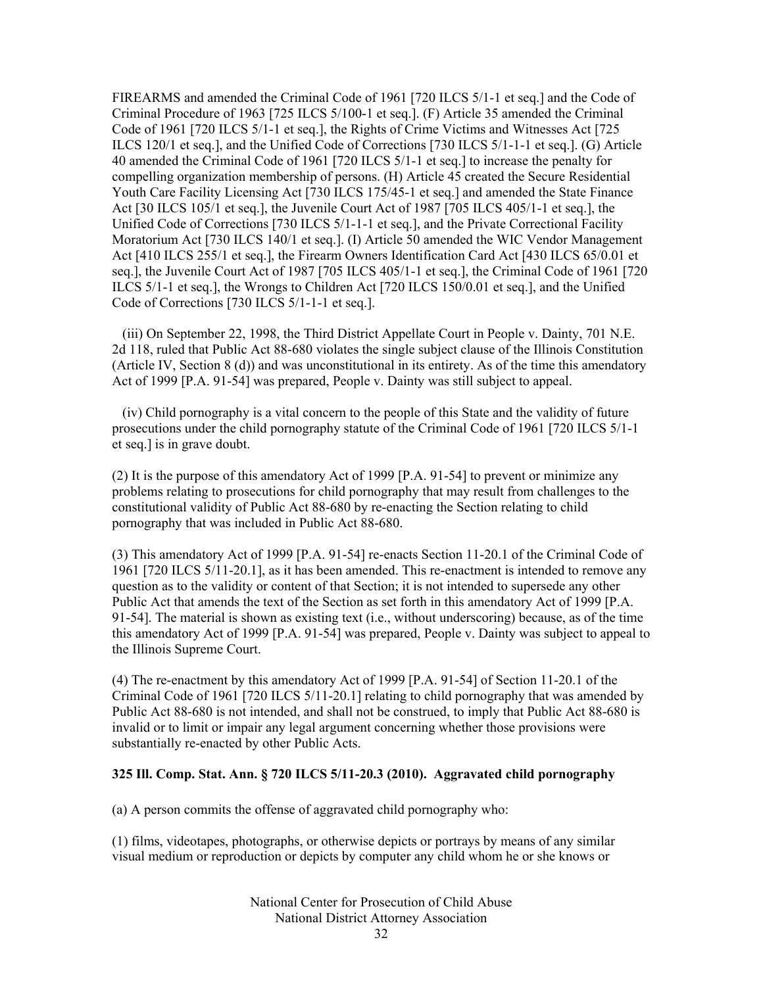<span id="page-31-0"></span>FIREARMS and amended the Criminal Code of 1961 [720 ILCS 5/1-1 et seq.] and the Code of Criminal Procedure of 1963 [725 ILCS 5/100-1 et seq.]. (F) Article 35 amended the Criminal Code of 1961 [720 ILCS 5/1-1 et seq.], the Rights of Crime Victims and Witnesses Act [725 ILCS 120/1 et seq.], and the Unified Code of Corrections [730 ILCS 5/1-1-1 et seq.]. (G) Article 40 amended the Criminal Code of 1961 [720 ILCS 5/1-1 et seq.] to increase the penalty for compelling organization membership of persons. (H) Article 45 created the Secure Residential Youth Care Facility Licensing Act [730 ILCS 175/45-1 et seq.] and amended the State Finance Act [30 ILCS 105/1 et seq.], the Juvenile Court Act of 1987 [705 ILCS 405/1-1 et seq.], the Unified Code of Corrections [730 ILCS 5/1-1-1 et seq.], and the Private Correctional Facility Moratorium Act [730 ILCS 140/1 et seq.]. (I) Article 50 amended the WIC Vendor Management Act [410 ILCS 255/1 et seq.], the Firearm Owners Identification Card Act [430 ILCS 65/0.01 et seq.], the Juvenile Court Act of 1987 [705 ILCS 405/1-1 et seq.], the Criminal Code of 1961 [720 ILCS 5/1-1 et seq.], the Wrongs to Children Act [720 ILCS 150/0.01 et seq.], and the Unified Code of Corrections [730 ILCS 5/1-1-1 et seq.].

 (iii) On September 22, 1998, the Third District Appellate Court in People v. Dainty, 701 N.E. 2d 118, ruled that Public Act 88-680 violates the single subject clause of the Illinois Constitution (Article IV, Section 8 (d)) and was unconstitutional in its entirety. As of the time this amendatory Act of 1999 [P.A. 91-54] was prepared, People v. Dainty was still subject to appeal.

 (iv) Child pornography is a vital concern to the people of this State and the validity of future prosecutions under the child pornography statute of the Criminal Code of 1961 [720 ILCS 5/1-1 et seq.] is in grave doubt.

(2) It is the purpose of this amendatory Act of 1999 [P.A. 91-54] to prevent or minimize any problems relating to prosecutions for child pornography that may result from challenges to the constitutional validity of Public Act 88-680 by re-enacting the Section relating to child pornography that was included in Public Act 88-680.

(3) This amendatory Act of 1999 [P.A. 91-54] re-enacts Section 11-20.1 of the Criminal Code of 1961 [720 ILCS 5/11-20.1], as it has been amended. This re-enactment is intended to remove any question as to the validity or content of that Section; it is not intended to supersede any other Public Act that amends the text of the Section as set forth in this amendatory Act of 1999 [P.A. 91-54]. The material is shown as existing text (i.e., without underscoring) because, as of the time this amendatory Act of 1999 [P.A. 91-54] was prepared, People v. Dainty was subject to appeal to the Illinois Supreme Court.

(4) The re-enactment by this amendatory Act of 1999 [P.A. 91-54] of Section 11-20.1 of the Criminal Code of 1961 [720 ILCS 5/11-20.1] relating to child pornography that was amended by Public Act 88-680 is not intended, and shall not be construed, to imply that Public Act 88-680 is invalid or to limit or impair any legal argument concerning whether those provisions were substantially re-enacted by other Public Acts.

### **325 Ill. Comp. Stat. Ann. § 720 ILCS 5/11-20.3 (2010). Aggravated child pornography**

(a) A person commits the offense of aggravated child pornography who:

(1) films, videotapes, photographs, or otherwise depicts or portrays by means of any similar visual medium or reproduction or depicts by computer any child whom he or she knows or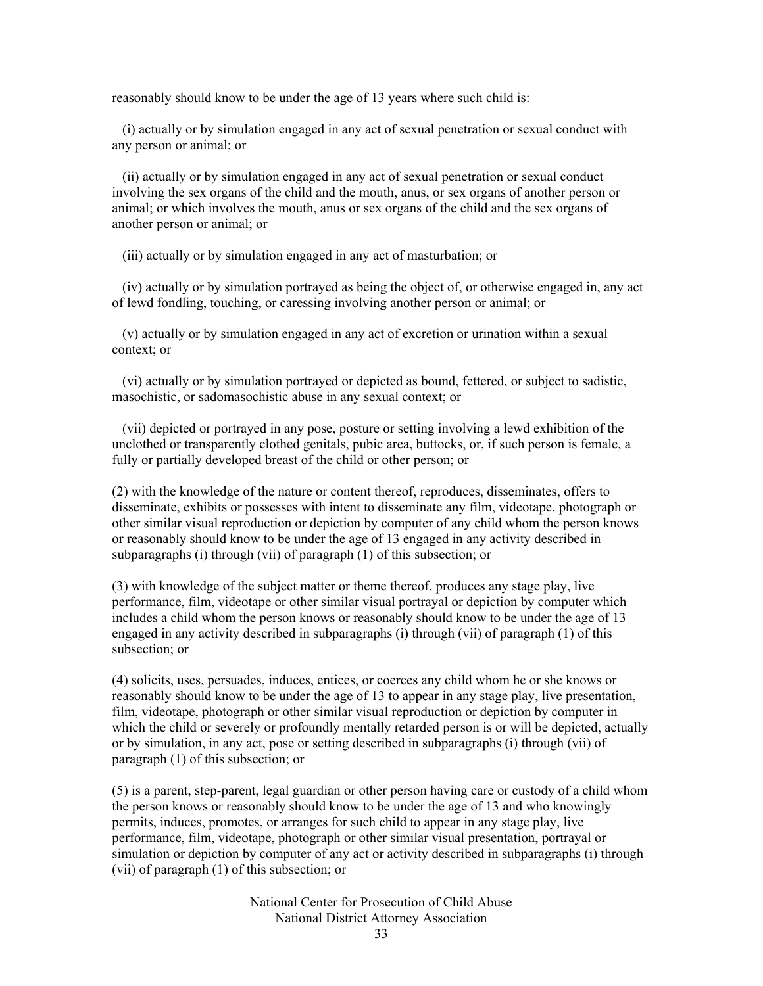reasonably should know to be under the age of 13 years where such child is:

 (i) actually or by simulation engaged in any act of sexual penetration or sexual conduct with any person or animal; or

 (ii) actually or by simulation engaged in any act of sexual penetration or sexual conduct involving the sex organs of the child and the mouth, anus, or sex organs of another person or animal; or which involves the mouth, anus or sex organs of the child and the sex organs of another person or animal; or

(iii) actually or by simulation engaged in any act of masturbation; or

 (iv) actually or by simulation portrayed as being the object of, or otherwise engaged in, any act of lewd fondling, touching, or caressing involving another person or animal; or

 (v) actually or by simulation engaged in any act of excretion or urination within a sexual context; or

 (vi) actually or by simulation portrayed or depicted as bound, fettered, or subject to sadistic, masochistic, or sadomasochistic abuse in any sexual context; or

 (vii) depicted or portrayed in any pose, posture or setting involving a lewd exhibition of the unclothed or transparently clothed genitals, pubic area, buttocks, or, if such person is female, a fully or partially developed breast of the child or other person; or

(2) with the knowledge of the nature or content thereof, reproduces, disseminates, offers to disseminate, exhibits or possesses with intent to disseminate any film, videotape, photograph or other similar visual reproduction or depiction by computer of any child whom the person knows or reasonably should know to be under the age of 13 engaged in any activity described in subparagraphs (i) through (vii) of paragraph (1) of this subsection; or

(3) with knowledge of the subject matter or theme thereof, produces any stage play, live performance, film, videotape or other similar visual portrayal or depiction by computer which includes a child whom the person knows or reasonably should know to be under the age of 13 engaged in any activity described in subparagraphs (i) through (vii) of paragraph (1) of this subsection; or

(4) solicits, uses, persuades, induces, entices, or coerces any child whom he or she knows or reasonably should know to be under the age of 13 to appear in any stage play, live presentation, film, videotape, photograph or other similar visual reproduction or depiction by computer in which the child or severely or profoundly mentally retarded person is or will be depicted, actually or by simulation, in any act, pose or setting described in subparagraphs (i) through (vii) of paragraph (1) of this subsection; or

(5) is a parent, step-parent, legal guardian or other person having care or custody of a child whom the person knows or reasonably should know to be under the age of 13 and who knowingly permits, induces, promotes, or arranges for such child to appear in any stage play, live performance, film, videotape, photograph or other similar visual presentation, portrayal or simulation or depiction by computer of any act or activity described in subparagraphs (i) through (vii) of paragraph (1) of this subsection; or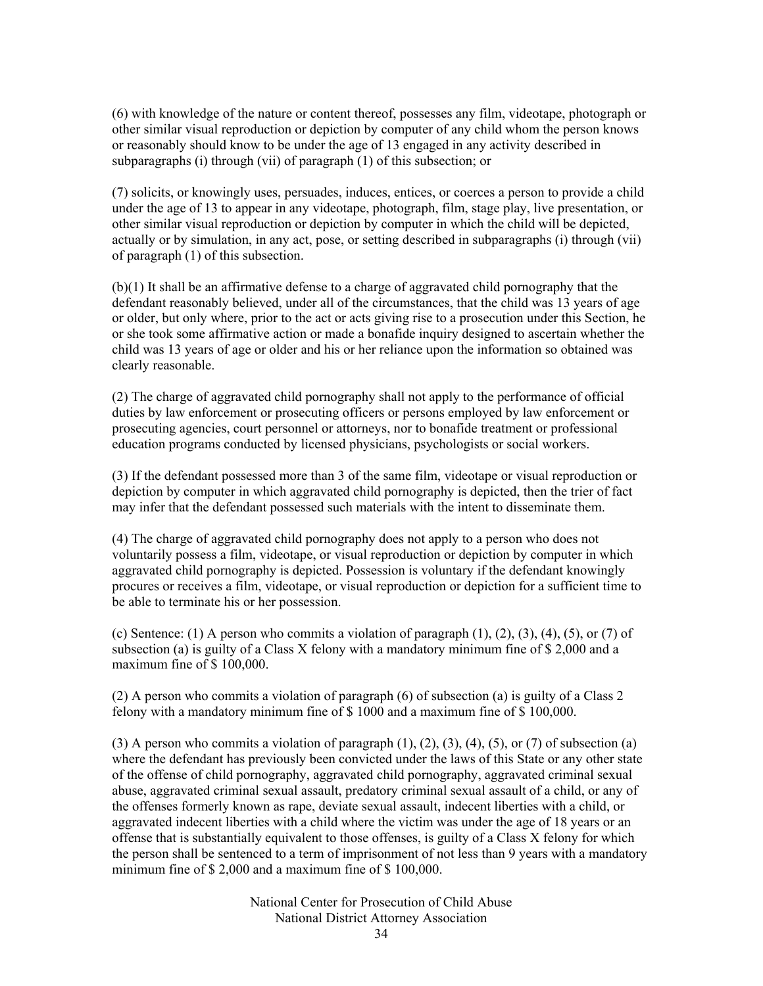(6) with knowledge of the nature or content thereof, possesses any film, videotape, photograph or other similar visual reproduction or depiction by computer of any child whom the person knows or reasonably should know to be under the age of 13 engaged in any activity described in subparagraphs (i) through (vii) of paragraph (1) of this subsection; or

(7) solicits, or knowingly uses, persuades, induces, entices, or coerces a person to provide a child under the age of 13 to appear in any videotape, photograph, film, stage play, live presentation, or other similar visual reproduction or depiction by computer in which the child will be depicted, actually or by simulation, in any act, pose, or setting described in subparagraphs (i) through (vii) of paragraph (1) of this subsection.

(b)(1) It shall be an affirmative defense to a charge of aggravated child pornography that the defendant reasonably believed, under all of the circumstances, that the child was 13 years of age or older, but only where, prior to the act or acts giving rise to a prosecution under this Section, he or she took some affirmative action or made a bonafide inquiry designed to ascertain whether the child was 13 years of age or older and his or her reliance upon the information so obtained was clearly reasonable.

(2) The charge of aggravated child pornography shall not apply to the performance of official duties by law enforcement or prosecuting officers or persons employed by law enforcement or prosecuting agencies, court personnel or attorneys, nor to bonafide treatment or professional education programs conducted by licensed physicians, psychologists or social workers.

(3) If the defendant possessed more than 3 of the same film, videotape or visual reproduction or depiction by computer in which aggravated child pornography is depicted, then the trier of fact may infer that the defendant possessed such materials with the intent to disseminate them.

(4) The charge of aggravated child pornography does not apply to a person who does not voluntarily possess a film, videotape, or visual reproduction or depiction by computer in which aggravated child pornography is depicted. Possession is voluntary if the defendant knowingly procures or receives a film, videotape, or visual reproduction or depiction for a sufficient time to be able to terminate his or her possession.

(c) Sentence: (1) A person who commits a violation of paragraph  $(1)$ ,  $(2)$ ,  $(3)$ ,  $(4)$ ,  $(5)$ , or  $(7)$  of subsection (a) is guilty of a Class X felony with a mandatory minimum fine of \$ 2,000 and a maximum fine of \$ 100,000.

(2) A person who commits a violation of paragraph (6) of subsection (a) is guilty of a Class 2 felony with a mandatory minimum fine of \$ 1000 and a maximum fine of \$ 100,000.

 $(3)$  A person who commits a violation of paragraph  $(1)$ ,  $(2)$ ,  $(3)$ ,  $(4)$ ,  $(5)$ , or  $(7)$  of subsection (a) where the defendant has previously been convicted under the laws of this State or any other state of the offense of child pornography, aggravated child pornography, aggravated criminal sexual abuse, aggravated criminal sexual assault, predatory criminal sexual assault of a child, or any of the offenses formerly known as rape, deviate sexual assault, indecent liberties with a child, or aggravated indecent liberties with a child where the victim was under the age of 18 years or an offense that is substantially equivalent to those offenses, is guilty of a Class X felony for which the person shall be sentenced to a term of imprisonment of not less than 9 years with a mandatory minimum fine of \$ 2,000 and a maximum fine of \$ 100,000.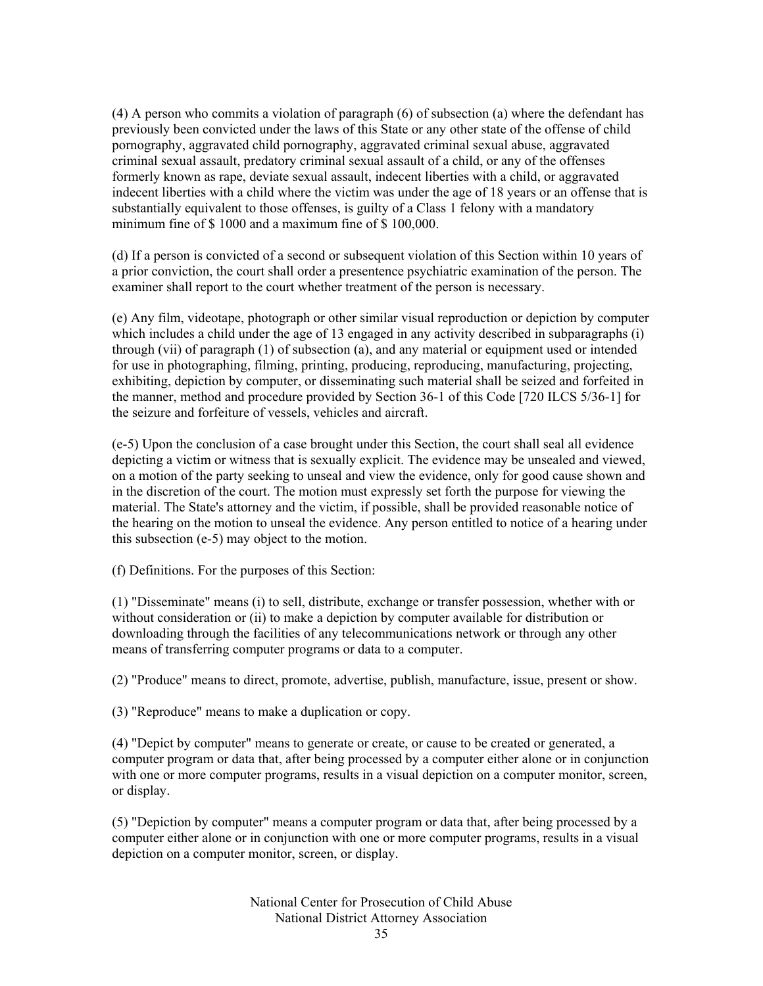(4) A person who commits a violation of paragraph (6) of subsection (a) where the defendant has previously been convicted under the laws of this State or any other state of the offense of child pornography, aggravated child pornography, aggravated criminal sexual abuse, aggravated criminal sexual assault, predatory criminal sexual assault of a child, or any of the offenses formerly known as rape, deviate sexual assault, indecent liberties with a child, or aggravated indecent liberties with a child where the victim was under the age of 18 years or an offense that is substantially equivalent to those offenses, is guilty of a Class 1 felony with a mandatory minimum fine of \$ 1000 and a maximum fine of \$ 100,000.

(d) If a person is convicted of a second or subsequent violation of this Section within 10 years of a prior conviction, the court shall order a presentence psychiatric examination of the person. The examiner shall report to the court whether treatment of the person is necessary.

(e) Any film, videotape, photograph or other similar visual reproduction or depiction by computer which includes a child under the age of 13 engaged in any activity described in subparagraphs (i) through (vii) of paragraph (1) of subsection (a), and any material or equipment used or intended for use in photographing, filming, printing, producing, reproducing, manufacturing, projecting, exhibiting, depiction by computer, or disseminating such material shall be seized and forfeited in the manner, method and procedure provided by Section 36-1 of this Code [720 ILCS 5/36-1] for the seizure and forfeiture of vessels, vehicles and aircraft.

(e-5) Upon the conclusion of a case brought under this Section, the court shall seal all evidence depicting a victim or witness that is sexually explicit. The evidence may be unsealed and viewed, on a motion of the party seeking to unseal and view the evidence, only for good cause shown and in the discretion of the court. The motion must expressly set forth the purpose for viewing the material. The State's attorney and the victim, if possible, shall be provided reasonable notice of the hearing on the motion to unseal the evidence. Any person entitled to notice of a hearing under this subsection (e-5) may object to the motion.

(f) Definitions. For the purposes of this Section:

(1) "Disseminate" means (i) to sell, distribute, exchange or transfer possession, whether with or without consideration or (ii) to make a depiction by computer available for distribution or downloading through the facilities of any telecommunications network or through any other means of transferring computer programs or data to a computer.

(2) "Produce" means to direct, promote, advertise, publish, manufacture, issue, present or show.

(3) "Reproduce" means to make a duplication or copy.

(4) "Depict by computer" means to generate or create, or cause to be created or generated, a computer program or data that, after being processed by a computer either alone or in conjunction with one or more computer programs, results in a visual depiction on a computer monitor, screen, or display.

(5) "Depiction by computer" means a computer program or data that, after being processed by a computer either alone or in conjunction with one or more computer programs, results in a visual depiction on a computer monitor, screen, or display.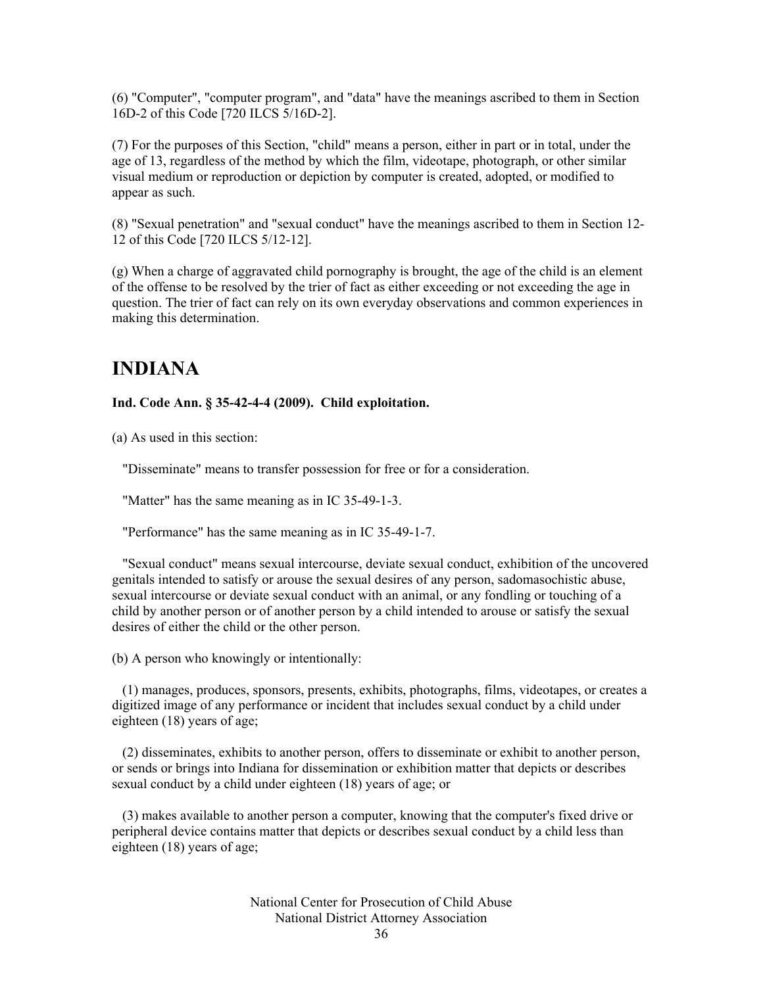<span id="page-35-0"></span>(6) "Computer", "computer program", and "data" have the meanings ascribed to them in Section 16D-2 of this Code [720 ILCS 5/16D-2].

(7) For the purposes of this Section, "child" means a person, either in part or in total, under the age of 13, regardless of the method by which the film, videotape, photograph, or other similar visual medium or reproduction or depiction by computer is created, adopted, or modified to appear as such.

(8) "Sexual penetration" and "sexual conduct" have the meanings ascribed to them in Section 12- 12 of this Code [720 ILCS 5/12-12].

(g) When a charge of aggravated child pornography is brought, the age of the child is an element of the offense to be resolved by the trier of fact as either exceeding or not exceeding the age in question. The trier of fact can rely on its own everyday observations and common experiences in making this determination.

## **INDIANA**

#### **Ind. Code Ann. § 35-42-4-4 (2009). Child exploitation.**

(a) As used in this section:

"Disseminate" means to transfer possession for free or for a consideration.

"Matter" has the same meaning as in IC 35-49-1-3.

"Performance" has the same meaning as in IC 35-49-1-7.

 "Sexual conduct" means sexual intercourse, deviate sexual conduct, exhibition of the uncovered genitals intended to satisfy or arouse the sexual desires of any person, sadomasochistic abuse, sexual intercourse or deviate sexual conduct with an animal, or any fondling or touching of a child by another person or of another person by a child intended to arouse or satisfy the sexual desires of either the child or the other person.

(b) A person who knowingly or intentionally:

 (1) manages, produces, sponsors, presents, exhibits, photographs, films, videotapes, or creates a digitized image of any performance or incident that includes sexual conduct by a child under eighteen (18) years of age;

 (2) disseminates, exhibits to another person, offers to disseminate or exhibit to another person, or sends or brings into Indiana for dissemination or exhibition matter that depicts or describes sexual conduct by a child under eighteen (18) years of age; or

 (3) makes available to another person a computer, knowing that the computer's fixed drive or peripheral device contains matter that depicts or describes sexual conduct by a child less than eighteen (18) years of age;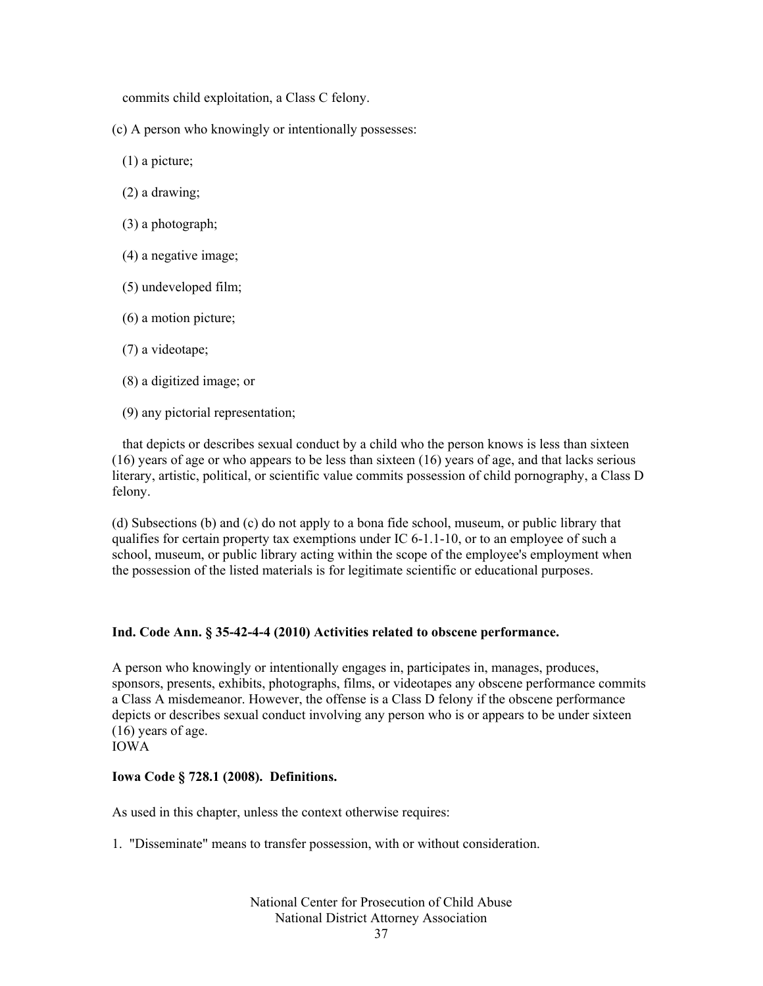commits child exploitation, a Class C felony.

- (c) A person who knowingly or intentionally possesses:
	- (1) a picture;
	- (2) a drawing;
	- (3) a photograph;
	- (4) a negative image;
	- (5) undeveloped film;
	- (6) a motion picture;
	- (7) a videotape;
	- (8) a digitized image; or
	- (9) any pictorial representation;

 that depicts or describes sexual conduct by a child who the person knows is less than sixteen (16) years of age or who appears to be less than sixteen (16) years of age, and that lacks serious literary, artistic, political, or scientific value commits possession of child pornography, a Class D felony.

(d) Subsections (b) and (c) do not apply to a bona fide school, museum, or public library that qualifies for certain property tax exemptions under IC 6-1.1-10, or to an employee of such a school, museum, or public library acting within the scope of the employee's employment when the possession of the listed materials is for legitimate scientific or educational purposes.

### **Ind. Code Ann. § 35-42-4-4 (2010) Activities related to obscene performance.**

A person who knowingly or intentionally engages in, participates in, manages, produces, sponsors, presents, exhibits, photographs, films, or videotapes any obscene performance commits a Class A misdemeanor. However, the offense is a Class D felony if the obscene performance depicts or describes sexual conduct involving any person who is or appears to be under sixteen (16) years of age.

### IOWA

### **Iowa Code § 728.1 (2008). Definitions.**

As used in this chapter, unless the context otherwise requires:

1. "Disseminate" means to transfer possession, with or without consideration.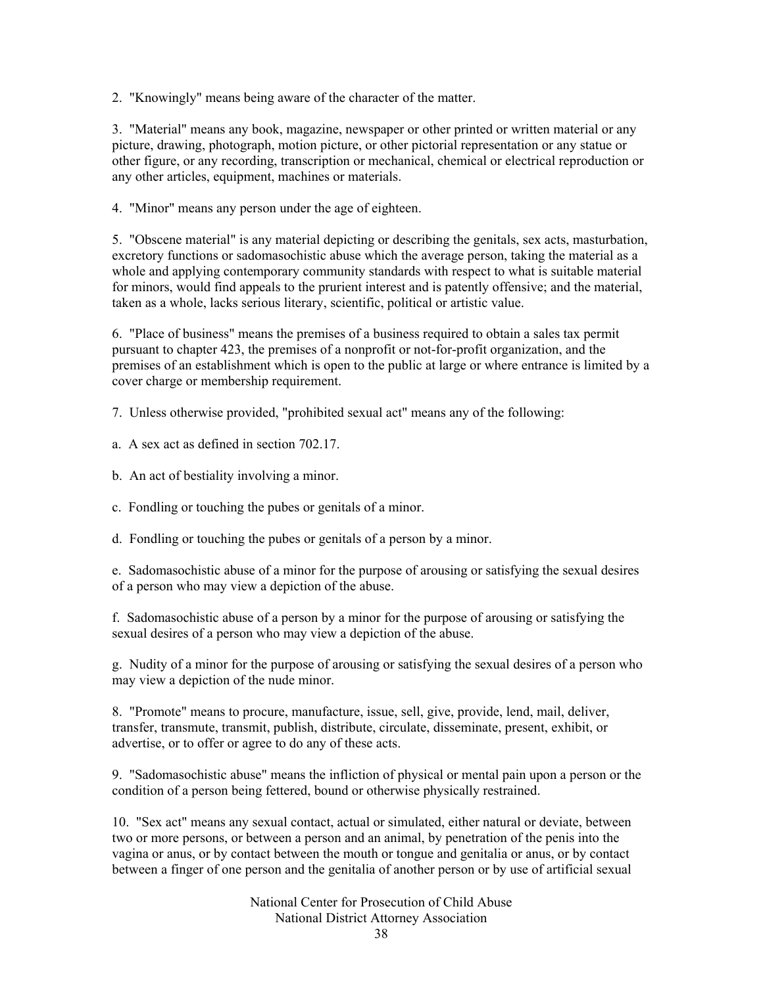2. "Knowingly" means being aware of the character of the matter.

3. "Material" means any book, magazine, newspaper or other printed or written material or any picture, drawing, photograph, motion picture, or other pictorial representation or any statue or other figure, or any recording, transcription or mechanical, chemical or electrical reproduction or any other articles, equipment, machines or materials.

4. "Minor" means any person under the age of eighteen.

5. "Obscene material" is any material depicting or describing the genitals, sex acts, masturbation, excretory functions or sadomasochistic abuse which the average person, taking the material as a whole and applying contemporary community standards with respect to what is suitable material for minors, would find appeals to the prurient interest and is patently offensive; and the material, taken as a whole, lacks serious literary, scientific, political or artistic value.

6. "Place of business" means the premises of a business required to obtain a sales tax permit pursuant to chapter 423, the premises of a nonprofit or not-for-profit organization, and the premises of an establishment which is open to the public at large or where entrance is limited by a cover charge or membership requirement.

7. Unless otherwise provided, "prohibited sexual act" means any of the following:

a. A sex act as defined in section 702.17.

b. An act of bestiality involving a minor.

c. Fondling or touching the pubes or genitals of a minor.

d. Fondling or touching the pubes or genitals of a person by a minor.

e. Sadomasochistic abuse of a minor for the purpose of arousing or satisfying the sexual desires of a person who may view a depiction of the abuse.

f. Sadomasochistic abuse of a person by a minor for the purpose of arousing or satisfying the sexual desires of a person who may view a depiction of the abuse.

g. Nudity of a minor for the purpose of arousing or satisfying the sexual desires of a person who may view a depiction of the nude minor.

8. "Promote" means to procure, manufacture, issue, sell, give, provide, lend, mail, deliver, transfer, transmute, transmit, publish, distribute, circulate, disseminate, present, exhibit, or advertise, or to offer or agree to do any of these acts.

9. "Sadomasochistic abuse" means the infliction of physical or mental pain upon a person or the condition of a person being fettered, bound or otherwise physically restrained.

10. "Sex act" means any sexual contact, actual or simulated, either natural or deviate, between two or more persons, or between a person and an animal, by penetration of the penis into the vagina or anus, or by contact between the mouth or tongue and genitalia or anus, or by contact between a finger of one person and the genitalia of another person or by use of artificial sexual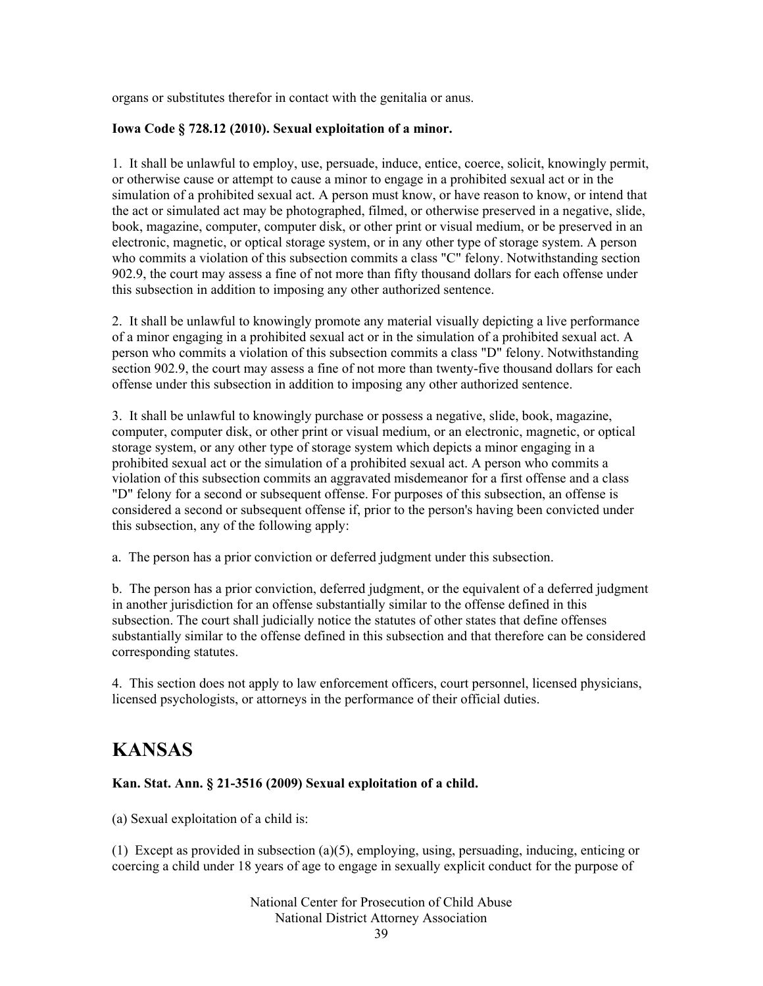organs or substitutes therefor in contact with the genitalia or anus.

### **Iowa Code § 728.12 (2010). Sexual exploitation of a minor.**

1. It shall be unlawful to employ, use, persuade, induce, entice, coerce, solicit, knowingly permit, or otherwise cause or attempt to cause a minor to engage in a prohibited sexual act or in the simulation of a prohibited sexual act. A person must know, or have reason to know, or intend that the act or simulated act may be photographed, filmed, or otherwise preserved in a negative, slide, book, magazine, computer, computer disk, or other print or visual medium, or be preserved in an electronic, magnetic, or optical storage system, or in any other type of storage system. A person who commits a violation of this subsection commits a class "C" felony. Notwithstanding section 902.9, the court may assess a fine of not more than fifty thousand dollars for each offense under this subsection in addition to imposing any other authorized sentence.

2. It shall be unlawful to knowingly promote any material visually depicting a live performance of a minor engaging in a prohibited sexual act or in the simulation of a prohibited sexual act. A person who commits a violation of this subsection commits a class "D" felony. Notwithstanding section 902.9, the court may assess a fine of not more than twenty-five thousand dollars for each offense under this subsection in addition to imposing any other authorized sentence.

3. It shall be unlawful to knowingly purchase or possess a negative, slide, book, magazine, computer, computer disk, or other print or visual medium, or an electronic, magnetic, or optical storage system, or any other type of storage system which depicts a minor engaging in a prohibited sexual act or the simulation of a prohibited sexual act. A person who commits a violation of this subsection commits an aggravated misdemeanor for a first offense and a class "D" felony for a second or subsequent offense. For purposes of this subsection, an offense is considered a second or subsequent offense if, prior to the person's having been convicted under this subsection, any of the following apply:

a. The person has a prior conviction or deferred judgment under this subsection.

b. The person has a prior conviction, deferred judgment, or the equivalent of a deferred judgment in another jurisdiction for an offense substantially similar to the offense defined in this subsection. The court shall judicially notice the statutes of other states that define offenses substantially similar to the offense defined in this subsection and that therefore can be considered corresponding statutes.

4. This section does not apply to law enforcement officers, court personnel, licensed physicians, licensed psychologists, or attorneys in the performance of their official duties.

## **KANSAS**

**Kan. Stat. Ann. § 21-3516 (2009) Sexual exploitation of a child.** 

(a) Sexual exploitation of a child is:

(1) Except as provided in subsection (a)(5), employing, using, persuading, inducing, enticing or coercing a child under 18 years of age to engage in sexually explicit conduct for the purpose of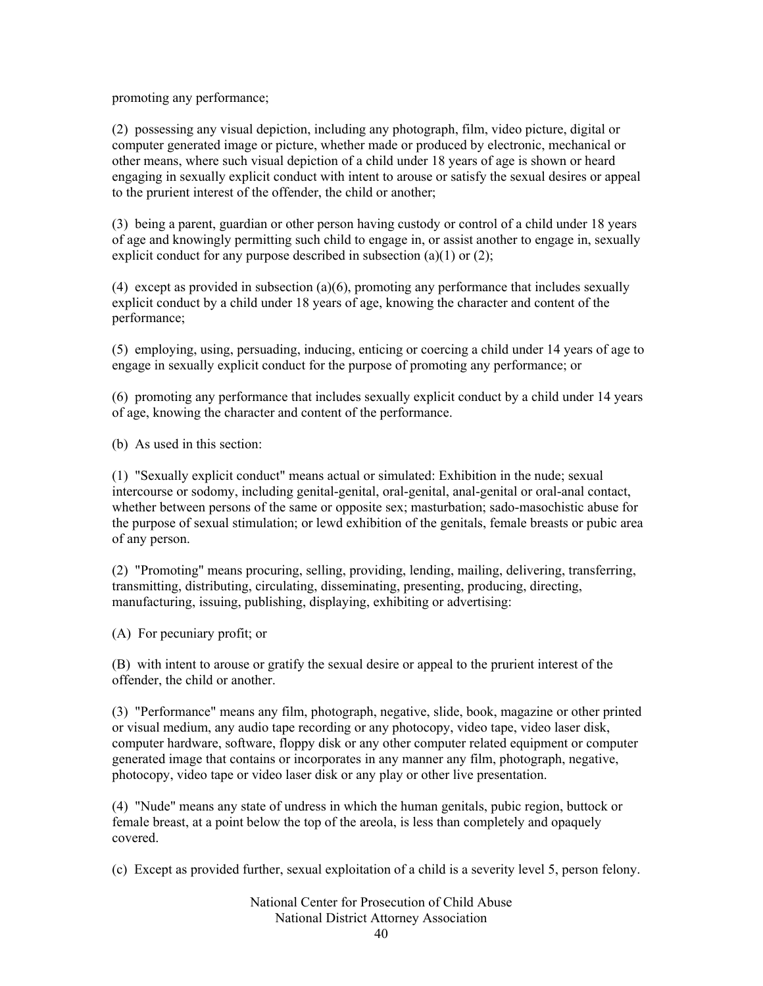promoting any performance;

(2) possessing any visual depiction, including any photograph, film, video picture, digital or computer generated image or picture, whether made or produced by electronic, mechanical or other means, where such visual depiction of a child under 18 years of age is shown or heard engaging in sexually explicit conduct with intent to arouse or satisfy the sexual desires or appeal to the prurient interest of the offender, the child or another;

(3) being a parent, guardian or other person having custody or control of a child under 18 years of age and knowingly permitting such child to engage in, or assist another to engage in, sexually explicit conduct for any purpose described in subsection  $(a)(1)$  or  $(2)$ ;

(4) except as provided in subsection (a)(6), promoting any performance that includes sexually explicit conduct by a child under 18 years of age, knowing the character and content of the performance;

(5) employing, using, persuading, inducing, enticing or coercing a child under 14 years of age to engage in sexually explicit conduct for the purpose of promoting any performance; or

(6) promoting any performance that includes sexually explicit conduct by a child under 14 years of age, knowing the character and content of the performance.

(b) As used in this section:

(1) "Sexually explicit conduct" means actual or simulated: Exhibition in the nude; sexual intercourse or sodomy, including genital-genital, oral-genital, anal-genital or oral-anal contact, whether between persons of the same or opposite sex; masturbation; sado-masochistic abuse for the purpose of sexual stimulation; or lewd exhibition of the genitals, female breasts or pubic area of any person.

(2) "Promoting" means procuring, selling, providing, lending, mailing, delivering, transferring, transmitting, distributing, circulating, disseminating, presenting, producing, directing, manufacturing, issuing, publishing, displaying, exhibiting or advertising:

(A) For pecuniary profit; or

(B) with intent to arouse or gratify the sexual desire or appeal to the prurient interest of the offender, the child or another.

(3) "Performance" means any film, photograph, negative, slide, book, magazine or other printed or visual medium, any audio tape recording or any photocopy, video tape, video laser disk, computer hardware, software, floppy disk or any other computer related equipment or computer generated image that contains or incorporates in any manner any film, photograph, negative, photocopy, video tape or video laser disk or any play or other live presentation.

(4) "Nude" means any state of undress in which the human genitals, pubic region, buttock or female breast, at a point below the top of the areola, is less than completely and opaquely covered.

(c) Except as provided further, sexual exploitation of a child is a severity level 5, person felony.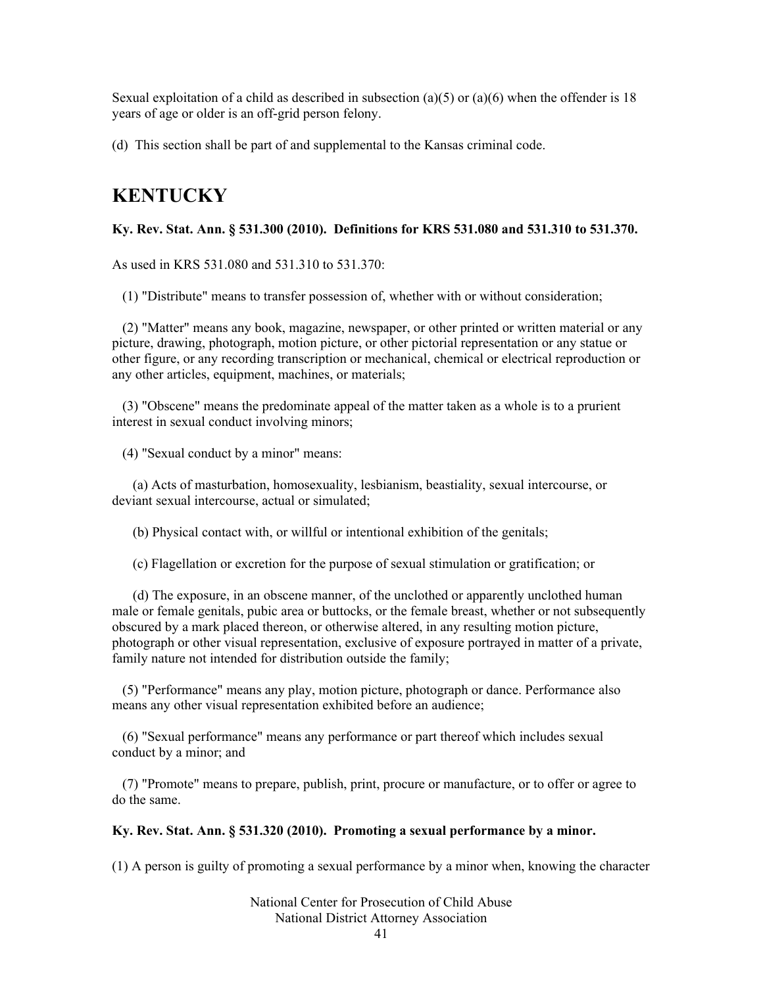Sexual exploitation of a child as described in subsection (a)(5) or (a)(6) when the offender is 18 years of age or older is an off-grid person felony.

(d) This section shall be part of and supplemental to the Kansas criminal code.

## **KENTUCKY**

### **Ky. Rev. Stat. Ann. § 531.300 (2010). Definitions for KRS 531.080 and 531.310 to 531.370.**

As used in KRS 531.080 and 531.310 to 531.370:

(1) "Distribute" means to transfer possession of, whether with or without consideration;

 (2) "Matter" means any book, magazine, newspaper, or other printed or written material or any picture, drawing, photograph, motion picture, or other pictorial representation or any statue or other figure, or any recording transcription or mechanical, chemical or electrical reproduction or any other articles, equipment, machines, or materials;

 (3) "Obscene" means the predominate appeal of the matter taken as a whole is to a prurient interest in sexual conduct involving minors;

(4) "Sexual conduct by a minor" means:

 (a) Acts of masturbation, homosexuality, lesbianism, beastiality, sexual intercourse, or deviant sexual intercourse, actual or simulated;

(b) Physical contact with, or willful or intentional exhibition of the genitals;

(c) Flagellation or excretion for the purpose of sexual stimulation or gratification; or

 (d) The exposure, in an obscene manner, of the unclothed or apparently unclothed human male or female genitals, pubic area or buttocks, or the female breast, whether or not subsequently obscured by a mark placed thereon, or otherwise altered, in any resulting motion picture, photograph or other visual representation, exclusive of exposure portrayed in matter of a private, family nature not intended for distribution outside the family;

 (5) "Performance" means any play, motion picture, photograph or dance. Performance also means any other visual representation exhibited before an audience;

 (6) "Sexual performance" means any performance or part thereof which includes sexual conduct by a minor; and

 (7) "Promote" means to prepare, publish, print, procure or manufacture, or to offer or agree to do the same.

### **Ky. Rev. Stat. Ann. § 531.320 (2010). Promoting a sexual performance by a minor.**

(1) A person is guilty of promoting a sexual performance by a minor when, knowing the character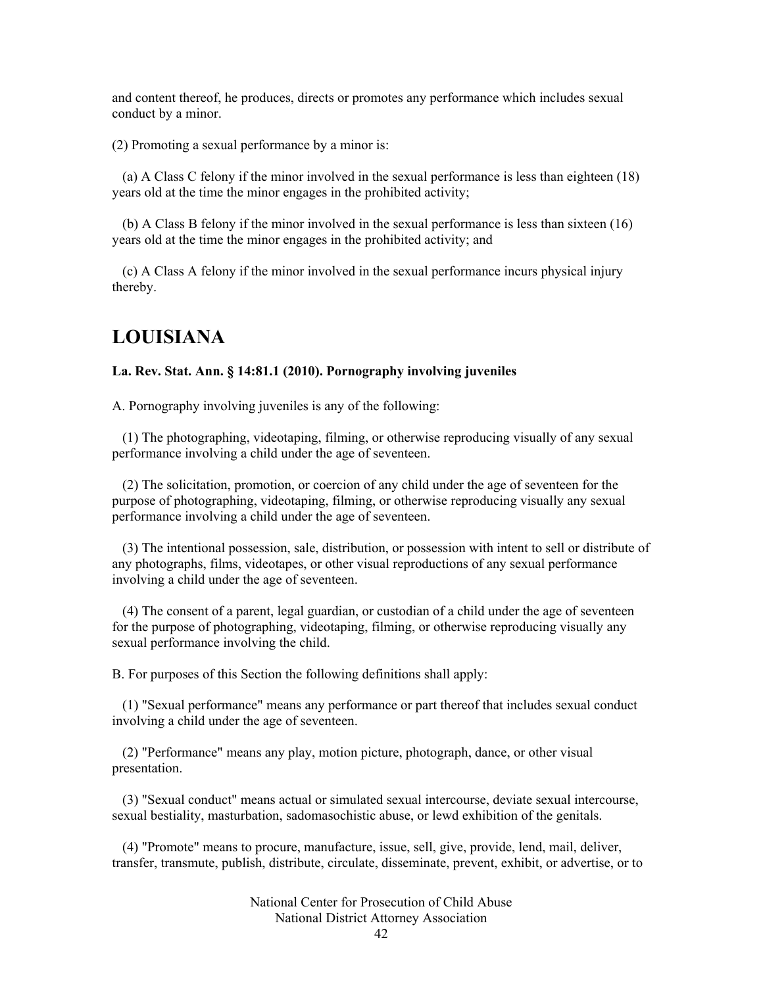and content thereof, he produces, directs or promotes any performance which includes sexual conduct by a minor.

(2) Promoting a sexual performance by a minor is:

 (a) A Class C felony if the minor involved in the sexual performance is less than eighteen (18) years old at the time the minor engages in the prohibited activity;

 (b) A Class B felony if the minor involved in the sexual performance is less than sixteen (16) years old at the time the minor engages in the prohibited activity; and

 (c) A Class A felony if the minor involved in the sexual performance incurs physical injury thereby.

## **LOUISIANA**

### **La. Rev. Stat. Ann. § 14:81.1 (2010). Pornography involving juveniles**

A. Pornography involving juveniles is any of the following:

 (1) The photographing, videotaping, filming, or otherwise reproducing visually of any sexual performance involving a child under the age of seventeen.

 (2) The solicitation, promotion, or coercion of any child under the age of seventeen for the purpose of photographing, videotaping, filming, or otherwise reproducing visually any sexual performance involving a child under the age of seventeen.

 (3) The intentional possession, sale, distribution, or possession with intent to sell or distribute of any photographs, films, videotapes, or other visual reproductions of any sexual performance involving a child under the age of seventeen.

 (4) The consent of a parent, legal guardian, or custodian of a child under the age of seventeen for the purpose of photographing, videotaping, filming, or otherwise reproducing visually any sexual performance involving the child.

B. For purposes of this Section the following definitions shall apply:

 (1) "Sexual performance" means any performance or part thereof that includes sexual conduct involving a child under the age of seventeen.

 (2) "Performance" means any play, motion picture, photograph, dance, or other visual presentation.

 (3) "Sexual conduct" means actual or simulated sexual intercourse, deviate sexual intercourse, sexual bestiality, masturbation, sadomasochistic abuse, or lewd exhibition of the genitals.

 (4) "Promote" means to procure, manufacture, issue, sell, give, provide, lend, mail, deliver, transfer, transmute, publish, distribute, circulate, disseminate, prevent, exhibit, or advertise, or to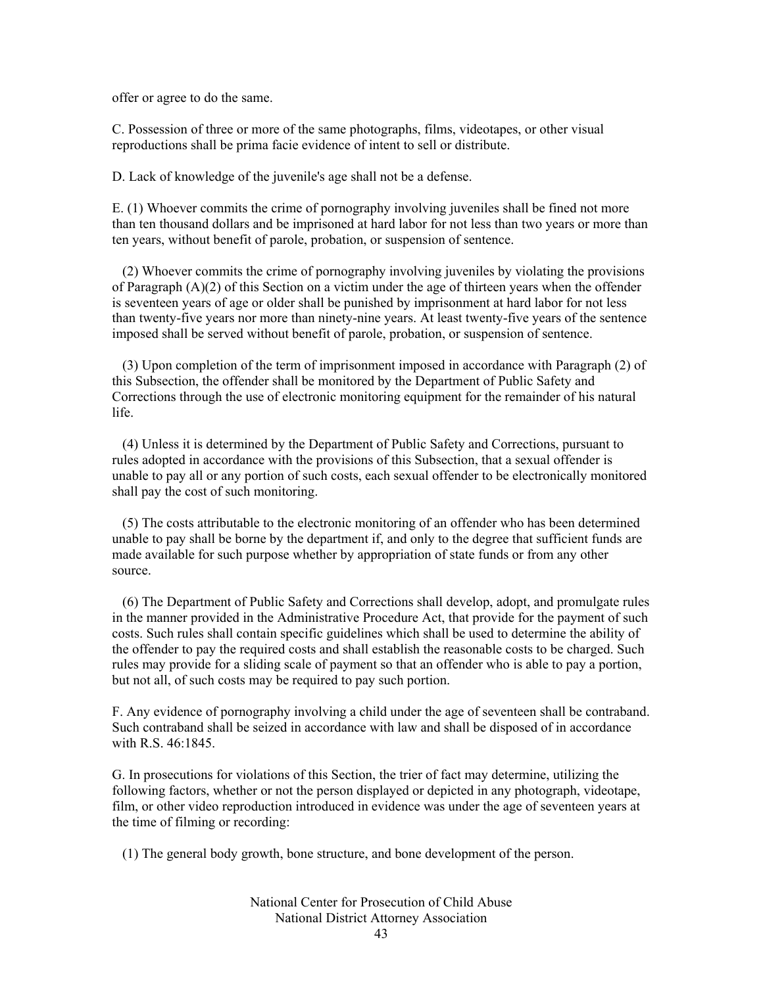offer or agree to do the same.

C. Possession of three or more of the same photographs, films, videotapes, or other visual reproductions shall be prima facie evidence of intent to sell or distribute.

D. Lack of knowledge of the juvenile's age shall not be a defense.

E. (1) Whoever commits the crime of pornography involving juveniles shall be fined not more than ten thousand dollars and be imprisoned at hard labor for not less than two years or more than ten years, without benefit of parole, probation, or suspension of sentence.

 (2) Whoever commits the crime of pornography involving juveniles by violating the provisions of Paragraph  $(A)(2)$  of this Section on a victim under the age of thirteen years when the offender is seventeen years of age or older shall be punished by imprisonment at hard labor for not less than twenty-five years nor more than ninety-nine years. At least twenty-five years of the sentence imposed shall be served without benefit of parole, probation, or suspension of sentence.

 (3) Upon completion of the term of imprisonment imposed in accordance with Paragraph (2) of this Subsection, the offender shall be monitored by the Department of Public Safety and Corrections through the use of electronic monitoring equipment for the remainder of his natural life.

 (4) Unless it is determined by the Department of Public Safety and Corrections, pursuant to rules adopted in accordance with the provisions of this Subsection, that a sexual offender is unable to pay all or any portion of such costs, each sexual offender to be electronically monitored shall pay the cost of such monitoring.

 (5) The costs attributable to the electronic monitoring of an offender who has been determined unable to pay shall be borne by the department if, and only to the degree that sufficient funds are made available for such purpose whether by appropriation of state funds or from any other source.

 (6) The Department of Public Safety and Corrections shall develop, adopt, and promulgate rules in the manner provided in the Administrative Procedure Act, that provide for the payment of such costs. Such rules shall contain specific guidelines which shall be used to determine the ability of the offender to pay the required costs and shall establish the reasonable costs to be charged. Such rules may provide for a sliding scale of payment so that an offender who is able to pay a portion, but not all, of such costs may be required to pay such portion.

F. Any evidence of pornography involving a child under the age of seventeen shall be contraband. Such contraband shall be seized in accordance with law and shall be disposed of in accordance with R.S.  $46:1845$ .

G. In prosecutions for violations of this Section, the trier of fact may determine, utilizing the following factors, whether or not the person displayed or depicted in any photograph, videotape, film, or other video reproduction introduced in evidence was under the age of seventeen years at the time of filming or recording:

(1) The general body growth, bone structure, and bone development of the person.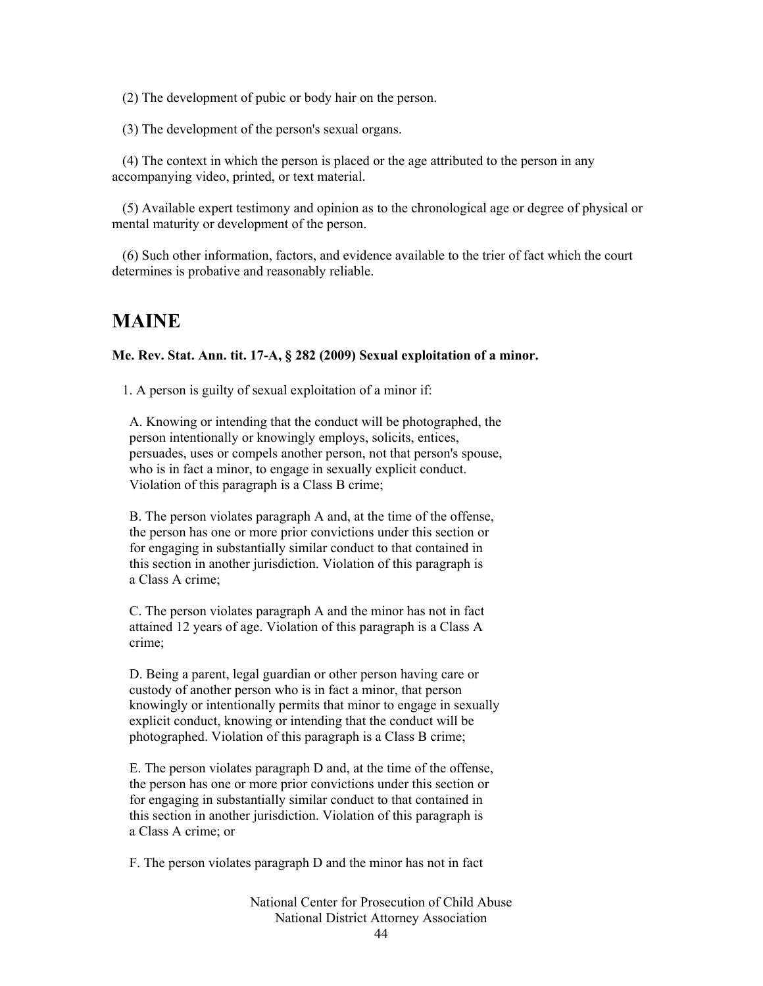(2) The development of pubic or body hair on the person.

(3) The development of the person's sexual organs.

 (4) The context in which the person is placed or the age attributed to the person in any accompanying video, printed, or text material.

 (5) Available expert testimony and opinion as to the chronological age or degree of physical or mental maturity or development of the person.

 (6) Such other information, factors, and evidence available to the trier of fact which the court determines is probative and reasonably reliable.

### **MAINE**

**Me. Rev. Stat. Ann. tit. 17-A, § 282 (2009) Sexual exploitation of a minor.** 

1. A person is guilty of sexual exploitation of a minor if:

 A. Knowing or intending that the conduct will be photographed, the person intentionally or knowingly employs, solicits, entices, persuades, uses or compels another person, not that person's spouse, who is in fact a minor, to engage in sexually explicit conduct. Violation of this paragraph is a Class B crime;

 B. The person violates paragraph A and, at the time of the offense, the person has one or more prior convictions under this section or for engaging in substantially similar conduct to that contained in this section in another jurisdiction. Violation of this paragraph is a Class A crime;

 C. The person violates paragraph A and the minor has not in fact attained 12 years of age. Violation of this paragraph is a Class A crime;

 D. Being a parent, legal guardian or other person having care or custody of another person who is in fact a minor, that person knowingly or intentionally permits that minor to engage in sexually explicit conduct, knowing or intending that the conduct will be photographed. Violation of this paragraph is a Class B crime;

 E. The person violates paragraph D and, at the time of the offense, the person has one or more prior convictions under this section or for engaging in substantially similar conduct to that contained in this section in another jurisdiction. Violation of this paragraph is a Class A crime; or

F. The person violates paragraph D and the minor has not in fact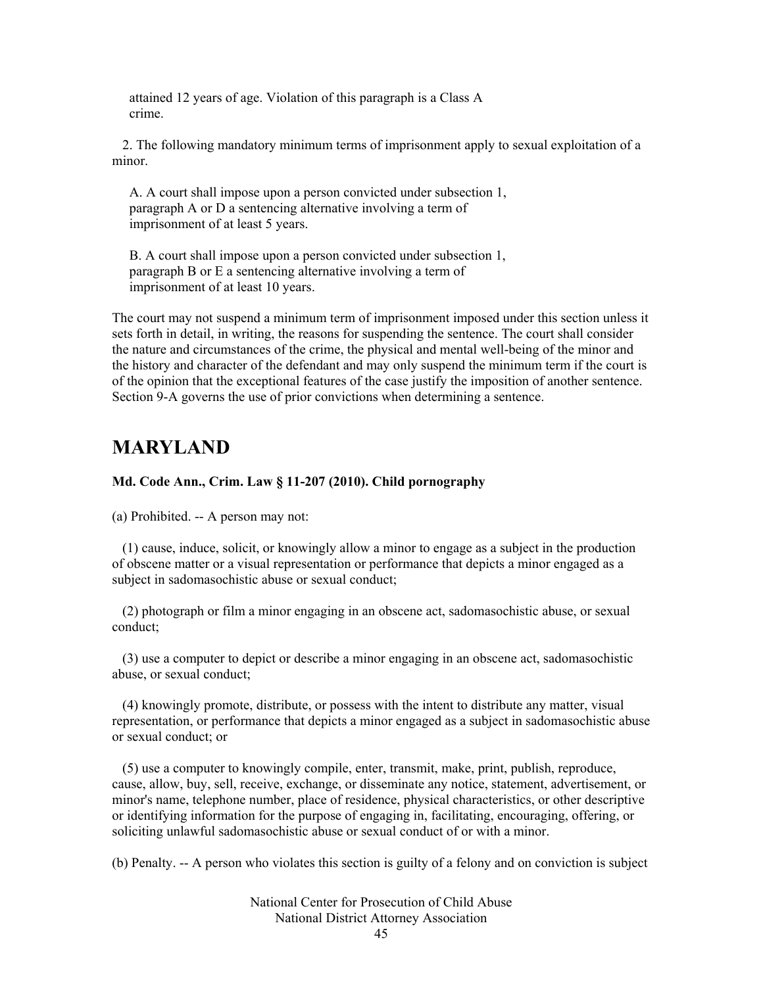attained 12 years of age. Violation of this paragraph is a Class A crime.

 2. The following mandatory minimum terms of imprisonment apply to sexual exploitation of a minor.

 A. A court shall impose upon a person convicted under subsection 1, paragraph A or D a sentencing alternative involving a term of imprisonment of at least 5 years.

 B. A court shall impose upon a person convicted under subsection 1, paragraph B or E a sentencing alternative involving a term of imprisonment of at least 10 years.

The court may not suspend a minimum term of imprisonment imposed under this section unless it sets forth in detail, in writing, the reasons for suspending the sentence. The court shall consider the nature and circumstances of the crime, the physical and mental well-being of the minor and the history and character of the defendant and may only suspend the minimum term if the court is of the opinion that the exceptional features of the case justify the imposition of another sentence. Section 9-A governs the use of prior convictions when determining a sentence.

## **MARYLAND**

**Md. Code Ann., Crim. Law § 11-207 (2010). Child pornography** 

(a) Prohibited. -- A person may not:

 (1) cause, induce, solicit, or knowingly allow a minor to engage as a subject in the production of obscene matter or a visual representation or performance that depicts a minor engaged as a subject in sadomasochistic abuse or sexual conduct;

 (2) photograph or film a minor engaging in an obscene act, sadomasochistic abuse, or sexual conduct;

 (3) use a computer to depict or describe a minor engaging in an obscene act, sadomasochistic abuse, or sexual conduct;

 (4) knowingly promote, distribute, or possess with the intent to distribute any matter, visual representation, or performance that depicts a minor engaged as a subject in sadomasochistic abuse or sexual conduct; or

 (5) use a computer to knowingly compile, enter, transmit, make, print, publish, reproduce, cause, allow, buy, sell, receive, exchange, or disseminate any notice, statement, advertisement, or minor's name, telephone number, place of residence, physical characteristics, or other descriptive or identifying information for the purpose of engaging in, facilitating, encouraging, offering, or soliciting unlawful sadomasochistic abuse or sexual conduct of or with a minor.

(b) Penalty. -- A person who violates this section is guilty of a felony and on conviction is subject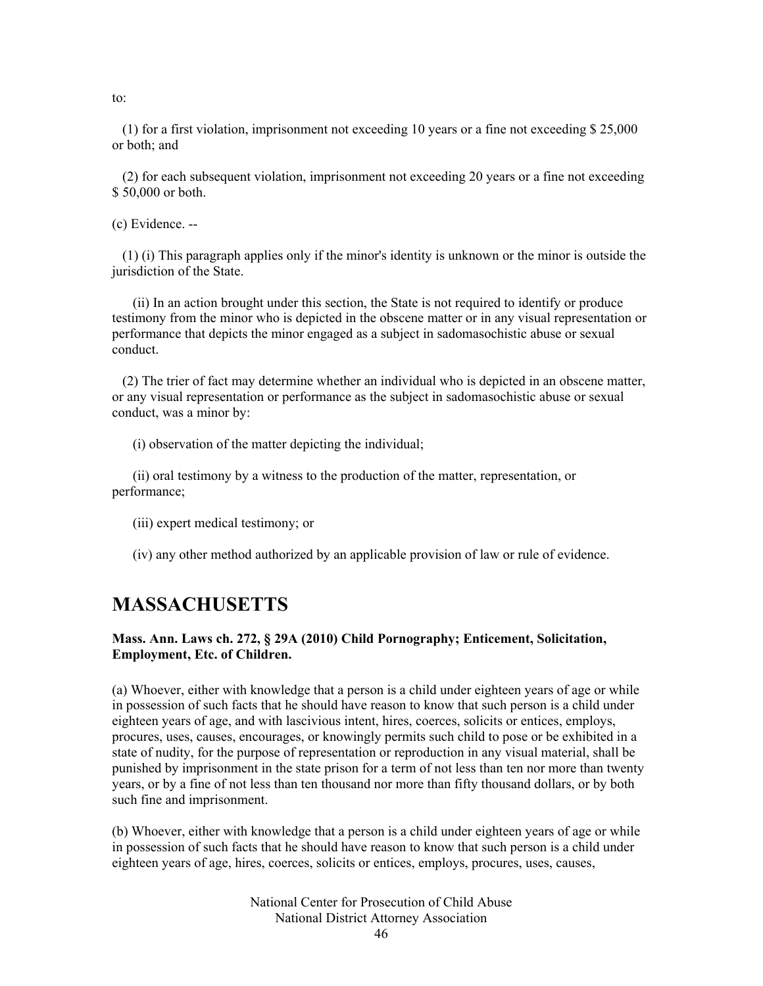to:

 (1) for a first violation, imprisonment not exceeding 10 years or a fine not exceeding \$ 25,000 or both; and

 (2) for each subsequent violation, imprisonment not exceeding 20 years or a fine not exceeding \$ 50,000 or both.

(c) Evidence. --

 (1) (i) This paragraph applies only if the minor's identity is unknown or the minor is outside the jurisdiction of the State.

 (ii) In an action brought under this section, the State is not required to identify or produce testimony from the minor who is depicted in the obscene matter or in any visual representation or performance that depicts the minor engaged as a subject in sadomasochistic abuse or sexual conduct.

 (2) The trier of fact may determine whether an individual who is depicted in an obscene matter, or any visual representation or performance as the subject in sadomasochistic abuse or sexual conduct, was a minor by:

(i) observation of the matter depicting the individual;

 (ii) oral testimony by a witness to the production of the matter, representation, or performance;

(iii) expert medical testimony; or

(iv) any other method authorized by an applicable provision of law or rule of evidence.

## **MASSACHUSETTS**

### **Mass. Ann. Laws ch. 272, § 29A (2010) Child Pornography; Enticement, Solicitation, Employment, Etc. of Children.**

(a) Whoever, either with knowledge that a person is a child under eighteen years of age or while in possession of such facts that he should have reason to know that such person is a child under eighteen years of age, and with lascivious intent, hires, coerces, solicits or entices, employs, procures, uses, causes, encourages, or knowingly permits such child to pose or be exhibited in a state of nudity, for the purpose of representation or reproduction in any visual material, shall be punished by imprisonment in the state prison for a term of not less than ten nor more than twenty years, or by a fine of not less than ten thousand nor more than fifty thousand dollars, or by both such fine and imprisonment.

(b) Whoever, either with knowledge that a person is a child under eighteen years of age or while in possession of such facts that he should have reason to know that such person is a child under eighteen years of age, hires, coerces, solicits or entices, employs, procures, uses, causes,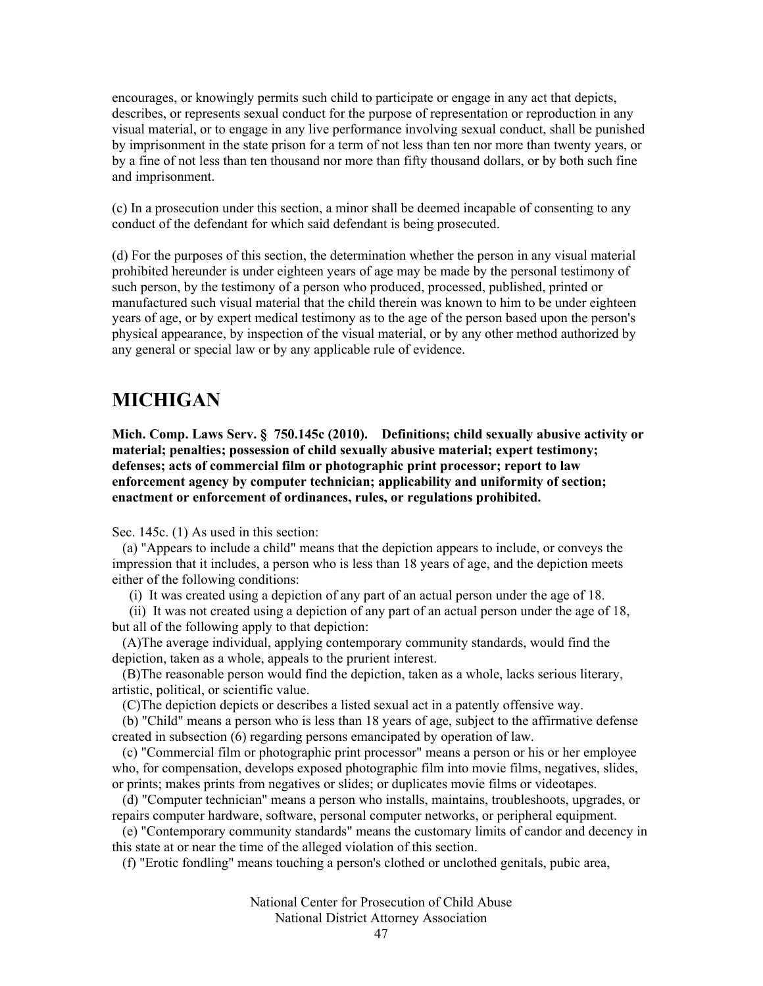encourages, or knowingly permits such child to participate or engage in any act that depicts, describes, or represents sexual conduct for the purpose of representation or reproduction in any visual material, or to engage in any live performance involving sexual conduct, shall be punished by imprisonment in the state prison for a term of not less than ten nor more than twenty years, or by a fine of not less than ten thousand nor more than fifty thousand dollars, or by both such fine and imprisonment.

(c) In a prosecution under this section, a minor shall be deemed incapable of consenting to any conduct of the defendant for which said defendant is being prosecuted.

(d) For the purposes of this section, the determination whether the person in any visual material prohibited hereunder is under eighteen years of age may be made by the personal testimony of such person, by the testimony of a person who produced, processed, published, printed or manufactured such visual material that the child therein was known to him to be under eighteen years of age, or by expert medical testimony as to the age of the person based upon the person's physical appearance, by inspection of the visual material, or by any other method authorized by any general or special law or by any applicable rule of evidence.

## **MICHIGAN**

**Mich. Comp. Laws Serv. § 750.145c (2010). Definitions; child sexually abusive activity or material; penalties; possession of child sexually abusive material; expert testimony; defenses; acts of commercial film or photographic print processor; report to law enforcement agency by computer technician; applicability and uniformity of section; enactment or enforcement of ordinances, rules, or regulations prohibited.** 

Sec. 145c. (1) As used in this section:

 (a) "Appears to include a child" means that the depiction appears to include, or conveys the impression that it includes, a person who is less than 18 years of age, and the depiction meets either of the following conditions:

(i) It was created using a depiction of any part of an actual person under the age of 18.

 (ii) It was not created using a depiction of any part of an actual person under the age of 18, but all of the following apply to that depiction:

 (A)The average individual, applying contemporary community standards, would find the depiction, taken as a whole, appeals to the prurient interest.

 (B)The reasonable person would find the depiction, taken as a whole, lacks serious literary, artistic, political, or scientific value.

(C)The depiction depicts or describes a listed sexual act in a patently offensive way.

 (b) "Child" means a person who is less than 18 years of age, subject to the affirmative defense created in subsection (6) regarding persons emancipated by operation of law.

 (c) "Commercial film or photographic print processor" means a person or his or her employee who, for compensation, develops exposed photographic film into movie films, negatives, slides, or prints; makes prints from negatives or slides; or duplicates movie films or videotapes.

 (d) "Computer technician" means a person who installs, maintains, troubleshoots, upgrades, or repairs computer hardware, software, personal computer networks, or peripheral equipment.

 (e) "Contemporary community standards" means the customary limits of candor and decency in this state at or near the time of the alleged violation of this section.

(f) "Erotic fondling" means touching a person's clothed or unclothed genitals, pubic area,

National Center for Prosecution of Child Abuse

National District Attorney Association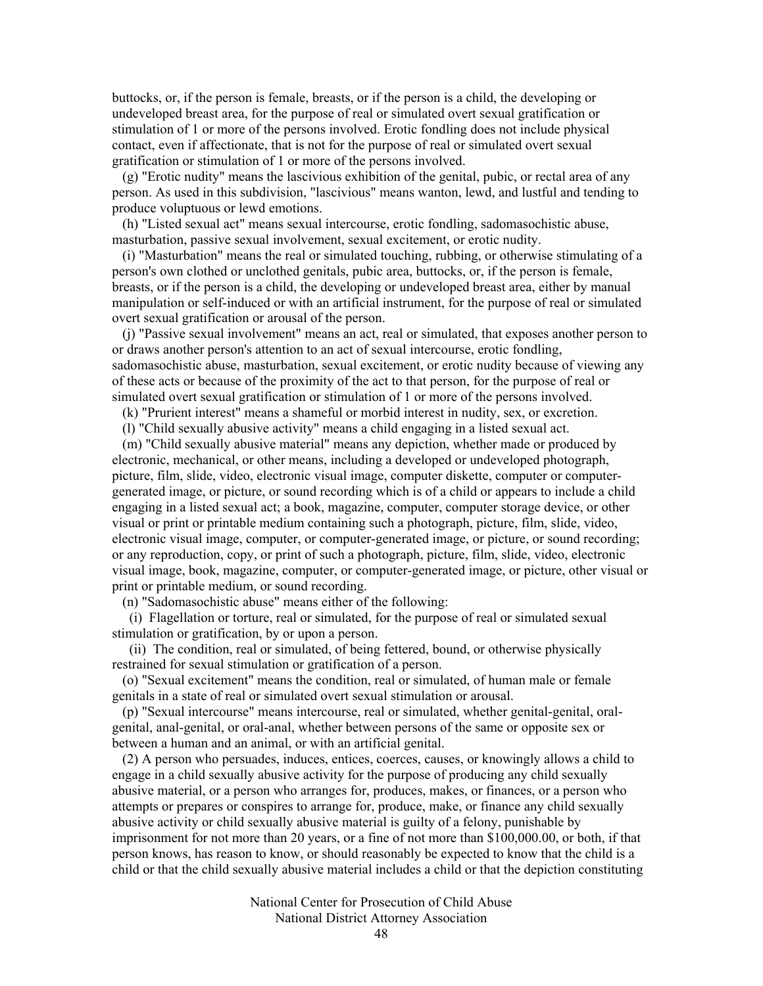buttocks, or, if the person is female, breasts, or if the person is a child, the developing or undeveloped breast area, for the purpose of real or simulated overt sexual gratification or stimulation of 1 or more of the persons involved. Erotic fondling does not include physical contact, even if affectionate, that is not for the purpose of real or simulated overt sexual gratification or stimulation of 1 or more of the persons involved.

 (g) "Erotic nudity" means the lascivious exhibition of the genital, pubic, or rectal area of any person. As used in this subdivision, "lascivious" means wanton, lewd, and lustful and tending to produce voluptuous or lewd emotions.

 (h) "Listed sexual act" means sexual intercourse, erotic fondling, sadomasochistic abuse, masturbation, passive sexual involvement, sexual excitement, or erotic nudity.

 (i) "Masturbation" means the real or simulated touching, rubbing, or otherwise stimulating of a person's own clothed or unclothed genitals, pubic area, buttocks, or, if the person is female, breasts, or if the person is a child, the developing or undeveloped breast area, either by manual manipulation or self-induced or with an artificial instrument, for the purpose of real or simulated overt sexual gratification or arousal of the person.

 (j) "Passive sexual involvement" means an act, real or simulated, that exposes another person to or draws another person's attention to an act of sexual intercourse, erotic fondling, sadomasochistic abuse, masturbation, sexual excitement, or erotic nudity because of viewing any of these acts or because of the proximity of the act to that person, for the purpose of real or simulated overt sexual gratification or stimulation of 1 or more of the persons involved.

(k) "Prurient interest" means a shameful or morbid interest in nudity, sex, or excretion.

(l) "Child sexually abusive activity" means a child engaging in a listed sexual act.

 (m) "Child sexually abusive material" means any depiction, whether made or produced by electronic, mechanical, or other means, including a developed or undeveloped photograph, picture, film, slide, video, electronic visual image, computer diskette, computer or computergenerated image, or picture, or sound recording which is of a child or appears to include a child engaging in a listed sexual act; a book, magazine, computer, computer storage device, or other visual or print or printable medium containing such a photograph, picture, film, slide, video, electronic visual image, computer, or computer-generated image, or picture, or sound recording; or any reproduction, copy, or print of such a photograph, picture, film, slide, video, electronic visual image, book, magazine, computer, or computer-generated image, or picture, other visual or print or printable medium, or sound recording.

(n) "Sadomasochistic abuse" means either of the following:

 (i) Flagellation or torture, real or simulated, for the purpose of real or simulated sexual stimulation or gratification, by or upon a person.

 (ii) The condition, real or simulated, of being fettered, bound, or otherwise physically restrained for sexual stimulation or gratification of a person.

 (o) "Sexual excitement" means the condition, real or simulated, of human male or female genitals in a state of real or simulated overt sexual stimulation or arousal.

 (p) "Sexual intercourse" means intercourse, real or simulated, whether genital-genital, oralgenital, anal-genital, or oral-anal, whether between persons of the same or opposite sex or between a human and an animal, or with an artificial genital.

 (2) A person who persuades, induces, entices, coerces, causes, or knowingly allows a child to engage in a child sexually abusive activity for the purpose of producing any child sexually abusive material, or a person who arranges for, produces, makes, or finances, or a person who attempts or prepares or conspires to arrange for, produce, make, or finance any child sexually abusive activity or child sexually abusive material is guilty of a felony, punishable by imprisonment for not more than 20 years, or a fine of not more than \$100,000.00, or both, if that person knows, has reason to know, or should reasonably be expected to know that the child is a child or that the child sexually abusive material includes a child or that the depiction constituting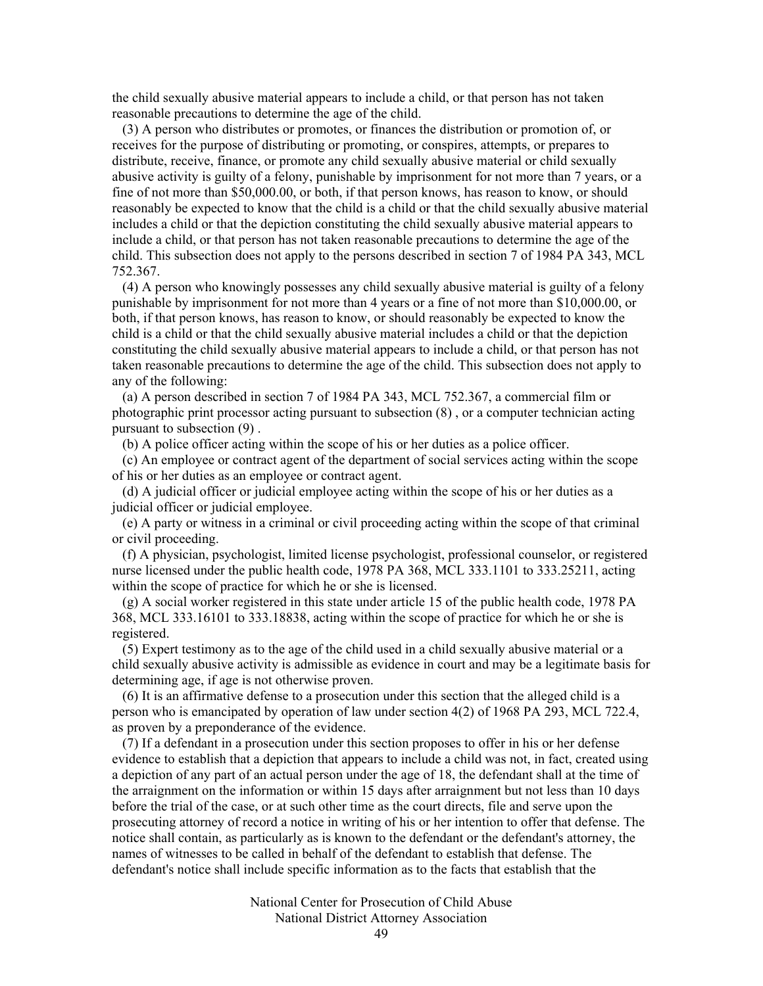the child sexually abusive material appears to include a child, or that person has not taken reasonable precautions to determine the age of the child.

 (3) A person who distributes or promotes, or finances the distribution or promotion of, or receives for the purpose of distributing or promoting, or conspires, attempts, or prepares to distribute, receive, finance, or promote any child sexually abusive material or child sexually abusive activity is guilty of a felony, punishable by imprisonment for not more than 7 years, or a fine of not more than \$50,000.00, or both, if that person knows, has reason to know, or should reasonably be expected to know that the child is a child or that the child sexually abusive material includes a child or that the depiction constituting the child sexually abusive material appears to include a child, or that person has not taken reasonable precautions to determine the age of the child. This subsection does not apply to the persons described in section 7 of 1984 PA 343, MCL 752.367.

 (4) A person who knowingly possesses any child sexually abusive material is guilty of a felony punishable by imprisonment for not more than 4 years or a fine of not more than \$10,000.00, or both, if that person knows, has reason to know, or should reasonably be expected to know the child is a child or that the child sexually abusive material includes a child or that the depiction constituting the child sexually abusive material appears to include a child, or that person has not taken reasonable precautions to determine the age of the child. This subsection does not apply to any of the following:

 (a) A person described in section 7 of 1984 PA 343, MCL 752.367, a commercial film or photographic print processor acting pursuant to subsection (8) , or a computer technician acting pursuant to subsection (9) .

(b) A police officer acting within the scope of his or her duties as a police officer.

 (c) An employee or contract agent of the department of social services acting within the scope of his or her duties as an employee or contract agent.

 (d) A judicial officer or judicial employee acting within the scope of his or her duties as a judicial officer or judicial employee.

 (e) A party or witness in a criminal or civil proceeding acting within the scope of that criminal or civil proceeding.

 (f) A physician, psychologist, limited license psychologist, professional counselor, or registered nurse licensed under the public health code, 1978 PA 368, MCL 333.1101 to 333.25211, acting within the scope of practice for which he or she is licensed.

 (g) A social worker registered in this state under article 15 of the public health code, 1978 PA 368, MCL 333.16101 to 333.18838, acting within the scope of practice for which he or she is registered.

 (5) Expert testimony as to the age of the child used in a child sexually abusive material or a child sexually abusive activity is admissible as evidence in court and may be a legitimate basis for determining age, if age is not otherwise proven.

 (6) It is an affirmative defense to a prosecution under this section that the alleged child is a person who is emancipated by operation of law under section 4(2) of 1968 PA 293, MCL 722.4, as proven by a preponderance of the evidence.

 (7) If a defendant in a prosecution under this section proposes to offer in his or her defense evidence to establish that a depiction that appears to include a child was not, in fact, created using a depiction of any part of an actual person under the age of 18, the defendant shall at the time of the arraignment on the information or within 15 days after arraignment but not less than 10 days before the trial of the case, or at such other time as the court directs, file and serve upon the prosecuting attorney of record a notice in writing of his or her intention to offer that defense. The notice shall contain, as particularly as is known to the defendant or the defendant's attorney, the names of witnesses to be called in behalf of the defendant to establish that defense. The defendant's notice shall include specific information as to the facts that establish that the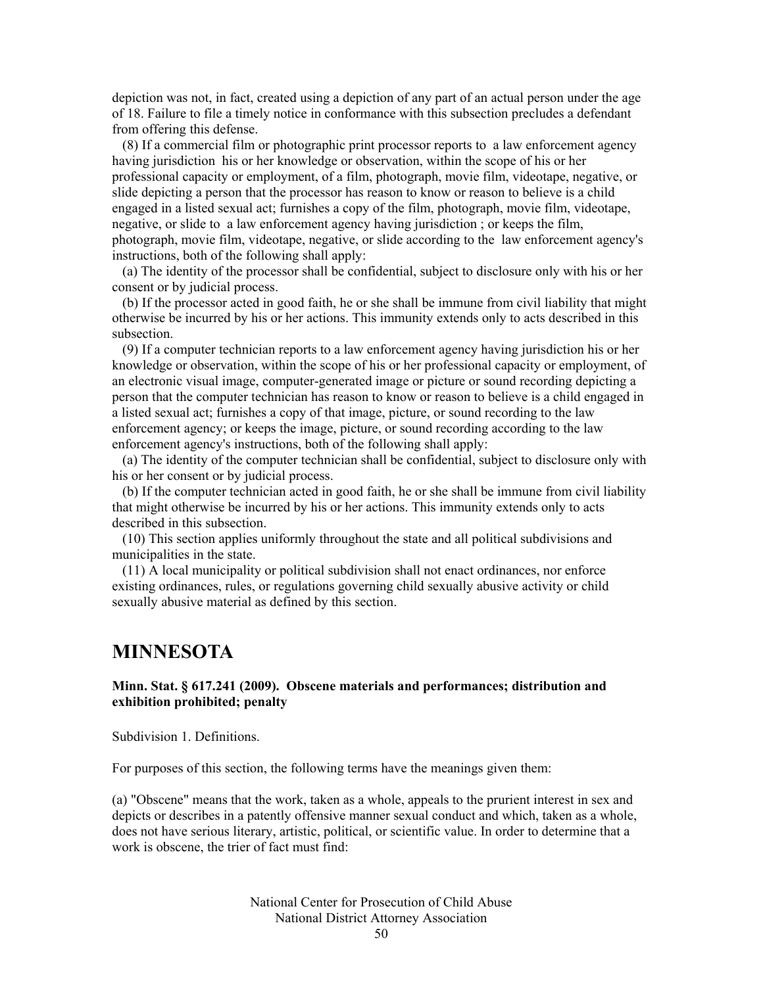depiction was not, in fact, created using a depiction of any part of an actual person under the age of 18. Failure to file a timely notice in conformance with this subsection precludes a defendant from offering this defense.

 (8) If a commercial film or photographic print processor reports to a law enforcement agency having jurisdiction his or her knowledge or observation, within the scope of his or her professional capacity or employment, of a film, photograph, movie film, videotape, negative, or slide depicting a person that the processor has reason to know or reason to believe is a child engaged in a listed sexual act; furnishes a copy of the film, photograph, movie film, videotape, negative, or slide to a law enforcement agency having jurisdiction ; or keeps the film, photograph, movie film, videotape, negative, or slide according to the law enforcement agency's instructions, both of the following shall apply:

 (a) The identity of the processor shall be confidential, subject to disclosure only with his or her consent or by judicial process.

 (b) If the processor acted in good faith, he or she shall be immune from civil liability that might otherwise be incurred by his or her actions. This immunity extends only to acts described in this subsection.

 (9) If a computer technician reports to a law enforcement agency having jurisdiction his or her knowledge or observation, within the scope of his or her professional capacity or employment, of an electronic visual image, computer-generated image or picture or sound recording depicting a person that the computer technician has reason to know or reason to believe is a child engaged in a listed sexual act; furnishes a copy of that image, picture, or sound recording to the law enforcement agency; or keeps the image, picture, or sound recording according to the law enforcement agency's instructions, both of the following shall apply:

 (a) The identity of the computer technician shall be confidential, subject to disclosure only with his or her consent or by judicial process.

 (b) If the computer technician acted in good faith, he or she shall be immune from civil liability that might otherwise be incurred by his or her actions. This immunity extends only to acts described in this subsection.

 (10) This section applies uniformly throughout the state and all political subdivisions and municipalities in the state.

 (11) A local municipality or political subdivision shall not enact ordinances, nor enforce existing ordinances, rules, or regulations governing child sexually abusive activity or child sexually abusive material as defined by this section.

### **MINNESOTA**

### **Minn. Stat. § 617.241 (2009). Obscene materials and performances; distribution and exhibition prohibited; penalty**

Subdivision 1. Definitions.

For purposes of this section, the following terms have the meanings given them:

(a) "Obscene" means that the work, taken as a whole, appeals to the prurient interest in sex and depicts or describes in a patently offensive manner sexual conduct and which, taken as a whole, does not have serious literary, artistic, political, or scientific value. In order to determine that a work is obscene, the trier of fact must find: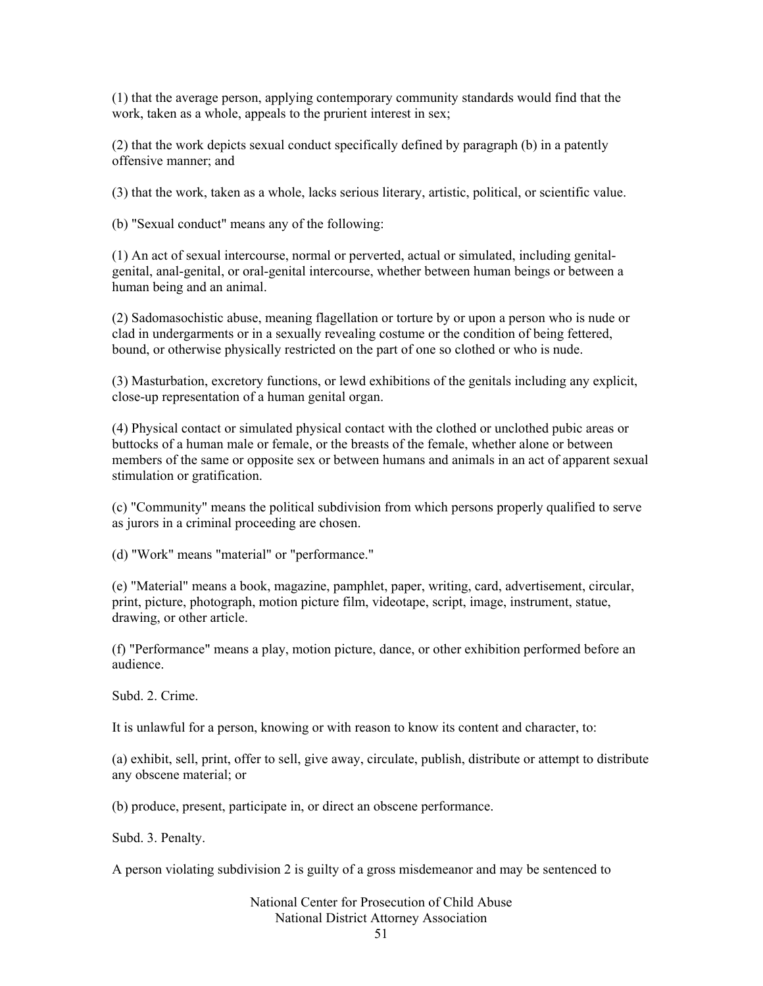(1) that the average person, applying contemporary community standards would find that the work, taken as a whole, appeals to the prurient interest in sex;

(2) that the work depicts sexual conduct specifically defined by paragraph (b) in a patently offensive manner; and

(3) that the work, taken as a whole, lacks serious literary, artistic, political, or scientific value.

(b) "Sexual conduct" means any of the following:

(1) An act of sexual intercourse, normal or perverted, actual or simulated, including genitalgenital, anal-genital, or oral-genital intercourse, whether between human beings or between a human being and an animal.

(2) Sadomasochistic abuse, meaning flagellation or torture by or upon a person who is nude or clad in undergarments or in a sexually revealing costume or the condition of being fettered, bound, or otherwise physically restricted on the part of one so clothed or who is nude.

(3) Masturbation, excretory functions, or lewd exhibitions of the genitals including any explicit, close-up representation of a human genital organ.

(4) Physical contact or simulated physical contact with the clothed or unclothed pubic areas or buttocks of a human male or female, or the breasts of the female, whether alone or between members of the same or opposite sex or between humans and animals in an act of apparent sexual stimulation or gratification.

(c) "Community" means the political subdivision from which persons properly qualified to serve as jurors in a criminal proceeding are chosen.

(d) "Work" means "material" or "performance."

(e) "Material" means a book, magazine, pamphlet, paper, writing, card, advertisement, circular, print, picture, photograph, motion picture film, videotape, script, image, instrument, statue, drawing, or other article.

(f) "Performance" means a play, motion picture, dance, or other exhibition performed before an audience.

Subd. 2. Crime.

It is unlawful for a person, knowing or with reason to know its content and character, to:

(a) exhibit, sell, print, offer to sell, give away, circulate, publish, distribute or attempt to distribute any obscene material; or

(b) produce, present, participate in, or direct an obscene performance.

Subd. 3. Penalty.

A person violating subdivision 2 is guilty of a gross misdemeanor and may be sentenced to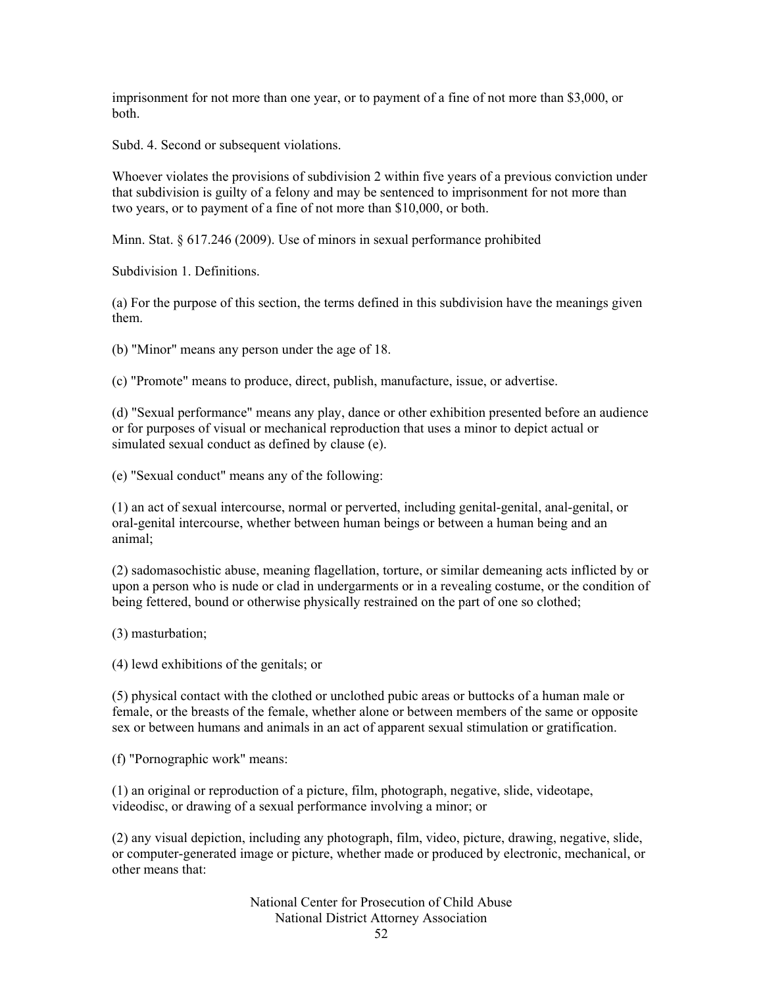imprisonment for not more than one year, or to payment of a fine of not more than \$3,000, or both.

Subd. 4. Second or subsequent violations.

Whoever violates the provisions of subdivision 2 within five years of a previous conviction under that subdivision is guilty of a felony and may be sentenced to imprisonment for not more than two years, or to payment of a fine of not more than \$10,000, or both.

Minn. Stat. § 617.246 (2009). Use of minors in sexual performance prohibited

Subdivision 1. Definitions.

(a) For the purpose of this section, the terms defined in this subdivision have the meanings given them.

(b) "Minor" means any person under the age of 18.

(c) "Promote" means to produce, direct, publish, manufacture, issue, or advertise.

(d) "Sexual performance" means any play, dance or other exhibition presented before an audience or for purposes of visual or mechanical reproduction that uses a minor to depict actual or simulated sexual conduct as defined by clause (e).

(e) "Sexual conduct" means any of the following:

(1) an act of sexual intercourse, normal or perverted, including genital-genital, anal-genital, or oral-genital intercourse, whether between human beings or between a human being and an animal;

(2) sadomasochistic abuse, meaning flagellation, torture, or similar demeaning acts inflicted by or upon a person who is nude or clad in undergarments or in a revealing costume, or the condition of being fettered, bound or otherwise physically restrained on the part of one so clothed;

(3) masturbation;

(4) lewd exhibitions of the genitals; or

(5) physical contact with the clothed or unclothed pubic areas or buttocks of a human male or female, or the breasts of the female, whether alone or between members of the same or opposite sex or between humans and animals in an act of apparent sexual stimulation or gratification.

(f) "Pornographic work" means:

(1) an original or reproduction of a picture, film, photograph, negative, slide, videotape, videodisc, or drawing of a sexual performance involving a minor; or

(2) any visual depiction, including any photograph, film, video, picture, drawing, negative, slide, or computer-generated image or picture, whether made or produced by electronic, mechanical, or other means that: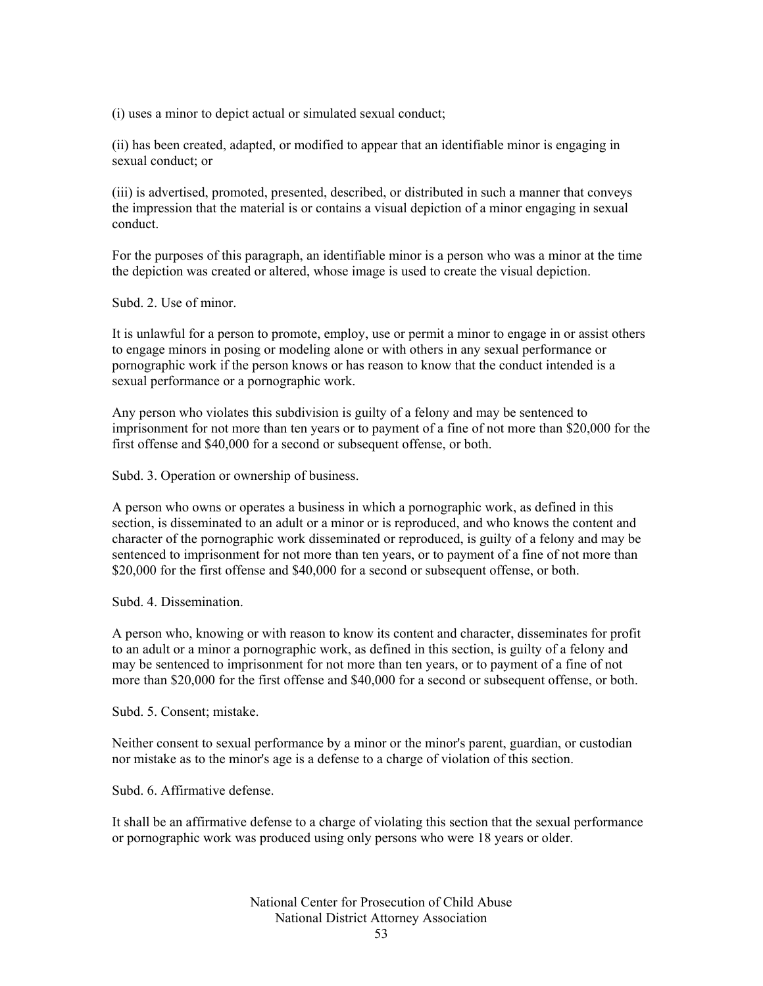(i) uses a minor to depict actual or simulated sexual conduct;

(ii) has been created, adapted, or modified to appear that an identifiable minor is engaging in sexual conduct; or

(iii) is advertised, promoted, presented, described, or distributed in such a manner that conveys the impression that the material is or contains a visual depiction of a minor engaging in sexual conduct.

For the purposes of this paragraph, an identifiable minor is a person who was a minor at the time the depiction was created or altered, whose image is used to create the visual depiction.

Subd. 2. Use of minor.

It is unlawful for a person to promote, employ, use or permit a minor to engage in or assist others to engage minors in posing or modeling alone or with others in any sexual performance or pornographic work if the person knows or has reason to know that the conduct intended is a sexual performance or a pornographic work.

Any person who violates this subdivision is guilty of a felony and may be sentenced to imprisonment for not more than ten years or to payment of a fine of not more than \$20,000 for the first offense and \$40,000 for a second or subsequent offense, or both.

Subd. 3. Operation or ownership of business.

A person who owns or operates a business in which a pornographic work, as defined in this section, is disseminated to an adult or a minor or is reproduced, and who knows the content and character of the pornographic work disseminated or reproduced, is guilty of a felony and may be sentenced to imprisonment for not more than ten years, or to payment of a fine of not more than \$20,000 for the first offense and \$40,000 for a second or subsequent offense, or both.

Subd. 4. Dissemination.

A person who, knowing or with reason to know its content and character, disseminates for profit to an adult or a minor a pornographic work, as defined in this section, is guilty of a felony and may be sentenced to imprisonment for not more than ten years, or to payment of a fine of not more than \$20,000 for the first offense and \$40,000 for a second or subsequent offense, or both.

Subd. 5. Consent; mistake.

Neither consent to sexual performance by a minor or the minor's parent, guardian, or custodian nor mistake as to the minor's age is a defense to a charge of violation of this section.

Subd. 6. Affirmative defense.

It shall be an affirmative defense to a charge of violating this section that the sexual performance or pornographic work was produced using only persons who were 18 years or older.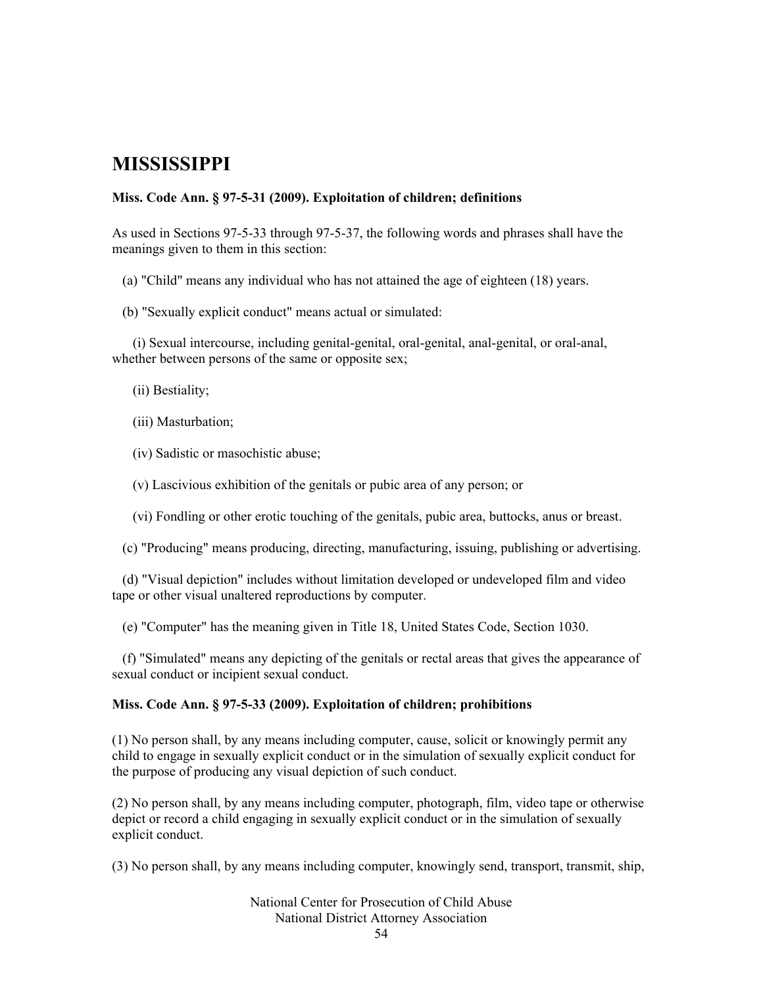## **MISSISSIPPI**

### **Miss. Code Ann. § 97-5-31 (2009). Exploitation of children; definitions**

As used in Sections 97-5-33 through 97-5-37, the following words and phrases shall have the meanings given to them in this section:

(a) "Child" means any individual who has not attained the age of eighteen (18) years.

(b) "Sexually explicit conduct" means actual or simulated:

 (i) Sexual intercourse, including genital-genital, oral-genital, anal-genital, or oral-anal, whether between persons of the same or opposite sex;

(ii) Bestiality;

(iii) Masturbation;

(iv) Sadistic or masochistic abuse;

- (v) Lascivious exhibition of the genitals or pubic area of any person; or
- (vi) Fondling or other erotic touching of the genitals, pubic area, buttocks, anus or breast.
- (c) "Producing" means producing, directing, manufacturing, issuing, publishing or advertising.

 (d) "Visual depiction" includes without limitation developed or undeveloped film and video tape or other visual unaltered reproductions by computer.

(e) "Computer" has the meaning given in Title 18, United States Code, Section 1030.

 (f) "Simulated" means any depicting of the genitals or rectal areas that gives the appearance of sexual conduct or incipient sexual conduct.

### **Miss. Code Ann. § 97-5-33 (2009). Exploitation of children; prohibitions**

(1) No person shall, by any means including computer, cause, solicit or knowingly permit any child to engage in sexually explicit conduct or in the simulation of sexually explicit conduct for the purpose of producing any visual depiction of such conduct.

(2) No person shall, by any means including computer, photograph, film, video tape or otherwise depict or record a child engaging in sexually explicit conduct or in the simulation of sexually explicit conduct.

(3) No person shall, by any means including computer, knowingly send, transport, transmit, ship,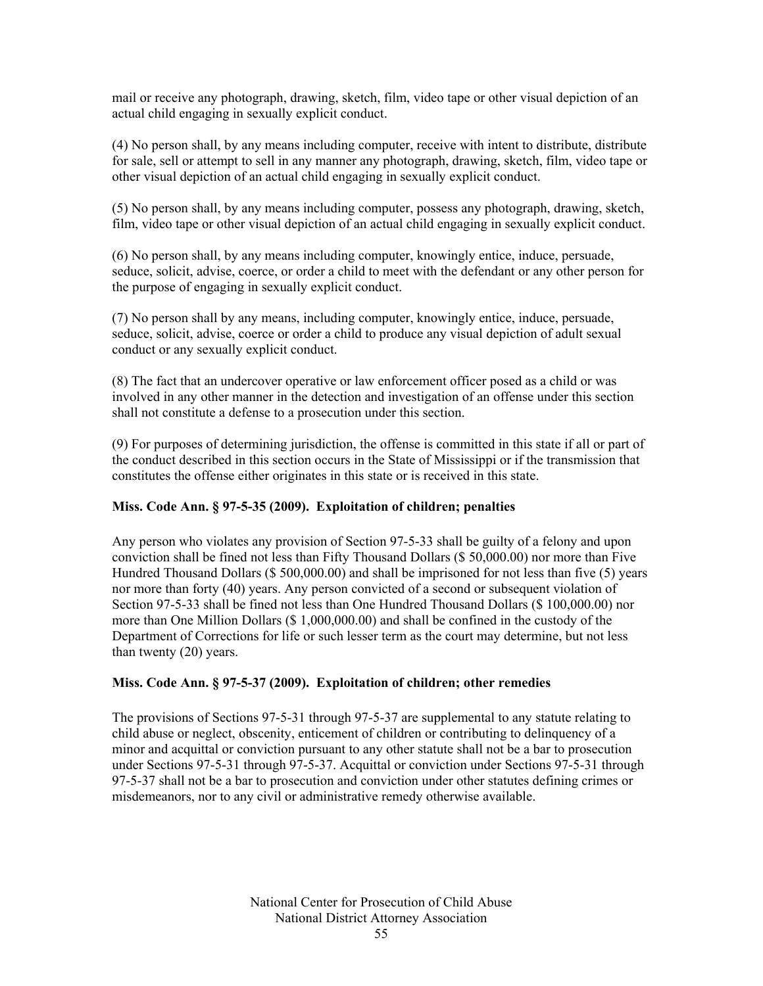mail or receive any photograph, drawing, sketch, film, video tape or other visual depiction of an actual child engaging in sexually explicit conduct.

(4) No person shall, by any means including computer, receive with intent to distribute, distribute for sale, sell or attempt to sell in any manner any photograph, drawing, sketch, film, video tape or other visual depiction of an actual child engaging in sexually explicit conduct.

(5) No person shall, by any means including computer, possess any photograph, drawing, sketch, film, video tape or other visual depiction of an actual child engaging in sexually explicit conduct.

(6) No person shall, by any means including computer, knowingly entice, induce, persuade, seduce, solicit, advise, coerce, or order a child to meet with the defendant or any other person for the purpose of engaging in sexually explicit conduct.

(7) No person shall by any means, including computer, knowingly entice, induce, persuade, seduce, solicit, advise, coerce or order a child to produce any visual depiction of adult sexual conduct or any sexually explicit conduct.

(8) The fact that an undercover operative or law enforcement officer posed as a child or was involved in any other manner in the detection and investigation of an offense under this section shall not constitute a defense to a prosecution under this section.

(9) For purposes of determining jurisdiction, the offense is committed in this state if all or part of the conduct described in this section occurs in the State of Mississippi or if the transmission that constitutes the offense either originates in this state or is received in this state.

### **Miss. Code Ann. § 97-5-35 (2009). Exploitation of children; penalties**

Any person who violates any provision of Section 97-5-33 shall be guilty of a felony and upon conviction shall be fined not less than Fifty Thousand Dollars (\$ 50,000.00) nor more than Five Hundred Thousand Dollars (\$ 500,000.00) and shall be imprisoned for not less than five (5) years nor more than forty (40) years. Any person convicted of a second or subsequent violation of Section 97-5-33 shall be fined not less than One Hundred Thousand Dollars (\$ 100,000.00) nor more than One Million Dollars (\$ 1,000,000.00) and shall be confined in the custody of the Department of Corrections for life or such lesser term as the court may determine, but not less than twenty (20) years.

### **Miss. Code Ann. § 97-5-37 (2009). Exploitation of children; other remedies**

The provisions of Sections 97-5-31 through 97-5-37 are supplemental to any statute relating to child abuse or neglect, obscenity, enticement of children or contributing to delinquency of a minor and acquittal or conviction pursuant to any other statute shall not be a bar to prosecution under Sections 97-5-31 through 97-5-37. Acquittal or conviction under Sections 97-5-31 through 97-5-37 shall not be a bar to prosecution and conviction under other statutes defining crimes or misdemeanors, nor to any civil or administrative remedy otherwise available.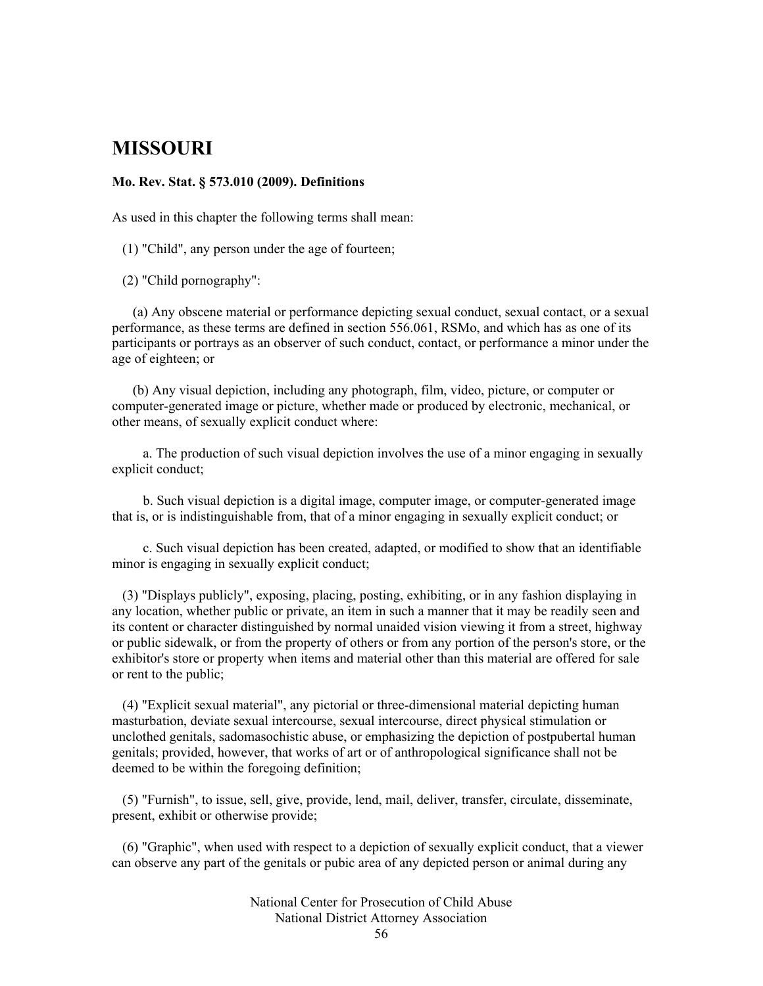## **MISSOURI**

### **Mo. Rev. Stat. § 573.010 (2009). Definitions**

As used in this chapter the following terms shall mean:

(1) "Child", any person under the age of fourteen;

(2) "Child pornography":

 (a) Any obscene material or performance depicting sexual conduct, sexual contact, or a sexual performance, as these terms are defined in section 556.061, RSMo, and which has as one of its participants or portrays as an observer of such conduct, contact, or performance a minor under the age of eighteen; or

 (b) Any visual depiction, including any photograph, film, video, picture, or computer or computer-generated image or picture, whether made or produced by electronic, mechanical, or other means, of sexually explicit conduct where:

 a. The production of such visual depiction involves the use of a minor engaging in sexually explicit conduct;

 b. Such visual depiction is a digital image, computer image, or computer-generated image that is, or is indistinguishable from, that of a minor engaging in sexually explicit conduct; or

 c. Such visual depiction has been created, adapted, or modified to show that an identifiable minor is engaging in sexually explicit conduct;

 (3) "Displays publicly", exposing, placing, posting, exhibiting, or in any fashion displaying in any location, whether public or private, an item in such a manner that it may be readily seen and its content or character distinguished by normal unaided vision viewing it from a street, highway or public sidewalk, or from the property of others or from any portion of the person's store, or the exhibitor's store or property when items and material other than this material are offered for sale or rent to the public;

 (4) "Explicit sexual material", any pictorial or three-dimensional material depicting human masturbation, deviate sexual intercourse, sexual intercourse, direct physical stimulation or unclothed genitals, sadomasochistic abuse, or emphasizing the depiction of postpubertal human genitals; provided, however, that works of art or of anthropological significance shall not be deemed to be within the foregoing definition;

 (5) "Furnish", to issue, sell, give, provide, lend, mail, deliver, transfer, circulate, disseminate, present, exhibit or otherwise provide;

 (6) "Graphic", when used with respect to a depiction of sexually explicit conduct, that a viewer can observe any part of the genitals or pubic area of any depicted person or animal during any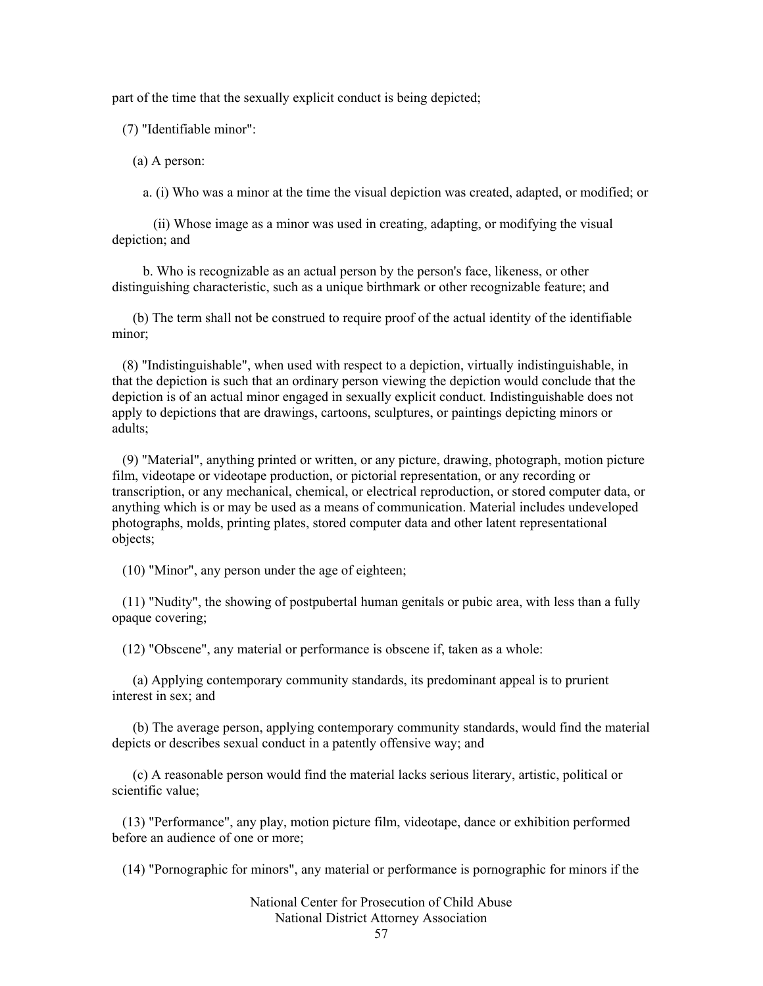part of the time that the sexually explicit conduct is being depicted;

(7) "Identifiable minor":

(a) A person:

a. (i) Who was a minor at the time the visual depiction was created, adapted, or modified; or

 (ii) Whose image as a minor was used in creating, adapting, or modifying the visual depiction; and

 b. Who is recognizable as an actual person by the person's face, likeness, or other distinguishing characteristic, such as a unique birthmark or other recognizable feature; and

 (b) The term shall not be construed to require proof of the actual identity of the identifiable minor;

 (8) "Indistinguishable", when used with respect to a depiction, virtually indistinguishable, in that the depiction is such that an ordinary person viewing the depiction would conclude that the depiction is of an actual minor engaged in sexually explicit conduct. Indistinguishable does not apply to depictions that are drawings, cartoons, sculptures, or paintings depicting minors or adults;

 (9) "Material", anything printed or written, or any picture, drawing, photograph, motion picture film, videotape or videotape production, or pictorial representation, or any recording or transcription, or any mechanical, chemical, or electrical reproduction, or stored computer data, or anything which is or may be used as a means of communication. Material includes undeveloped photographs, molds, printing plates, stored computer data and other latent representational objects;

(10) "Minor", any person under the age of eighteen;

 (11) "Nudity", the showing of postpubertal human genitals or pubic area, with less than a fully opaque covering;

(12) "Obscene", any material or performance is obscene if, taken as a whole:

 (a) Applying contemporary community standards, its predominant appeal is to prurient interest in sex; and

 (b) The average person, applying contemporary community standards, would find the material depicts or describes sexual conduct in a patently offensive way; and

 (c) A reasonable person would find the material lacks serious literary, artistic, political or scientific value;

 (13) "Performance", any play, motion picture film, videotape, dance or exhibition performed before an audience of one or more;

(14) "Pornographic for minors", any material or performance is pornographic for minors if the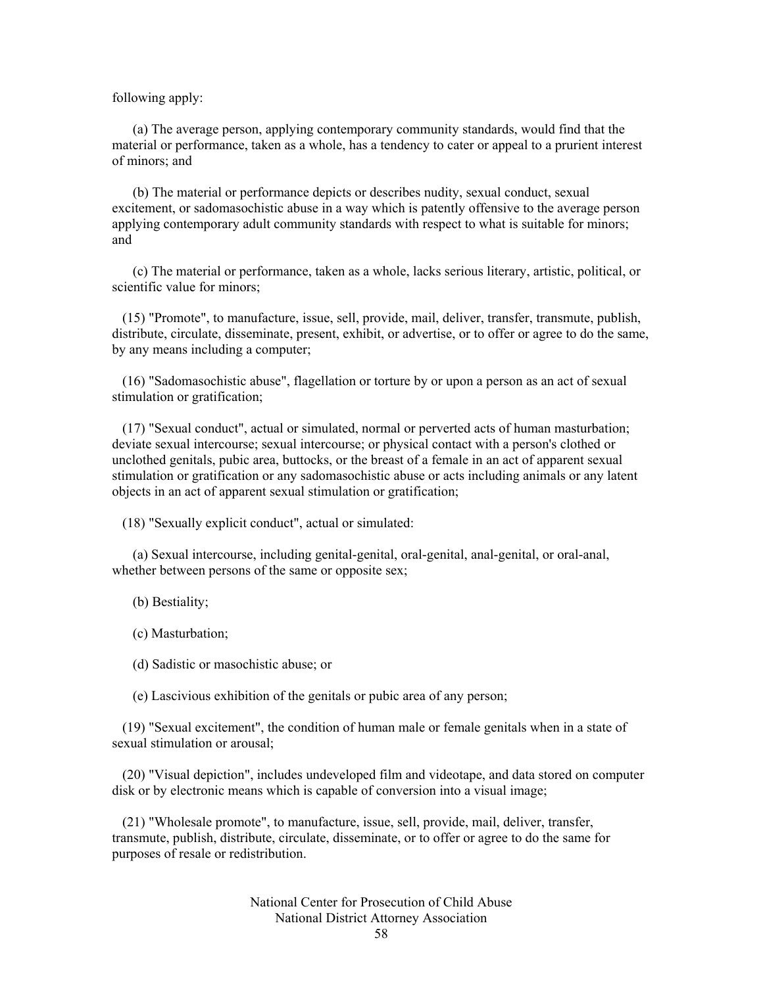#### following apply:

 (a) The average person, applying contemporary community standards, would find that the material or performance, taken as a whole, has a tendency to cater or appeal to a prurient interest of minors; and

 (b) The material or performance depicts or describes nudity, sexual conduct, sexual excitement, or sadomasochistic abuse in a way which is patently offensive to the average person applying contemporary adult community standards with respect to what is suitable for minors; and

 (c) The material or performance, taken as a whole, lacks serious literary, artistic, political, or scientific value for minors;

 (15) "Promote", to manufacture, issue, sell, provide, mail, deliver, transfer, transmute, publish, distribute, circulate, disseminate, present, exhibit, or advertise, or to offer or agree to do the same, by any means including a computer;

 (16) "Sadomasochistic abuse", flagellation or torture by or upon a person as an act of sexual stimulation or gratification;

 (17) "Sexual conduct", actual or simulated, normal or perverted acts of human masturbation; deviate sexual intercourse; sexual intercourse; or physical contact with a person's clothed or unclothed genitals, pubic area, buttocks, or the breast of a female in an act of apparent sexual stimulation or gratification or any sadomasochistic abuse or acts including animals or any latent objects in an act of apparent sexual stimulation or gratification;

(18) "Sexually explicit conduct", actual or simulated:

 (a) Sexual intercourse, including genital-genital, oral-genital, anal-genital, or oral-anal, whether between persons of the same or opposite sex;

(b) Bestiality;

(c) Masturbation;

(d) Sadistic or masochistic abuse; or

(e) Lascivious exhibition of the genitals or pubic area of any person;

 (19) "Sexual excitement", the condition of human male or female genitals when in a state of sexual stimulation or arousal;

 (20) "Visual depiction", includes undeveloped film and videotape, and data stored on computer disk or by electronic means which is capable of conversion into a visual image;

 (21) "Wholesale promote", to manufacture, issue, sell, provide, mail, deliver, transfer, transmute, publish, distribute, circulate, disseminate, or to offer or agree to do the same for purposes of resale or redistribution.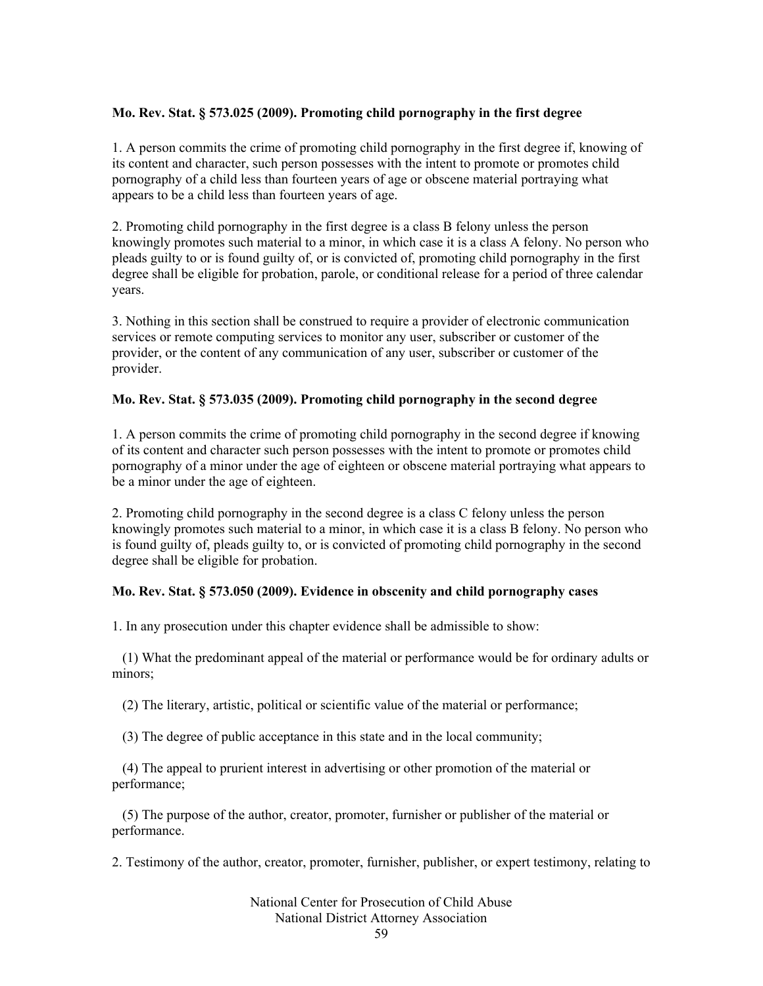### **Mo. Rev. Stat. § 573.025 (2009). Promoting child pornography in the first degree**

1. A person commits the crime of promoting child pornography in the first degree if, knowing of its content and character, such person possesses with the intent to promote or promotes child pornography of a child less than fourteen years of age or obscene material portraying what appears to be a child less than fourteen years of age.

2. Promoting child pornography in the first degree is a class B felony unless the person knowingly promotes such material to a minor, in which case it is a class A felony. No person who pleads guilty to or is found guilty of, or is convicted of, promoting child pornography in the first degree shall be eligible for probation, parole, or conditional release for a period of three calendar years.

3. Nothing in this section shall be construed to require a provider of electronic communication services or remote computing services to monitor any user, subscriber or customer of the provider, or the content of any communication of any user, subscriber or customer of the provider.

### **Mo. Rev. Stat. § 573.035 (2009). Promoting child pornography in the second degree**

1. A person commits the crime of promoting child pornography in the second degree if knowing of its content and character such person possesses with the intent to promote or promotes child pornography of a minor under the age of eighteen or obscene material portraying what appears to be a minor under the age of eighteen.

2. Promoting child pornography in the second degree is a class C felony unless the person knowingly promotes such material to a minor, in which case it is a class B felony. No person who is found guilty of, pleads guilty to, or is convicted of promoting child pornography in the second degree shall be eligible for probation.

### **Mo. Rev. Stat. § 573.050 (2009). Evidence in obscenity and child pornography cases**

1. In any prosecution under this chapter evidence shall be admissible to show:

 (1) What the predominant appeal of the material or performance would be for ordinary adults or minors;

(2) The literary, artistic, political or scientific value of the material or performance;

(3) The degree of public acceptance in this state and in the local community;

 (4) The appeal to prurient interest in advertising or other promotion of the material or performance;

 (5) The purpose of the author, creator, promoter, furnisher or publisher of the material or performance.

2. Testimony of the author, creator, promoter, furnisher, publisher, or expert testimony, relating to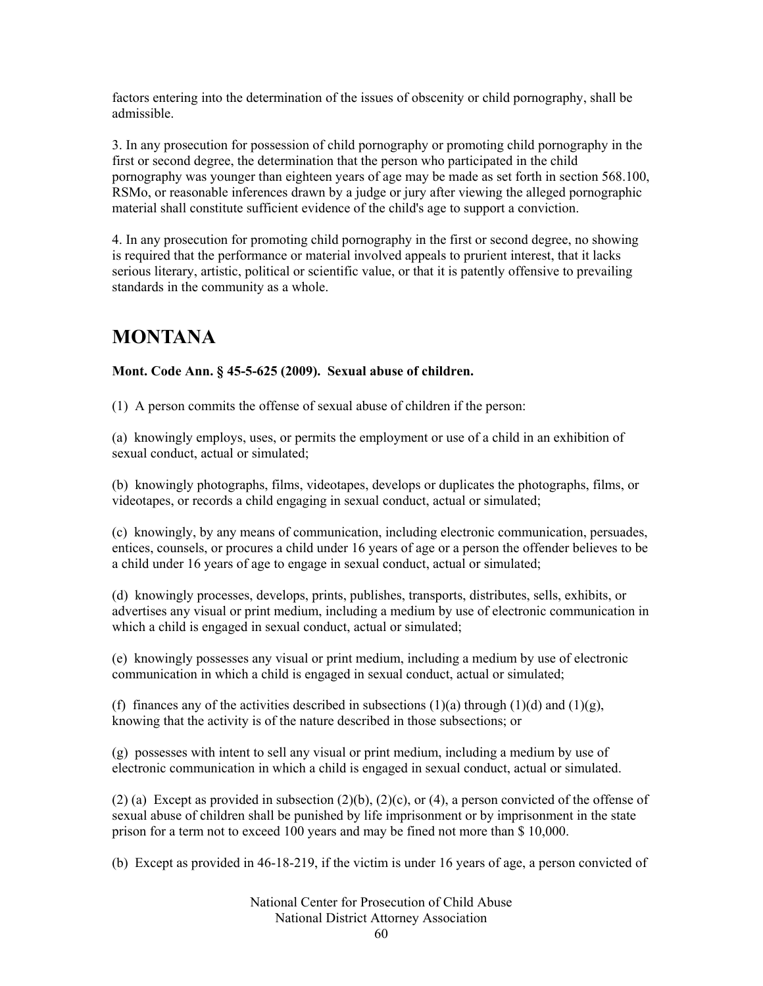factors entering into the determination of the issues of obscenity or child pornography, shall be admissible.

3. In any prosecution for possession of child pornography or promoting child pornography in the first or second degree, the determination that the person who participated in the child pornography was younger than eighteen years of age may be made as set forth in section 568.100, RSMo, or reasonable inferences drawn by a judge or jury after viewing the alleged pornographic material shall constitute sufficient evidence of the child's age to support a conviction.

4. In any prosecution for promoting child pornography in the first or second degree, no showing is required that the performance or material involved appeals to prurient interest, that it lacks serious literary, artistic, political or scientific value, or that it is patently offensive to prevailing standards in the community as a whole.

# **MONTANA**

### **Mont. Code Ann. § 45-5-625 (2009). Sexual abuse of children.**

(1) A person commits the offense of sexual abuse of children if the person:

(a) knowingly employs, uses, or permits the employment or use of a child in an exhibition of sexual conduct, actual or simulated;

(b) knowingly photographs, films, videotapes, develops or duplicates the photographs, films, or videotapes, or records a child engaging in sexual conduct, actual or simulated;

(c) knowingly, by any means of communication, including electronic communication, persuades, entices, counsels, or procures a child under 16 years of age or a person the offender believes to be a child under 16 years of age to engage in sexual conduct, actual or simulated;

(d) knowingly processes, develops, prints, publishes, transports, distributes, sells, exhibits, or advertises any visual or print medium, including a medium by use of electronic communication in which a child is engaged in sexual conduct, actual or simulated;

(e) knowingly possesses any visual or print medium, including a medium by use of electronic communication in which a child is engaged in sexual conduct, actual or simulated;

(f) finances any of the activities described in subsections  $(1)(a)$  through  $(1)(d)$  and  $(1)(g)$ , knowing that the activity is of the nature described in those subsections; or

(g) possesses with intent to sell any visual or print medium, including a medium by use of electronic communication in which a child is engaged in sexual conduct, actual or simulated.

(2) (a) Except as provided in subsection (2)(b), (2)(c), or (4), a person convicted of the offense of sexual abuse of children shall be punished by life imprisonment or by imprisonment in the state prison for a term not to exceed 100 years and may be fined not more than \$ 10,000.

(b) Except as provided in 46-18-219, if the victim is under 16 years of age, a person convicted of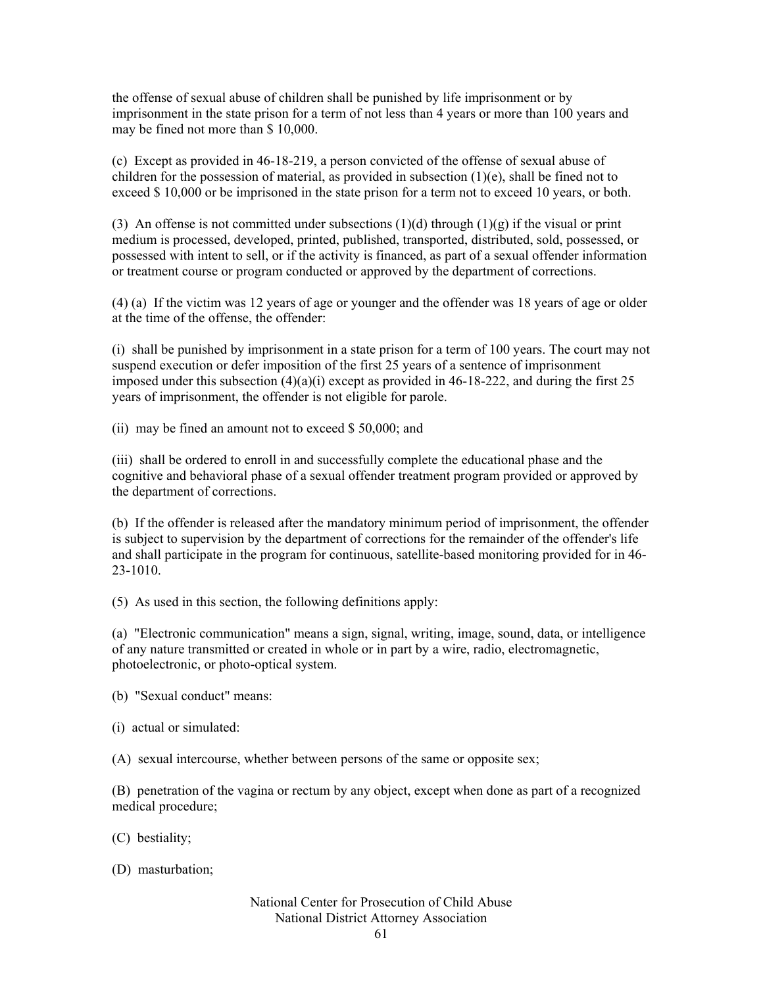the offense of sexual abuse of children shall be punished by life imprisonment or by imprisonment in the state prison for a term of not less than 4 years or more than 100 years and may be fined not more than \$ 10,000.

(c) Except as provided in 46-18-219, a person convicted of the offense of sexual abuse of children for the possession of material, as provided in subsection  $(1)(e)$ , shall be fined not to exceed \$ 10,000 or be imprisoned in the state prison for a term not to exceed 10 years, or both.

(3) An offense is not committed under subsections  $(1)(d)$  through  $(1)(g)$  if the visual or print medium is processed, developed, printed, published, transported, distributed, sold, possessed, or possessed with intent to sell, or if the activity is financed, as part of a sexual offender information or treatment course or program conducted or approved by the department of corrections.

(4) (a) If the victim was 12 years of age or younger and the offender was 18 years of age or older at the time of the offense, the offender:

(i) shall be punished by imprisonment in a state prison for a term of 100 years. The court may not suspend execution or defer imposition of the first 25 years of a sentence of imprisonment imposed under this subsection  $(4)(a)(i)$  except as provided in 46-18-222, and during the first 25 years of imprisonment, the offender is not eligible for parole.

(ii) may be fined an amount not to exceed \$ 50,000; and

(iii) shall be ordered to enroll in and successfully complete the educational phase and the cognitive and behavioral phase of a sexual offender treatment program provided or approved by the department of corrections.

(b) If the offender is released after the mandatory minimum period of imprisonment, the offender is subject to supervision by the department of corrections for the remainder of the offender's life and shall participate in the program for continuous, satellite-based monitoring provided for in 46- 23-1010.

(5) As used in this section, the following definitions apply:

(a) "Electronic communication" means a sign, signal, writing, image, sound, data, or intelligence of any nature transmitted or created in whole or in part by a wire, radio, electromagnetic, photoelectronic, or photo-optical system.

- (b) "Sexual conduct" means:
- (i) actual or simulated:

(A) sexual intercourse, whether between persons of the same or opposite sex;

(B) penetration of the vagina or rectum by any object, except when done as part of a recognized medical procedure;

- (C) bestiality;
- (D) masturbation;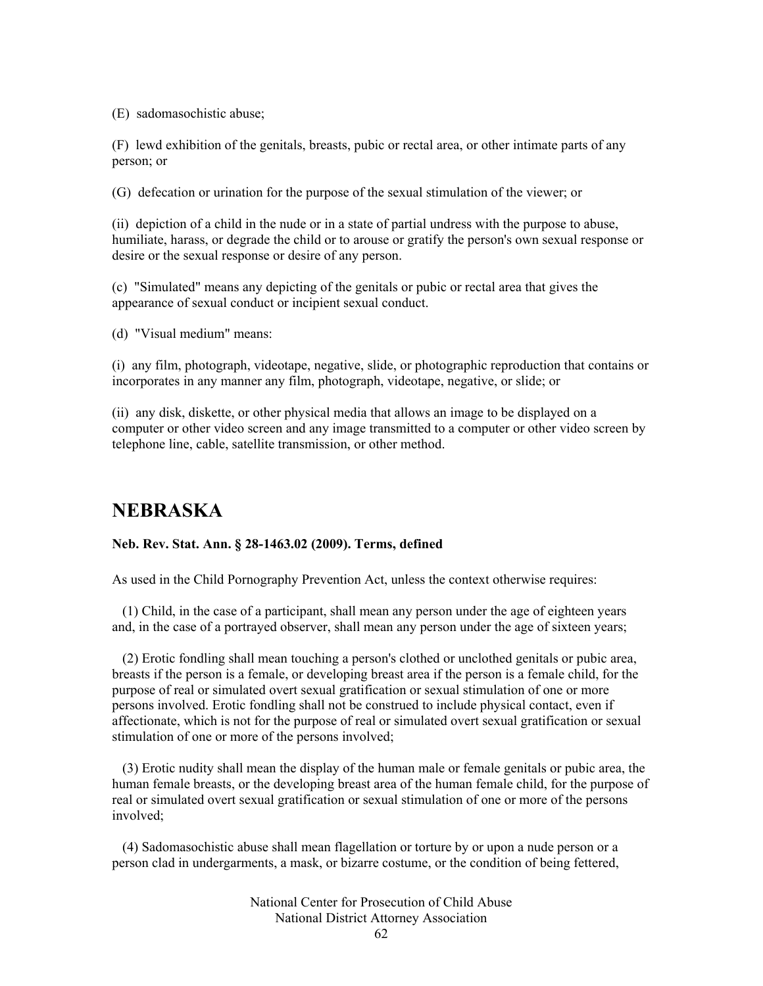(E) sadomasochistic abuse;

(F) lewd exhibition of the genitals, breasts, pubic or rectal area, or other intimate parts of any person; or

(G) defecation or urination for the purpose of the sexual stimulation of the viewer; or

(ii) depiction of a child in the nude or in a state of partial undress with the purpose to abuse, humiliate, harass, or degrade the child or to arouse or gratify the person's own sexual response or desire or the sexual response or desire of any person.

(c) "Simulated" means any depicting of the genitals or pubic or rectal area that gives the appearance of sexual conduct or incipient sexual conduct.

(d) "Visual medium" means:

(i) any film, photograph, videotape, negative, slide, or photographic reproduction that contains or incorporates in any manner any film, photograph, videotape, negative, or slide; or

(ii) any disk, diskette, or other physical media that allows an image to be displayed on a computer or other video screen and any image transmitted to a computer or other video screen by telephone line, cable, satellite transmission, or other method.

### **NEBRASKA**

### **Neb. Rev. Stat. Ann. § 28-1463.02 (2009). Terms, defined**

As used in the Child Pornography Prevention Act, unless the context otherwise requires:

 (1) Child, in the case of a participant, shall mean any person under the age of eighteen years and, in the case of a portrayed observer, shall mean any person under the age of sixteen years;

 (2) Erotic fondling shall mean touching a person's clothed or unclothed genitals or pubic area, breasts if the person is a female, or developing breast area if the person is a female child, for the purpose of real or simulated overt sexual gratification or sexual stimulation of one or more persons involved. Erotic fondling shall not be construed to include physical contact, even if affectionate, which is not for the purpose of real or simulated overt sexual gratification or sexual stimulation of one or more of the persons involved;

 (3) Erotic nudity shall mean the display of the human male or female genitals or pubic area, the human female breasts, or the developing breast area of the human female child, for the purpose of real or simulated overt sexual gratification or sexual stimulation of one or more of the persons involved;

 (4) Sadomasochistic abuse shall mean flagellation or torture by or upon a nude person or a person clad in undergarments, a mask, or bizarre costume, or the condition of being fettered,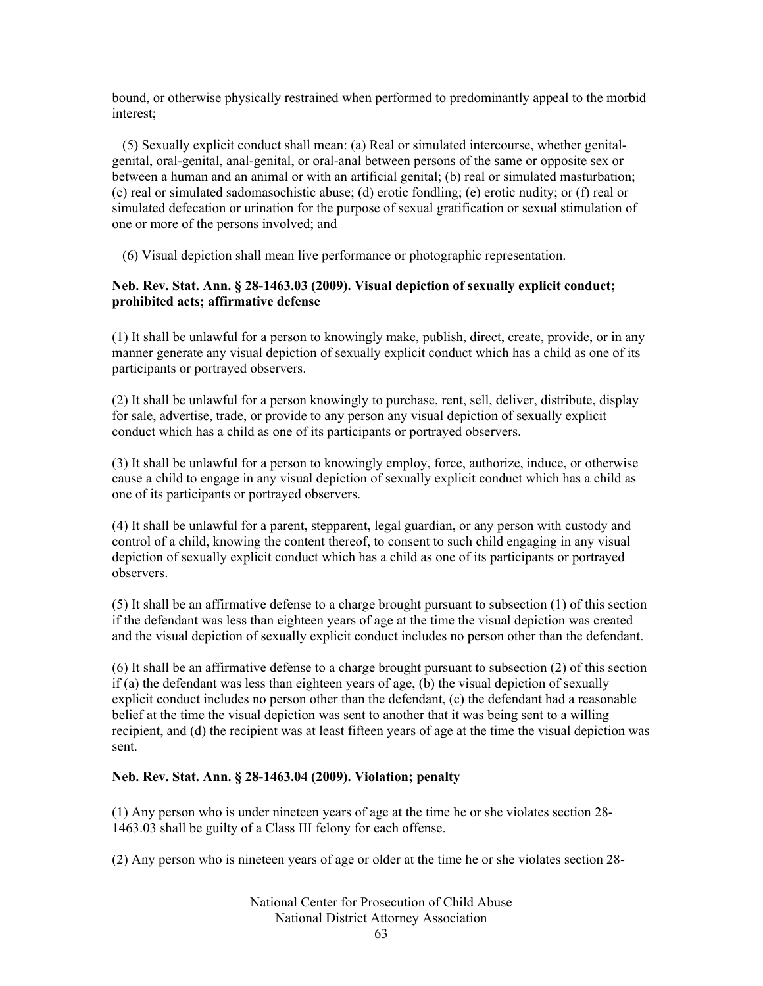bound, or otherwise physically restrained when performed to predominantly appeal to the morbid interest;

 (5) Sexually explicit conduct shall mean: (a) Real or simulated intercourse, whether genitalgenital, oral-genital, anal-genital, or oral-anal between persons of the same or opposite sex or between a human and an animal or with an artificial genital; (b) real or simulated masturbation; (c) real or simulated sadomasochistic abuse; (d) erotic fondling; (e) erotic nudity; or (f) real or simulated defecation or urination for the purpose of sexual gratification or sexual stimulation of one or more of the persons involved; and

(6) Visual depiction shall mean live performance or photographic representation.

### **Neb. Rev. Stat. Ann. § 28-1463.03 (2009). Visual depiction of sexually explicit conduct; prohibited acts; affirmative defense**

(1) It shall be unlawful for a person to knowingly make, publish, direct, create, provide, or in any manner generate any visual depiction of sexually explicit conduct which has a child as one of its participants or portrayed observers.

(2) It shall be unlawful for a person knowingly to purchase, rent, sell, deliver, distribute, display for sale, advertise, trade, or provide to any person any visual depiction of sexually explicit conduct which has a child as one of its participants or portrayed observers.

(3) It shall be unlawful for a person to knowingly employ, force, authorize, induce, or otherwise cause a child to engage in any visual depiction of sexually explicit conduct which has a child as one of its participants or portrayed observers.

(4) It shall be unlawful for a parent, stepparent, legal guardian, or any person with custody and control of a child, knowing the content thereof, to consent to such child engaging in any visual depiction of sexually explicit conduct which has a child as one of its participants or portrayed observers.

(5) It shall be an affirmative defense to a charge brought pursuant to subsection (1) of this section if the defendant was less than eighteen years of age at the time the visual depiction was created and the visual depiction of sexually explicit conduct includes no person other than the defendant.

(6) It shall be an affirmative defense to a charge brought pursuant to subsection (2) of this section if (a) the defendant was less than eighteen years of age, (b) the visual depiction of sexually explicit conduct includes no person other than the defendant, (c) the defendant had a reasonable belief at the time the visual depiction was sent to another that it was being sent to a willing recipient, and (d) the recipient was at least fifteen years of age at the time the visual depiction was sent.

### **Neb. Rev. Stat. Ann. § 28-1463.04 (2009). Violation; penalty**

(1) Any person who is under nineteen years of age at the time he or she violates section 28- 1463.03 shall be guilty of a Class III felony for each offense.

(2) Any person who is nineteen years of age or older at the time he or she violates section 28-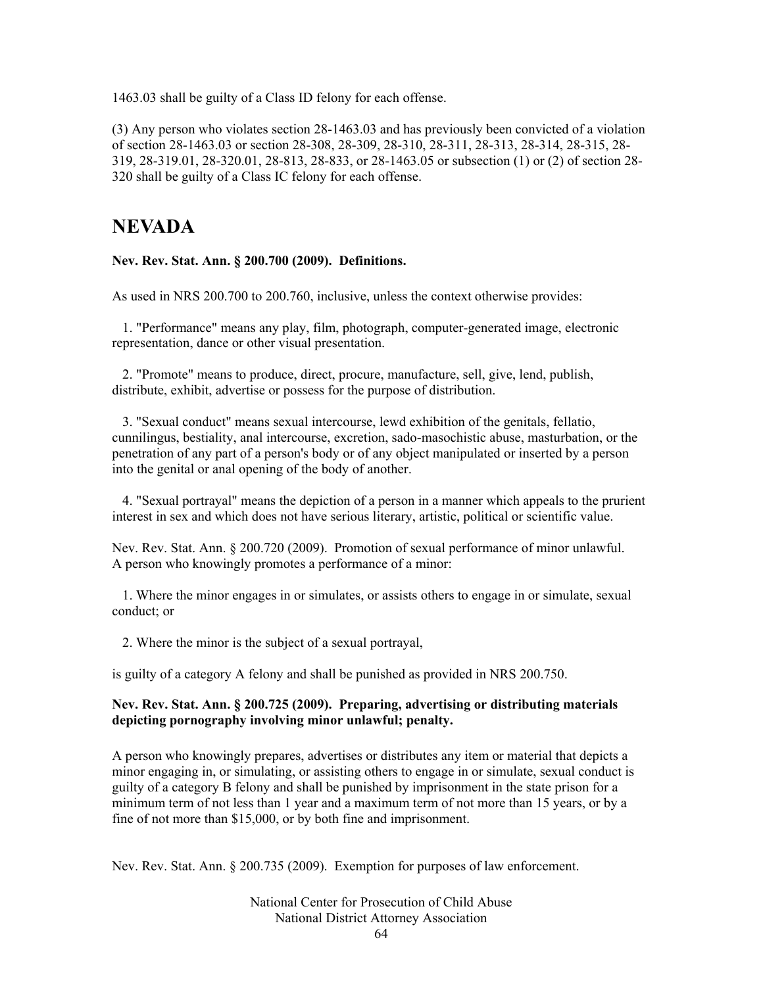1463.03 shall be guilty of a Class ID felony for each offense.

(3) Any person who violates section 28-1463.03 and has previously been convicted of a violation of section 28-1463.03 or section 28-308, 28-309, 28-310, 28-311, 28-313, 28-314, 28-315, 28- 319, 28-319.01, 28-320.01, 28-813, 28-833, or 28-1463.05 or subsection (1) or (2) of section 28- 320 shall be guilty of a Class IC felony for each offense.

## **NEVADA**

### **Nev. Rev. Stat. Ann. § 200.700 (2009). Definitions.**

As used in NRS 200.700 to 200.760, inclusive, unless the context otherwise provides:

 1. "Performance" means any play, film, photograph, computer-generated image, electronic representation, dance or other visual presentation.

 2. "Promote" means to produce, direct, procure, manufacture, sell, give, lend, publish, distribute, exhibit, advertise or possess for the purpose of distribution.

 3. "Sexual conduct" means sexual intercourse, lewd exhibition of the genitals, fellatio, cunnilingus, bestiality, anal intercourse, excretion, sado-masochistic abuse, masturbation, or the penetration of any part of a person's body or of any object manipulated or inserted by a person into the genital or anal opening of the body of another.

 4. "Sexual portrayal" means the depiction of a person in a manner which appeals to the prurient interest in sex and which does not have serious literary, artistic, political or scientific value.

Nev. Rev. Stat. Ann. § 200.720 (2009). Promotion of sexual performance of minor unlawful. A person who knowingly promotes a performance of a minor:

 1. Where the minor engages in or simulates, or assists others to engage in or simulate, sexual conduct; or

2. Where the minor is the subject of a sexual portrayal,

is guilty of a category A felony and shall be punished as provided in NRS 200.750.

### **Nev. Rev. Stat. Ann. § 200.725 (2009). Preparing, advertising or distributing materials depicting pornography involving minor unlawful; penalty.**

A person who knowingly prepares, advertises or distributes any item or material that depicts a minor engaging in, or simulating, or assisting others to engage in or simulate, sexual conduct is guilty of a category B felony and shall be punished by imprisonment in the state prison for a minimum term of not less than 1 year and a maximum term of not more than 15 years, or by a fine of not more than \$15,000, or by both fine and imprisonment.

Nev. Rev. Stat. Ann. § 200.735 (2009). Exemption for purposes of law enforcement.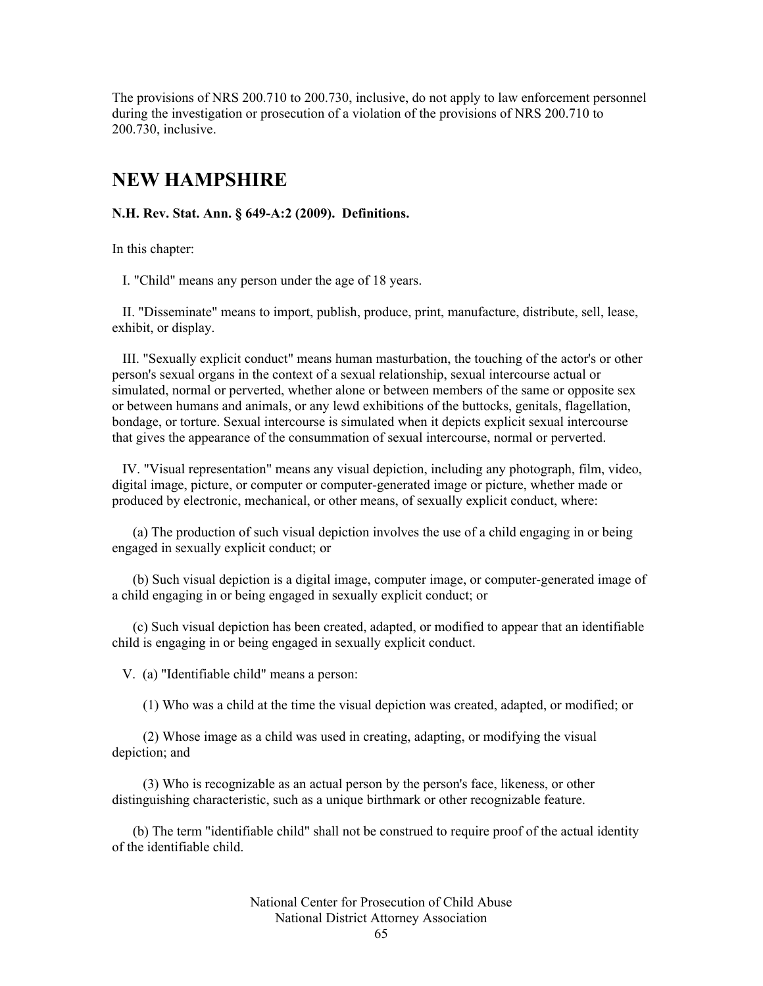The provisions of NRS 200.710 to 200.730, inclusive, do not apply to law enforcement personnel during the investigation or prosecution of a violation of the provisions of NRS 200.710 to 200.730, inclusive.

## **NEW HAMPSHIRE**

### **N.H. Rev. Stat. Ann. § 649-A:2 (2009). Definitions.**

In this chapter:

I. "Child" means any person under the age of 18 years.

 II. "Disseminate" means to import, publish, produce, print, manufacture, distribute, sell, lease, exhibit, or display.

 III. "Sexually explicit conduct" means human masturbation, the touching of the actor's or other person's sexual organs in the context of a sexual relationship, sexual intercourse actual or simulated, normal or perverted, whether alone or between members of the same or opposite sex or between humans and animals, or any lewd exhibitions of the buttocks, genitals, flagellation, bondage, or torture. Sexual intercourse is simulated when it depicts explicit sexual intercourse that gives the appearance of the consummation of sexual intercourse, normal or perverted.

 IV. "Visual representation" means any visual depiction, including any photograph, film, video, digital image, picture, or computer or computer-generated image or picture, whether made or produced by electronic, mechanical, or other means, of sexually explicit conduct, where:

 (a) The production of such visual depiction involves the use of a child engaging in or being engaged in sexually explicit conduct; or

 (b) Such visual depiction is a digital image, computer image, or computer-generated image of a child engaging in or being engaged in sexually explicit conduct; or

 (c) Such visual depiction has been created, adapted, or modified to appear that an identifiable child is engaging in or being engaged in sexually explicit conduct.

V. (a) "Identifiable child" means a person:

(1) Who was a child at the time the visual depiction was created, adapted, or modified; or

 (2) Whose image as a child was used in creating, adapting, or modifying the visual depiction; and

 (3) Who is recognizable as an actual person by the person's face, likeness, or other distinguishing characteristic, such as a unique birthmark or other recognizable feature.

 (b) The term "identifiable child" shall not be construed to require proof of the actual identity of the identifiable child.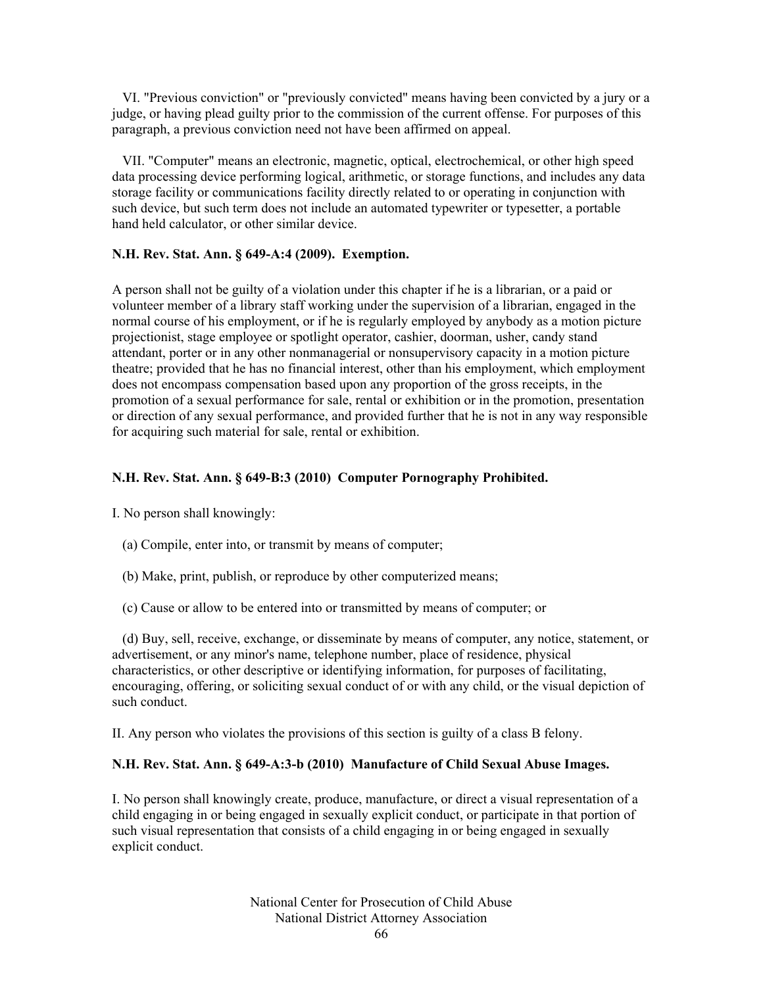VI. "Previous conviction" or "previously convicted" means having been convicted by a jury or a judge, or having plead guilty prior to the commission of the current offense. For purposes of this paragraph, a previous conviction need not have been affirmed on appeal.

 VII. "Computer" means an electronic, magnetic, optical, electrochemical, or other high speed data processing device performing logical, arithmetic, or storage functions, and includes any data storage facility or communications facility directly related to or operating in conjunction with such device, but such term does not include an automated typewriter or typesetter, a portable hand held calculator, or other similar device.

### **N.H. Rev. Stat. Ann. § 649-A:4 (2009). Exemption.**

A person shall not be guilty of a violation under this chapter if he is a librarian, or a paid or volunteer member of a library staff working under the supervision of a librarian, engaged in the normal course of his employment, or if he is regularly employed by anybody as a motion picture projectionist, stage employee or spotlight operator, cashier, doorman, usher, candy stand attendant, porter or in any other nonmanagerial or nonsupervisory capacity in a motion picture theatre; provided that he has no financial interest, other than his employment, which employment does not encompass compensation based upon any proportion of the gross receipts, in the promotion of a sexual performance for sale, rental or exhibition or in the promotion, presentation or direction of any sexual performance, and provided further that he is not in any way responsible for acquiring such material for sale, rental or exhibition.

### **N.H. Rev. Stat. Ann. § 649-B:3 (2010) Computer Pornography Prohibited.**

I. No person shall knowingly:

- (a) Compile, enter into, or transmit by means of computer;
- (b) Make, print, publish, or reproduce by other computerized means;
- (c) Cause or allow to be entered into or transmitted by means of computer; or

 (d) Buy, sell, receive, exchange, or disseminate by means of computer, any notice, statement, or advertisement, or any minor's name, telephone number, place of residence, physical characteristics, or other descriptive or identifying information, for purposes of facilitating, encouraging, offering, or soliciting sexual conduct of or with any child, or the visual depiction of such conduct.

II. Any person who violates the provisions of this section is guilty of a class B felony.

### **N.H. Rev. Stat. Ann. § 649-A:3-b (2010) Manufacture of Child Sexual Abuse Images.**

I. No person shall knowingly create, produce, manufacture, or direct a visual representation of a child engaging in or being engaged in sexually explicit conduct, or participate in that portion of such visual representation that consists of a child engaging in or being engaged in sexually explicit conduct.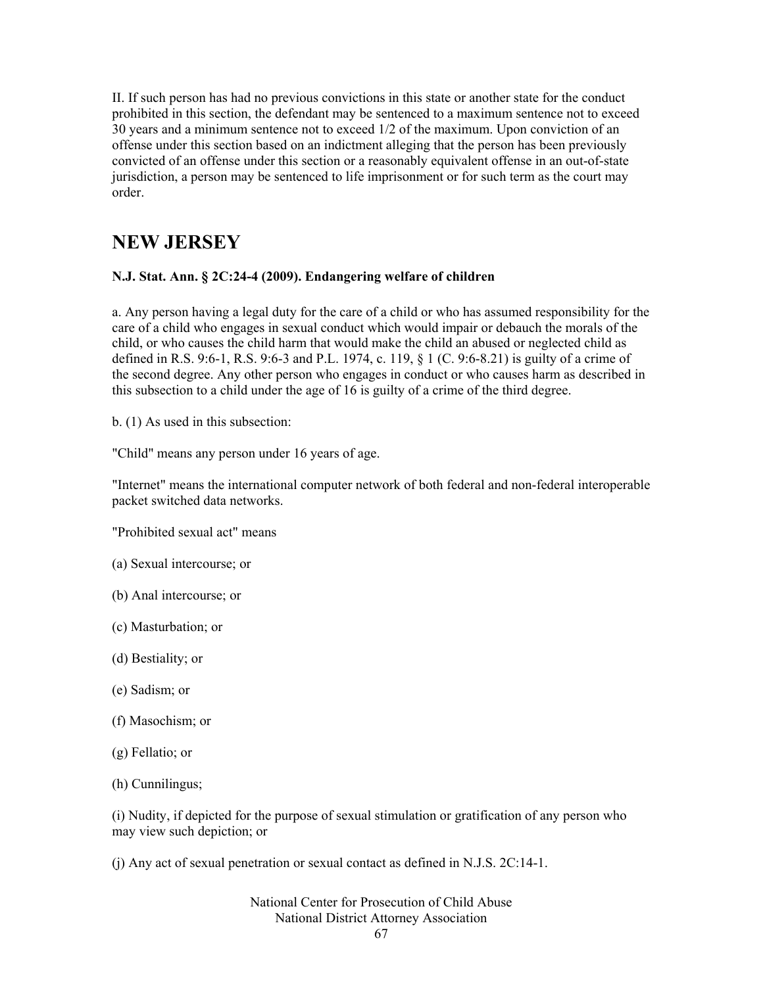II. If such person has had no previous convictions in this state or another state for the conduct prohibited in this section, the defendant may be sentenced to a maximum sentence not to exceed 30 years and a minimum sentence not to exceed 1/2 of the maximum. Upon conviction of an offense under this section based on an indictment alleging that the person has been previously convicted of an offense under this section or a reasonably equivalent offense in an out-of-state jurisdiction, a person may be sentenced to life imprisonment or for such term as the court may order.

# **NEW JERSEY**

### **N.J. Stat. Ann. § 2C:24-4 (2009). Endangering welfare of children**

a. Any person having a legal duty for the care of a child or who has assumed responsibility for the care of a child who engages in sexual conduct which would impair or debauch the morals of the child, or who causes the child harm that would make the child an abused or neglected child as defined in R.S. 9:6-1, R.S. 9:6-3 and P.L. 1974, c. 119, § 1 (C. 9:6-8.21) is guilty of a crime of the second degree. Any other person who engages in conduct or who causes harm as described in this subsection to a child under the age of 16 is guilty of a crime of the third degree.

b. (1) As used in this subsection:

"Child" means any person under 16 years of age.

"Internet" means the international computer network of both federal and non-federal interoperable packet switched data networks.

"Prohibited sexual act" means

- (a) Sexual intercourse; or
- (b) Anal intercourse; or
- (c) Masturbation; or
- (d) Bestiality; or
- (e) Sadism; or
- (f) Masochism; or
- (g) Fellatio; or
- (h) Cunnilingus;

(i) Nudity, if depicted for the purpose of sexual stimulation or gratification of any person who may view such depiction; or

(j) Any act of sexual penetration or sexual contact as defined in N.J.S. 2C:14-1.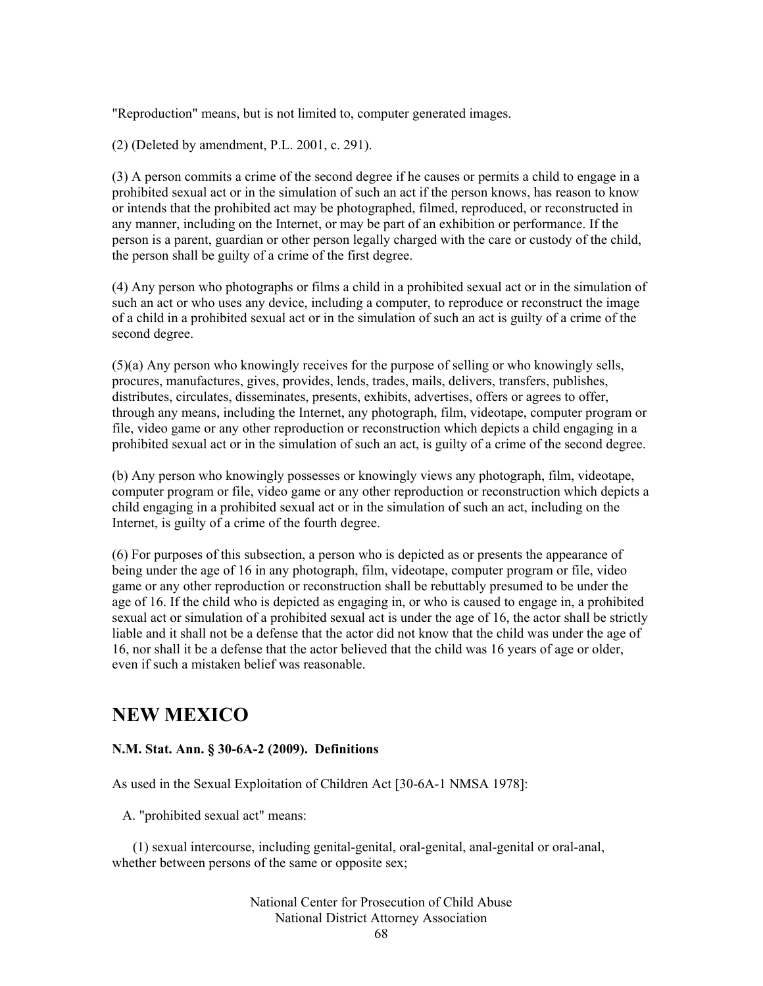"Reproduction" means, but is not limited to, computer generated images.

(2) (Deleted by amendment, P.L. 2001, c. 291).

(3) A person commits a crime of the second degree if he causes or permits a child to engage in a prohibited sexual act or in the simulation of such an act if the person knows, has reason to know or intends that the prohibited act may be photographed, filmed, reproduced, or reconstructed in any manner, including on the Internet, or may be part of an exhibition or performance. If the person is a parent, guardian or other person legally charged with the care or custody of the child, the person shall be guilty of a crime of the first degree.

(4) Any person who photographs or films a child in a prohibited sexual act or in the simulation of such an act or who uses any device, including a computer, to reproduce or reconstruct the image of a child in a prohibited sexual act or in the simulation of such an act is guilty of a crime of the second degree.

(5)(a) Any person who knowingly receives for the purpose of selling or who knowingly sells, procures, manufactures, gives, provides, lends, trades, mails, delivers, transfers, publishes, distributes, circulates, disseminates, presents, exhibits, advertises, offers or agrees to offer, through any means, including the Internet, any photograph, film, videotape, computer program or file, video game or any other reproduction or reconstruction which depicts a child engaging in a prohibited sexual act or in the simulation of such an act, is guilty of a crime of the second degree.

(b) Any person who knowingly possesses or knowingly views any photograph, film, videotape, computer program or file, video game or any other reproduction or reconstruction which depicts a child engaging in a prohibited sexual act or in the simulation of such an act, including on the Internet, is guilty of a crime of the fourth degree.

(6) For purposes of this subsection, a person who is depicted as or presents the appearance of being under the age of 16 in any photograph, film, videotape, computer program or file, video game or any other reproduction or reconstruction shall be rebuttably presumed to be under the age of 16. If the child who is depicted as engaging in, or who is caused to engage in, a prohibited sexual act or simulation of a prohibited sexual act is under the age of 16, the actor shall be strictly liable and it shall not be a defense that the actor did not know that the child was under the age of 16, nor shall it be a defense that the actor believed that the child was 16 years of age or older, even if such a mistaken belief was reasonable.

## **NEW MEXICO**

### **N.M. Stat. Ann. § 30-6A-2 (2009). Definitions**

As used in the Sexual Exploitation of Children Act [30-6A-1 NMSA 1978]:

A. "prohibited sexual act" means:

 (1) sexual intercourse, including genital-genital, oral-genital, anal-genital or oral-anal, whether between persons of the same or opposite sex;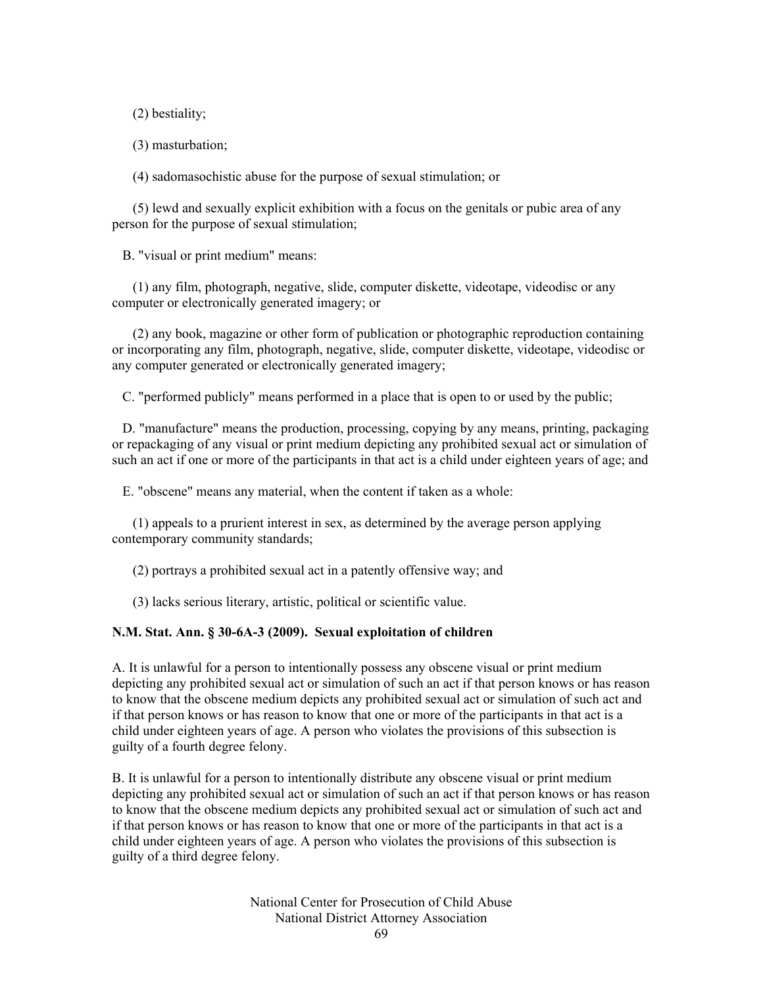(2) bestiality;

(3) masturbation;

(4) sadomasochistic abuse for the purpose of sexual stimulation; or

 (5) lewd and sexually explicit exhibition with a focus on the genitals or pubic area of any person for the purpose of sexual stimulation;

B. "visual or print medium" means:

 (1) any film, photograph, negative, slide, computer diskette, videotape, videodisc or any computer or electronically generated imagery; or

 (2) any book, magazine or other form of publication or photographic reproduction containing or incorporating any film, photograph, negative, slide, computer diskette, videotape, videodisc or any computer generated or electronically generated imagery;

C. "performed publicly" means performed in a place that is open to or used by the public;

 D. "manufacture" means the production, processing, copying by any means, printing, packaging or repackaging of any visual or print medium depicting any prohibited sexual act or simulation of such an act if one or more of the participants in that act is a child under eighteen years of age; and

E. "obscene" means any material, when the content if taken as a whole:

 (1) appeals to a prurient interest in sex, as determined by the average person applying contemporary community standards;

(2) portrays a prohibited sexual act in a patently offensive way; and

(3) lacks serious literary, artistic, political or scientific value.

### **N.M. Stat. Ann. § 30-6A-3 (2009). Sexual exploitation of children**

A. It is unlawful for a person to intentionally possess any obscene visual or print medium depicting any prohibited sexual act or simulation of such an act if that person knows or has reason to know that the obscene medium depicts any prohibited sexual act or simulation of such act and if that person knows or has reason to know that one or more of the participants in that act is a child under eighteen years of age. A person who violates the provisions of this subsection is guilty of a fourth degree felony.

B. It is unlawful for a person to intentionally distribute any obscene visual or print medium depicting any prohibited sexual act or simulation of such an act if that person knows or has reason to know that the obscene medium depicts any prohibited sexual act or simulation of such act and if that person knows or has reason to know that one or more of the participants in that act is a child under eighteen years of age. A person who violates the provisions of this subsection is guilty of a third degree felony.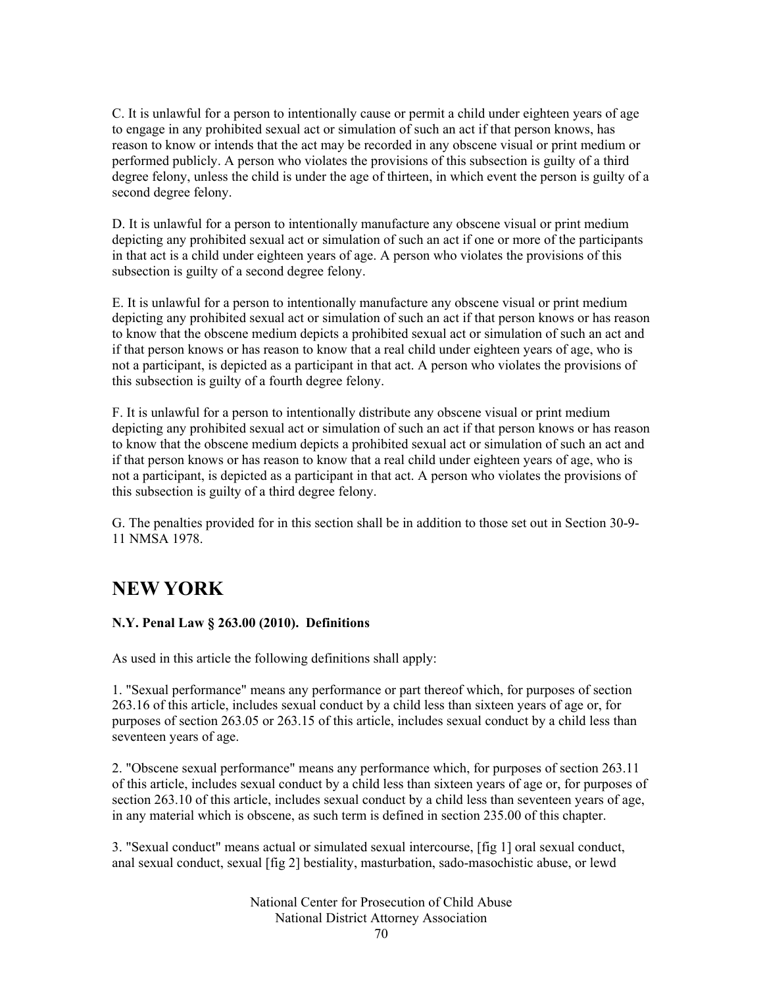C. It is unlawful for a person to intentionally cause or permit a child under eighteen years of age to engage in any prohibited sexual act or simulation of such an act if that person knows, has reason to know or intends that the act may be recorded in any obscene visual or print medium or performed publicly. A person who violates the provisions of this subsection is guilty of a third degree felony, unless the child is under the age of thirteen, in which event the person is guilty of a second degree felony.

D. It is unlawful for a person to intentionally manufacture any obscene visual or print medium depicting any prohibited sexual act or simulation of such an act if one or more of the participants in that act is a child under eighteen years of age. A person who violates the provisions of this subsection is guilty of a second degree felony.

E. It is unlawful for a person to intentionally manufacture any obscene visual or print medium depicting any prohibited sexual act or simulation of such an act if that person knows or has reason to know that the obscene medium depicts a prohibited sexual act or simulation of such an act and if that person knows or has reason to know that a real child under eighteen years of age, who is not a participant, is depicted as a participant in that act. A person who violates the provisions of this subsection is guilty of a fourth degree felony.

F. It is unlawful for a person to intentionally distribute any obscene visual or print medium depicting any prohibited sexual act or simulation of such an act if that person knows or has reason to know that the obscene medium depicts a prohibited sexual act or simulation of such an act and if that person knows or has reason to know that a real child under eighteen years of age, who is not a participant, is depicted as a participant in that act. A person who violates the provisions of this subsection is guilty of a third degree felony.

G. The penalties provided for in this section shall be in addition to those set out in Section 30-9- 11 NMSA 1978.

# **NEW YORK**

### **N.Y. Penal Law § 263.00 (2010). Definitions**

As used in this article the following definitions shall apply:

1. "Sexual performance" means any performance or part thereof which, for purposes of section 263.16 of this article, includes sexual conduct by a child less than sixteen years of age or, for purposes of section 263.05 or 263.15 of this article, includes sexual conduct by a child less than seventeen years of age.

2. "Obscene sexual performance" means any performance which, for purposes of section 263.11 of this article, includes sexual conduct by a child less than sixteen years of age or, for purposes of section 263.10 of this article, includes sexual conduct by a child less than seventeen years of age, in any material which is obscene, as such term is defined in section 235.00 of this chapter.

3. "Sexual conduct" means actual or simulated sexual intercourse, [fig 1] oral sexual conduct, anal sexual conduct, sexual [fig 2] bestiality, masturbation, sado-masochistic abuse, or lewd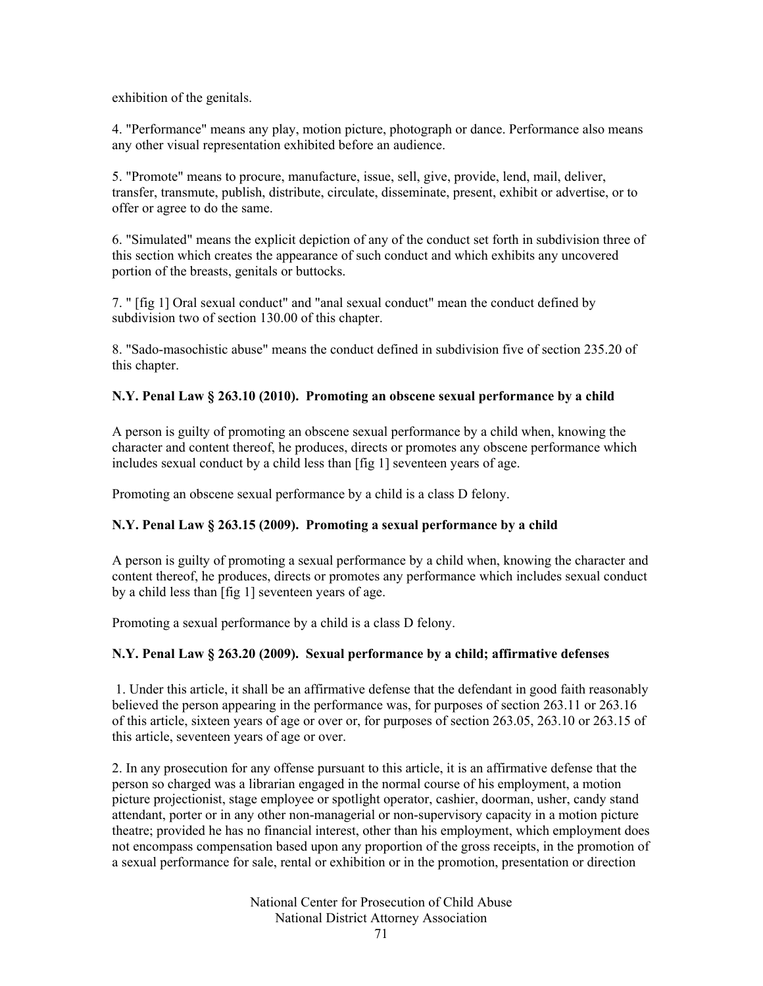exhibition of the genitals.

4. "Performance" means any play, motion picture, photograph or dance. Performance also means any other visual representation exhibited before an audience.

5. "Promote" means to procure, manufacture, issue, sell, give, provide, lend, mail, deliver, transfer, transmute, publish, distribute, circulate, disseminate, present, exhibit or advertise, or to offer or agree to do the same.

6. "Simulated" means the explicit depiction of any of the conduct set forth in subdivision three of this section which creates the appearance of such conduct and which exhibits any uncovered portion of the breasts, genitals or buttocks.

7. " [fig 1] Oral sexual conduct" and "anal sexual conduct" mean the conduct defined by subdivision two of section 130.00 of this chapter.

8. "Sado-masochistic abuse" means the conduct defined in subdivision five of section 235.20 of this chapter.

### **N.Y. Penal Law § 263.10 (2010). Promoting an obscene sexual performance by a child**

A person is guilty of promoting an obscene sexual performance by a child when, knowing the character and content thereof, he produces, directs or promotes any obscene performance which includes sexual conduct by a child less than [fig 1] seventeen years of age.

Promoting an obscene sexual performance by a child is a class D felony.

### **N.Y. Penal Law § 263.15 (2009). Promoting a sexual performance by a child**

A person is guilty of promoting a sexual performance by a child when, knowing the character and content thereof, he produces, directs or promotes any performance which includes sexual conduct by a child less than [fig 1] seventeen years of age.

Promoting a sexual performance by a child is a class D felony.

### **N.Y. Penal Law § 263.20 (2009). Sexual performance by a child; affirmative defenses**

 1. Under this article, it shall be an affirmative defense that the defendant in good faith reasonably believed the person appearing in the performance was, for purposes of section 263.11 or 263.16 of this article, sixteen years of age or over or, for purposes of section 263.05, 263.10 or 263.15 of this article, seventeen years of age or over.

2. In any prosecution for any offense pursuant to this article, it is an affirmative defense that the person so charged was a librarian engaged in the normal course of his employment, a motion picture projectionist, stage employee or spotlight operator, cashier, doorman, usher, candy stand attendant, porter or in any other non-managerial or non-supervisory capacity in a motion picture theatre; provided he has no financial interest, other than his employment, which employment does not encompass compensation based upon any proportion of the gross receipts, in the promotion of a sexual performance for sale, rental or exhibition or in the promotion, presentation or direction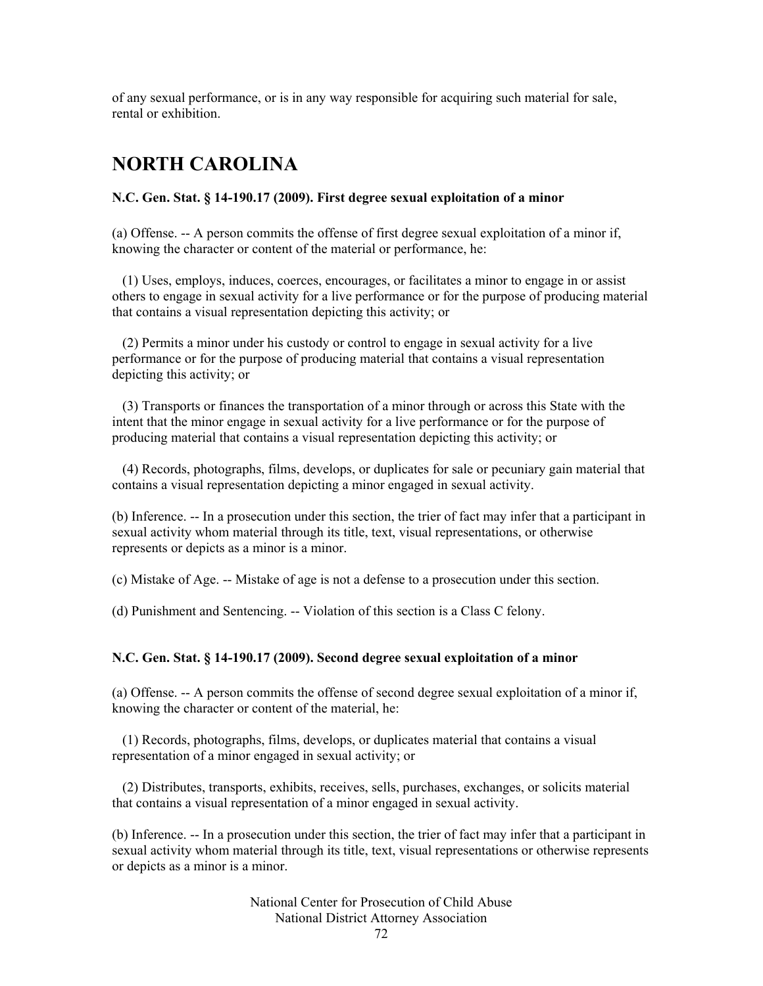of any sexual performance, or is in any way responsible for acquiring such material for sale, rental or exhibition.

# **NORTH CAROLINA**

### **N.C. Gen. Stat. § 14-190.17 (2009). First degree sexual exploitation of a minor**

(a) Offense. -- A person commits the offense of first degree sexual exploitation of a minor if, knowing the character or content of the material or performance, he:

 (1) Uses, employs, induces, coerces, encourages, or facilitates a minor to engage in or assist others to engage in sexual activity for a live performance or for the purpose of producing material that contains a visual representation depicting this activity; or

 (2) Permits a minor under his custody or control to engage in sexual activity for a live performance or for the purpose of producing material that contains a visual representation depicting this activity; or

 (3) Transports or finances the transportation of a minor through or across this State with the intent that the minor engage in sexual activity for a live performance or for the purpose of producing material that contains a visual representation depicting this activity; or

 (4) Records, photographs, films, develops, or duplicates for sale or pecuniary gain material that contains a visual representation depicting a minor engaged in sexual activity.

(b) Inference. -- In a prosecution under this section, the trier of fact may infer that a participant in sexual activity whom material through its title, text, visual representations, or otherwise represents or depicts as a minor is a minor.

(c) Mistake of Age. -- Mistake of age is not a defense to a prosecution under this section.

(d) Punishment and Sentencing. -- Violation of this section is a Class C felony.

### **N.C. Gen. Stat. § 14-190.17 (2009). Second degree sexual exploitation of a minor**

(a) Offense. -- A person commits the offense of second degree sexual exploitation of a minor if, knowing the character or content of the material, he:

 (1) Records, photographs, films, develops, or duplicates material that contains a visual representation of a minor engaged in sexual activity; or

 (2) Distributes, transports, exhibits, receives, sells, purchases, exchanges, or solicits material that contains a visual representation of a minor engaged in sexual activity.

(b) Inference. -- In a prosecution under this section, the trier of fact may infer that a participant in sexual activity whom material through its title, text, visual representations or otherwise represents or depicts as a minor is a minor.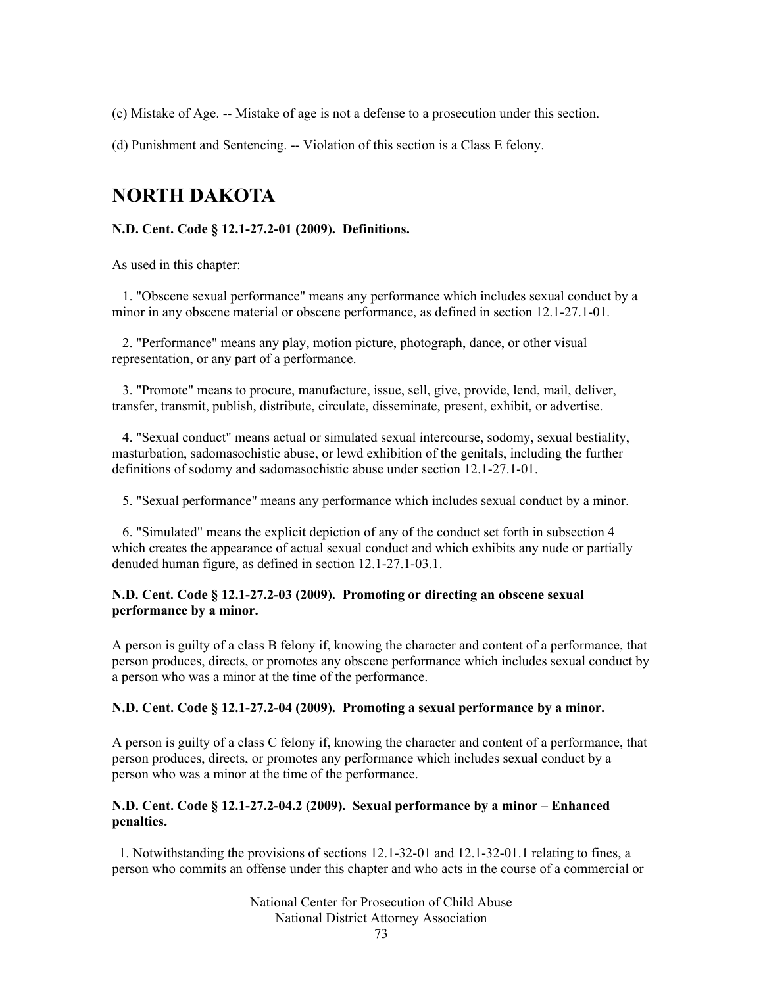- (c) Mistake of Age. -- Mistake of age is not a defense to a prosecution under this section.
- (d) Punishment and Sentencing. -- Violation of this section is a Class E felony.

# **NORTH DAKOTA**

### **N.D. Cent. Code § 12.1-27.2-01 (2009). Definitions.**

As used in this chapter:

 1. "Obscene sexual performance" means any performance which includes sexual conduct by a minor in any obscene material or obscene performance, as defined in section 12.1-27.1-01.

 2. "Performance" means any play, motion picture, photograph, dance, or other visual representation, or any part of a performance.

 3. "Promote" means to procure, manufacture, issue, sell, give, provide, lend, mail, deliver, transfer, transmit, publish, distribute, circulate, disseminate, present, exhibit, or advertise.

 4. "Sexual conduct" means actual or simulated sexual intercourse, sodomy, sexual bestiality, masturbation, sadomasochistic abuse, or lewd exhibition of the genitals, including the further definitions of sodomy and sadomasochistic abuse under section 12.1-27.1-01.

5. "Sexual performance" means any performance which includes sexual conduct by a minor.

 6. "Simulated" means the explicit depiction of any of the conduct set forth in subsection 4 which creates the appearance of actual sexual conduct and which exhibits any nude or partially denuded human figure, as defined in section 12.1-27.1-03.1.

#### **N.D. Cent. Code § 12.1-27.2-03 (2009). Promoting or directing an obscene sexual performance by a minor.**

A person is guilty of a class B felony if, knowing the character and content of a performance, that person produces, directs, or promotes any obscene performance which includes sexual conduct by a person who was a minor at the time of the performance.

#### **N.D. Cent. Code § 12.1-27.2-04 (2009). Promoting a sexual performance by a minor.**

A person is guilty of a class C felony if, knowing the character and content of a performance, that person produces, directs, or promotes any performance which includes sexual conduct by a person who was a minor at the time of the performance.

### **N.D. Cent. Code § 12.1-27.2-04.2 (2009). Sexual performance by a minor – Enhanced penalties.**

 1. Notwithstanding the provisions of sections 12.1-32-01 and 12.1-32-01.1 relating to fines, a person who commits an offense under this chapter and who acts in the course of a commercial or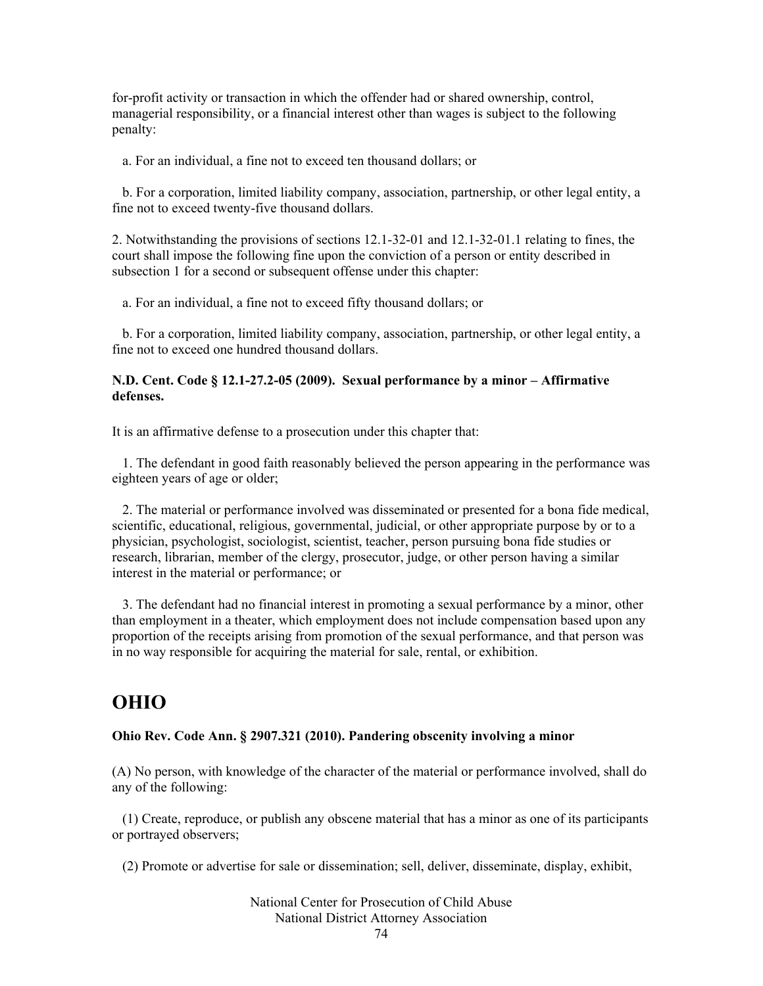for-profit activity or transaction in which the offender had or shared ownership, control, managerial responsibility, or a financial interest other than wages is subject to the following penalty:

a. For an individual, a fine not to exceed ten thousand dollars; or

 b. For a corporation, limited liability company, association, partnership, or other legal entity, a fine not to exceed twenty-five thousand dollars.

2. Notwithstanding the provisions of sections 12.1-32-01 and 12.1-32-01.1 relating to fines, the court shall impose the following fine upon the conviction of a person or entity described in subsection 1 for a second or subsequent offense under this chapter:

a. For an individual, a fine not to exceed fifty thousand dollars; or

 b. For a corporation, limited liability company, association, partnership, or other legal entity, a fine not to exceed one hundred thousand dollars.

### **N.D. Cent. Code § 12.1-27.2-05 (2009). Sexual performance by a minor – Affirmative defenses.**

It is an affirmative defense to a prosecution under this chapter that:

 1. The defendant in good faith reasonably believed the person appearing in the performance was eighteen years of age or older;

 2. The material or performance involved was disseminated or presented for a bona fide medical, scientific, educational, religious, governmental, judicial, or other appropriate purpose by or to a physician, psychologist, sociologist, scientist, teacher, person pursuing bona fide studies or research, librarian, member of the clergy, prosecutor, judge, or other person having a similar interest in the material or performance; or

 3. The defendant had no financial interest in promoting a sexual performance by a minor, other than employment in a theater, which employment does not include compensation based upon any proportion of the receipts arising from promotion of the sexual performance, and that person was in no way responsible for acquiring the material for sale, rental, or exhibition.

# **OHIO**

#### **Ohio Rev. Code Ann. § 2907.321 (2010). Pandering obscenity involving a minor**

(A) No person, with knowledge of the character of the material or performance involved, shall do any of the following:

 (1) Create, reproduce, or publish any obscene material that has a minor as one of its participants or portrayed observers;

(2) Promote or advertise for sale or dissemination; sell, deliver, disseminate, display, exhibit,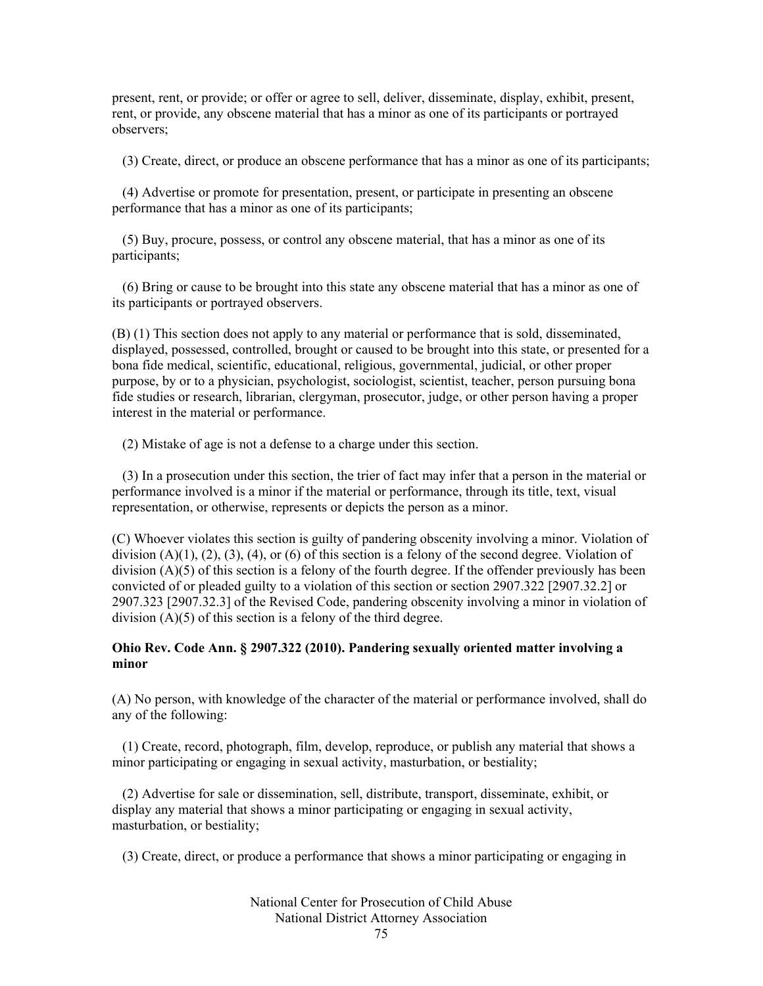present, rent, or provide; or offer or agree to sell, deliver, disseminate, display, exhibit, present, rent, or provide, any obscene material that has a minor as one of its participants or portrayed observers;

(3) Create, direct, or produce an obscene performance that has a minor as one of its participants;

 (4) Advertise or promote for presentation, present, or participate in presenting an obscene performance that has a minor as one of its participants;

 (5) Buy, procure, possess, or control any obscene material, that has a minor as one of its participants;

 (6) Bring or cause to be brought into this state any obscene material that has a minor as one of its participants or portrayed observers.

(B) (1) This section does not apply to any material or performance that is sold, disseminated, displayed, possessed, controlled, brought or caused to be brought into this state, or presented for a bona fide medical, scientific, educational, religious, governmental, judicial, or other proper purpose, by or to a physician, psychologist, sociologist, scientist, teacher, person pursuing bona fide studies or research, librarian, clergyman, prosecutor, judge, or other person having a proper interest in the material or performance.

(2) Mistake of age is not a defense to a charge under this section.

 (3) In a prosecution under this section, the trier of fact may infer that a person in the material or performance involved is a minor if the material or performance, through its title, text, visual representation, or otherwise, represents or depicts the person as a minor.

(C) Whoever violates this section is guilty of pandering obscenity involving a minor. Violation of division  $(A)(1)$ ,  $(2)$ ,  $(3)$ ,  $(4)$ , or  $(6)$  of this section is a felony of the second degree. Violation of division (A)(5) of this section is a felony of the fourth degree. If the offender previously has been convicted of or pleaded guilty to a violation of this section or section 2907.322 [2907.32.2] or 2907.323 [2907.32.3] of the Revised Code, pandering obscenity involving a minor in violation of division (A)(5) of this section is a felony of the third degree.

#### **Ohio Rev. Code Ann. § 2907.322 (2010). Pandering sexually oriented matter involving a minor**

(A) No person, with knowledge of the character of the material or performance involved, shall do any of the following:

 (1) Create, record, photograph, film, develop, reproduce, or publish any material that shows a minor participating or engaging in sexual activity, masturbation, or bestiality;

 (2) Advertise for sale or dissemination, sell, distribute, transport, disseminate, exhibit, or display any material that shows a minor participating or engaging in sexual activity, masturbation, or bestiality;

(3) Create, direct, or produce a performance that shows a minor participating or engaging in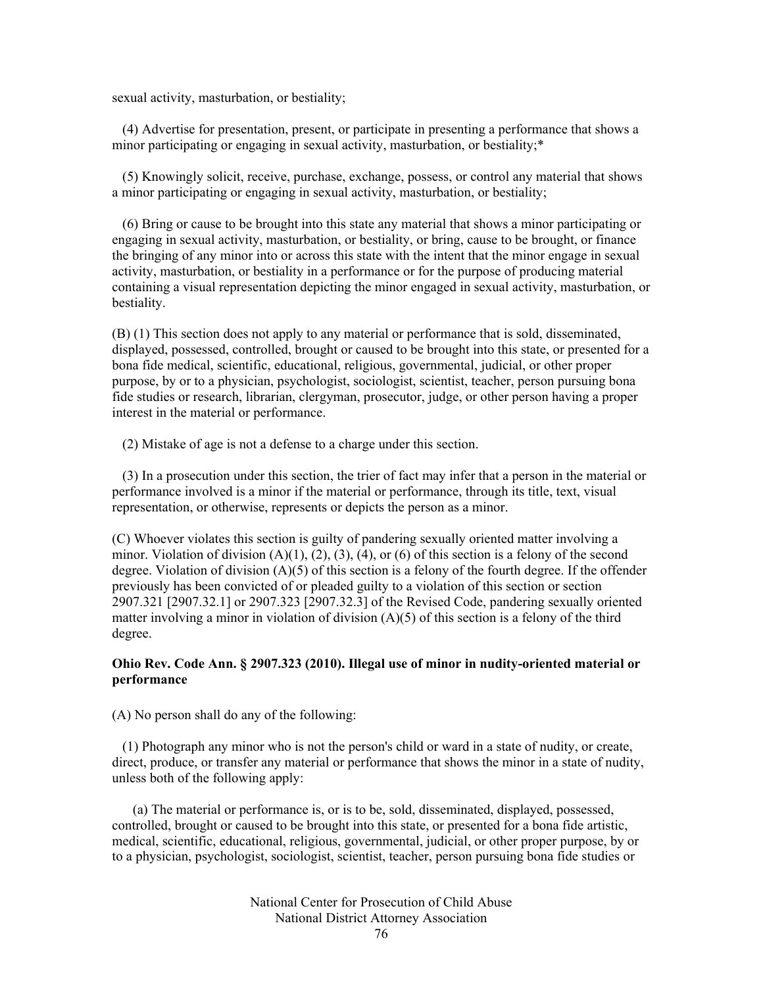sexual activity, masturbation, or bestiality;

 (4) Advertise for presentation, present, or participate in presenting a performance that shows a minor participating or engaging in sexual activity, masturbation, or bestiality;\*

 (5) Knowingly solicit, receive, purchase, exchange, possess, or control any material that shows a minor participating or engaging in sexual activity, masturbation, or bestiality;

 (6) Bring or cause to be brought into this state any material that shows a minor participating or engaging in sexual activity, masturbation, or bestiality, or bring, cause to be brought, or finance the bringing of any minor into or across this state with the intent that the minor engage in sexual activity, masturbation, or bestiality in a performance or for the purpose of producing material containing a visual representation depicting the minor engaged in sexual activity, masturbation, or bestiality.

(B) (1) This section does not apply to any material or performance that is sold, disseminated, displayed, possessed, controlled, brought or caused to be brought into this state, or presented for a bona fide medical, scientific, educational, religious, governmental, judicial, or other proper purpose, by or to a physician, psychologist, sociologist, scientist, teacher, person pursuing bona fide studies or research, librarian, clergyman, prosecutor, judge, or other person having a proper interest in the material or performance.

(2) Mistake of age is not a defense to a charge under this section.

 (3) In a prosecution under this section, the trier of fact may infer that a person in the material or performance involved is a minor if the material or performance, through its title, text, visual representation, or otherwise, represents or depicts the person as a minor.

(C) Whoever violates this section is guilty of pandering sexually oriented matter involving a minor. Violation of division  $(A)(1)$ ,  $(2)$ ,  $(3)$ ,  $(4)$ , or  $(6)$  of this section is a felony of the second degree. Violation of division  $(A)(5)$  of this section is a felony of the fourth degree. If the offender previously has been convicted of or pleaded guilty to a violation of this section or section 2907.321 [2907.32.1] or 2907.323 [2907.32.3] of the Revised Code, pandering sexually oriented matter involving a minor in violation of division  $(A)(5)$  of this section is a felony of the third degree.

#### **Ohio Rev. Code Ann. § 2907.323 (2010). Illegal use of minor in nudity-oriented material or performance**

(A) No person shall do any of the following:

 (1) Photograph any minor who is not the person's child or ward in a state of nudity, or create, direct, produce, or transfer any material or performance that shows the minor in a state of nudity, unless both of the following apply:

 (a) The material or performance is, or is to be, sold, disseminated, displayed, possessed, controlled, brought or caused to be brought into this state, or presented for a bona fide artistic, medical, scientific, educational, religious, governmental, judicial, or other proper purpose, by or to a physician, psychologist, sociologist, scientist, teacher, person pursuing bona fide studies or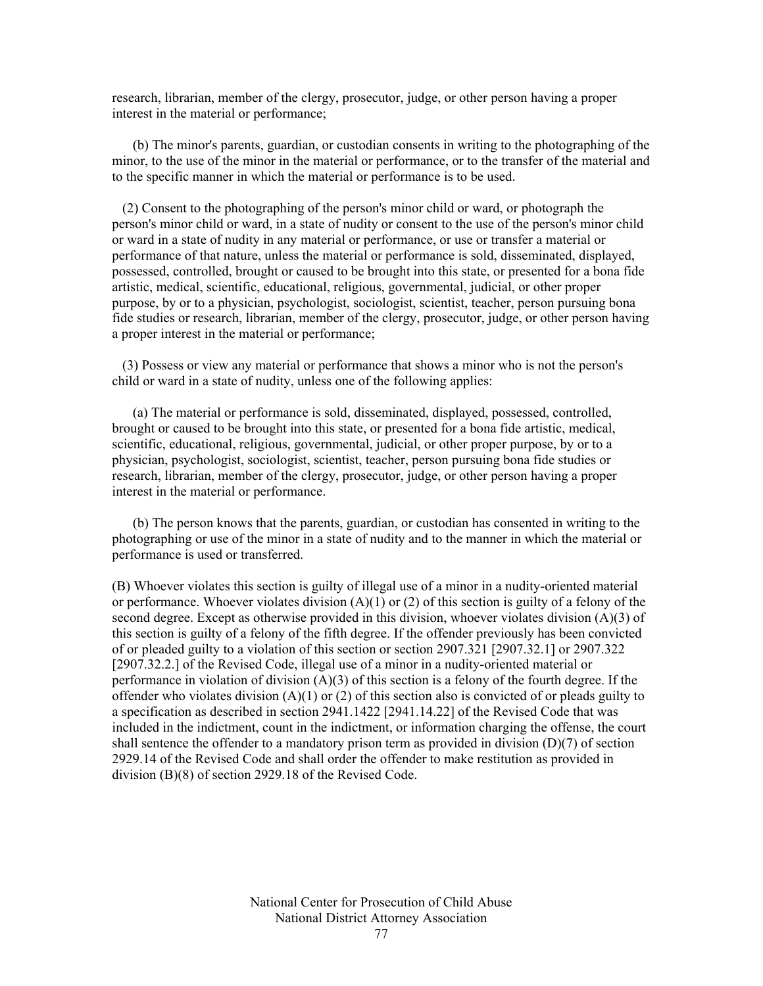research, librarian, member of the clergy, prosecutor, judge, or other person having a proper interest in the material or performance;

 (b) The minor's parents, guardian, or custodian consents in writing to the photographing of the minor, to the use of the minor in the material or performance, or to the transfer of the material and to the specific manner in which the material or performance is to be used.

 (2) Consent to the photographing of the person's minor child or ward, or photograph the person's minor child or ward, in a state of nudity or consent to the use of the person's minor child or ward in a state of nudity in any material or performance, or use or transfer a material or performance of that nature, unless the material or performance is sold, disseminated, displayed, possessed, controlled, brought or caused to be brought into this state, or presented for a bona fide artistic, medical, scientific, educational, religious, governmental, judicial, or other proper purpose, by or to a physician, psychologist, sociologist, scientist, teacher, person pursuing bona fide studies or research, librarian, member of the clergy, prosecutor, judge, or other person having a proper interest in the material or performance;

 (3) Possess or view any material or performance that shows a minor who is not the person's child or ward in a state of nudity, unless one of the following applies:

 (a) The material or performance is sold, disseminated, displayed, possessed, controlled, brought or caused to be brought into this state, or presented for a bona fide artistic, medical, scientific, educational, religious, governmental, judicial, or other proper purpose, by or to a physician, psychologist, sociologist, scientist, teacher, person pursuing bona fide studies or research, librarian, member of the clergy, prosecutor, judge, or other person having a proper interest in the material or performance.

 (b) The person knows that the parents, guardian, or custodian has consented in writing to the photographing or use of the minor in a state of nudity and to the manner in which the material or performance is used or transferred.

(B) Whoever violates this section is guilty of illegal use of a minor in a nudity-oriented material or performance. Whoever violates division  $(A)(1)$  or (2) of this section is guilty of a felony of the second degree. Except as otherwise provided in this division, whoever violates division (A)(3) of this section is guilty of a felony of the fifth degree. If the offender previously has been convicted of or pleaded guilty to a violation of this section or section 2907.321 [2907.32.1] or 2907.322 [2907.32.2.] of the Revised Code, illegal use of a minor in a nudity-oriented material or performance in violation of division  $(A)(3)$  of this section is a felony of the fourth degree. If the offender who violates division  $(A)(1)$  or (2) of this section also is convicted of or pleads guilty to a specification as described in section 2941.1422 [2941.14.22] of the Revised Code that was included in the indictment, count in the indictment, or information charging the offense, the court shall sentence the offender to a mandatory prison term as provided in division  $(D)(7)$  of section 2929.14 of the Revised Code and shall order the offender to make restitution as provided in division (B)(8) of section 2929.18 of the Revised Code.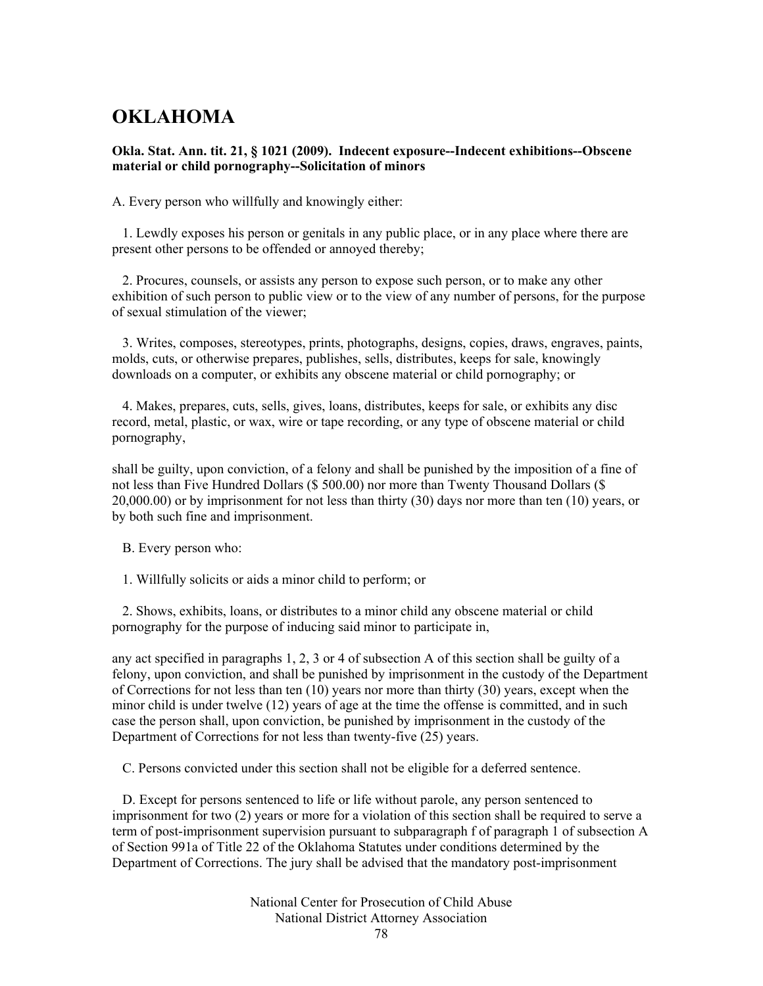# **OKLAHOMA**

### **Okla. Stat. Ann. tit. 21, § 1021 (2009). Indecent exposure--Indecent exhibitions--Obscene material or child pornography--Solicitation of minors**

A. Every person who willfully and knowingly either:

 1. Lewdly exposes his person or genitals in any public place, or in any place where there are present other persons to be offended or annoyed thereby;

 2. Procures, counsels, or assists any person to expose such person, or to make any other exhibition of such person to public view or to the view of any number of persons, for the purpose of sexual stimulation of the viewer;

 3. Writes, composes, stereotypes, prints, photographs, designs, copies, draws, engraves, paints, molds, cuts, or otherwise prepares, publishes, sells, distributes, keeps for sale, knowingly downloads on a computer, or exhibits any obscene material or child pornography; or

 4. Makes, prepares, cuts, sells, gives, loans, distributes, keeps for sale, or exhibits any disc record, metal, plastic, or wax, wire or tape recording, or any type of obscene material or child pornography,

shall be guilty, upon conviction, of a felony and shall be punished by the imposition of a fine of not less than Five Hundred Dollars (\$ 500.00) nor more than Twenty Thousand Dollars (\$ 20,000.00) or by imprisonment for not less than thirty (30) days nor more than ten (10) years, or by both such fine and imprisonment.

B. Every person who:

1. Willfully solicits or aids a minor child to perform; or

 2. Shows, exhibits, loans, or distributes to a minor child any obscene material or child pornography for the purpose of inducing said minor to participate in,

any act specified in paragraphs 1, 2, 3 or 4 of subsection A of this section shall be guilty of a felony, upon conviction, and shall be punished by imprisonment in the custody of the Department of Corrections for not less than ten (10) years nor more than thirty (30) years, except when the minor child is under twelve (12) years of age at the time the offense is committed, and in such case the person shall, upon conviction, be punished by imprisonment in the custody of the Department of Corrections for not less than twenty-five (25) years.

C. Persons convicted under this section shall not be eligible for a deferred sentence.

 D. Except for persons sentenced to life or life without parole, any person sentenced to imprisonment for two (2) years or more for a violation of this section shall be required to serve a term of post-imprisonment supervision pursuant to subparagraph f of paragraph 1 of subsection A of Section 991a of Title 22 of the Oklahoma Statutes under conditions determined by the Department of Corrections. The jury shall be advised that the mandatory post-imprisonment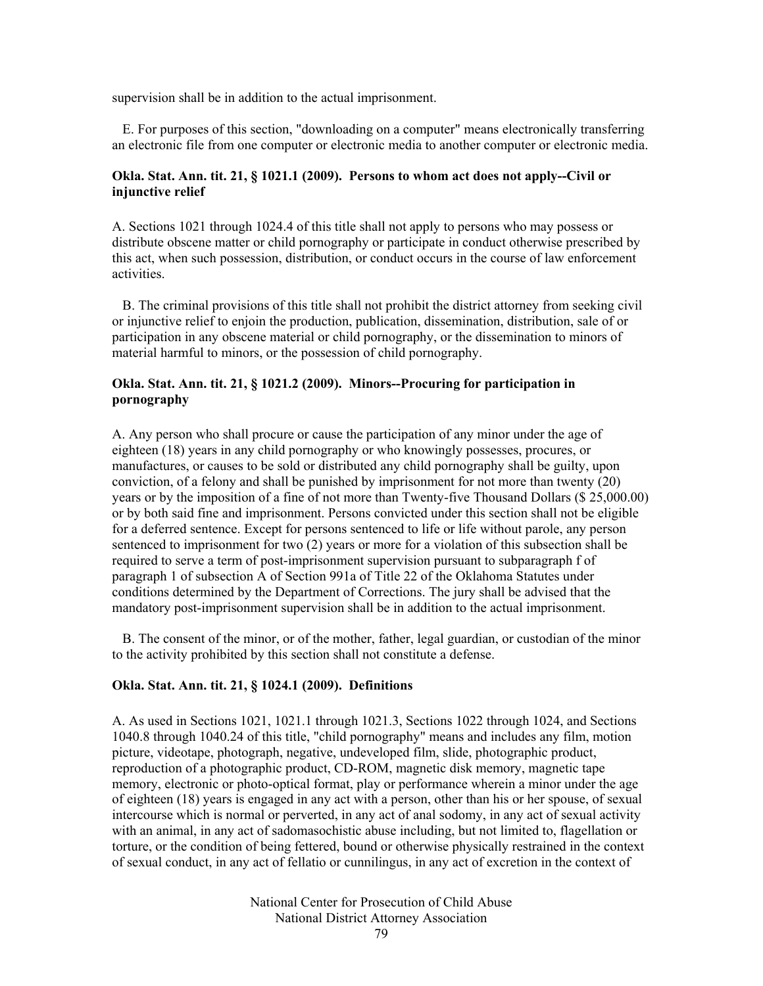supervision shall be in addition to the actual imprisonment.

 E. For purposes of this section, "downloading on a computer" means electronically transferring an electronic file from one computer or electronic media to another computer or electronic media.

#### **Okla. Stat. Ann. tit. 21, § 1021.1 (2009). Persons to whom act does not apply--Civil or injunctive relief**

A. Sections 1021 through 1024.4 of this title shall not apply to persons who may possess or distribute obscene matter or child pornography or participate in conduct otherwise prescribed by this act, when such possession, distribution, or conduct occurs in the course of law enforcement activities.

 B. The criminal provisions of this title shall not prohibit the district attorney from seeking civil or injunctive relief to enjoin the production, publication, dissemination, distribution, sale of or participation in any obscene material or child pornography, or the dissemination to minors of material harmful to minors, or the possession of child pornography.

### **Okla. Stat. Ann. tit. 21, § 1021.2 (2009). Minors--Procuring for participation in pornography**

A. Any person who shall procure or cause the participation of any minor under the age of eighteen (18) years in any child pornography or who knowingly possesses, procures, or manufactures, or causes to be sold or distributed any child pornography shall be guilty, upon conviction, of a felony and shall be punished by imprisonment for not more than twenty (20) years or by the imposition of a fine of not more than Twenty-five Thousand Dollars (\$ 25,000.00) or by both said fine and imprisonment. Persons convicted under this section shall not be eligible for a deferred sentence. Except for persons sentenced to life or life without parole, any person sentenced to imprisonment for two (2) years or more for a violation of this subsection shall be required to serve a term of post-imprisonment supervision pursuant to subparagraph f of paragraph 1 of subsection A of Section 991a of Title 22 of the Oklahoma Statutes under conditions determined by the Department of Corrections. The jury shall be advised that the mandatory post-imprisonment supervision shall be in addition to the actual imprisonment.

 B. The consent of the minor, or of the mother, father, legal guardian, or custodian of the minor to the activity prohibited by this section shall not constitute a defense.

#### **Okla. Stat. Ann. tit. 21, § 1024.1 (2009). Definitions**

A. As used in Sections 1021, 1021.1 through 1021.3, Sections 1022 through 1024, and Sections 1040.8 through 1040.24 of this title, "child pornography" means and includes any film, motion picture, videotape, photograph, negative, undeveloped film, slide, photographic product, reproduction of a photographic product, CD-ROM, magnetic disk memory, magnetic tape memory, electronic or photo-optical format, play or performance wherein a minor under the age of eighteen (18) years is engaged in any act with a person, other than his or her spouse, of sexual intercourse which is normal or perverted, in any act of anal sodomy, in any act of sexual activity with an animal, in any act of sadomasochistic abuse including, but not limited to, flagellation or torture, or the condition of being fettered, bound or otherwise physically restrained in the context of sexual conduct, in any act of fellatio or cunnilingus, in any act of excretion in the context of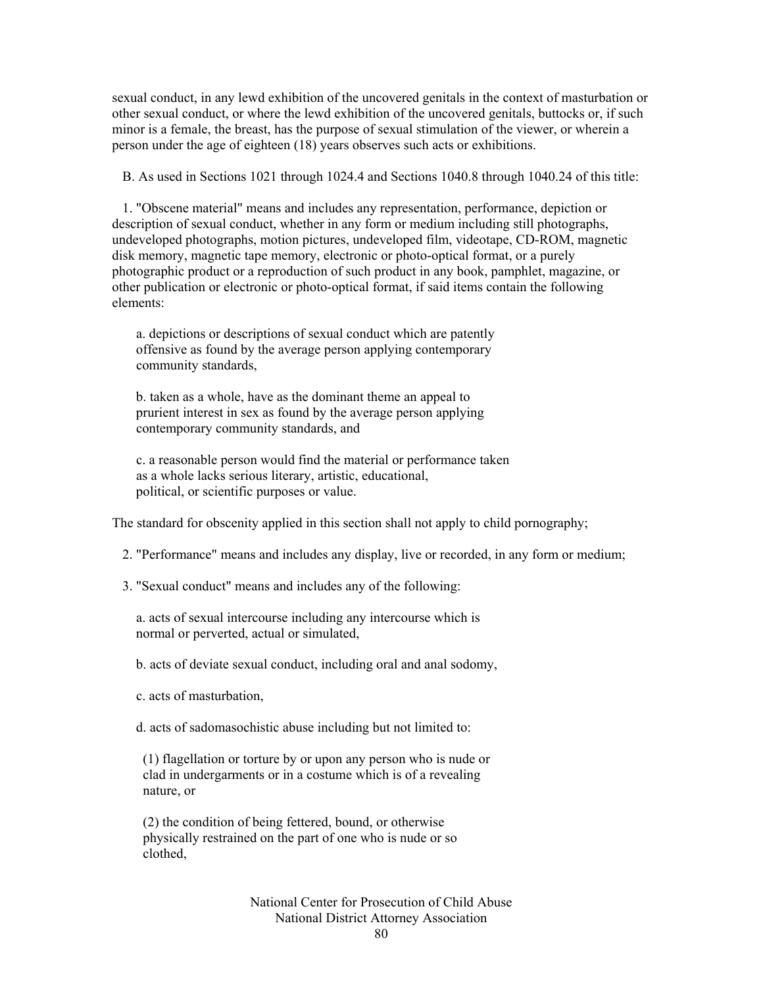sexual conduct, in any lewd exhibition of the uncovered genitals in the context of masturbation or other sexual conduct, or where the lewd exhibition of the uncovered genitals, buttocks or, if such minor is a female, the breast, has the purpose of sexual stimulation of the viewer, or wherein a person under the age of eighteen (18) years observes such acts or exhibitions.

B. As used in Sections 1021 through 1024.4 and Sections 1040.8 through 1040.24 of this title:

 1. "Obscene material" means and includes any representation, performance, depiction or description of sexual conduct, whether in any form or medium including still photographs, undeveloped photographs, motion pictures, undeveloped film, videotape, CD-ROM, magnetic disk memory, magnetic tape memory, electronic or photo-optical format, or a purely photographic product or a reproduction of such product in any book, pamphlet, magazine, or other publication or electronic or photo-optical format, if said items contain the following elements:

 a. depictions or descriptions of sexual conduct which are patently offensive as found by the average person applying contemporary community standards,

 b. taken as a whole, have as the dominant theme an appeal to prurient interest in sex as found by the average person applying contemporary community standards, and

 c. a reasonable person would find the material or performance taken as a whole lacks serious literary, artistic, educational, political, or scientific purposes or value.

The standard for obscenity applied in this section shall not apply to child pornography;

- 2. "Performance" means and includes any display, live or recorded, in any form or medium;
- 3. "Sexual conduct" means and includes any of the following:

 a. acts of sexual intercourse including any intercourse which is normal or perverted, actual or simulated,

b. acts of deviate sexual conduct, including oral and anal sodomy,

c. acts of masturbation,

d. acts of sadomasochistic abuse including but not limited to:

 (1) flagellation or torture by or upon any person who is nude or clad in undergarments or in a costume which is of a revealing nature, or

 (2) the condition of being fettered, bound, or otherwise physically restrained on the part of one who is nude or so clothed,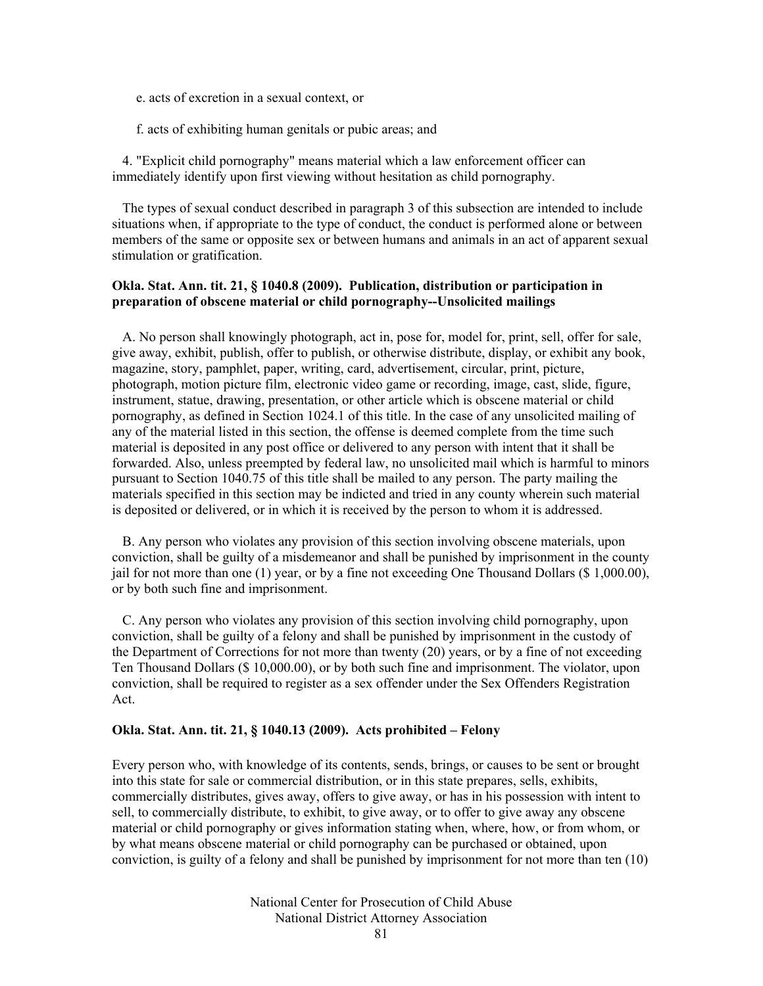e. acts of excretion in a sexual context, or

f. acts of exhibiting human genitals or pubic areas; and

 4. "Explicit child pornography" means material which a law enforcement officer can immediately identify upon first viewing without hesitation as child pornography.

 The types of sexual conduct described in paragraph 3 of this subsection are intended to include situations when, if appropriate to the type of conduct, the conduct is performed alone or between members of the same or opposite sex or between humans and animals in an act of apparent sexual stimulation or gratification.

#### **Okla. Stat. Ann. tit. 21, § 1040.8 (2009). Publication, distribution or participation in preparation of obscene material or child pornography--Unsolicited mailings**

 A. No person shall knowingly photograph, act in, pose for, model for, print, sell, offer for sale, give away, exhibit, publish, offer to publish, or otherwise distribute, display, or exhibit any book, magazine, story, pamphlet, paper, writing, card, advertisement, circular, print, picture, photograph, motion picture film, electronic video game or recording, image, cast, slide, figure, instrument, statue, drawing, presentation, or other article which is obscene material or child pornography, as defined in Section 1024.1 of this title. In the case of any unsolicited mailing of any of the material listed in this section, the offense is deemed complete from the time such material is deposited in any post office or delivered to any person with intent that it shall be forwarded. Also, unless preempted by federal law, no unsolicited mail which is harmful to minors pursuant to Section 1040.75 of this title shall be mailed to any person. The party mailing the materials specified in this section may be indicted and tried in any county wherein such material is deposited or delivered, or in which it is received by the person to whom it is addressed.

 B. Any person who violates any provision of this section involving obscene materials, upon conviction, shall be guilty of a misdemeanor and shall be punished by imprisonment in the county jail for not more than one (1) year, or by a fine not exceeding One Thousand Dollars (\$ 1,000.00), or by both such fine and imprisonment.

 C. Any person who violates any provision of this section involving child pornography, upon conviction, shall be guilty of a felony and shall be punished by imprisonment in the custody of the Department of Corrections for not more than twenty (20) years, or by a fine of not exceeding Ten Thousand Dollars (\$ 10,000.00), or by both such fine and imprisonment. The violator, upon conviction, shall be required to register as a sex offender under the Sex Offenders Registration Act.

#### **Okla. Stat. Ann. tit. 21, § 1040.13 (2009). Acts prohibited – Felony**

Every person who, with knowledge of its contents, sends, brings, or causes to be sent or brought into this state for sale or commercial distribution, or in this state prepares, sells, exhibits, commercially distributes, gives away, offers to give away, or has in his possession with intent to sell, to commercially distribute, to exhibit, to give away, or to offer to give away any obscene material or child pornography or gives information stating when, where, how, or from whom, or by what means obscene material or child pornography can be purchased or obtained, upon conviction, is guilty of a felony and shall be punished by imprisonment for not more than ten (10)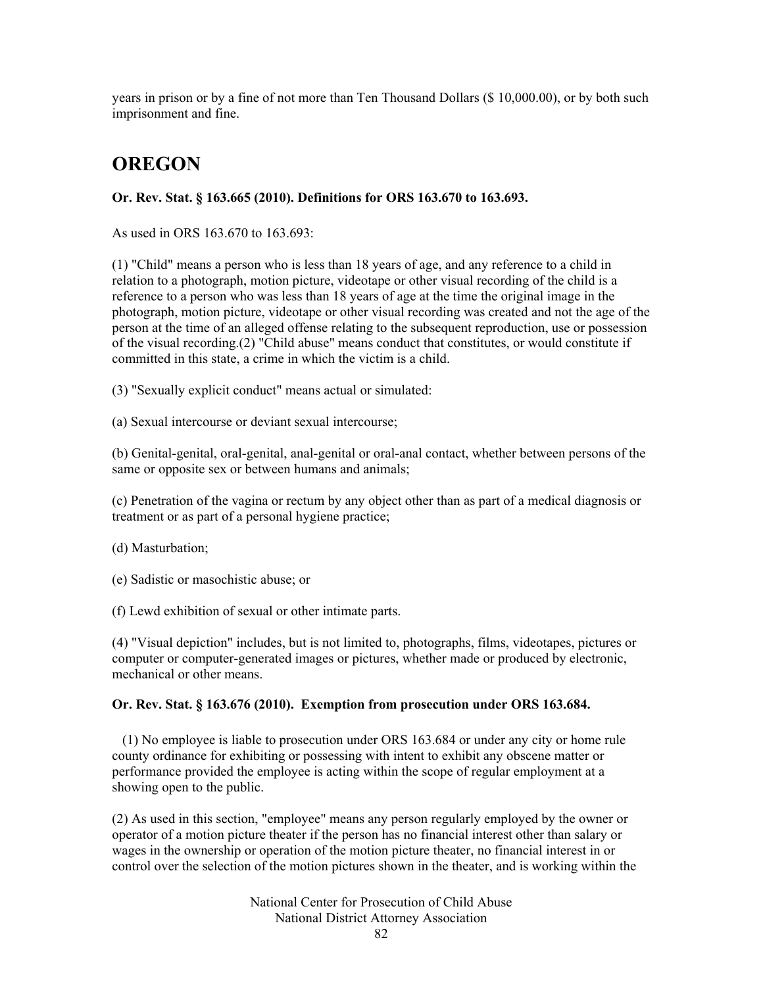years in prison or by a fine of not more than Ten Thousand Dollars (\$ 10,000.00), or by both such imprisonment and fine.

# **OREGON**

### **Or. Rev. Stat. § 163.665 (2010). Definitions for ORS 163.670 to 163.693.**

As used in ORS 163.670 to 163.693:

(1) "Child" means a person who is less than 18 years of age, and any reference to a child in relation to a photograph, motion picture, videotape or other visual recording of the child is a reference to a person who was less than 18 years of age at the time the original image in the photograph, motion picture, videotape or other visual recording was created and not the age of the person at the time of an alleged offense relating to the subsequent reproduction, use or possession of the visual recording.(2) "Child abuse" means conduct that constitutes, or would constitute if committed in this state, a crime in which the victim is a child.

(3) "Sexually explicit conduct" means actual or simulated:

(a) Sexual intercourse or deviant sexual intercourse;

(b) Genital-genital, oral-genital, anal-genital or oral-anal contact, whether between persons of the same or opposite sex or between humans and animals;

(c) Penetration of the vagina or rectum by any object other than as part of a medical diagnosis or treatment or as part of a personal hygiene practice;

(d) Masturbation;

(e) Sadistic or masochistic abuse; or

(f) Lewd exhibition of sexual or other intimate parts.

(4) "Visual depiction" includes, but is not limited to, photographs, films, videotapes, pictures or computer or computer-generated images or pictures, whether made or produced by electronic, mechanical or other means.

#### **Or. Rev. Stat. § 163.676 (2010). Exemption from prosecution under ORS 163.684.**

 (1) No employee is liable to prosecution under ORS 163.684 or under any city or home rule county ordinance for exhibiting or possessing with intent to exhibit any obscene matter or performance provided the employee is acting within the scope of regular employment at a showing open to the public.

(2) As used in this section, "employee" means any person regularly employed by the owner or operator of a motion picture theater if the person has no financial interest other than salary or wages in the ownership or operation of the motion picture theater, no financial interest in or control over the selection of the motion pictures shown in the theater, and is working within the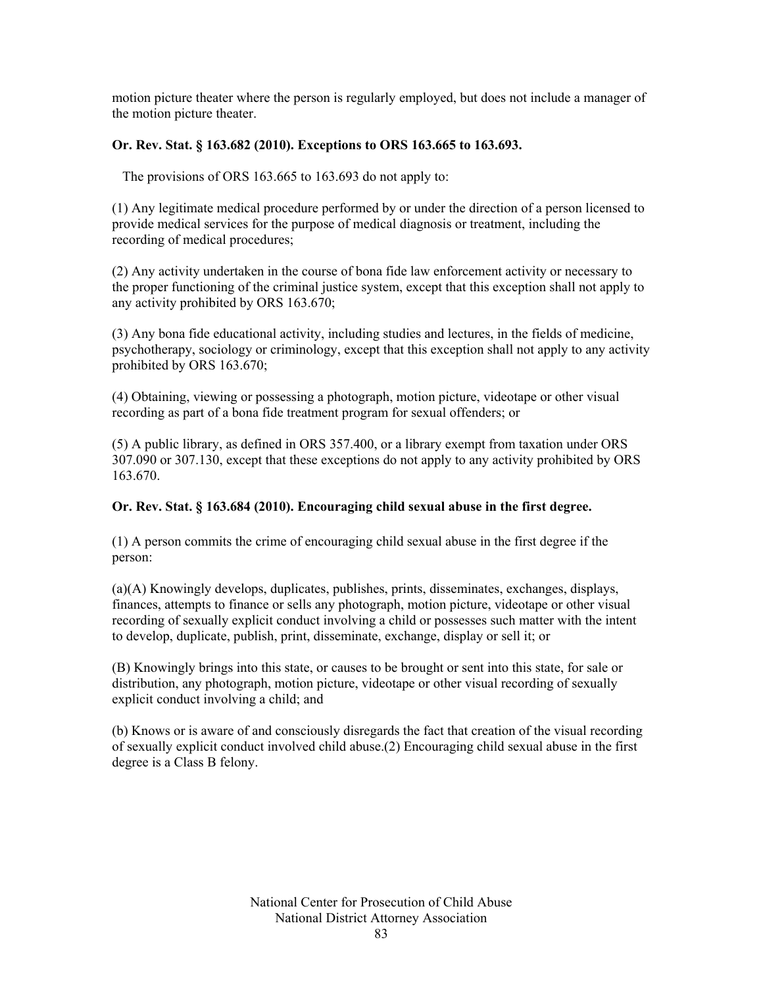motion picture theater where the person is regularly employed, but does not include a manager of the motion picture theater.

### **Or. Rev. Stat. § 163.682 (2010). Exceptions to ORS 163.665 to 163.693.**

The provisions of ORS 163.665 to 163.693 do not apply to:

(1) Any legitimate medical procedure performed by or under the direction of a person licensed to provide medical services for the purpose of medical diagnosis or treatment, including the recording of medical procedures;

(2) Any activity undertaken in the course of bona fide law enforcement activity or necessary to the proper functioning of the criminal justice system, except that this exception shall not apply to any activity prohibited by ORS 163.670;

(3) Any bona fide educational activity, including studies and lectures, in the fields of medicine, psychotherapy, sociology or criminology, except that this exception shall not apply to any activity prohibited by ORS 163.670;

(4) Obtaining, viewing or possessing a photograph, motion picture, videotape or other visual recording as part of a bona fide treatment program for sexual offenders; or

(5) A public library, as defined in ORS 357.400, or a library exempt from taxation under ORS 307.090 or 307.130, except that these exceptions do not apply to any activity prohibited by ORS 163.670.

#### **Or. Rev. Stat. § 163.684 (2010). Encouraging child sexual abuse in the first degree.**

(1) A person commits the crime of encouraging child sexual abuse in the first degree if the person:

(a)(A) Knowingly develops, duplicates, publishes, prints, disseminates, exchanges, displays, finances, attempts to finance or sells any photograph, motion picture, videotape or other visual recording of sexually explicit conduct involving a child or possesses such matter with the intent to develop, duplicate, publish, print, disseminate, exchange, display or sell it; or

(B) Knowingly brings into this state, or causes to be brought or sent into this state, for sale or distribution, any photograph, motion picture, videotape or other visual recording of sexually explicit conduct involving a child; and

(b) Knows or is aware of and consciously disregards the fact that creation of the visual recording of sexually explicit conduct involved child abuse.(2) Encouraging child sexual abuse in the first degree is a Class B felony.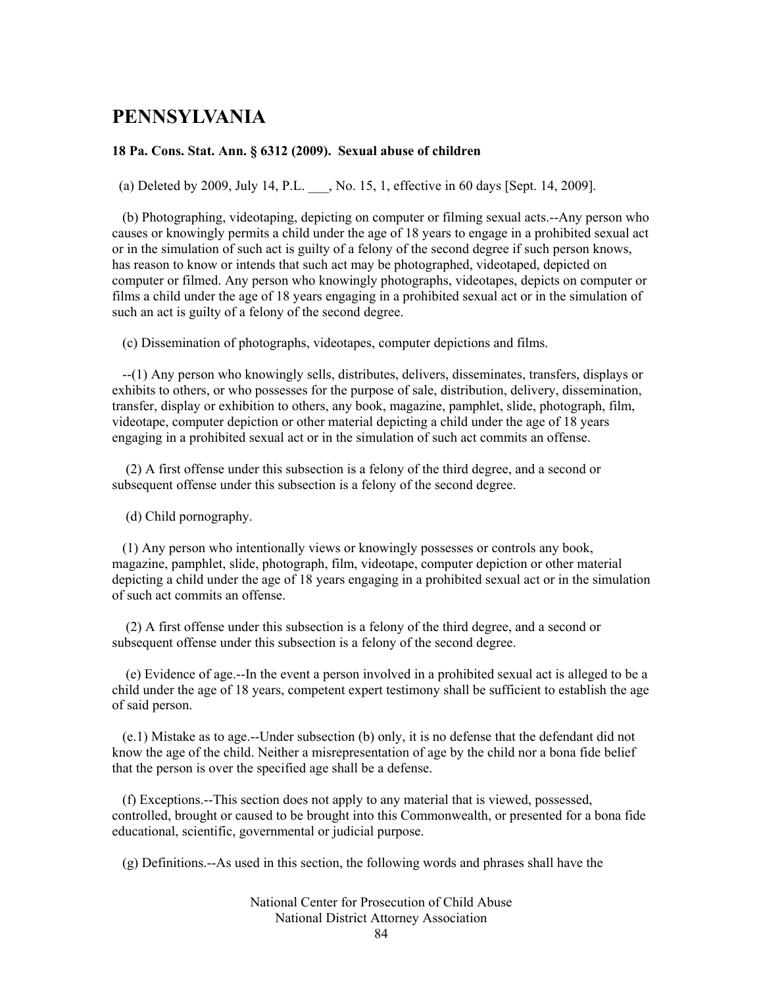# **PENNSYLVANIA**

#### **18 Pa. Cons. Stat. Ann. § 6312 (2009). Sexual abuse of children**

(a) Deleted by 2009, July 14, P.L. \_\_\_, No. 15, 1, effective in 60 days [Sept. 14, 2009].

 (b) Photographing, videotaping, depicting on computer or filming sexual acts.--Any person who causes or knowingly permits a child under the age of 18 years to engage in a prohibited sexual act or in the simulation of such act is guilty of a felony of the second degree if such person knows, has reason to know or intends that such act may be photographed, videotaped, depicted on computer or filmed. Any person who knowingly photographs, videotapes, depicts on computer or films a child under the age of 18 years engaging in a prohibited sexual act or in the simulation of such an act is guilty of a felony of the second degree.

(c) Dissemination of photographs, videotapes, computer depictions and films.

 --(1) Any person who knowingly sells, distributes, delivers, disseminates, transfers, displays or exhibits to others, or who possesses for the purpose of sale, distribution, delivery, dissemination, transfer, display or exhibition to others, any book, magazine, pamphlet, slide, photograph, film, videotape, computer depiction or other material depicting a child under the age of 18 years engaging in a prohibited sexual act or in the simulation of such act commits an offense.

 (2) A first offense under this subsection is a felony of the third degree, and a second or subsequent offense under this subsection is a felony of the second degree.

(d) Child pornography.

 (1) Any person who intentionally views or knowingly possesses or controls any book, magazine, pamphlet, slide, photograph, film, videotape, computer depiction or other material depicting a child under the age of 18 years engaging in a prohibited sexual act or in the simulation of such act commits an offense.

 (2) A first offense under this subsection is a felony of the third degree, and a second or subsequent offense under this subsection is a felony of the second degree.

 (e) Evidence of age.--In the event a person involved in a prohibited sexual act is alleged to be a child under the age of 18 years, competent expert testimony shall be sufficient to establish the age of said person.

 (e.1) Mistake as to age.--Under subsection (b) only, it is no defense that the defendant did not know the age of the child. Neither a misrepresentation of age by the child nor a bona fide belief that the person is over the specified age shall be a defense.

 (f) Exceptions.--This section does not apply to any material that is viewed, possessed, controlled, brought or caused to be brought into this Commonwealth, or presented for a bona fide educational, scientific, governmental or judicial purpose.

(g) Definitions.--As used in this section, the following words and phrases shall have the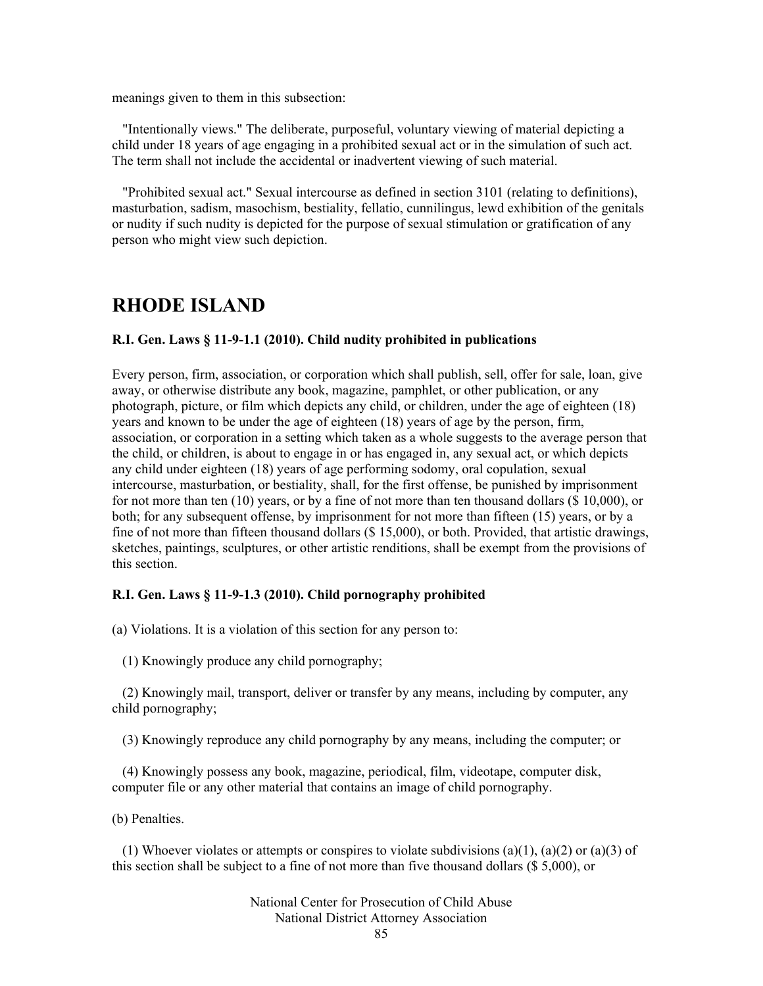meanings given to them in this subsection:

 "Intentionally views." The deliberate, purposeful, voluntary viewing of material depicting a child under 18 years of age engaging in a prohibited sexual act or in the simulation of such act. The term shall not include the accidental or inadvertent viewing of such material.

 "Prohibited sexual act." Sexual intercourse as defined in section 3101 (relating to definitions), masturbation, sadism, masochism, bestiality, fellatio, cunnilingus, lewd exhibition of the genitals or nudity if such nudity is depicted for the purpose of sexual stimulation or gratification of any person who might view such depiction.

## **RHODE ISLAND**

#### **R.I. Gen. Laws § 11-9-1.1 (2010). Child nudity prohibited in publications**

Every person, firm, association, or corporation which shall publish, sell, offer for sale, loan, give away, or otherwise distribute any book, magazine, pamphlet, or other publication, or any photograph, picture, or film which depicts any child, or children, under the age of eighteen (18) years and known to be under the age of eighteen (18) years of age by the person, firm, association, or corporation in a setting which taken as a whole suggests to the average person that the child, or children, is about to engage in or has engaged in, any sexual act, or which depicts any child under eighteen (18) years of age performing sodomy, oral copulation, sexual intercourse, masturbation, or bestiality, shall, for the first offense, be punished by imprisonment for not more than ten (10) years, or by a fine of not more than ten thousand dollars (\$ 10,000), or both; for any subsequent offense, by imprisonment for not more than fifteen (15) years, or by a fine of not more than fifteen thousand dollars (\$ 15,000), or both. Provided, that artistic drawings, sketches, paintings, sculptures, or other artistic renditions, shall be exempt from the provisions of this section.

#### **R.I. Gen. Laws § 11-9-1.3 (2010). Child pornography prohibited**

(a) Violations. It is a violation of this section for any person to:

(1) Knowingly produce any child pornography;

 (2) Knowingly mail, transport, deliver or transfer by any means, including by computer, any child pornography;

(3) Knowingly reproduce any child pornography by any means, including the computer; or

 (4) Knowingly possess any book, magazine, periodical, film, videotape, computer disk, computer file or any other material that contains an image of child pornography.

(b) Penalties.

(1) Whoever violates or attempts or conspires to violate subdivisions (a)(1), (a)(2) or (a)(3) of this section shall be subject to a fine of not more than five thousand dollars (\$ 5,000), or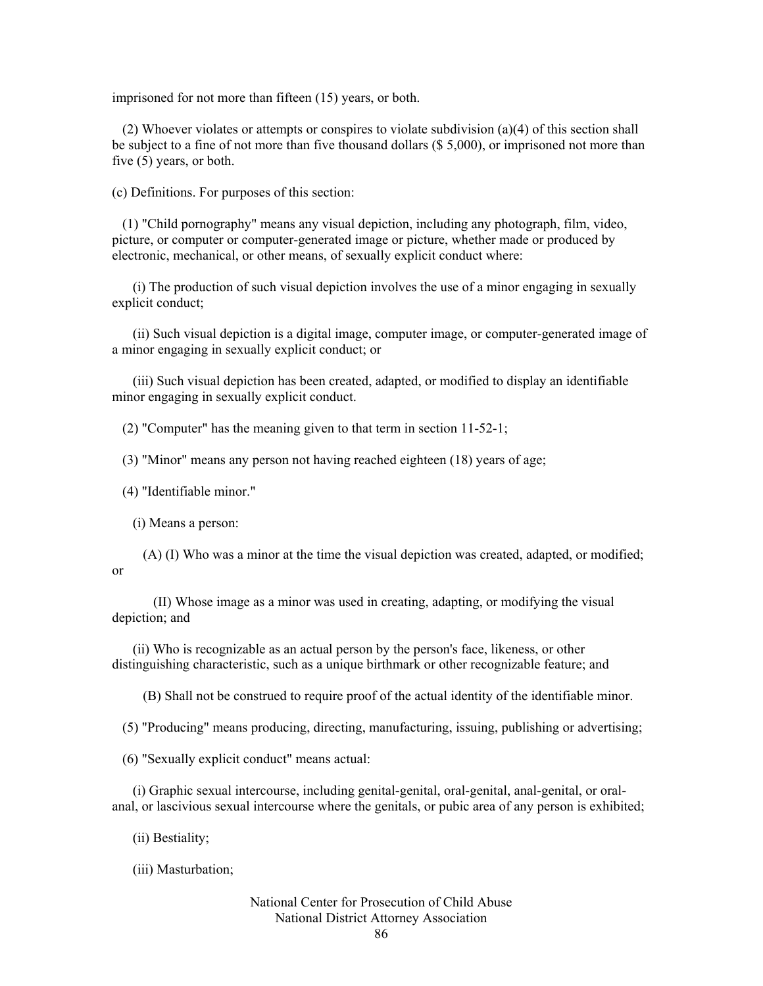imprisoned for not more than fifteen (15) years, or both.

 (2) Whoever violates or attempts or conspires to violate subdivision (a)(4) of this section shall be subject to a fine of not more than five thousand dollars (\$ 5,000), or imprisoned not more than five (5) years, or both.

(c) Definitions. For purposes of this section:

 (1) "Child pornography" means any visual depiction, including any photograph, film, video, picture, or computer or computer-generated image or picture, whether made or produced by electronic, mechanical, or other means, of sexually explicit conduct where:

 (i) The production of such visual depiction involves the use of a minor engaging in sexually explicit conduct;

 (ii) Such visual depiction is a digital image, computer image, or computer-generated image of a minor engaging in sexually explicit conduct; or

 (iii) Such visual depiction has been created, adapted, or modified to display an identifiable minor engaging in sexually explicit conduct.

(2) "Computer" has the meaning given to that term in section 11-52-1;

(3) "Minor" means any person not having reached eighteen (18) years of age;

(4) "Identifiable minor."

(i) Means a person:

 (A) (I) Who was a minor at the time the visual depiction was created, adapted, or modified; or

 (II) Whose image as a minor was used in creating, adapting, or modifying the visual depiction; and

 (ii) Who is recognizable as an actual person by the person's face, likeness, or other distinguishing characteristic, such as a unique birthmark or other recognizable feature; and

(B) Shall not be construed to require proof of the actual identity of the identifiable minor.

(5) "Producing" means producing, directing, manufacturing, issuing, publishing or advertising;

(6) "Sexually explicit conduct" means actual:

 (i) Graphic sexual intercourse, including genital-genital, oral-genital, anal-genital, or oralanal, or lascivious sexual intercourse where the genitals, or pubic area of any person is exhibited;

(ii) Bestiality;

(iii) Masturbation;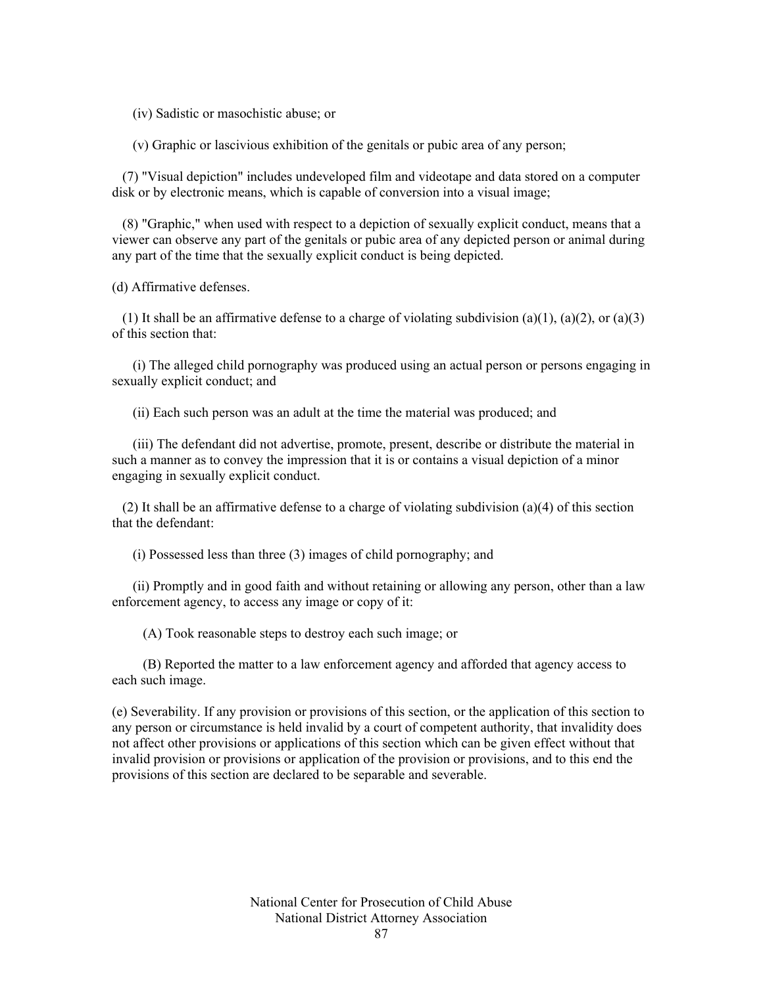(iv) Sadistic or masochistic abuse; or

(v) Graphic or lascivious exhibition of the genitals or pubic area of any person;

 (7) "Visual depiction" includes undeveloped film and videotape and data stored on a computer disk or by electronic means, which is capable of conversion into a visual image;

 (8) "Graphic," when used with respect to a depiction of sexually explicit conduct, means that a viewer can observe any part of the genitals or pubic area of any depicted person or animal during any part of the time that the sexually explicit conduct is being depicted.

(d) Affirmative defenses.

(1) It shall be an affirmative defense to a charge of violating subdivision (a)(1), (a)(2), or (a)(3) of this section that:

 (i) The alleged child pornography was produced using an actual person or persons engaging in sexually explicit conduct; and

(ii) Each such person was an adult at the time the material was produced; and

 (iii) The defendant did not advertise, promote, present, describe or distribute the material in such a manner as to convey the impression that it is or contains a visual depiction of a minor engaging in sexually explicit conduct.

 (2) It shall be an affirmative defense to a charge of violating subdivision (a)(4) of this section that the defendant:

(i) Possessed less than three (3) images of child pornography; and

 (ii) Promptly and in good faith and without retaining or allowing any person, other than a law enforcement agency, to access any image or copy of it:

(A) Took reasonable steps to destroy each such image; or

 (B) Reported the matter to a law enforcement agency and afforded that agency access to each such image.

(e) Severability. If any provision or provisions of this section, or the application of this section to any person or circumstance is held invalid by a court of competent authority, that invalidity does not affect other provisions or applications of this section which can be given effect without that invalid provision or provisions or application of the provision or provisions, and to this end the provisions of this section are declared to be separable and severable.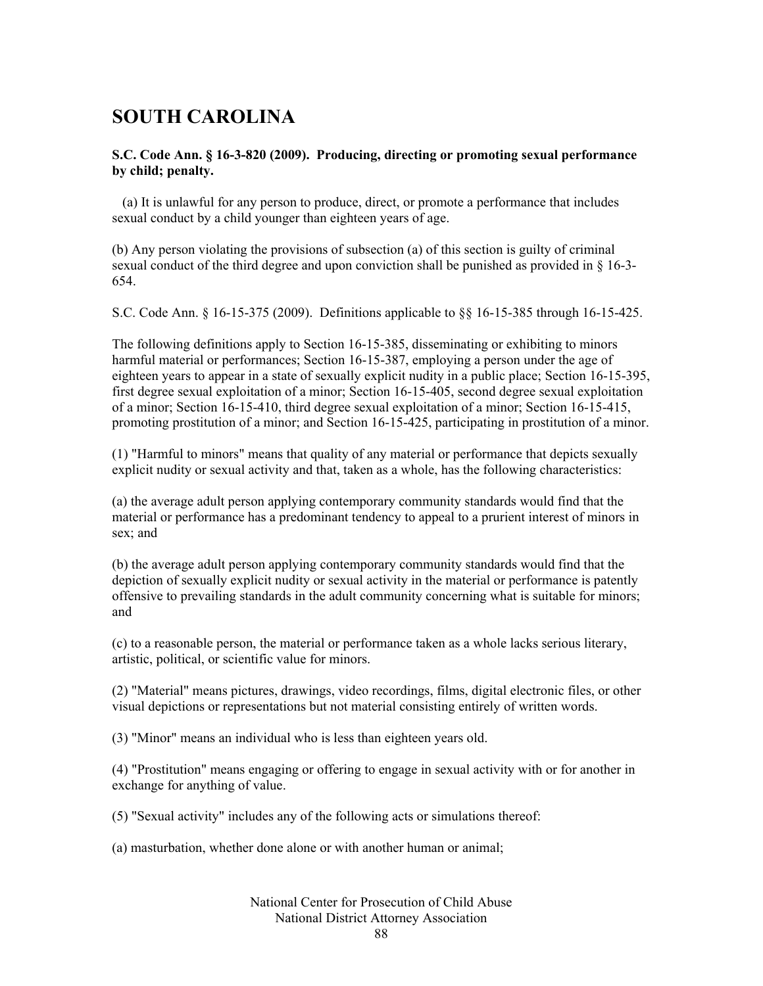# **SOUTH CAROLINA**

### **S.C. Code Ann. § 16-3-820 (2009). Producing, directing or promoting sexual performance by child; penalty.**

 (a) It is unlawful for any person to produce, direct, or promote a performance that includes sexual conduct by a child younger than eighteen years of age.

(b) Any person violating the provisions of subsection (a) of this section is guilty of criminal sexual conduct of the third degree and upon conviction shall be punished as provided in § 16-3- 654.

S.C. Code Ann. § 16-15-375 (2009). Definitions applicable to §§ 16-15-385 through 16-15-425.

The following definitions apply to Section 16-15-385, disseminating or exhibiting to minors harmful material or performances; Section 16-15-387, employing a person under the age of eighteen years to appear in a state of sexually explicit nudity in a public place; Section 16-15-395, first degree sexual exploitation of a minor; Section 16-15-405, second degree sexual exploitation of a minor; Section 16-15-410, third degree sexual exploitation of a minor; Section 16-15-415, promoting prostitution of a minor; and Section 16-15-425, participating in prostitution of a minor.

(1) "Harmful to minors" means that quality of any material or performance that depicts sexually explicit nudity or sexual activity and that, taken as a whole, has the following characteristics:

(a) the average adult person applying contemporary community standards would find that the material or performance has a predominant tendency to appeal to a prurient interest of minors in sex; and

(b) the average adult person applying contemporary community standards would find that the depiction of sexually explicit nudity or sexual activity in the material or performance is patently offensive to prevailing standards in the adult community concerning what is suitable for minors; and

(c) to a reasonable person, the material or performance taken as a whole lacks serious literary, artistic, political, or scientific value for minors.

(2) "Material" means pictures, drawings, video recordings, films, digital electronic files, or other visual depictions or representations but not material consisting entirely of written words.

(3) "Minor" means an individual who is less than eighteen years old.

(4) "Prostitution" means engaging or offering to engage in sexual activity with or for another in exchange for anything of value.

(5) "Sexual activity" includes any of the following acts or simulations thereof:

(a) masturbation, whether done alone or with another human or animal;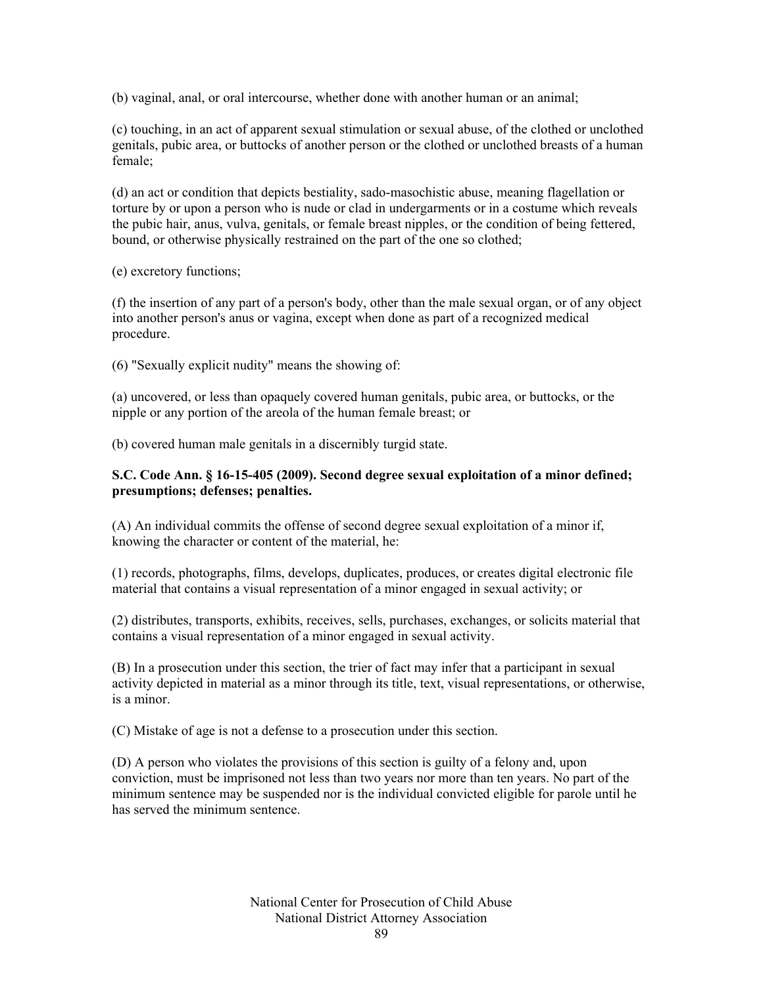(b) vaginal, anal, or oral intercourse, whether done with another human or an animal;

(c) touching, in an act of apparent sexual stimulation or sexual abuse, of the clothed or unclothed genitals, pubic area, or buttocks of another person or the clothed or unclothed breasts of a human female;

(d) an act or condition that depicts bestiality, sado-masochistic abuse, meaning flagellation or torture by or upon a person who is nude or clad in undergarments or in a costume which reveals the pubic hair, anus, vulva, genitals, or female breast nipples, or the condition of being fettered, bound, or otherwise physically restrained on the part of the one so clothed;

(e) excretory functions;

(f) the insertion of any part of a person's body, other than the male sexual organ, or of any object into another person's anus or vagina, except when done as part of a recognized medical procedure.

(6) "Sexually explicit nudity" means the showing of:

(a) uncovered, or less than opaquely covered human genitals, pubic area, or buttocks, or the nipple or any portion of the areola of the human female breast; or

(b) covered human male genitals in a discernibly turgid state.

#### **S.C. Code Ann. § 16-15-405 (2009). Second degree sexual exploitation of a minor defined; presumptions; defenses; penalties.**

(A) An individual commits the offense of second degree sexual exploitation of a minor if, knowing the character or content of the material, he:

(1) records, photographs, films, develops, duplicates, produces, or creates digital electronic file material that contains a visual representation of a minor engaged in sexual activity; or

(2) distributes, transports, exhibits, receives, sells, purchases, exchanges, or solicits material that contains a visual representation of a minor engaged in sexual activity.

(B) In a prosecution under this section, the trier of fact may infer that a participant in sexual activity depicted in material as a minor through its title, text, visual representations, or otherwise, is a minor.

(C) Mistake of age is not a defense to a prosecution under this section.

(D) A person who violates the provisions of this section is guilty of a felony and, upon conviction, must be imprisoned not less than two years nor more than ten years. No part of the minimum sentence may be suspended nor is the individual convicted eligible for parole until he has served the minimum sentence.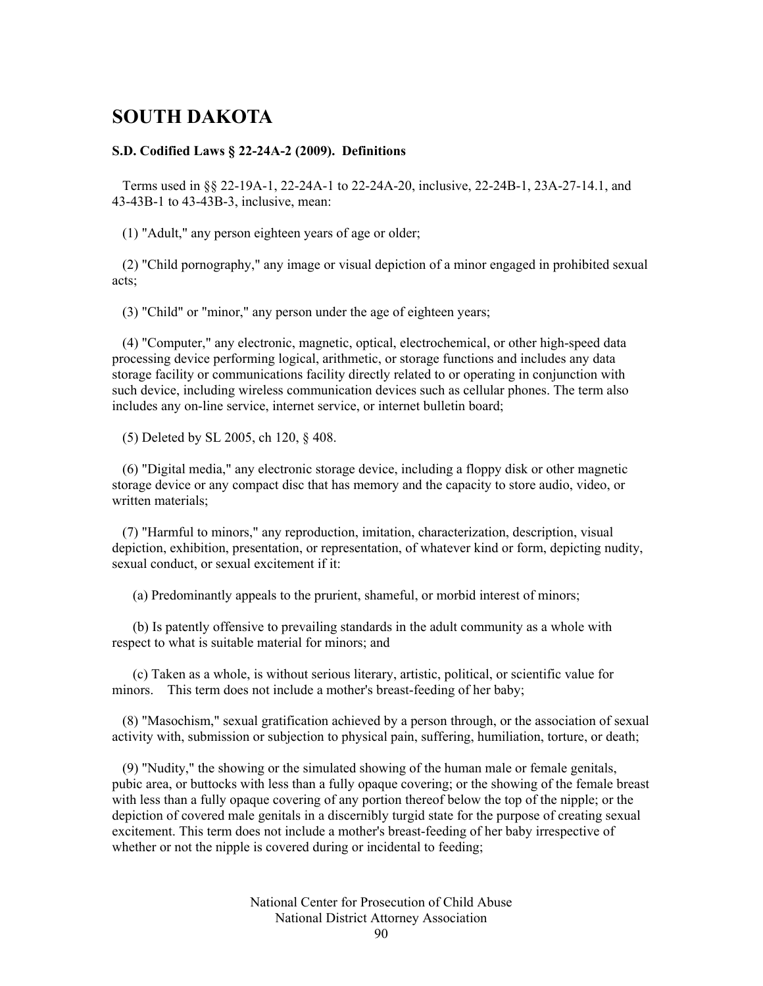# **SOUTH DAKOTA**

#### **S.D. Codified Laws § 22-24A-2 (2009). Definitions**

 Terms used in §§ 22-19A-1, 22-24A-1 to 22-24A-20, inclusive, 22-24B-1, 23A-27-14.1, and 43-43B-1 to 43-43B-3, inclusive, mean:

(1) "Adult," any person eighteen years of age or older;

 (2) "Child pornography," any image or visual depiction of a minor engaged in prohibited sexual acts;

(3) "Child" or "minor," any person under the age of eighteen years;

 (4) "Computer," any electronic, magnetic, optical, electrochemical, or other high-speed data processing device performing logical, arithmetic, or storage functions and includes any data storage facility or communications facility directly related to or operating in conjunction with such device, including wireless communication devices such as cellular phones. The term also includes any on-line service, internet service, or internet bulletin board;

(5) Deleted by SL 2005, ch 120, § 408.

 (6) "Digital media," any electronic storage device, including a floppy disk or other magnetic storage device or any compact disc that has memory and the capacity to store audio, video, or written materials;

 (7) "Harmful to minors," any reproduction, imitation, characterization, description, visual depiction, exhibition, presentation, or representation, of whatever kind or form, depicting nudity, sexual conduct, or sexual excitement if it:

(a) Predominantly appeals to the prurient, shameful, or morbid interest of minors;

 (b) Is patently offensive to prevailing standards in the adult community as a whole with respect to what is suitable material for minors; and

 (c) Taken as a whole, is without serious literary, artistic, political, or scientific value for minors. This term does not include a mother's breast-feeding of her baby;

 (8) "Masochism," sexual gratification achieved by a person through, or the association of sexual activity with, submission or subjection to physical pain, suffering, humiliation, torture, or death;

 (9) "Nudity," the showing or the simulated showing of the human male or female genitals, pubic area, or buttocks with less than a fully opaque covering; or the showing of the female breast with less than a fully opaque covering of any portion thereof below the top of the nipple; or the depiction of covered male genitals in a discernibly turgid state for the purpose of creating sexual excitement. This term does not include a mother's breast-feeding of her baby irrespective of whether or not the nipple is covered during or incidental to feeding;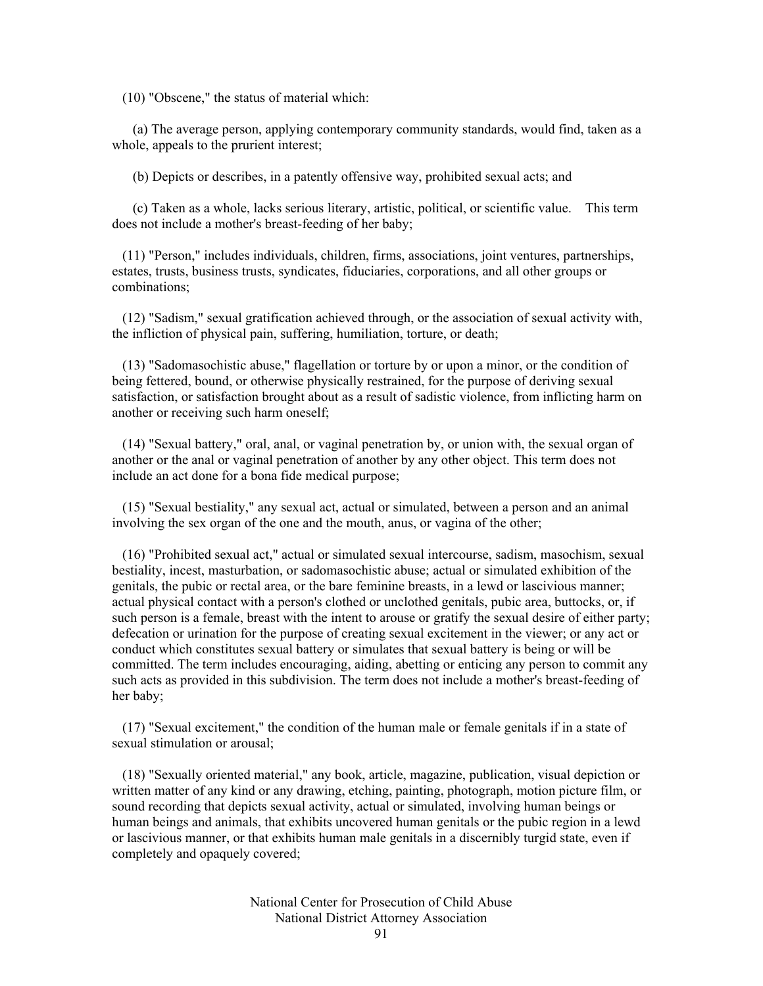(10) "Obscene," the status of material which:

 (a) The average person, applying contemporary community standards, would find, taken as a whole, appeals to the prurient interest;

(b) Depicts or describes, in a patently offensive way, prohibited sexual acts; and

 (c) Taken as a whole, lacks serious literary, artistic, political, or scientific value. This term does not include a mother's breast-feeding of her baby;

 (11) "Person," includes individuals, children, firms, associations, joint ventures, partnerships, estates, trusts, business trusts, syndicates, fiduciaries, corporations, and all other groups or combinations;

 (12) "Sadism," sexual gratification achieved through, or the association of sexual activity with, the infliction of physical pain, suffering, humiliation, torture, or death;

 (13) "Sadomasochistic abuse," flagellation or torture by or upon a minor, or the condition of being fettered, bound, or otherwise physically restrained, for the purpose of deriving sexual satisfaction, or satisfaction brought about as a result of sadistic violence, from inflicting harm on another or receiving such harm oneself;

 (14) "Sexual battery," oral, anal, or vaginal penetration by, or union with, the sexual organ of another or the anal or vaginal penetration of another by any other object. This term does not include an act done for a bona fide medical purpose;

 (15) "Sexual bestiality," any sexual act, actual or simulated, between a person and an animal involving the sex organ of the one and the mouth, anus, or vagina of the other;

 (16) "Prohibited sexual act," actual or simulated sexual intercourse, sadism, masochism, sexual bestiality, incest, masturbation, or sadomasochistic abuse; actual or simulated exhibition of the genitals, the pubic or rectal area, or the bare feminine breasts, in a lewd or lascivious manner; actual physical contact with a person's clothed or unclothed genitals, pubic area, buttocks, or, if such person is a female, breast with the intent to arouse or gratify the sexual desire of either party; defecation or urination for the purpose of creating sexual excitement in the viewer; or any act or conduct which constitutes sexual battery or simulates that sexual battery is being or will be committed. The term includes encouraging, aiding, abetting or enticing any person to commit any such acts as provided in this subdivision. The term does not include a mother's breast-feeding of her baby;

 (17) "Sexual excitement," the condition of the human male or female genitals if in a state of sexual stimulation or arousal:

 (18) "Sexually oriented material," any book, article, magazine, publication, visual depiction or written matter of any kind or any drawing, etching, painting, photograph, motion picture film, or sound recording that depicts sexual activity, actual or simulated, involving human beings or human beings and animals, that exhibits uncovered human genitals or the pubic region in a lewd or lascivious manner, or that exhibits human male genitals in a discernibly turgid state, even if completely and opaquely covered;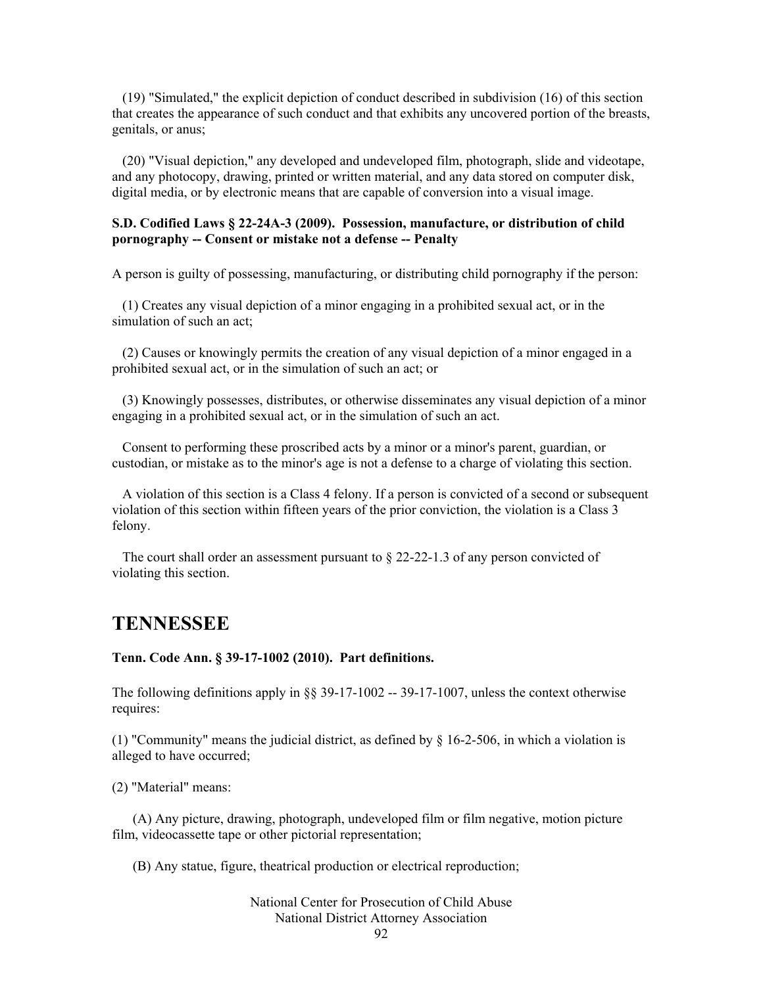(19) "Simulated," the explicit depiction of conduct described in subdivision (16) of this section that creates the appearance of such conduct and that exhibits any uncovered portion of the breasts, genitals, or anus;

 (20) "Visual depiction," any developed and undeveloped film, photograph, slide and videotape, and any photocopy, drawing, printed or written material, and any data stored on computer disk, digital media, or by electronic means that are capable of conversion into a visual image.

### **S.D. Codified Laws § 22-24A-3 (2009). Possession, manufacture, or distribution of child pornography -- Consent or mistake not a defense -- Penalty**

A person is guilty of possessing, manufacturing, or distributing child pornography if the person:

 (1) Creates any visual depiction of a minor engaging in a prohibited sexual act, or in the simulation of such an act;

 (2) Causes or knowingly permits the creation of any visual depiction of a minor engaged in a prohibited sexual act, or in the simulation of such an act; or

 (3) Knowingly possesses, distributes, or otherwise disseminates any visual depiction of a minor engaging in a prohibited sexual act, or in the simulation of such an act.

 Consent to performing these proscribed acts by a minor or a minor's parent, guardian, or custodian, or mistake as to the minor's age is not a defense to a charge of violating this section.

 A violation of this section is a Class 4 felony. If a person is convicted of a second or subsequent violation of this section within fifteen years of the prior conviction, the violation is a Class 3 felony.

The court shall order an assessment pursuant to  $\S$  22-22-1.3 of any person convicted of violating this section.

## **TENNESSEE**

### **Tenn. Code Ann. § 39-17-1002 (2010). Part definitions.**

The following definitions apply in  $\S$  39-17-1002 -- 39-17-1007, unless the context otherwise requires:

(1) "Community" means the judicial district, as defined by  $\S$  16-2-506, in which a violation is alleged to have occurred;

(2) "Material" means:

 (A) Any picture, drawing, photograph, undeveloped film or film negative, motion picture film, videocassette tape or other pictorial representation;

(B) Any statue, figure, theatrical production or electrical reproduction;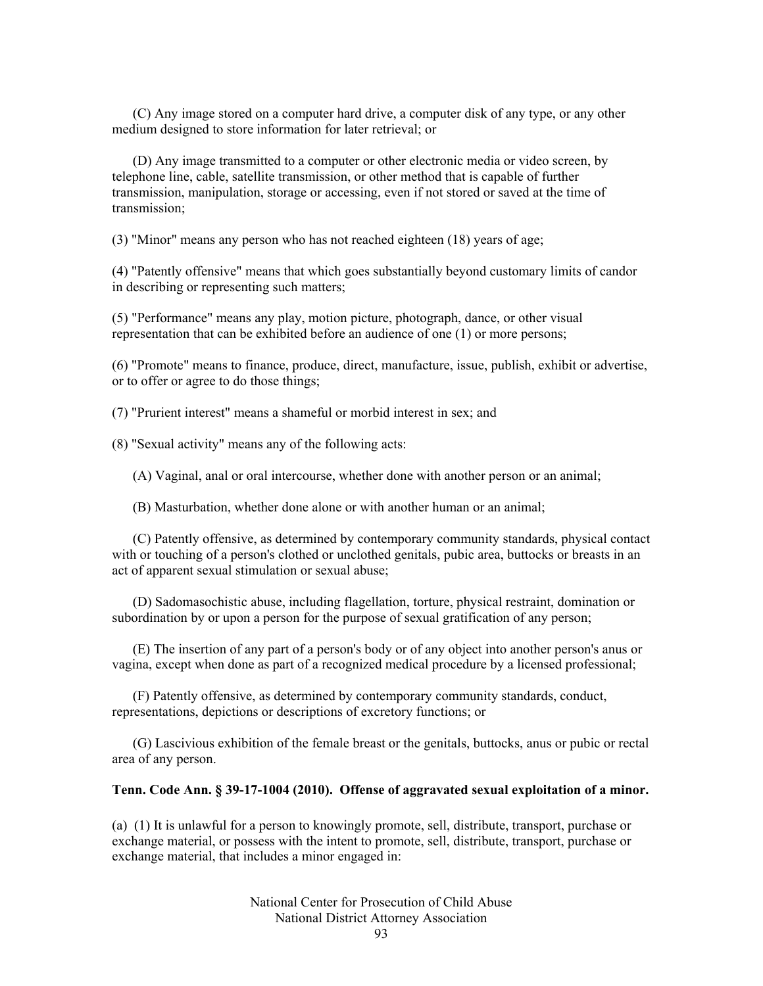(C) Any image stored on a computer hard drive, a computer disk of any type, or any other medium designed to store information for later retrieval; or

 (D) Any image transmitted to a computer or other electronic media or video screen, by telephone line, cable, satellite transmission, or other method that is capable of further transmission, manipulation, storage or accessing, even if not stored or saved at the time of transmission;

(3) "Minor" means any person who has not reached eighteen (18) years of age;

(4) "Patently offensive" means that which goes substantially beyond customary limits of candor in describing or representing such matters;

(5) "Performance" means any play, motion picture, photograph, dance, or other visual representation that can be exhibited before an audience of one (1) or more persons;

(6) "Promote" means to finance, produce, direct, manufacture, issue, publish, exhibit or advertise, or to offer or agree to do those things;

(7) "Prurient interest" means a shameful or morbid interest in sex; and

(8) "Sexual activity" means any of the following acts:

(A) Vaginal, anal or oral intercourse, whether done with another person or an animal;

(B) Masturbation, whether done alone or with another human or an animal;

 (C) Patently offensive, as determined by contemporary community standards, physical contact with or touching of a person's clothed or unclothed genitals, pubic area, buttocks or breasts in an act of apparent sexual stimulation or sexual abuse;

 (D) Sadomasochistic abuse, including flagellation, torture, physical restraint, domination or subordination by or upon a person for the purpose of sexual gratification of any person;

 (E) The insertion of any part of a person's body or of any object into another person's anus or vagina, except when done as part of a recognized medical procedure by a licensed professional;

 (F) Patently offensive, as determined by contemporary community standards, conduct, representations, depictions or descriptions of excretory functions; or

 (G) Lascivious exhibition of the female breast or the genitals, buttocks, anus or pubic or rectal area of any person.

#### **Tenn. Code Ann. § 39-17-1004 (2010). Offense of aggravated sexual exploitation of a minor.**

(a) (1) It is unlawful for a person to knowingly promote, sell, distribute, transport, purchase or exchange material, or possess with the intent to promote, sell, distribute, transport, purchase or exchange material, that includes a minor engaged in: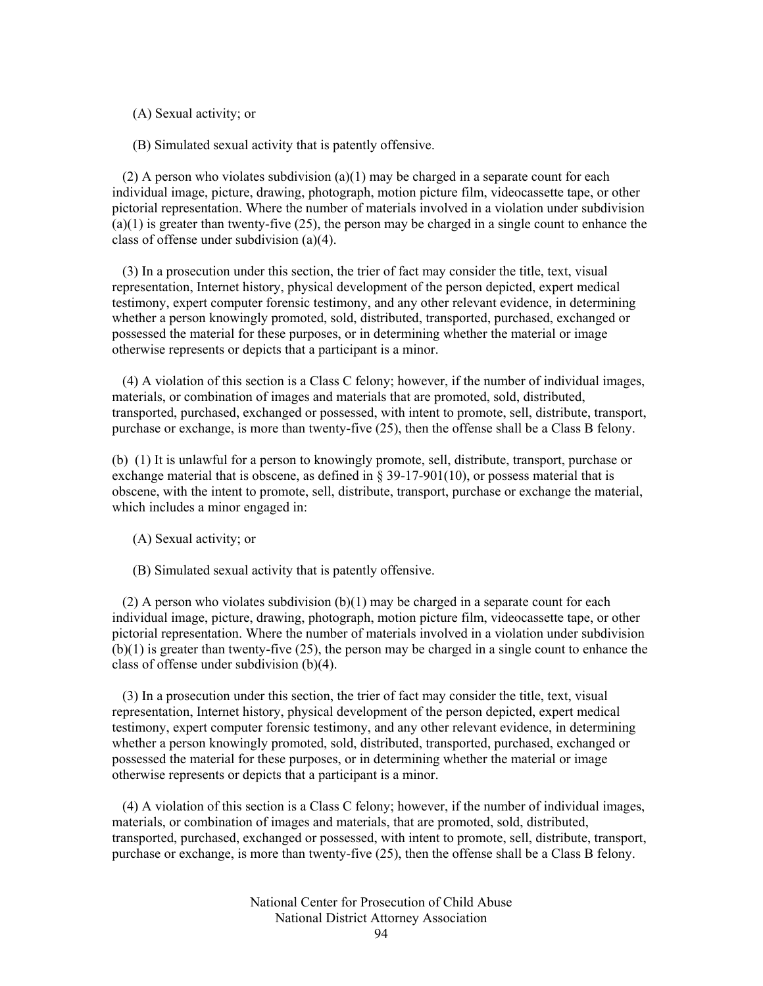(A) Sexual activity; or

(B) Simulated sexual activity that is patently offensive.

(2) A person who violates subdivision (a)(1) may be charged in a separate count for each individual image, picture, drawing, photograph, motion picture film, videocassette tape, or other pictorial representation. Where the number of materials involved in a violation under subdivision  $(a)(1)$  is greater than twenty-five  $(25)$ , the person may be charged in a single count to enhance the class of offense under subdivision (a)(4).

 (3) In a prosecution under this section, the trier of fact may consider the title, text, visual representation, Internet history, physical development of the person depicted, expert medical testimony, expert computer forensic testimony, and any other relevant evidence, in determining whether a person knowingly promoted, sold, distributed, transported, purchased, exchanged or possessed the material for these purposes, or in determining whether the material or image otherwise represents or depicts that a participant is a minor.

 (4) A violation of this section is a Class C felony; however, if the number of individual images, materials, or combination of images and materials that are promoted, sold, distributed, transported, purchased, exchanged or possessed, with intent to promote, sell, distribute, transport, purchase or exchange, is more than twenty-five (25), then the offense shall be a Class B felony.

(b) (1) It is unlawful for a person to knowingly promote, sell, distribute, transport, purchase or exchange material that is obscene, as defined in  $\hat{\delta}$  39-17-901(10), or possess material that is obscene, with the intent to promote, sell, distribute, transport, purchase or exchange the material, which includes a minor engaged in:

(A) Sexual activity; or

(B) Simulated sexual activity that is patently offensive.

(2) A person who violates subdivision  $(b)(1)$  may be charged in a separate count for each individual image, picture, drawing, photograph, motion picture film, videocassette tape, or other pictorial representation. Where the number of materials involved in a violation under subdivision (b)(1) is greater than twenty-five (25), the person may be charged in a single count to enhance the class of offense under subdivision (b)(4).

 (3) In a prosecution under this section, the trier of fact may consider the title, text, visual representation, Internet history, physical development of the person depicted, expert medical testimony, expert computer forensic testimony, and any other relevant evidence, in determining whether a person knowingly promoted, sold, distributed, transported, purchased, exchanged or possessed the material for these purposes, or in determining whether the material or image otherwise represents or depicts that a participant is a minor.

 (4) A violation of this section is a Class C felony; however, if the number of individual images, materials, or combination of images and materials, that are promoted, sold, distributed, transported, purchased, exchanged or possessed, with intent to promote, sell, distribute, transport, purchase or exchange, is more than twenty-five (25), then the offense shall be a Class B felony.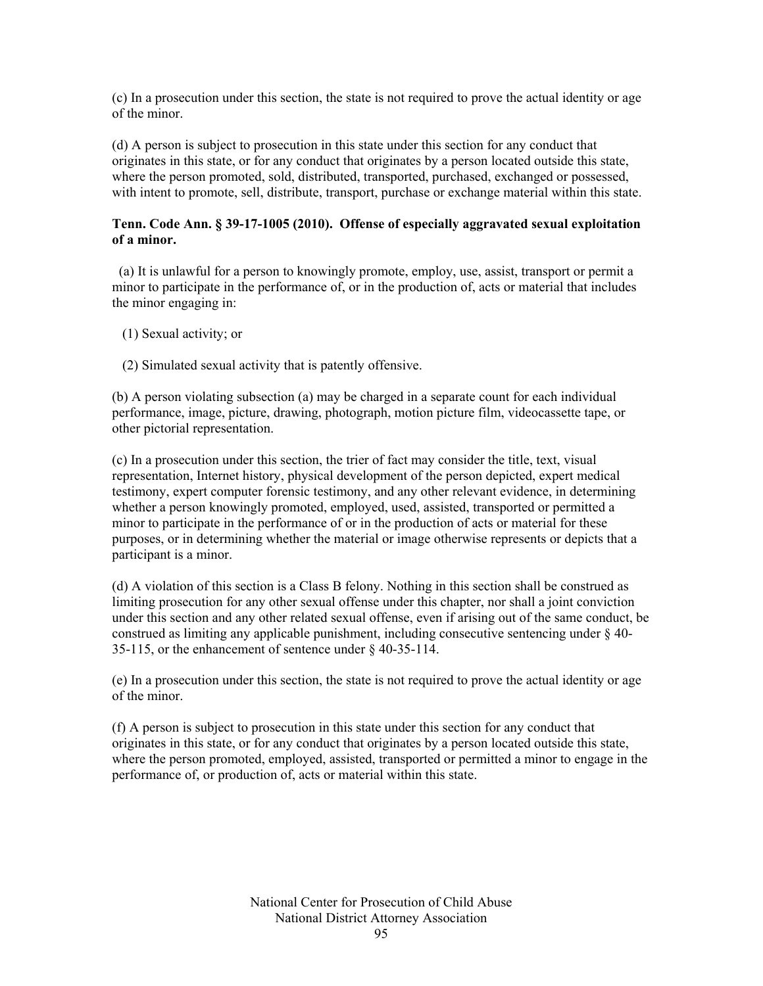(c) In a prosecution under this section, the state is not required to prove the actual identity or age of the minor.

(d) A person is subject to prosecution in this state under this section for any conduct that originates in this state, or for any conduct that originates by a person located outside this state, where the person promoted, sold, distributed, transported, purchased, exchanged or possessed, with intent to promote, sell, distribute, transport, purchase or exchange material within this state.

#### **Tenn. Code Ann. § 39-17-1005 (2010). Offense of especially aggravated sexual exploitation of a minor.**

 (a) It is unlawful for a person to knowingly promote, employ, use, assist, transport or permit a minor to participate in the performance of, or in the production of, acts or material that includes the minor engaging in:

(1) Sexual activity; or

(2) Simulated sexual activity that is patently offensive.

(b) A person violating subsection (a) may be charged in a separate count for each individual performance, image, picture, drawing, photograph, motion picture film, videocassette tape, or other pictorial representation.

(c) In a prosecution under this section, the trier of fact may consider the title, text, visual representation, Internet history, physical development of the person depicted, expert medical testimony, expert computer forensic testimony, and any other relevant evidence, in determining whether a person knowingly promoted, employed, used, assisted, transported or permitted a minor to participate in the performance of or in the production of acts or material for these purposes, or in determining whether the material or image otherwise represents or depicts that a participant is a minor.

(d) A violation of this section is a Class B felony. Nothing in this section shall be construed as limiting prosecution for any other sexual offense under this chapter, nor shall a joint conviction under this section and any other related sexual offense, even if arising out of the same conduct, be construed as limiting any applicable punishment, including consecutive sentencing under § 40- 35-115, or the enhancement of sentence under § 40-35-114.

(e) In a prosecution under this section, the state is not required to prove the actual identity or age of the minor.

(f) A person is subject to prosecution in this state under this section for any conduct that originates in this state, or for any conduct that originates by a person located outside this state, where the person promoted, employed, assisted, transported or permitted a minor to engage in the performance of, or production of, acts or material within this state.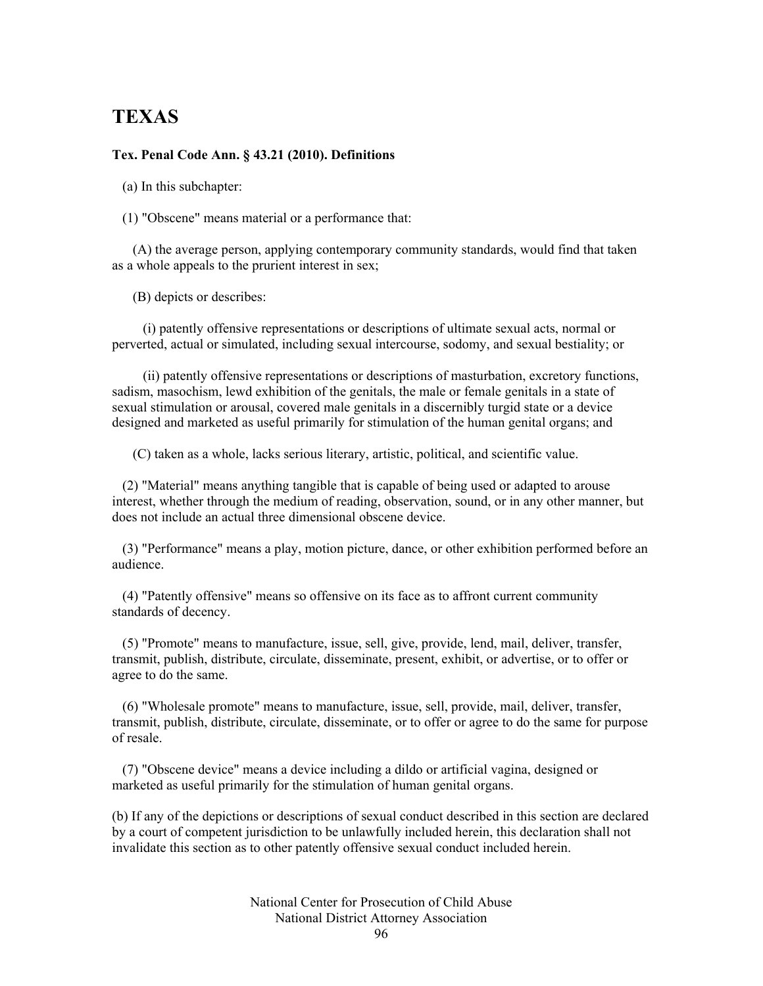# **TEXAS**

#### **Tex. Penal Code Ann. § 43.21 (2010). Definitions**

(a) In this subchapter:

(1) "Obscene" means material or a performance that:

 (A) the average person, applying contemporary community standards, would find that taken as a whole appeals to the prurient interest in sex;

(B) depicts or describes:

 (i) patently offensive representations or descriptions of ultimate sexual acts, normal or perverted, actual or simulated, including sexual intercourse, sodomy, and sexual bestiality; or

 (ii) patently offensive representations or descriptions of masturbation, excretory functions, sadism, masochism, lewd exhibition of the genitals, the male or female genitals in a state of sexual stimulation or arousal, covered male genitals in a discernibly turgid state or a device designed and marketed as useful primarily for stimulation of the human genital organs; and

(C) taken as a whole, lacks serious literary, artistic, political, and scientific value.

 (2) "Material" means anything tangible that is capable of being used or adapted to arouse interest, whether through the medium of reading, observation, sound, or in any other manner, but does not include an actual three dimensional obscene device.

 (3) "Performance" means a play, motion picture, dance, or other exhibition performed before an audience.

 (4) "Patently offensive" means so offensive on its face as to affront current community standards of decency.

 (5) "Promote" means to manufacture, issue, sell, give, provide, lend, mail, deliver, transfer, transmit, publish, distribute, circulate, disseminate, present, exhibit, or advertise, or to offer or agree to do the same.

 (6) "Wholesale promote" means to manufacture, issue, sell, provide, mail, deliver, transfer, transmit, publish, distribute, circulate, disseminate, or to offer or agree to do the same for purpose of resale.

 (7) "Obscene device" means a device including a dildo or artificial vagina, designed or marketed as useful primarily for the stimulation of human genital organs.

(b) If any of the depictions or descriptions of sexual conduct described in this section are declared by a court of competent jurisdiction to be unlawfully included herein, this declaration shall not invalidate this section as to other patently offensive sexual conduct included herein.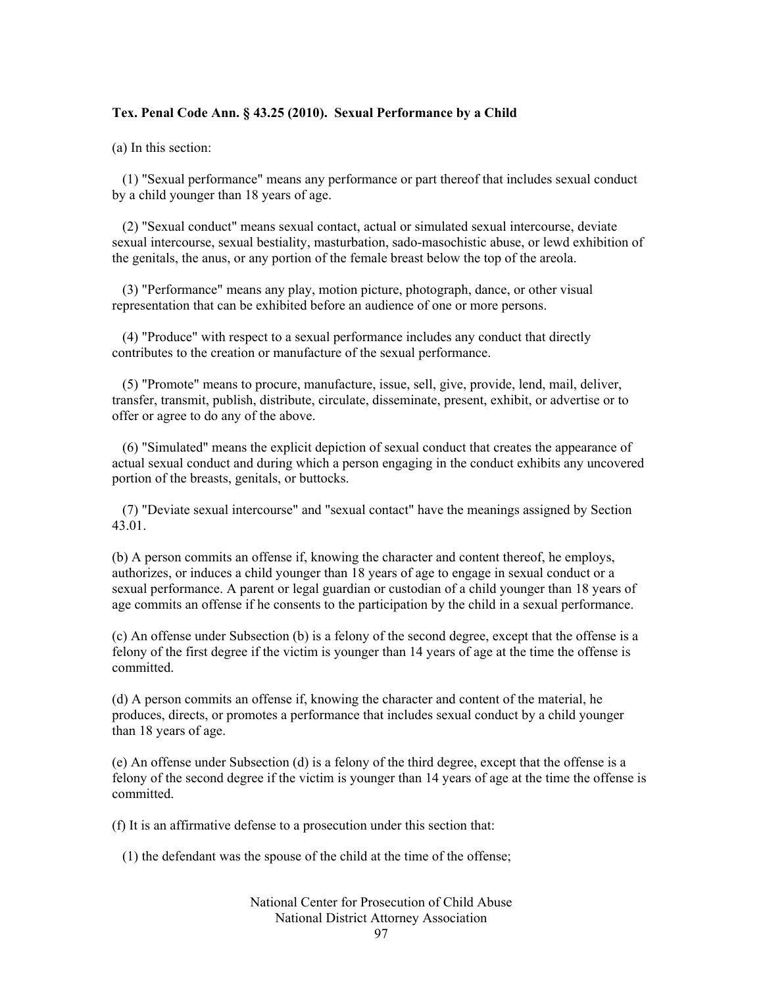### **Tex. Penal Code Ann. § 43.25 (2010). Sexual Performance by a Child**

(a) In this section:

 (1) "Sexual performance" means any performance or part thereof that includes sexual conduct by a child younger than 18 years of age.

 (2) "Sexual conduct" means sexual contact, actual or simulated sexual intercourse, deviate sexual intercourse, sexual bestiality, masturbation, sado-masochistic abuse, or lewd exhibition of the genitals, the anus, or any portion of the female breast below the top of the areola.

 (3) "Performance" means any play, motion picture, photograph, dance, or other visual representation that can be exhibited before an audience of one or more persons.

 (4) "Produce" with respect to a sexual performance includes any conduct that directly contributes to the creation or manufacture of the sexual performance.

 (5) "Promote" means to procure, manufacture, issue, sell, give, provide, lend, mail, deliver, transfer, transmit, publish, distribute, circulate, disseminate, present, exhibit, or advertise or to offer or agree to do any of the above.

 (6) "Simulated" means the explicit depiction of sexual conduct that creates the appearance of actual sexual conduct and during which a person engaging in the conduct exhibits any uncovered portion of the breasts, genitals, or buttocks.

 (7) "Deviate sexual intercourse" and "sexual contact" have the meanings assigned by Section 43.01.

(b) A person commits an offense if, knowing the character and content thereof, he employs, authorizes, or induces a child younger than 18 years of age to engage in sexual conduct or a sexual performance. A parent or legal guardian or custodian of a child younger than 18 years of age commits an offense if he consents to the participation by the child in a sexual performance.

(c) An offense under Subsection (b) is a felony of the second degree, except that the offense is a felony of the first degree if the victim is younger than 14 years of age at the time the offense is committed.

(d) A person commits an offense if, knowing the character and content of the material, he produces, directs, or promotes a performance that includes sexual conduct by a child younger than 18 years of age.

(e) An offense under Subsection (d) is a felony of the third degree, except that the offense is a felony of the second degree if the victim is younger than 14 years of age at the time the offense is committed.

(f) It is an affirmative defense to a prosecution under this section that:

(1) the defendant was the spouse of the child at the time of the offense;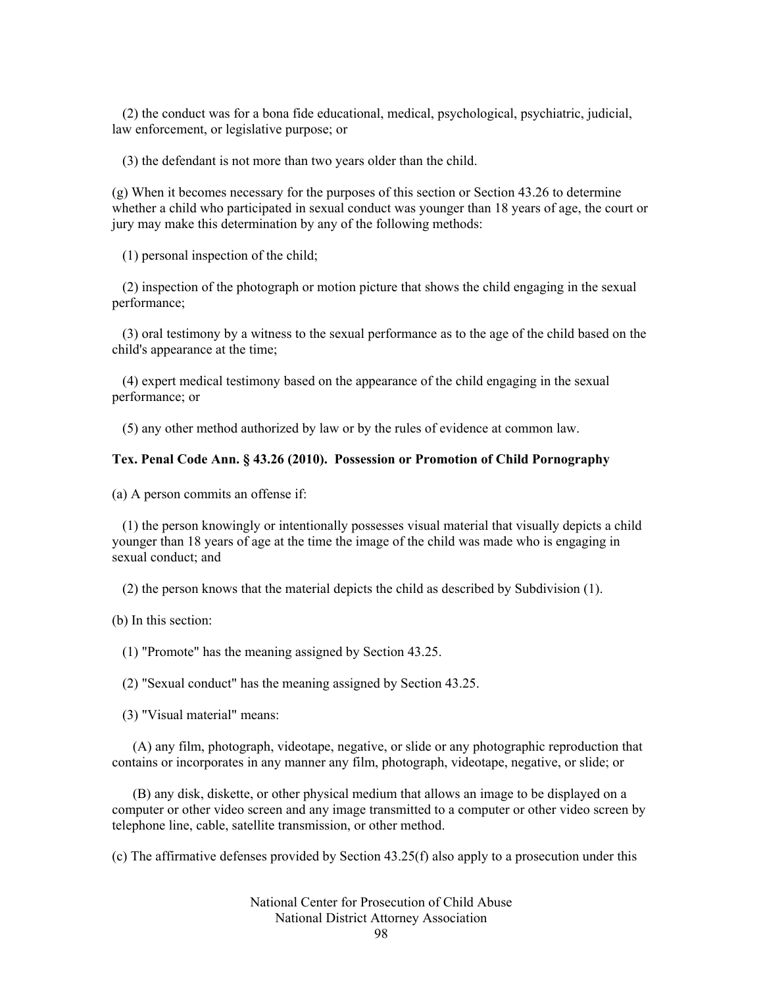(2) the conduct was for a bona fide educational, medical, psychological, psychiatric, judicial, law enforcement, or legislative purpose; or

(3) the defendant is not more than two years older than the child.

(g) When it becomes necessary for the purposes of this section or Section 43.26 to determine whether a child who participated in sexual conduct was younger than 18 years of age, the court or jury may make this determination by any of the following methods:

(1) personal inspection of the child;

 (2) inspection of the photograph or motion picture that shows the child engaging in the sexual performance;

 (3) oral testimony by a witness to the sexual performance as to the age of the child based on the child's appearance at the time;

 (4) expert medical testimony based on the appearance of the child engaging in the sexual performance; or

(5) any other method authorized by law or by the rules of evidence at common law.

#### **Tex. Penal Code Ann. § 43.26 (2010). Possession or Promotion of Child Pornography**

(a) A person commits an offense if:

 (1) the person knowingly or intentionally possesses visual material that visually depicts a child younger than 18 years of age at the time the image of the child was made who is engaging in sexual conduct; and

(2) the person knows that the material depicts the child as described by Subdivision (1).

(b) In this section:

(1) "Promote" has the meaning assigned by Section 43.25.

(2) "Sexual conduct" has the meaning assigned by Section 43.25.

(3) "Visual material" means:

 (A) any film, photograph, videotape, negative, or slide or any photographic reproduction that contains or incorporates in any manner any film, photograph, videotape, negative, or slide; or

 (B) any disk, diskette, or other physical medium that allows an image to be displayed on a computer or other video screen and any image transmitted to a computer or other video screen by telephone line, cable, satellite transmission, or other method.

(c) The affirmative defenses provided by Section 43.25(f) also apply to a prosecution under this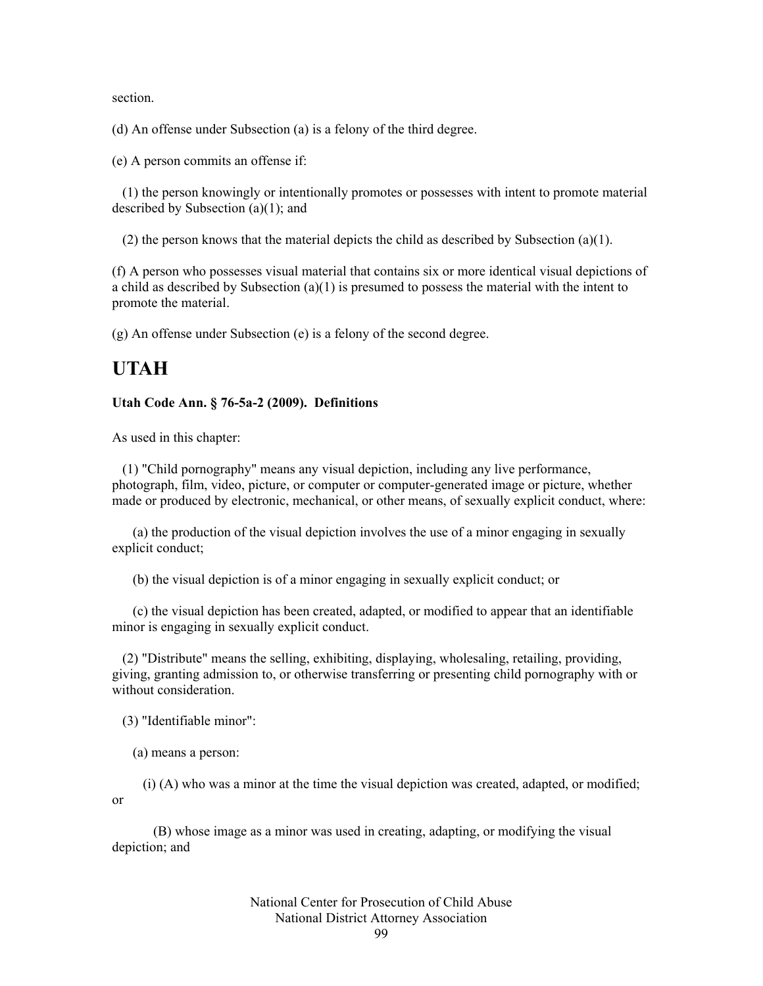section.

(d) An offense under Subsection (a) is a felony of the third degree.

(e) A person commits an offense if:

 (1) the person knowingly or intentionally promotes or possesses with intent to promote material described by Subsection (a)(1); and

(2) the person knows that the material depicts the child as described by Subsection (a)(1).

(f) A person who possesses visual material that contains six or more identical visual depictions of a child as described by Subsection (a)(1) is presumed to possess the material with the intent to promote the material.

(g) An offense under Subsection (e) is a felony of the second degree.

## **UTAH**

#### **Utah Code Ann. § 76-5a-2 (2009). Definitions**

As used in this chapter:

 (1) "Child pornography" means any visual depiction, including any live performance, photograph, film, video, picture, or computer or computer-generated image or picture, whether made or produced by electronic, mechanical, or other means, of sexually explicit conduct, where:

 (a) the production of the visual depiction involves the use of a minor engaging in sexually explicit conduct;

(b) the visual depiction is of a minor engaging in sexually explicit conduct; or

 (c) the visual depiction has been created, adapted, or modified to appear that an identifiable minor is engaging in sexually explicit conduct.

 (2) "Distribute" means the selling, exhibiting, displaying, wholesaling, retailing, providing, giving, granting admission to, or otherwise transferring or presenting child pornography with or without consideration.

(3) "Identifiable minor":

(a) means a person:

 (i) (A) who was a minor at the time the visual depiction was created, adapted, or modified; or

 (B) whose image as a minor was used in creating, adapting, or modifying the visual depiction; and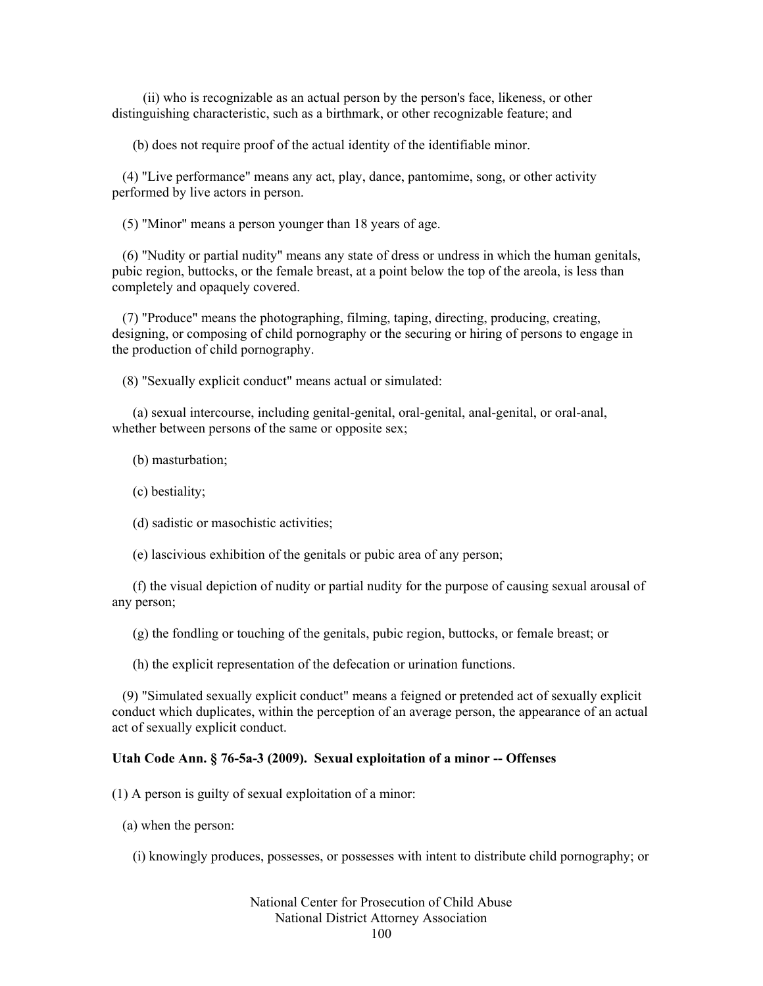(ii) who is recognizable as an actual person by the person's face, likeness, or other distinguishing characteristic, such as a birthmark, or other recognizable feature; and

(b) does not require proof of the actual identity of the identifiable minor.

 (4) "Live performance" means any act, play, dance, pantomime, song, or other activity performed by live actors in person.

(5) "Minor" means a person younger than 18 years of age.

 (6) "Nudity or partial nudity" means any state of dress or undress in which the human genitals, pubic region, buttocks, or the female breast, at a point below the top of the areola, is less than completely and opaquely covered.

 (7) "Produce" means the photographing, filming, taping, directing, producing, creating, designing, or composing of child pornography or the securing or hiring of persons to engage in the production of child pornography.

(8) "Sexually explicit conduct" means actual or simulated:

 (a) sexual intercourse, including genital-genital, oral-genital, anal-genital, or oral-anal, whether between persons of the same or opposite sex;

(b) masturbation;

(c) bestiality;

(d) sadistic or masochistic activities;

(e) lascivious exhibition of the genitals or pubic area of any person;

 (f) the visual depiction of nudity or partial nudity for the purpose of causing sexual arousal of any person;

(g) the fondling or touching of the genitals, pubic region, buttocks, or female breast; or

(h) the explicit representation of the defecation or urination functions.

 (9) "Simulated sexually explicit conduct" means a feigned or pretended act of sexually explicit conduct which duplicates, within the perception of an average person, the appearance of an actual act of sexually explicit conduct.

#### **Utah Code Ann. § 76-5a-3 (2009). Sexual exploitation of a minor -- Offenses**

(1) A person is guilty of sexual exploitation of a minor:

- (a) when the person:
	- (i) knowingly produces, possesses, or possesses with intent to distribute child pornography; or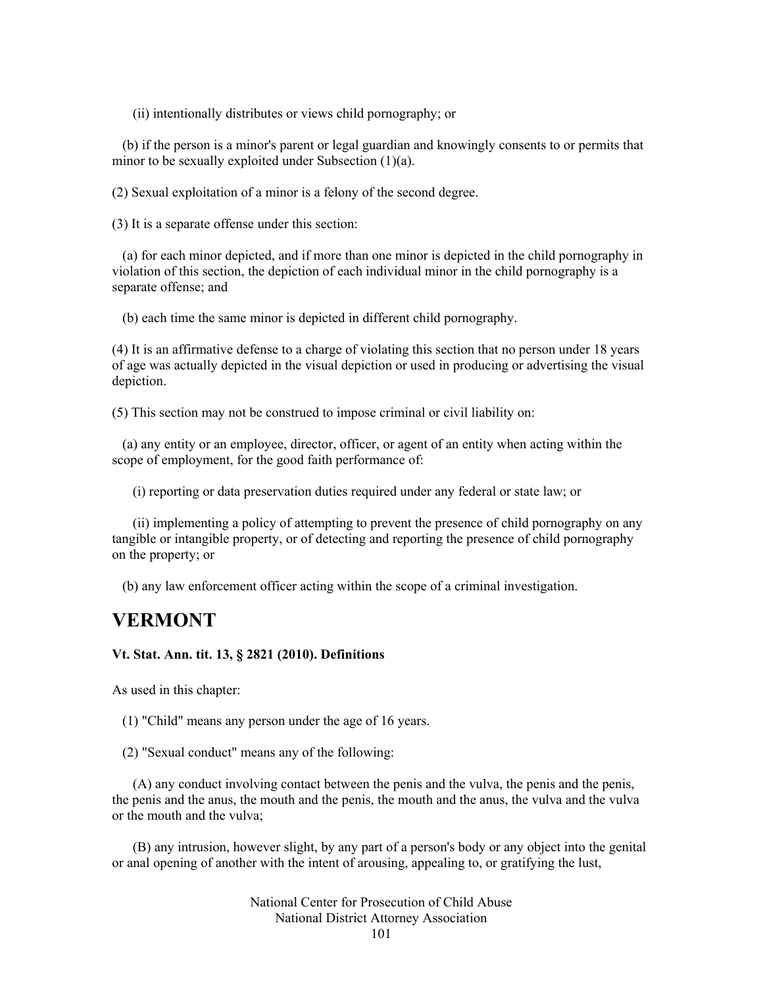(ii) intentionally distributes or views child pornography; or

 (b) if the person is a minor's parent or legal guardian and knowingly consents to or permits that minor to be sexually exploited under Subsection (1)(a).

(2) Sexual exploitation of a minor is a felony of the second degree.

(3) It is a separate offense under this section:

 (a) for each minor depicted, and if more than one minor is depicted in the child pornography in violation of this section, the depiction of each individual minor in the child pornography is a separate offense; and

(b) each time the same minor is depicted in different child pornography.

(4) It is an affirmative defense to a charge of violating this section that no person under 18 years of age was actually depicted in the visual depiction or used in producing or advertising the visual depiction.

(5) This section may not be construed to impose criminal or civil liability on:

 (a) any entity or an employee, director, officer, or agent of an entity when acting within the scope of employment, for the good faith performance of:

(i) reporting or data preservation duties required under any federal or state law; or

 (ii) implementing a policy of attempting to prevent the presence of child pornography on any tangible or intangible property, or of detecting and reporting the presence of child pornography on the property; or

(b) any law enforcement officer acting within the scope of a criminal investigation.

## **VERMONT**

#### **Vt. Stat. Ann. tit. 13, § 2821 (2010). Definitions**

As used in this chapter:

(1) "Child" means any person under the age of 16 years.

(2) "Sexual conduct" means any of the following:

 (A) any conduct involving contact between the penis and the vulva, the penis and the penis, the penis and the anus, the mouth and the penis, the mouth and the anus, the vulva and the vulva or the mouth and the vulva;

 (B) any intrusion, however slight, by any part of a person's body or any object into the genital or anal opening of another with the intent of arousing, appealing to, or gratifying the lust,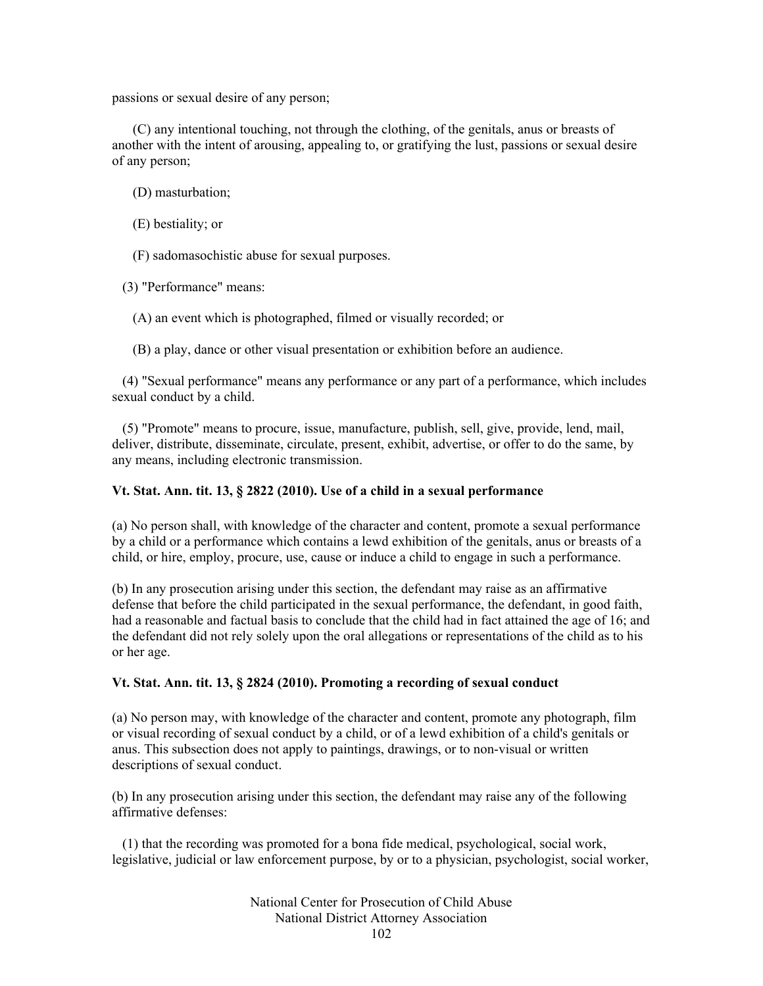passions or sexual desire of any person;

 (C) any intentional touching, not through the clothing, of the genitals, anus or breasts of another with the intent of arousing, appealing to, or gratifying the lust, passions or sexual desire of any person;

- (D) masturbation;
- (E) bestiality; or
- (F) sadomasochistic abuse for sexual purposes.

(3) "Performance" means:

(A) an event which is photographed, filmed or visually recorded; or

(B) a play, dance or other visual presentation or exhibition before an audience.

 (4) "Sexual performance" means any performance or any part of a performance, which includes sexual conduct by a child.

 (5) "Promote" means to procure, issue, manufacture, publish, sell, give, provide, lend, mail, deliver, distribute, disseminate, circulate, present, exhibit, advertise, or offer to do the same, by any means, including electronic transmission.

#### **Vt. Stat. Ann. tit. 13, § 2822 (2010). Use of a child in a sexual performance**

(a) No person shall, with knowledge of the character and content, promote a sexual performance by a child or a performance which contains a lewd exhibition of the genitals, anus or breasts of a child, or hire, employ, procure, use, cause or induce a child to engage in such a performance.

(b) In any prosecution arising under this section, the defendant may raise as an affirmative defense that before the child participated in the sexual performance, the defendant, in good faith, had a reasonable and factual basis to conclude that the child had in fact attained the age of 16; and the defendant did not rely solely upon the oral allegations or representations of the child as to his or her age.

#### **Vt. Stat. Ann. tit. 13, § 2824 (2010). Promoting a recording of sexual conduct**

(a) No person may, with knowledge of the character and content, promote any photograph, film or visual recording of sexual conduct by a child, or of a lewd exhibition of a child's genitals or anus. This subsection does not apply to paintings, drawings, or to non-visual or written descriptions of sexual conduct.

(b) In any prosecution arising under this section, the defendant may raise any of the following affirmative defenses:

 (1) that the recording was promoted for a bona fide medical, psychological, social work, legislative, judicial or law enforcement purpose, by or to a physician, psychologist, social worker,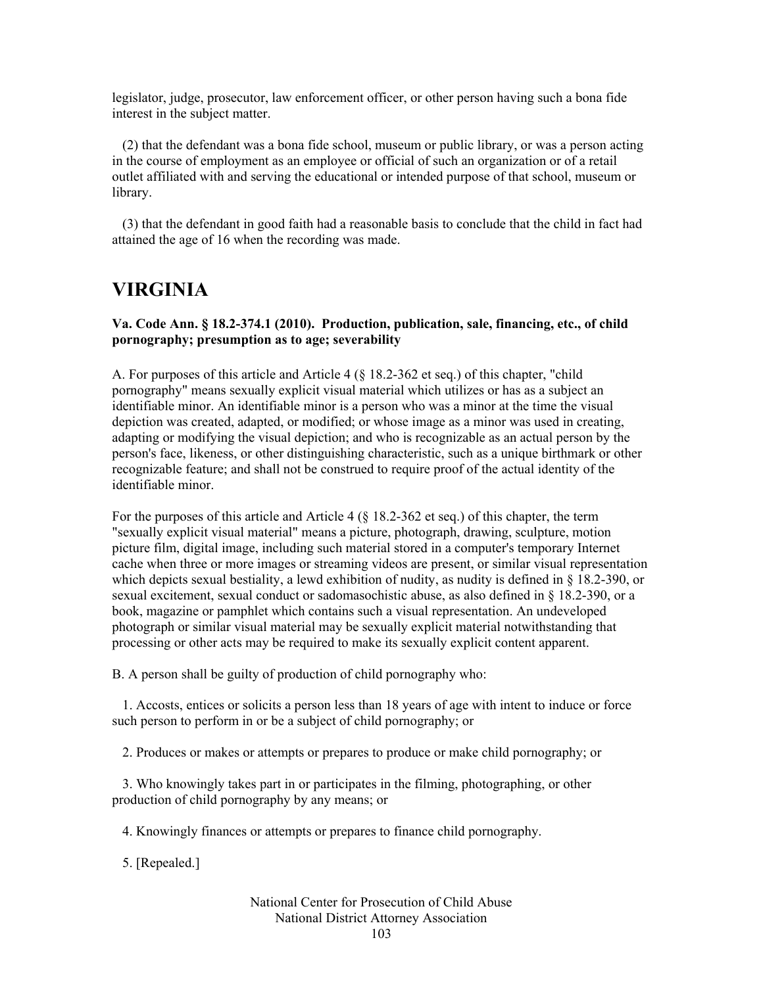legislator, judge, prosecutor, law enforcement officer, or other person having such a bona fide interest in the subject matter.

 (2) that the defendant was a bona fide school, museum or public library, or was a person acting in the course of employment as an employee or official of such an organization or of a retail outlet affiliated with and serving the educational or intended purpose of that school, museum or library.

 (3) that the defendant in good faith had a reasonable basis to conclude that the child in fact had attained the age of 16 when the recording was made.

# **VIRGINIA**

#### **Va. Code Ann. § 18.2-374.1 (2010). Production, publication, sale, financing, etc., of child pornography; presumption as to age; severability**

A. For purposes of this article and Article 4 (§ 18.2-362 et seq.) of this chapter, "child pornography" means sexually explicit visual material which utilizes or has as a subject an identifiable minor. An identifiable minor is a person who was a minor at the time the visual depiction was created, adapted, or modified; or whose image as a minor was used in creating, adapting or modifying the visual depiction; and who is recognizable as an actual person by the person's face, likeness, or other distinguishing characteristic, such as a unique birthmark or other recognizable feature; and shall not be construed to require proof of the actual identity of the identifiable minor.

For the purposes of this article and Article  $4 \times 18.2 - 362$  et seq.) of this chapter, the term "sexually explicit visual material" means a picture, photograph, drawing, sculpture, motion picture film, digital image, including such material stored in a computer's temporary Internet cache when three or more images or streaming videos are present, or similar visual representation which depicts sexual bestiality, a lewd exhibition of nudity, as nudity is defined in § 18.2-390, or sexual excitement, sexual conduct or sadomasochistic abuse, as also defined in § 18.2-390, or a book, magazine or pamphlet which contains such a visual representation. An undeveloped photograph or similar visual material may be sexually explicit material notwithstanding that processing or other acts may be required to make its sexually explicit content apparent.

B. A person shall be guilty of production of child pornography who:

 1. Accosts, entices or solicits a person less than 18 years of age with intent to induce or force such person to perform in or be a subject of child pornography; or

2. Produces or makes or attempts or prepares to produce or make child pornography; or

 3. Who knowingly takes part in or participates in the filming, photographing, or other production of child pornography by any means; or

4. Knowingly finances or attempts or prepares to finance child pornography.

5. [Repealed.]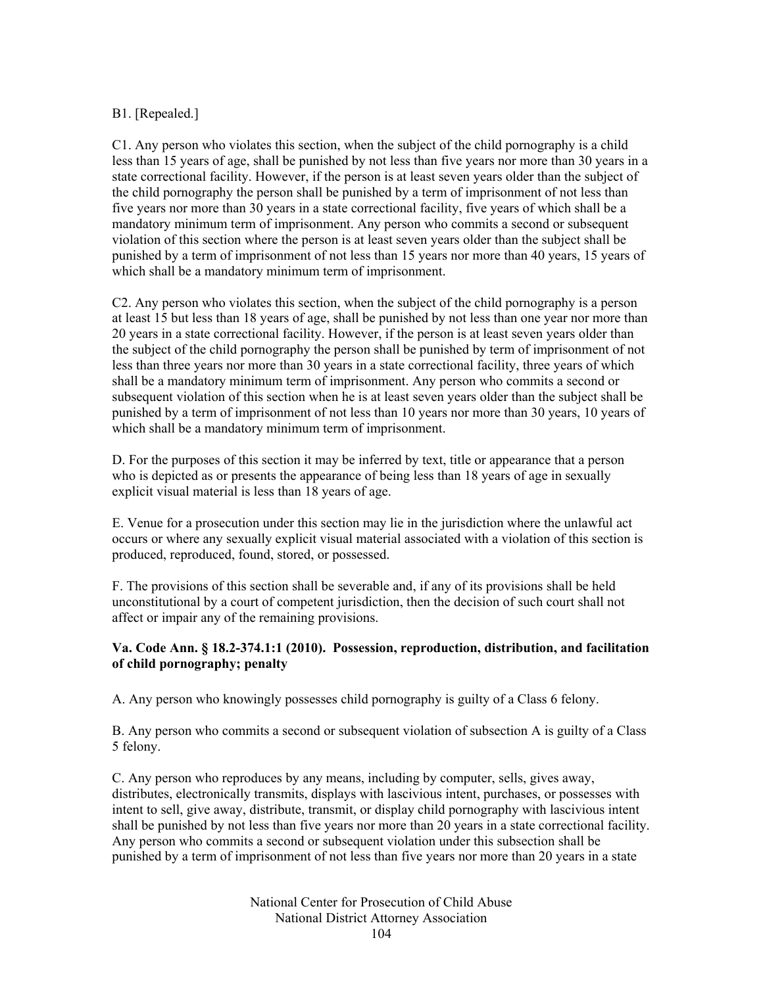### B1. [Repealed.]

C1. Any person who violates this section, when the subject of the child pornography is a child less than 15 years of age, shall be punished by not less than five years nor more than 30 years in a state correctional facility. However, if the person is at least seven years older than the subject of the child pornography the person shall be punished by a term of imprisonment of not less than five years nor more than 30 years in a state correctional facility, five years of which shall be a mandatory minimum term of imprisonment. Any person who commits a second or subsequent violation of this section where the person is at least seven years older than the subject shall be punished by a term of imprisonment of not less than 15 years nor more than 40 years, 15 years of which shall be a mandatory minimum term of imprisonment.

C2. Any person who violates this section, when the subject of the child pornography is a person at least 15 but less than 18 years of age, shall be punished by not less than one year nor more than 20 years in a state correctional facility. However, if the person is at least seven years older than the subject of the child pornography the person shall be punished by term of imprisonment of not less than three years nor more than 30 years in a state correctional facility, three years of which shall be a mandatory minimum term of imprisonment. Any person who commits a second or subsequent violation of this section when he is at least seven years older than the subject shall be punished by a term of imprisonment of not less than 10 years nor more than 30 years, 10 years of which shall be a mandatory minimum term of imprisonment.

D. For the purposes of this section it may be inferred by text, title or appearance that a person who is depicted as or presents the appearance of being less than 18 years of age in sexually explicit visual material is less than 18 years of age.

E. Venue for a prosecution under this section may lie in the jurisdiction where the unlawful act occurs or where any sexually explicit visual material associated with a violation of this section is produced, reproduced, found, stored, or possessed.

F. The provisions of this section shall be severable and, if any of its provisions shall be held unconstitutional by a court of competent jurisdiction, then the decision of such court shall not affect or impair any of the remaining provisions.

### **Va. Code Ann. § 18.2-374.1:1 (2010). Possession, reproduction, distribution, and facilitation of child pornography; penalty**

A. Any person who knowingly possesses child pornography is guilty of a Class 6 felony.

B. Any person who commits a second or subsequent violation of subsection A is guilty of a Class 5 felony.

C. Any person who reproduces by any means, including by computer, sells, gives away, distributes, electronically transmits, displays with lascivious intent, purchases, or possesses with intent to sell, give away, distribute, transmit, or display child pornography with lascivious intent shall be punished by not less than five years nor more than 20 years in a state correctional facility. Any person who commits a second or subsequent violation under this subsection shall be punished by a term of imprisonment of not less than five years nor more than 20 years in a state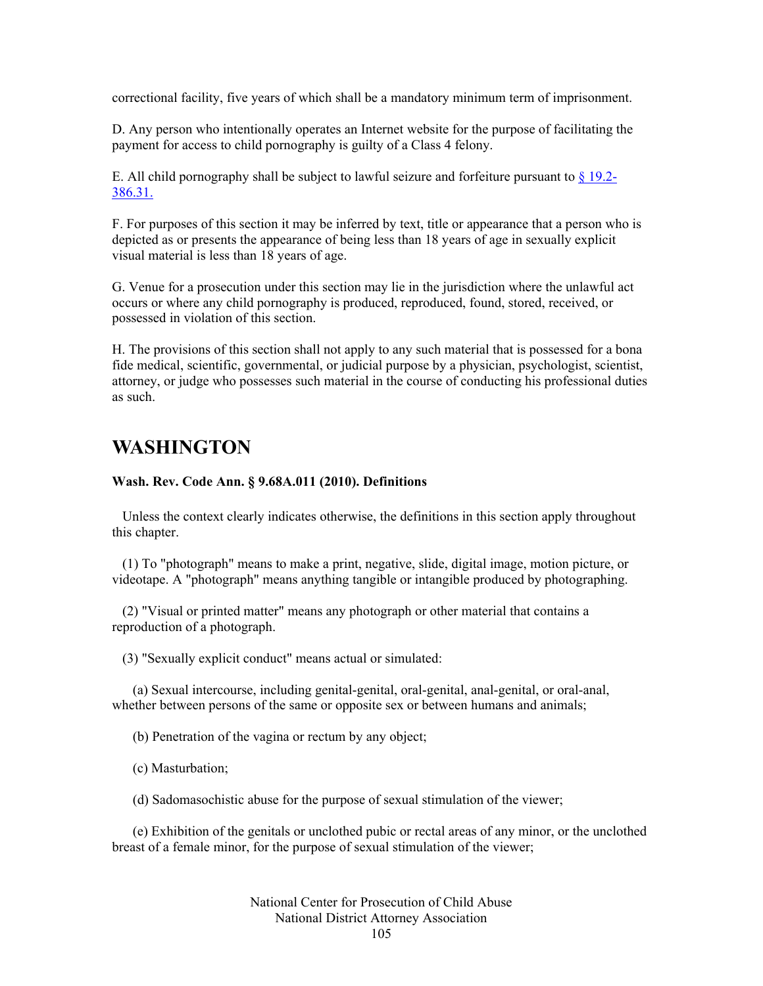correctional facility, five years of which shall be a mandatory minimum term of imprisonment.

D. Any person who intentionally operates an Internet website for the purpose of facilitating the payment for access to child pornography is guilty of a Class 4 felony.

E. All child pornography shall be subject to lawful seizure and forfeiture pursuant to  $\S$  19.2-[386.31.](https://www.lexis.com/research/buttonTFLink?_m=22e518a40f8155db6ef0fc412c7d506b&_xfercite=%3ccite%20cc%3d%22USA%22%3e%3c%21%5bCDATA%5bVa.%20Code%20Ann.%20%a7%2018.2-374.1%3a1%5d%5d%3e%3c%2fcite%3e&_butType=4&_butStat=0&_butNum=2&_butInline=1&_butinfo=VACODE%2019.2-386.31&_fmtstr=FULL&docnum=1&_startdoc=1&wchp=dGLzVtz-zSkAW&_md5=61654d4d84d82008e1f50744d0820492)

F. For purposes of this section it may be inferred by text, title or appearance that a person who is depicted as or presents the appearance of being less than 18 years of age in sexually explicit visual material is less than 18 years of age.

G. Venue for a prosecution under this section may lie in the jurisdiction where the unlawful act occurs or where any child pornography is produced, reproduced, found, stored, received, or possessed in violation of this section.

H. The provisions of this section shall not apply to any such material that is possessed for a bona fide medical, scientific, governmental, or judicial purpose by a physician, psychologist, scientist, attorney, or judge who possesses such material in the course of conducting his professional duties as such.

# **WASHINGTON**

#### **Wash. Rev. Code Ann. § 9.68A.011 (2010). Definitions**

 Unless the context clearly indicates otherwise, the definitions in this section apply throughout this chapter.

 (1) To "photograph" means to make a print, negative, slide, digital image, motion picture, or videotape. A "photograph" means anything tangible or intangible produced by photographing.

 (2) "Visual or printed matter" means any photograph or other material that contains a reproduction of a photograph.

(3) "Sexually explicit conduct" means actual or simulated:

 (a) Sexual intercourse, including genital-genital, oral-genital, anal-genital, or oral-anal, whether between persons of the same or opposite sex or between humans and animals;

(b) Penetration of the vagina or rectum by any object;

(c) Masturbation;

(d) Sadomasochistic abuse for the purpose of sexual stimulation of the viewer;

 (e) Exhibition of the genitals or unclothed pubic or rectal areas of any minor, or the unclothed breast of a female minor, for the purpose of sexual stimulation of the viewer;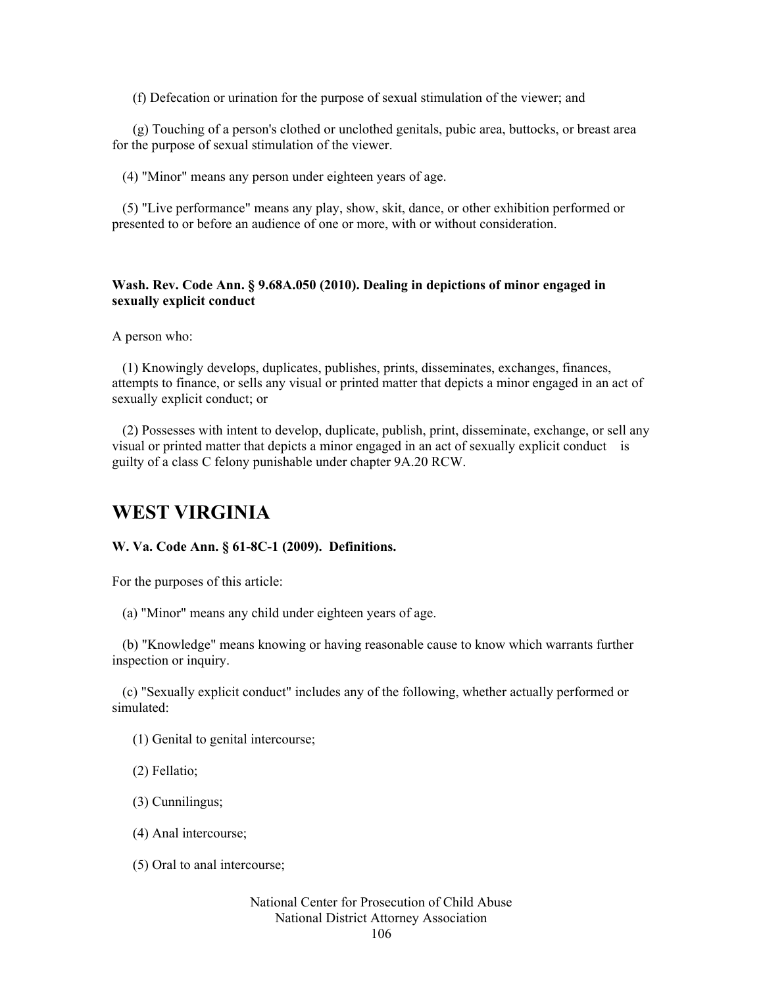(f) Defecation or urination for the purpose of sexual stimulation of the viewer; and

 (g) Touching of a person's clothed or unclothed genitals, pubic area, buttocks, or breast area for the purpose of sexual stimulation of the viewer.

(4) "Minor" means any person under eighteen years of age.

 (5) "Live performance" means any play, show, skit, dance, or other exhibition performed or presented to or before an audience of one or more, with or without consideration.

#### **Wash. Rev. Code Ann. § 9.68A.050 (2010). Dealing in depictions of minor engaged in sexually explicit conduct**

A person who:

 (1) Knowingly develops, duplicates, publishes, prints, disseminates, exchanges, finances, attempts to finance, or sells any visual or printed matter that depicts a minor engaged in an act of sexually explicit conduct; or

 (2) Possesses with intent to develop, duplicate, publish, print, disseminate, exchange, or sell any visual or printed matter that depicts a minor engaged in an act of sexually explicit conduct is guilty of a class C felony punishable under chapter 9A.20 RCW.

## **WEST VIRGINIA**

#### **W. Va. Code Ann. § 61-8C-1 (2009). Definitions.**

For the purposes of this article:

(a) "Minor" means any child under eighteen years of age.

 (b) "Knowledge" means knowing or having reasonable cause to know which warrants further inspection or inquiry.

 (c) "Sexually explicit conduct" includes any of the following, whether actually performed or simulated:

(1) Genital to genital intercourse;

(2) Fellatio;

(3) Cunnilingus;

(4) Anal intercourse;

(5) Oral to anal intercourse;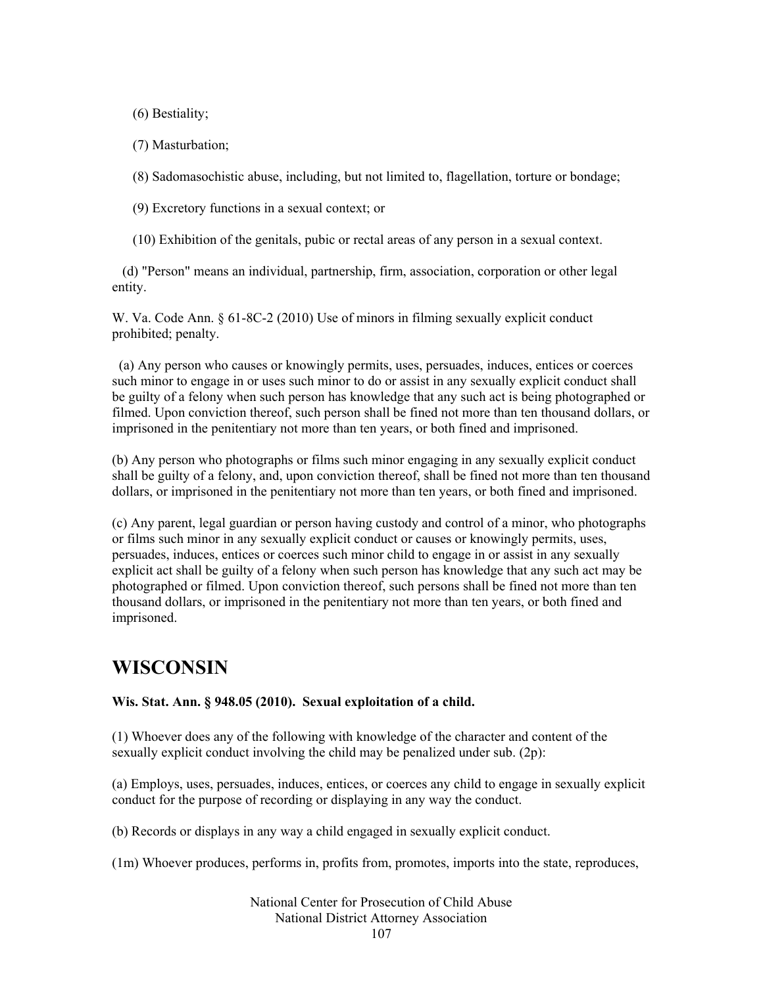(6) Bestiality;

(7) Masturbation;

(8) Sadomasochistic abuse, including, but not limited to, flagellation, torture or bondage;

(9) Excretory functions in a sexual context; or

(10) Exhibition of the genitals, pubic or rectal areas of any person in a sexual context.

 (d) "Person" means an individual, partnership, firm, association, corporation or other legal entity.

W. Va. Code Ann. § 61-8C-2 (2010) Use of minors in filming sexually explicit conduct prohibited; penalty.

 (a) Any person who causes or knowingly permits, uses, persuades, induces, entices or coerces such minor to engage in or uses such minor to do or assist in any sexually explicit conduct shall be guilty of a felony when such person has knowledge that any such act is being photographed or filmed. Upon conviction thereof, such person shall be fined not more than ten thousand dollars, or imprisoned in the penitentiary not more than ten years, or both fined and imprisoned.

(b) Any person who photographs or films such minor engaging in any sexually explicit conduct shall be guilty of a felony, and, upon conviction thereof, shall be fined not more than ten thousand dollars, or imprisoned in the penitentiary not more than ten years, or both fined and imprisoned.

(c) Any parent, legal guardian or person having custody and control of a minor, who photographs or films such minor in any sexually explicit conduct or causes or knowingly permits, uses, persuades, induces, entices or coerces such minor child to engage in or assist in any sexually explicit act shall be guilty of a felony when such person has knowledge that any such act may be photographed or filmed. Upon conviction thereof, such persons shall be fined not more than ten thousand dollars, or imprisoned in the penitentiary not more than ten years, or both fined and imprisoned.

# **WISCONSIN**

### **Wis. Stat. Ann. § 948.05 (2010). Sexual exploitation of a child.**

(1) Whoever does any of the following with knowledge of the character and content of the sexually explicit conduct involving the child may be penalized under sub. (2p):

(a) Employs, uses, persuades, induces, entices, or coerces any child to engage in sexually explicit conduct for the purpose of recording or displaying in any way the conduct.

(b) Records or displays in any way a child engaged in sexually explicit conduct.

(1m) Whoever produces, performs in, profits from, promotes, imports into the state, reproduces,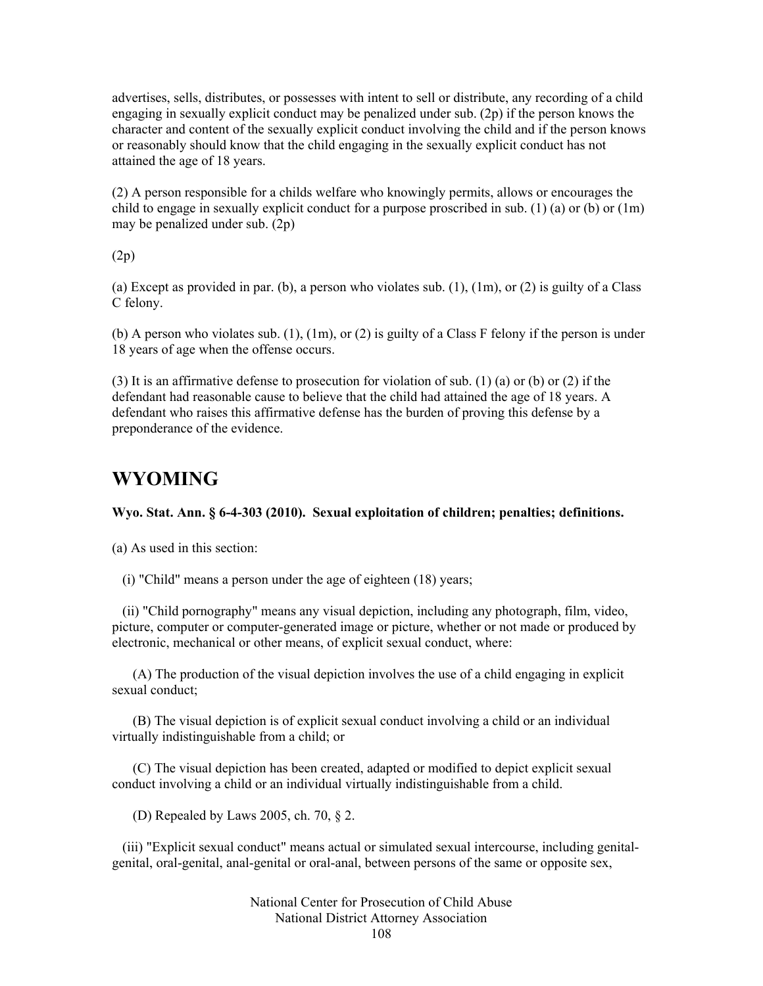advertises, sells, distributes, or possesses with intent to sell or distribute, any recording of a child engaging in sexually explicit conduct may be penalized under sub. (2p) if the person knows the character and content of the sexually explicit conduct involving the child and if the person knows or reasonably should know that the child engaging in the sexually explicit conduct has not attained the age of 18 years.

(2) A person responsible for a childs welfare who knowingly permits, allows or encourages the child to engage in sexually explicit conduct for a purpose proscribed in sub. (1) (a) or (b) or  $(1m)$ may be penalized under sub. (2p)

(2p)

(a) Except as provided in par. (b), a person who violates sub. (1), (1m), or (2) is guilty of a Class C felony.

(b) A person who violates sub.  $(1)$ ,  $(1m)$ , or  $(2)$  is guilty of a Class F felony if the person is under 18 years of age when the offense occurs.

(3) It is an affirmative defense to prosecution for violation of sub. (1) (a) or (b) or (2) if the defendant had reasonable cause to believe that the child had attained the age of 18 years. A defendant who raises this affirmative defense has the burden of proving this defense by a preponderance of the evidence.

# **WYOMING**

**Wyo. Stat. Ann. § 6-4-303 (2010). Sexual exploitation of children; penalties; definitions.** 

(a) As used in this section:

(i) "Child" means a person under the age of eighteen (18) years;

 (ii) "Child pornography" means any visual depiction, including any photograph, film, video, picture, computer or computer-generated image or picture, whether or not made or produced by electronic, mechanical or other means, of explicit sexual conduct, where:

 (A) The production of the visual depiction involves the use of a child engaging in explicit sexual conduct;

 (B) The visual depiction is of explicit sexual conduct involving a child or an individual virtually indistinguishable from a child; or

 (C) The visual depiction has been created, adapted or modified to depict explicit sexual conduct involving a child or an individual virtually indistinguishable from a child.

(D) Repealed by Laws 2005, ch. 70, § 2.

 (iii) "Explicit sexual conduct" means actual or simulated sexual intercourse, including genitalgenital, oral-genital, anal-genital or oral-anal, between persons of the same or opposite sex,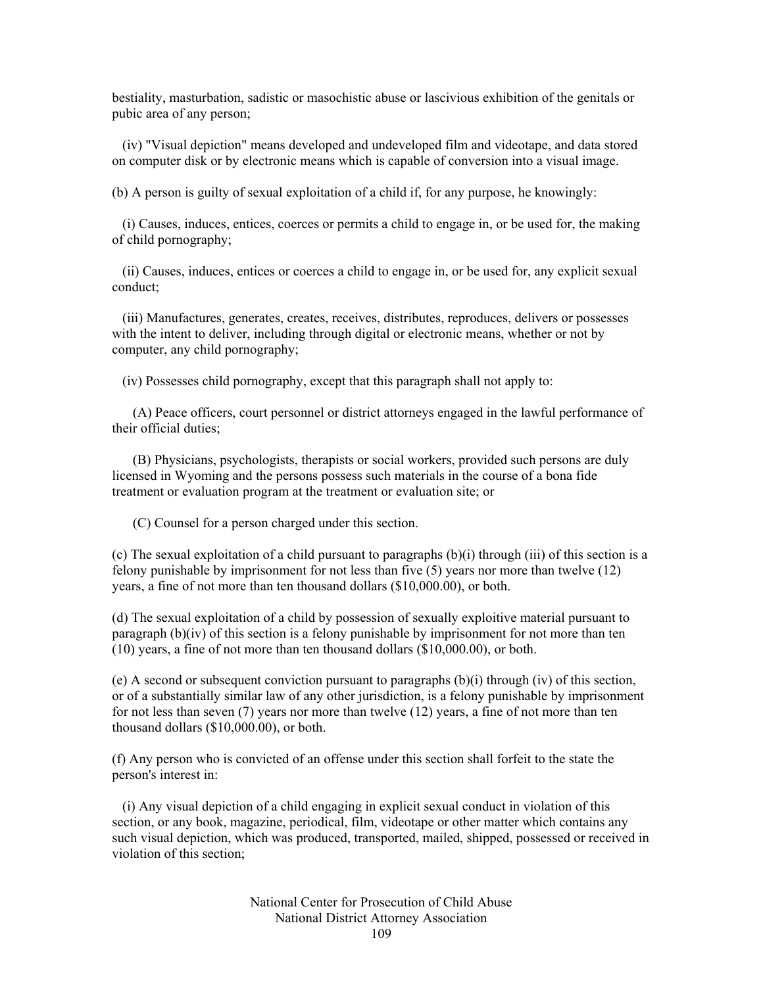bestiality, masturbation, sadistic or masochistic abuse or lascivious exhibition of the genitals or pubic area of any person;

 (iv) "Visual depiction" means developed and undeveloped film and videotape, and data stored on computer disk or by electronic means which is capable of conversion into a visual image.

(b) A person is guilty of sexual exploitation of a child if, for any purpose, he knowingly:

 (i) Causes, induces, entices, coerces or permits a child to engage in, or be used for, the making of child pornography;

 (ii) Causes, induces, entices or coerces a child to engage in, or be used for, any explicit sexual conduct;

 (iii) Manufactures, generates, creates, receives, distributes, reproduces, delivers or possesses with the intent to deliver, including through digital or electronic means, whether or not by computer, any child pornography;

(iv) Possesses child pornography, except that this paragraph shall not apply to:

 (A) Peace officers, court personnel or district attorneys engaged in the lawful performance of their official duties;

 (B) Physicians, psychologists, therapists or social workers, provided such persons are duly licensed in Wyoming and the persons possess such materials in the course of a bona fide treatment or evaluation program at the treatment or evaluation site; or

(C) Counsel for a person charged under this section.

(c) The sexual exploitation of a child pursuant to paragraphs (b)(i) through (iii) of this section is a felony punishable by imprisonment for not less than five (5) years nor more than twelve (12) years, a fine of not more than ten thousand dollars (\$10,000.00), or both.

(d) The sexual exploitation of a child by possession of sexually exploitive material pursuant to paragraph  $(b)(iv)$  of this section is a felony punishable by imprisonment for not more than ten (10) years, a fine of not more than ten thousand dollars (\$10,000.00), or both.

(e) A second or subsequent conviction pursuant to paragraphs (b)(i) through (iv) of this section, or of a substantially similar law of any other jurisdiction, is a felony punishable by imprisonment for not less than seven (7) years nor more than twelve (12) years, a fine of not more than ten thousand dollars (\$10,000.00), or both.

(f) Any person who is convicted of an offense under this section shall forfeit to the state the person's interest in:

 (i) Any visual depiction of a child engaging in explicit sexual conduct in violation of this section, or any book, magazine, periodical, film, videotape or other matter which contains any such visual depiction, which was produced, transported, mailed, shipped, possessed or received in violation of this section;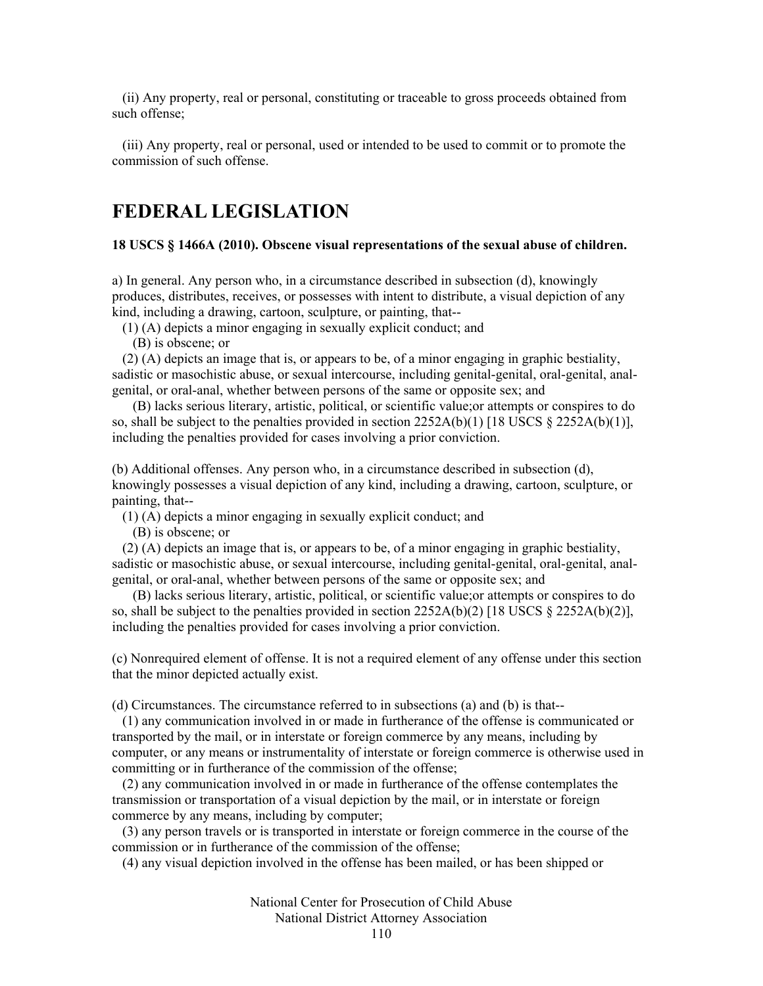(ii) Any property, real or personal, constituting or traceable to gross proceeds obtained from such offense;

 (iii) Any property, real or personal, used or intended to be used to commit or to promote the commission of such offense.

# **FEDERAL LEGISLATION**

#### **18 USCS § 1466A (2010). Obscene visual representations of the sexual abuse of children.**

a) In general. Any person who, in a circumstance described in subsection (d), knowingly produces, distributes, receives, or possesses with intent to distribute, a visual depiction of any kind, including a drawing, cartoon, sculpture, or painting, that--

(1) (A) depicts a minor engaging in sexually explicit conduct; and

(B) is obscene; or

 (2) (A) depicts an image that is, or appears to be, of a minor engaging in graphic bestiality, sadistic or masochistic abuse, or sexual intercourse, including genital-genital, oral-genital, analgenital, or oral-anal, whether between persons of the same or opposite sex; and

 (B) lacks serious literary, artistic, political, or scientific value;or attempts or conspires to do so, shall be subject to the penalties provided in section  $2252A(b)(1)$  [18 USCS §  $2252A(b)(1)$ ], including the penalties provided for cases involving a prior conviction.

(b) Additional offenses. Any person who, in a circumstance described in subsection (d), knowingly possesses a visual depiction of any kind, including a drawing, cartoon, sculpture, or painting, that--

(1) (A) depicts a minor engaging in sexually explicit conduct; and

(B) is obscene; or

 (2) (A) depicts an image that is, or appears to be, of a minor engaging in graphic bestiality, sadistic or masochistic abuse, or sexual intercourse, including genital-genital, oral-genital, analgenital, or oral-anal, whether between persons of the same or opposite sex; and

 (B) lacks serious literary, artistic, political, or scientific value;or attempts or conspires to do so, shall be subject to the penalties provided in section  $2252A(b)(2)$  [18 USCS §  $2252A(b)(2)$ ], including the penalties provided for cases involving a prior conviction.

(c) Nonrequired element of offense. It is not a required element of any offense under this section that the minor depicted actually exist.

(d) Circumstances. The circumstance referred to in subsections (a) and (b) is that--

 (1) any communication involved in or made in furtherance of the offense is communicated or transported by the mail, or in interstate or foreign commerce by any means, including by computer, or any means or instrumentality of interstate or foreign commerce is otherwise used in committing or in furtherance of the commission of the offense;

 (2) any communication involved in or made in furtherance of the offense contemplates the transmission or transportation of a visual depiction by the mail, or in interstate or foreign commerce by any means, including by computer;

 (3) any person travels or is transported in interstate or foreign commerce in the course of the commission or in furtherance of the commission of the offense;

(4) any visual depiction involved in the offense has been mailed, or has been shipped or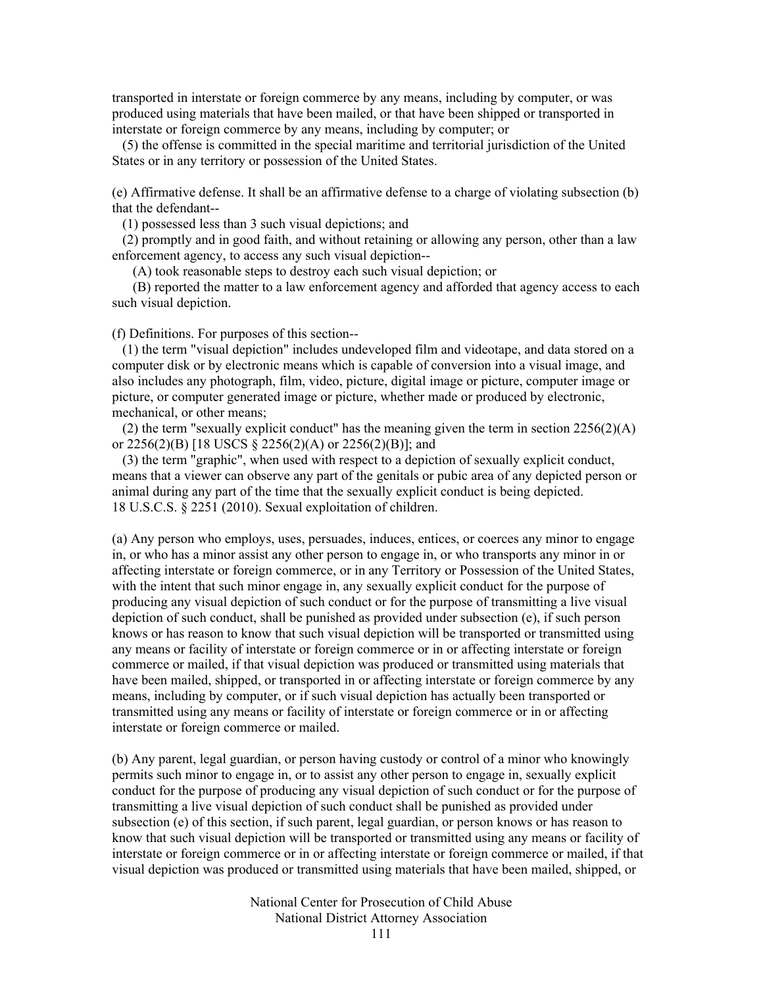transported in interstate or foreign commerce by any means, including by computer, or was produced using materials that have been mailed, or that have been shipped or transported in interstate or foreign commerce by any means, including by computer; or

 (5) the offense is committed in the special maritime and territorial jurisdiction of the United States or in any territory or possession of the United States.

(e) Affirmative defense. It shall be an affirmative defense to a charge of violating subsection (b) that the defendant--

(1) possessed less than 3 such visual depictions; and

 (2) promptly and in good faith, and without retaining or allowing any person, other than a law enforcement agency, to access any such visual depiction--

(A) took reasonable steps to destroy each such visual depiction; or

 (B) reported the matter to a law enforcement agency and afforded that agency access to each such visual depiction.

(f) Definitions. For purposes of this section--

 (1) the term "visual depiction" includes undeveloped film and videotape, and data stored on a computer disk or by electronic means which is capable of conversion into a visual image, and also includes any photograph, film, video, picture, digital image or picture, computer image or picture, or computer generated image or picture, whether made or produced by electronic, mechanical, or other means;

(2) the term "sexually explicit conduct" has the meaning given the term in section  $2256(2)(A)$ or  $2256(2)(B)$  [18 USCS §  $2256(2)(A)$  or  $2256(2)(B)$ ]; and

 (3) the term "graphic", when used with respect to a depiction of sexually explicit conduct, means that a viewer can observe any part of the genitals or pubic area of any depicted person or animal during any part of the time that the sexually explicit conduct is being depicted. 18 U.S.C.S. § 2251 (2010). Sexual exploitation of children.

(a) Any person who employs, uses, persuades, induces, entices, or coerces any minor to engage in, or who has a minor assist any other person to engage in, or who transports any minor in or affecting interstate or foreign commerce, or in any Territory or Possession of the United States, with the intent that such minor engage in, any sexually explicit conduct for the purpose of producing any visual depiction of such conduct or for the purpose of transmitting a live visual depiction of such conduct, shall be punished as provided under subsection (e), if such person knows or has reason to know that such visual depiction will be transported or transmitted using any means or facility of interstate or foreign commerce or in or affecting interstate or foreign commerce or mailed, if that visual depiction was produced or transmitted using materials that have been mailed, shipped, or transported in or affecting interstate or foreign commerce by any means, including by computer, or if such visual depiction has actually been transported or transmitted using any means or facility of interstate or foreign commerce or in or affecting interstate or foreign commerce or mailed.

(b) Any parent, legal guardian, or person having custody or control of a minor who knowingly permits such minor to engage in, or to assist any other person to engage in, sexually explicit conduct for the purpose of producing any visual depiction of such conduct or for the purpose of transmitting a live visual depiction of such conduct shall be punished as provided under subsection (e) of this section, if such parent, legal guardian, or person knows or has reason to know that such visual depiction will be transported or transmitted using any means or facility of interstate or foreign commerce or in or affecting interstate or foreign commerce or mailed, if that visual depiction was produced or transmitted using materials that have been mailed, shipped, or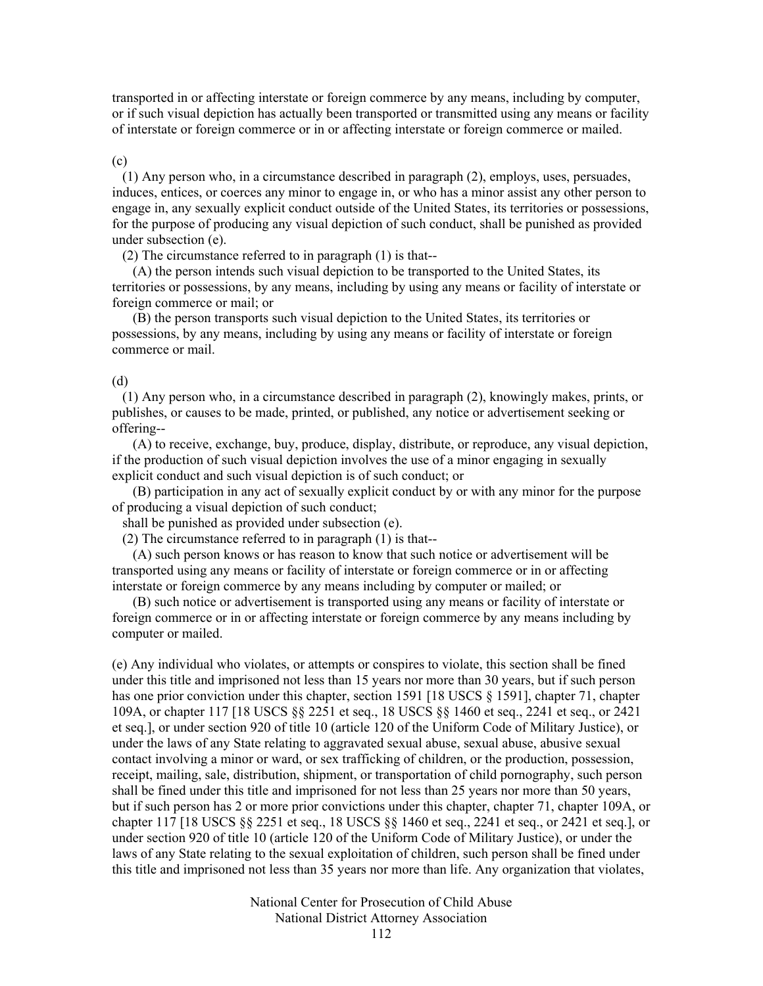transported in or affecting interstate or foreign commerce by any means, including by computer, or if such visual depiction has actually been transported or transmitted using any means or facility of interstate or foreign commerce or in or affecting interstate or foreign commerce or mailed.

(c)

 (1) Any person who, in a circumstance described in paragraph (2), employs, uses, persuades, induces, entices, or coerces any minor to engage in, or who has a minor assist any other person to engage in, any sexually explicit conduct outside of the United States, its territories or possessions, for the purpose of producing any visual depiction of such conduct, shall be punished as provided under subsection (e).

(2) The circumstance referred to in paragraph (1) is that--

 (A) the person intends such visual depiction to be transported to the United States, its territories or possessions, by any means, including by using any means or facility of interstate or foreign commerce or mail; or

 (B) the person transports such visual depiction to the United States, its territories or possessions, by any means, including by using any means or facility of interstate or foreign commerce or mail.

#### (d)

 (1) Any person who, in a circumstance described in paragraph (2), knowingly makes, prints, or publishes, or causes to be made, printed, or published, any notice or advertisement seeking or offering--

 (A) to receive, exchange, buy, produce, display, distribute, or reproduce, any visual depiction, if the production of such visual depiction involves the use of a minor engaging in sexually explicit conduct and such visual depiction is of such conduct; or

 (B) participation in any act of sexually explicit conduct by or with any minor for the purpose of producing a visual depiction of such conduct;

shall be punished as provided under subsection (e).

(2) The circumstance referred to in paragraph (1) is that--

 (A) such person knows or has reason to know that such notice or advertisement will be transported using any means or facility of interstate or foreign commerce or in or affecting interstate or foreign commerce by any means including by computer or mailed; or

 (B) such notice or advertisement is transported using any means or facility of interstate or foreign commerce or in or affecting interstate or foreign commerce by any means including by computer or mailed.

(e) Any individual who violates, or attempts or conspires to violate, this section shall be fined under this title and imprisoned not less than 15 years nor more than 30 years, but if such person has one prior conviction under this chapter, section 1591 [18 USCS § 1591], chapter 71, chapter 109A, or chapter 117 [18 USCS §§ 2251 et seq., 18 USCS §§ 1460 et seq., 2241 et seq., or 2421 et seq.], or under section 920 of title 10 (article 120 of the Uniform Code of Military Justice), or under the laws of any State relating to aggravated sexual abuse, sexual abuse, abusive sexual contact involving a minor or ward, or sex trafficking of children, or the production, possession, receipt, mailing, sale, distribution, shipment, or transportation of child pornography, such person shall be fined under this title and imprisoned for not less than 25 years nor more than 50 years, but if such person has 2 or more prior convictions under this chapter, chapter 71, chapter 109A, or chapter 117 [18 USCS §§ 2251 et seq., 18 USCS §§ 1460 et seq., 2241 et seq., or 2421 et seq.], or under section 920 of title 10 (article 120 of the Uniform Code of Military Justice), or under the laws of any State relating to the sexual exploitation of children, such person shall be fined under this title and imprisoned not less than 35 years nor more than life. Any organization that violates,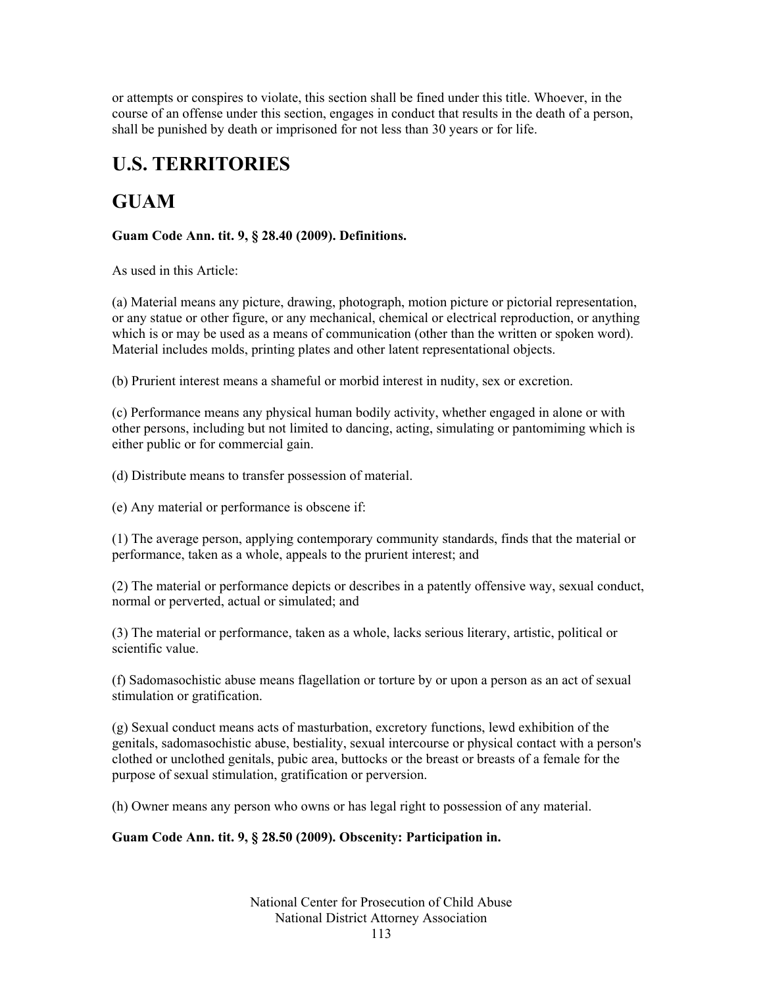or attempts or conspires to violate, this section shall be fined under this title. Whoever, in the course of an offense under this section, engages in conduct that results in the death of a person, shall be punished by death or imprisoned for not less than 30 years or for life.

# **U.S. TERRITORIES**

# **GUAM**

## **Guam Code Ann. tit. 9, § 28.40 (2009). Definitions.**

As used in this Article:

(a) Material means any picture, drawing, photograph, motion picture or pictorial representation, or any statue or other figure, or any mechanical, chemical or electrical reproduction, or anything which is or may be used as a means of communication (other than the written or spoken word). Material includes molds, printing plates and other latent representational objects.

(b) Prurient interest means a shameful or morbid interest in nudity, sex or excretion.

(c) Performance means any physical human bodily activity, whether engaged in alone or with other persons, including but not limited to dancing, acting, simulating or pantomiming which is either public or for commercial gain.

(d) Distribute means to transfer possession of material.

(e) Any material or performance is obscene if:

(1) The average person, applying contemporary community standards, finds that the material or performance, taken as a whole, appeals to the prurient interest; and

(2) The material or performance depicts or describes in a patently offensive way, sexual conduct, normal or perverted, actual or simulated; and

(3) The material or performance, taken as a whole, lacks serious literary, artistic, political or scientific value.

(f) Sadomasochistic abuse means flagellation or torture by or upon a person as an act of sexual stimulation or gratification.

(g) Sexual conduct means acts of masturbation, excretory functions, lewd exhibition of the genitals, sadomasochistic abuse, bestiality, sexual intercourse or physical contact with a person's clothed or unclothed genitals, pubic area, buttocks or the breast or breasts of a female for the purpose of sexual stimulation, gratification or perversion.

(h) Owner means any person who owns or has legal right to possession of any material.

## **Guam Code Ann. tit. 9, § 28.50 (2009). Obscenity: Participation in.**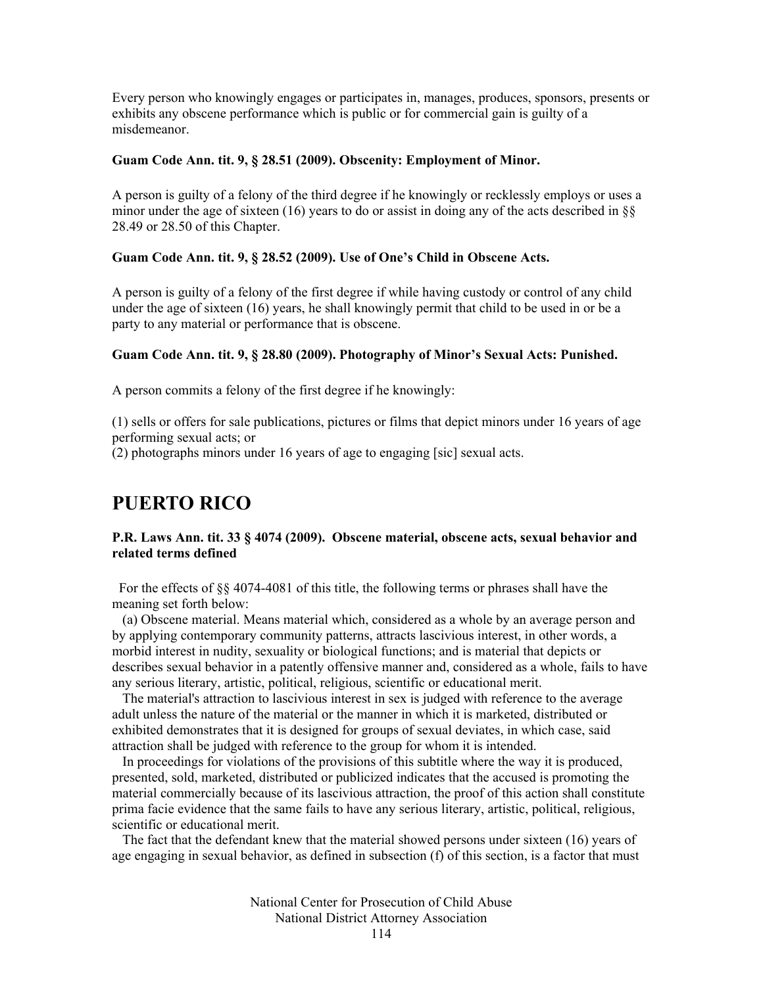Every person who knowingly engages or participates in, manages, produces, sponsors, presents or exhibits any obscene performance which is public or for commercial gain is guilty of a misdemeanor.

### **Guam Code Ann. tit. 9, § 28.51 (2009). Obscenity: Employment of Minor.**

A person is guilty of a felony of the third degree if he knowingly or recklessly employs or uses a minor under the age of sixteen (16) years to do or assist in doing any of the acts described in §§ 28.49 or 28.50 of this Chapter.

#### **Guam Code Ann. tit. 9, § 28.52 (2009). Use of One's Child in Obscene Acts.**

A person is guilty of a felony of the first degree if while having custody or control of any child under the age of sixteen (16) years, he shall knowingly permit that child to be used in or be a party to any material or performance that is obscene.

#### **Guam Code Ann. tit. 9, § 28.80 (2009). Photography of Minor's Sexual Acts: Punished.**

A person commits a felony of the first degree if he knowingly:

(1) sells or offers for sale publications, pictures or films that depict minors under 16 years of age performing sexual acts; or

(2) photographs minors under 16 years of age to engaging [sic] sexual acts.

# **PUERTO RICO**

#### **P.R. Laws Ann. tit. 33 § 4074 (2009). Obscene material, obscene acts, sexual behavior and related terms defined**

 For the effects of §§ 4074-4081 of this title, the following terms or phrases shall have the meaning set forth below:

 (a) Obscene material. Means material which, considered as a whole by an average person and by applying contemporary community patterns, attracts lascivious interest, in other words, a morbid interest in nudity, sexuality or biological functions; and is material that depicts or describes sexual behavior in a patently offensive manner and, considered as a whole, fails to have any serious literary, artistic, political, religious, scientific or educational merit.

 The material's attraction to lascivious interest in sex is judged with reference to the average adult unless the nature of the material or the manner in which it is marketed, distributed or exhibited demonstrates that it is designed for groups of sexual deviates, in which case, said attraction shall be judged with reference to the group for whom it is intended.

 In proceedings for violations of the provisions of this subtitle where the way it is produced, presented, sold, marketed, distributed or publicized indicates that the accused is promoting the material commercially because of its lascivious attraction, the proof of this action shall constitute prima facie evidence that the same fails to have any serious literary, artistic, political, religious, scientific or educational merit.

 The fact that the defendant knew that the material showed persons under sixteen (16) years of age engaging in sexual behavior, as defined in subsection (f) of this section, is a factor that must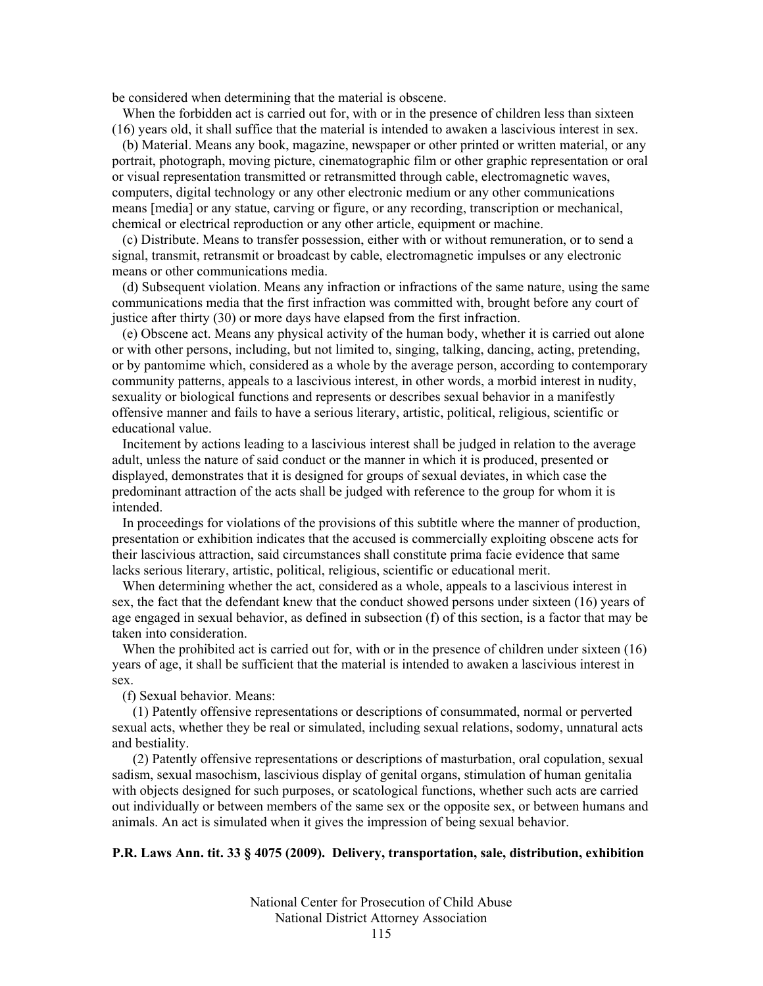be considered when determining that the material is obscene.

When the forbidden act is carried out for, with or in the presence of children less than sixteen (16) years old, it shall suffice that the material is intended to awaken a lascivious interest in sex.

 (b) Material. Means any book, magazine, newspaper or other printed or written material, or any portrait, photograph, moving picture, cinematographic film or other graphic representation or oral or visual representation transmitted or retransmitted through cable, electromagnetic waves, computers, digital technology or any other electronic medium or any other communications means [media] or any statue, carving or figure, or any recording, transcription or mechanical, chemical or electrical reproduction or any other article, equipment or machine.

 (c) Distribute. Means to transfer possession, either with or without remuneration, or to send a signal, transmit, retransmit or broadcast by cable, electromagnetic impulses or any electronic means or other communications media.

 (d) Subsequent violation. Means any infraction or infractions of the same nature, using the same communications media that the first infraction was committed with, brought before any court of justice after thirty (30) or more days have elapsed from the first infraction.

 (e) Obscene act. Means any physical activity of the human body, whether it is carried out alone or with other persons, including, but not limited to, singing, talking, dancing, acting, pretending, or by pantomime which, considered as a whole by the average person, according to contemporary community patterns, appeals to a lascivious interest, in other words, a morbid interest in nudity, sexuality or biological functions and represents or describes sexual behavior in a manifestly offensive manner and fails to have a serious literary, artistic, political, religious, scientific or educational value.

 Incitement by actions leading to a lascivious interest shall be judged in relation to the average adult, unless the nature of said conduct or the manner in which it is produced, presented or displayed, demonstrates that it is designed for groups of sexual deviates, in which case the predominant attraction of the acts shall be judged with reference to the group for whom it is intended.

 In proceedings for violations of the provisions of this subtitle where the manner of production, presentation or exhibition indicates that the accused is commercially exploiting obscene acts for their lascivious attraction, said circumstances shall constitute prima facie evidence that same lacks serious literary, artistic, political, religious, scientific or educational merit.

 When determining whether the act, considered as a whole, appeals to a lascivious interest in sex, the fact that the defendant knew that the conduct showed persons under sixteen (16) years of age engaged in sexual behavior, as defined in subsection (f) of this section, is a factor that may be taken into consideration.

When the prohibited act is carried out for, with or in the presence of children under sixteen (16) years of age, it shall be sufficient that the material is intended to awaken a lascivious interest in sex.

(f) Sexual behavior. Means:

 (1) Patently offensive representations or descriptions of consummated, normal or perverted sexual acts, whether they be real or simulated, including sexual relations, sodomy, unnatural acts and bestiality.

 (2) Patently offensive representations or descriptions of masturbation, oral copulation, sexual sadism, sexual masochism, lascivious display of genital organs, stimulation of human genitalia with objects designed for such purposes, or scatological functions, whether such acts are carried out individually or between members of the same sex or the opposite sex, or between humans and animals. An act is simulated when it gives the impression of being sexual behavior.

#### **P.R. Laws Ann. tit. 33 § 4075 (2009). Delivery, transportation, sale, distribution, exhibition**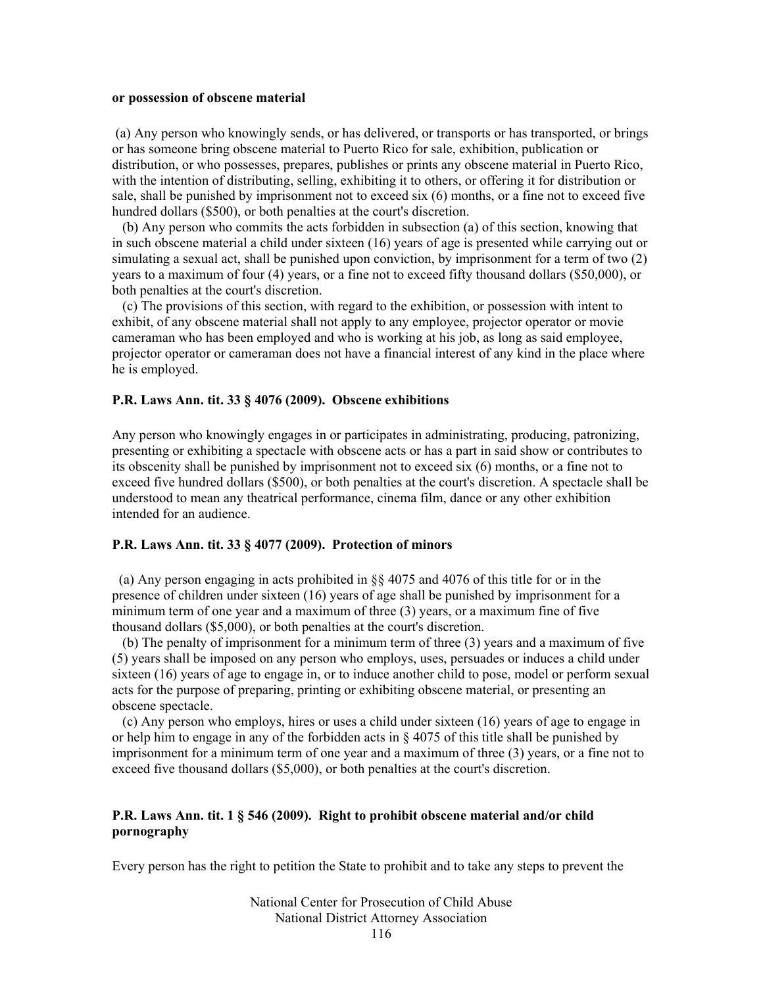#### **or possession of obscene material**

 (a) Any person who knowingly sends, or has delivered, or transports or has transported, or brings or has someone bring obscene material to Puerto Rico for sale, exhibition, publication or distribution, or who possesses, prepares, publishes or prints any obscene material in Puerto Rico, with the intention of distributing, selling, exhibiting it to others, or offering it for distribution or sale, shall be punished by imprisonment not to exceed six (6) months, or a fine not to exceed five hundred dollars (\$500), or both penalties at the court's discretion.

 (b) Any person who commits the acts forbidden in subsection (a) of this section, knowing that in such obscene material a child under sixteen (16) years of age is presented while carrying out or simulating a sexual act, shall be punished upon conviction, by imprisonment for a term of two (2) years to a maximum of four (4) years, or a fine not to exceed fifty thousand dollars (\$50,000), or both penalties at the court's discretion.

 (c) The provisions of this section, with regard to the exhibition, or possession with intent to exhibit, of any obscene material shall not apply to any employee, projector operator or movie cameraman who has been employed and who is working at his job, as long as said employee, projector operator or cameraman does not have a financial interest of any kind in the place where he is employed.

#### **P.R. Laws Ann. tit. 33 § 4076 (2009). Obscene exhibitions**

Any person who knowingly engages in or participates in administrating, producing, patronizing, presenting or exhibiting a spectacle with obscene acts or has a part in said show or contributes to its obscenity shall be punished by imprisonment not to exceed six (6) months, or a fine not to exceed five hundred dollars (\$500), or both penalties at the court's discretion. A spectacle shall be understood to mean any theatrical performance, cinema film, dance or any other exhibition intended for an audience.

#### **P.R. Laws Ann. tit. 33 § 4077 (2009). Protection of minors**

 (a) Any person engaging in acts prohibited in §§ 4075 and 4076 of this title for or in the presence of children under sixteen (16) years of age shall be punished by imprisonment for a minimum term of one year and a maximum of three (3) years, or a maximum fine of five thousand dollars (\$5,000), or both penalties at the court's discretion.

 (b) The penalty of imprisonment for a minimum term of three (3) years and a maximum of five (5) years shall be imposed on any person who employs, uses, persuades or induces a child under sixteen (16) years of age to engage in, or to induce another child to pose, model or perform sexual acts for the purpose of preparing, printing or exhibiting obscene material, or presenting an obscene spectacle.

 (c) Any person who employs, hires or uses a child under sixteen (16) years of age to engage in or help him to engage in any of the forbidden acts in  $\S$  4075 of this title shall be punished by imprisonment for a minimum term of one year and a maximum of three (3) years, or a fine not to exceed five thousand dollars (\$5,000), or both penalties at the court's discretion.

## **P.R. Laws Ann. tit. 1 § 546 (2009). Right to prohibit obscene material and/or child pornography**

Every person has the right to petition the State to prohibit and to take any steps to prevent the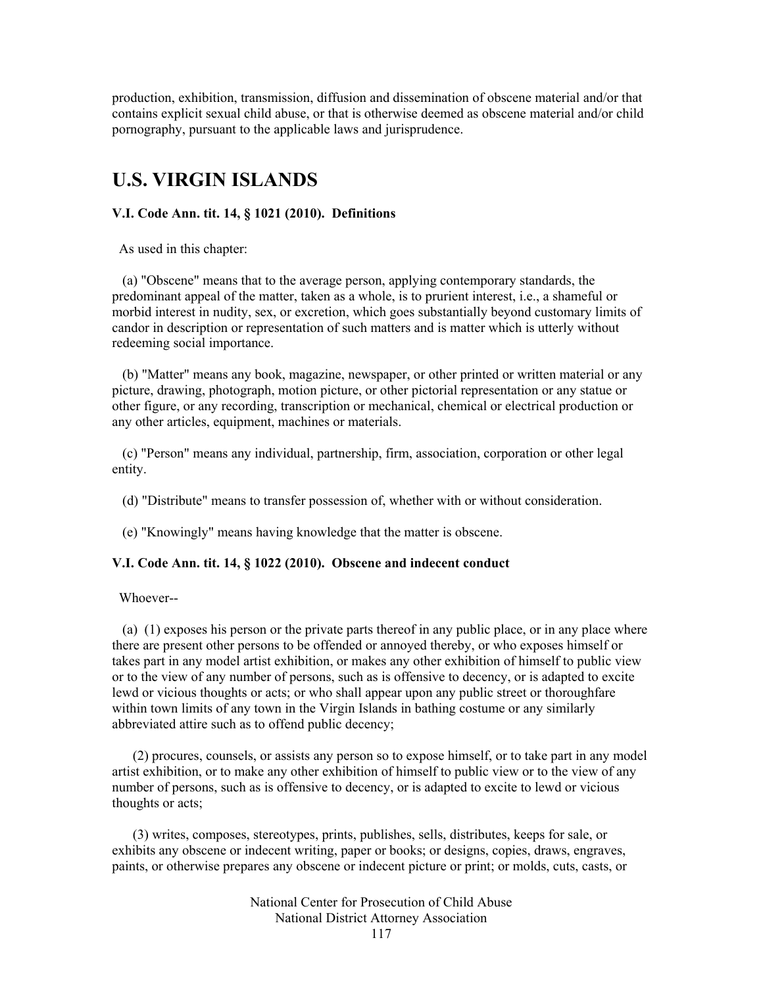production, exhibition, transmission, diffusion and dissemination of obscene material and/or that contains explicit sexual child abuse, or that is otherwise deemed as obscene material and/or child pornography, pursuant to the applicable laws and jurisprudence.

# **U.S. VIRGIN ISLANDS**

#### **V.I. Code Ann. tit. 14, § 1021 (2010). Definitions**

As used in this chapter:

 (a) "Obscene" means that to the average person, applying contemporary standards, the predominant appeal of the matter, taken as a whole, is to prurient interest, i.e., a shameful or morbid interest in nudity, sex, or excretion, which goes substantially beyond customary limits of candor in description or representation of such matters and is matter which is utterly without redeeming social importance.

 (b) "Matter" means any book, magazine, newspaper, or other printed or written material or any picture, drawing, photograph, motion picture, or other pictorial representation or any statue or other figure, or any recording, transcription or mechanical, chemical or electrical production or any other articles, equipment, machines or materials.

 (c) "Person" means any individual, partnership, firm, association, corporation or other legal entity.

(d) "Distribute" means to transfer possession of, whether with or without consideration.

(e) "Knowingly" means having knowledge that the matter is obscene.

## **V.I. Code Ann. tit. 14, § 1022 (2010). Obscene and indecent conduct**

Whoever--

 (a) (1) exposes his person or the private parts thereof in any public place, or in any place where there are present other persons to be offended or annoyed thereby, or who exposes himself or takes part in any model artist exhibition, or makes any other exhibition of himself to public view or to the view of any number of persons, such as is offensive to decency, or is adapted to excite lewd or vicious thoughts or acts; or who shall appear upon any public street or thoroughfare within town limits of any town in the Virgin Islands in bathing costume or any similarly abbreviated attire such as to offend public decency;

 (2) procures, counsels, or assists any person so to expose himself, or to take part in any model artist exhibition, or to make any other exhibition of himself to public view or to the view of any number of persons, such as is offensive to decency, or is adapted to excite to lewd or vicious thoughts or acts;

 (3) writes, composes, stereotypes, prints, publishes, sells, distributes, keeps for sale, or exhibits any obscene or indecent writing, paper or books; or designs, copies, draws, engraves, paints, or otherwise prepares any obscene or indecent picture or print; or molds, cuts, casts, or